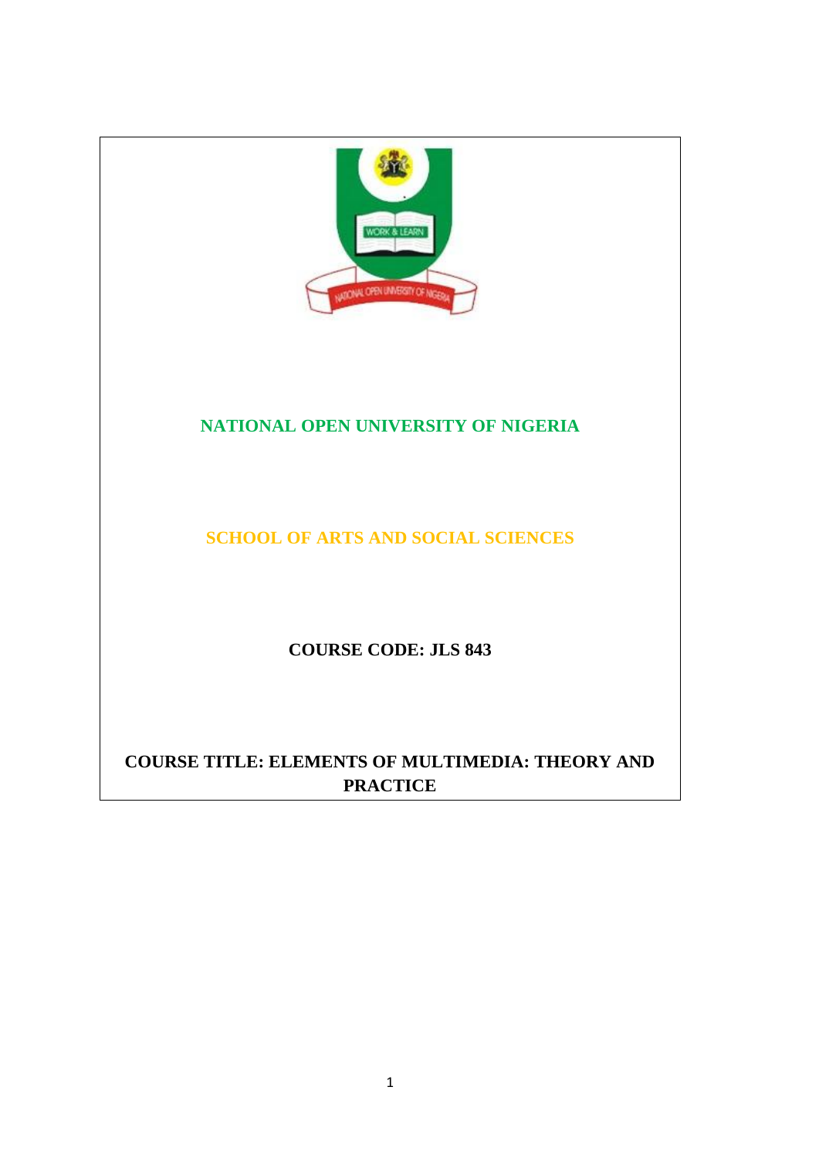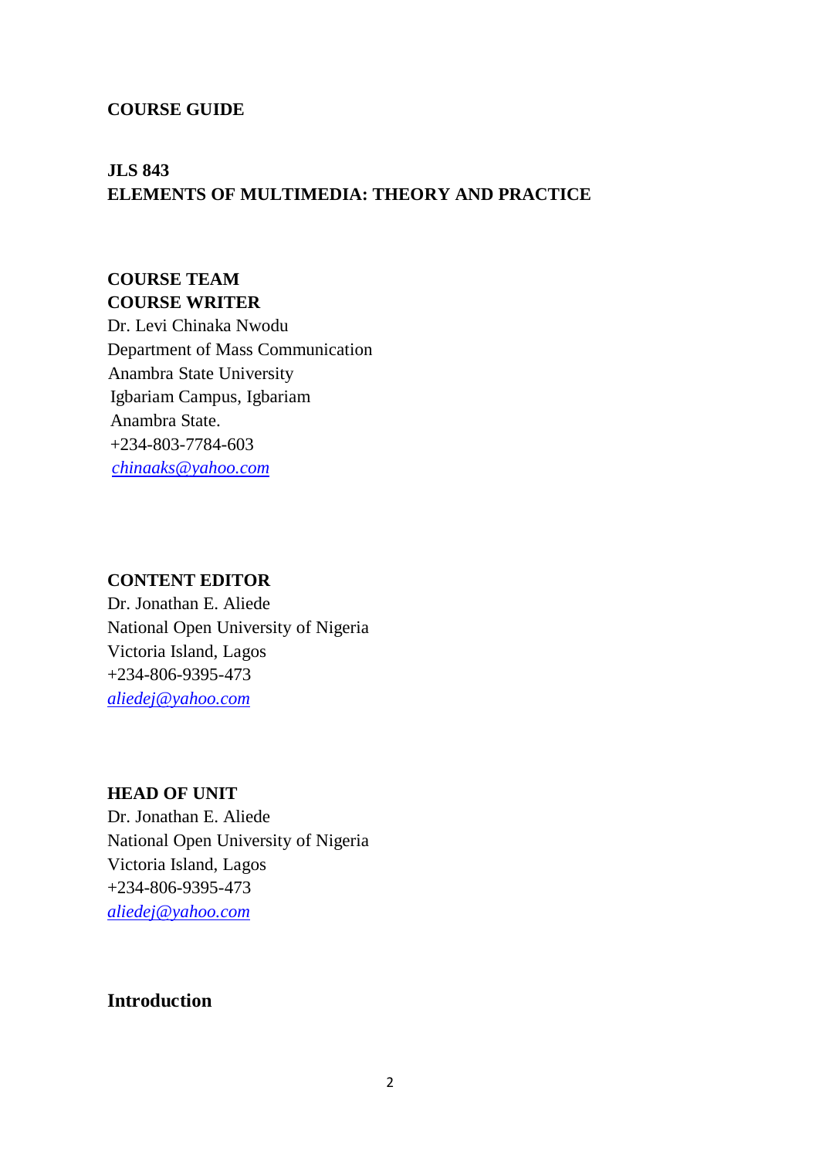#### **COURSE GUIDE**

# **JLS 843 ELEMENTS OF MULTIMEDIA: THEORY AND PRACTICE**

# **COURSE TEAM COURSE WRITER**

Dr. Levi Chinaka Nwodu Department of Mass Communication Anambra State University Igbariam Campus, Igbariam Anambra State. +234-803-7784-603 *[chinaaks@yahoo.com](mailto:chinaaks@yahoo.com)*

#### **CONTENT EDITOR**

Dr. Jonathan E. Aliede National Open University of Nigeria Victoria Island, Lagos +234-806-9395-473 *[aliedej@yahoo.com](mailto:aliedej@yahoo.com)*

#### **HEAD OF UNIT**

Dr. Jonathan E. Aliede National Open University of Nigeria Victoria Island, Lagos +234-806-9395-473 *[aliedej@yahoo.com](mailto:aliedej@yahoo.com)*

#### **Introduction**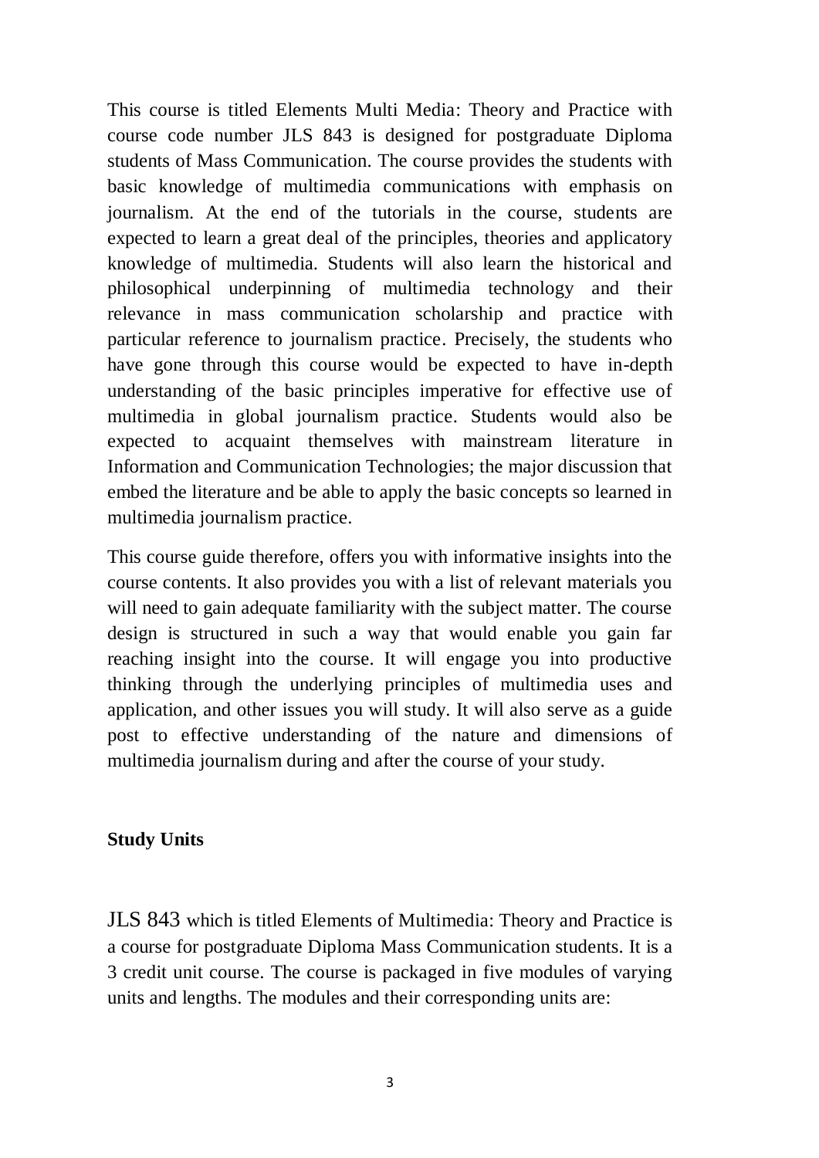This course is titled Elements Multi Media: Theory and Practice with course code number JLS 843 is designed for postgraduate Diploma students of Mass Communication. The course provides the students with basic knowledge of multimedia communications with emphasis on journalism. At the end of the tutorials in the course, students are expected to learn a great deal of the principles, theories and applicatory knowledge of multimedia. Students will also learn the historical and philosophical underpinning of multimedia technology and their relevance in mass communication scholarship and practice with particular reference to journalism practice. Precisely, the students who have gone through this course would be expected to have in-depth understanding of the basic principles imperative for effective use of multimedia in global journalism practice. Students would also be expected to acquaint themselves with mainstream literature in Information and Communication Technologies; the major discussion that embed the literature and be able to apply the basic concepts so learned in multimedia journalism practice.

This course guide therefore, offers you with informative insights into the course contents. It also provides you with a list of relevant materials you will need to gain adequate familiarity with the subject matter. The course design is structured in such a way that would enable you gain far reaching insight into the course. It will engage you into productive thinking through the underlying principles of multimedia uses and application, and other issues you will study. It will also serve as a guide post to effective understanding of the nature and dimensions of multimedia journalism during and after the course of your study.

### **Study Units**

JLS 843 which is titled Elements of Multimedia: Theory and Practice is a course for postgraduate Diploma Mass Communication students. It is a 3 credit unit course. The course is packaged in five modules of varying units and lengths. The modules and their corresponding units are: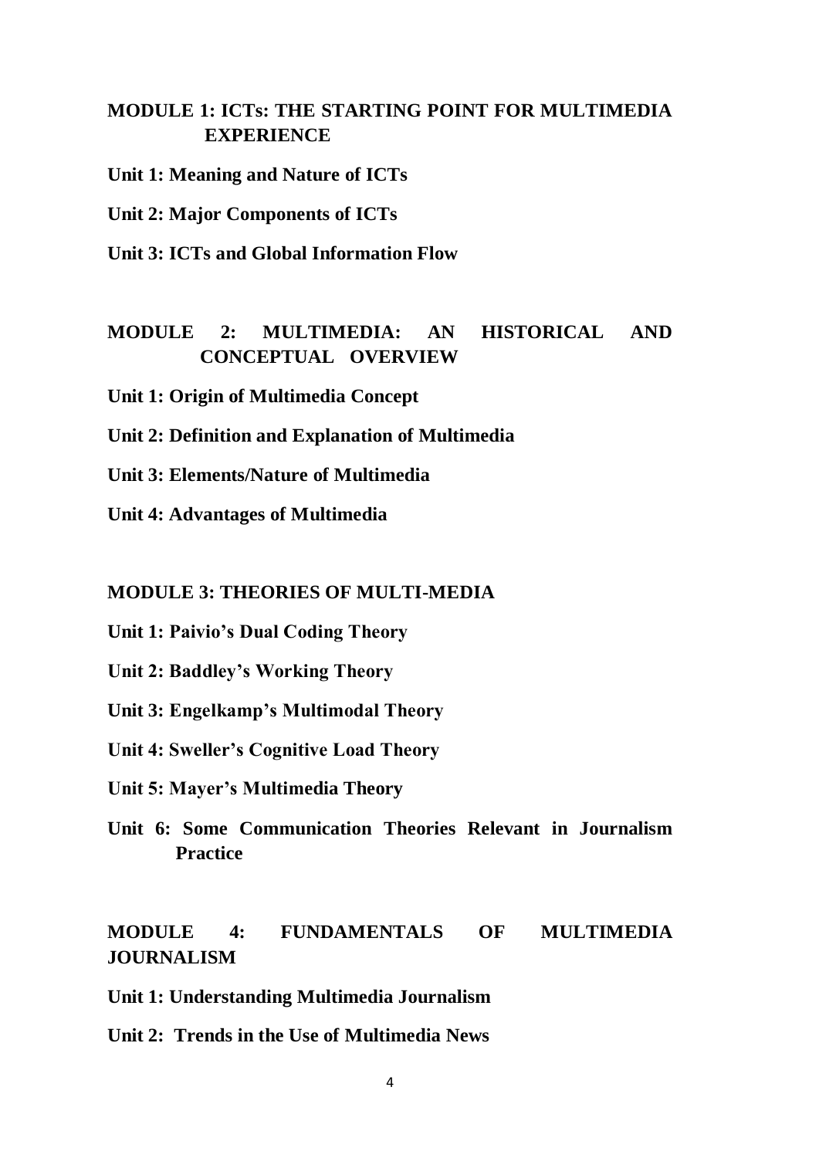# **MODULE 1: ICTs: THE STARTING POINT FOR MULTIMEDIA EXPERIENCE**

**Unit 1: Meaning and Nature of ICTs**

**Unit 2: Major Components of ICTs**

**Unit 3: ICTs and Global Information Flow**

# **MODULE 2: MULTIMEDIA: AN HISTORICAL AND CONCEPTUAL OVERVIEW**

**Unit 1: Origin of Multimedia Concept**

**Unit 2: Definition and Explanation of Multimedia**

**Unit 3: Elements/Nature of Multimedia**

**Unit 4: Advantages of Multimedia** 

#### **MODULE 3: THEORIES OF MULTI-MEDIA**

**Unit 1: Paivio's Dual Coding Theory**

**Unit 2: Baddley's Working Theory**

**Unit 3: Engelkamp's Multimodal Theory**

**Unit 4: Sweller's Cognitive Load Theory**

- **Unit 5: Mayer's Multimedia Theory**
- **Unit 6: Some Communication Theories Relevant in Journalism Practice**

# **MODULE 4: FUNDAMENTALS OF MULTIMEDIA JOURNALISM**

**Unit 1: Understanding Multimedia Journalism**

**Unit 2: Trends in the Use of Multimedia News**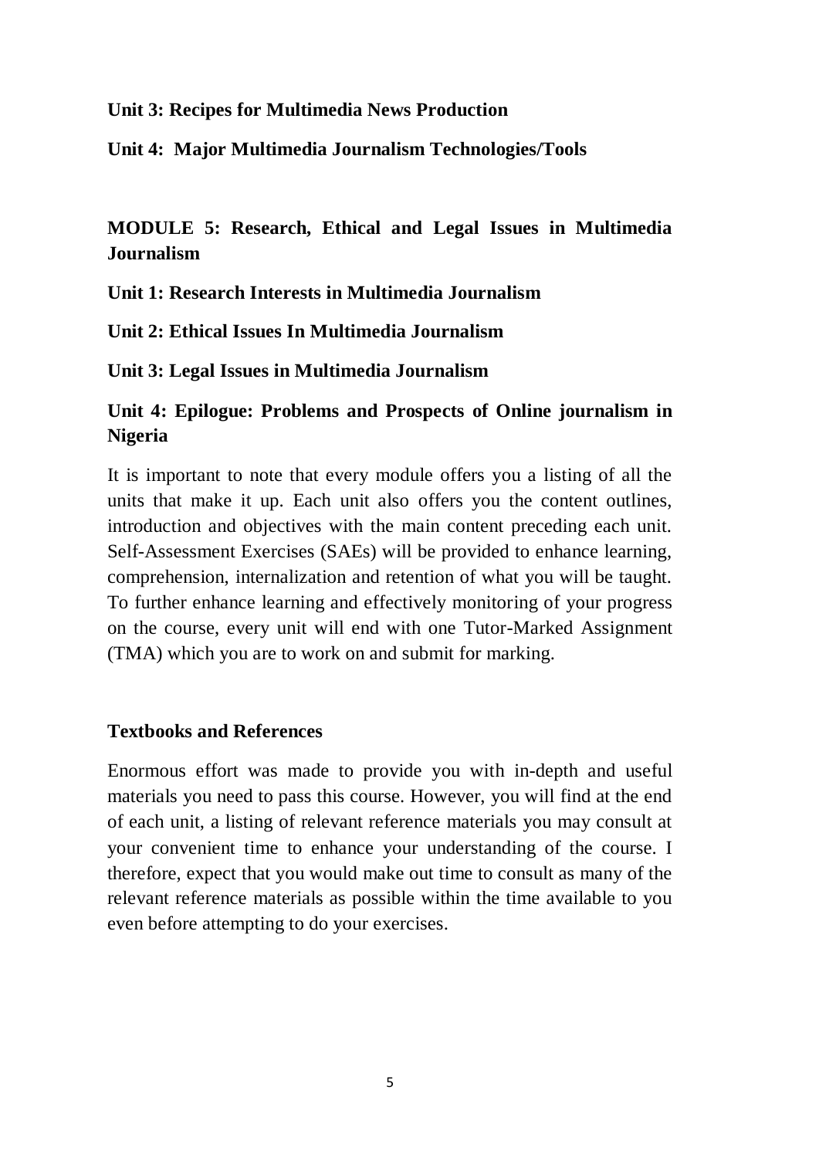#### **Unit 3: Recipes for Multimedia News Production**

**Unit 4: Major Multimedia Journalism Technologies/Tools**

# **MODULE 5: Research, Ethical and Legal Issues in Multimedia Journalism**

**Unit 1: Research Interests in Multimedia Journalism**

**Unit 2: Ethical Issues In Multimedia Journalism**

**Unit 3: Legal Issues in Multimedia Journalism**

# **Unit 4: Epilogue: Problems and Prospects of Online journalism in Nigeria**

It is important to note that every module offers you a listing of all the units that make it up. Each unit also offers you the content outlines, introduction and objectives with the main content preceding each unit. Self-Assessment Exercises (SAEs) will be provided to enhance learning, comprehension, internalization and retention of what you will be taught. To further enhance learning and effectively monitoring of your progress on the course, every unit will end with one Tutor-Marked Assignment (TMA) which you are to work on and submit for marking.

### **Textbooks and References**

Enormous effort was made to provide you with in-depth and useful materials you need to pass this course. However, you will find at the end of each unit, a listing of relevant reference materials you may consult at your convenient time to enhance your understanding of the course. I therefore, expect that you would make out time to consult as many of the relevant reference materials as possible within the time available to you even before attempting to do your exercises.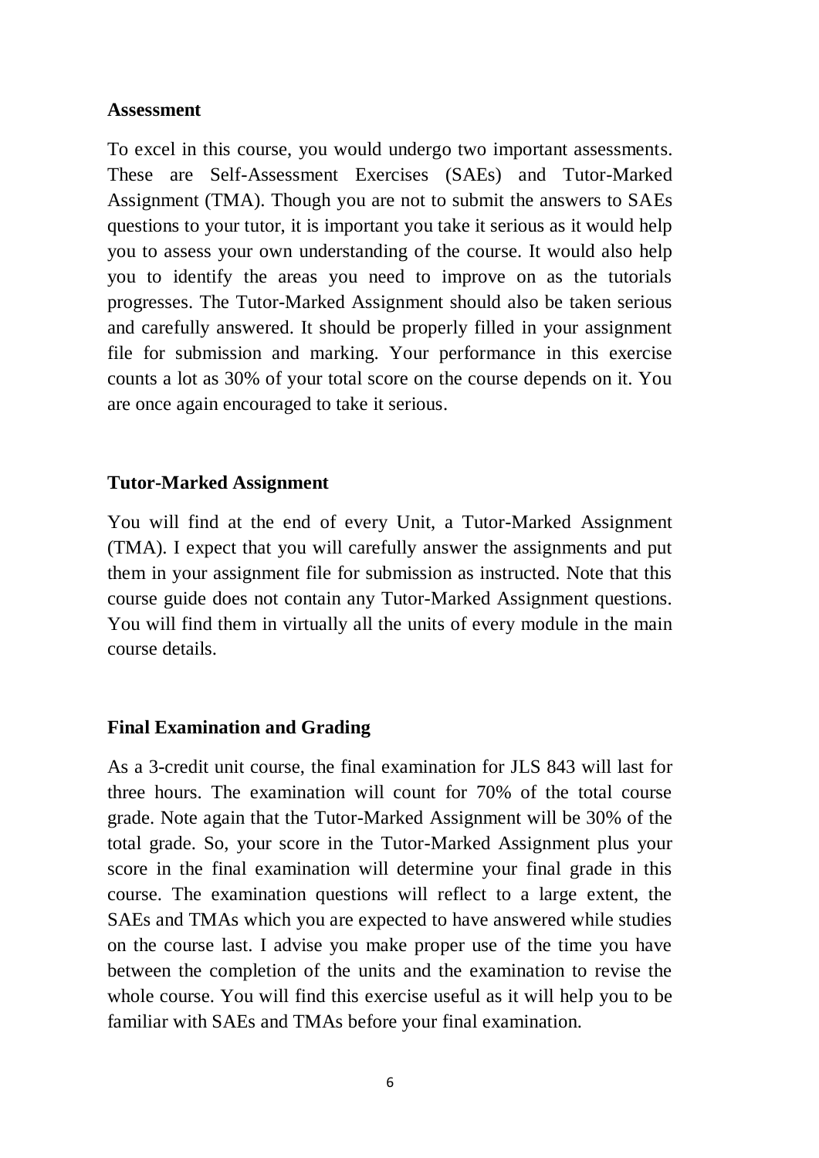#### **Assessment**

To excel in this course, you would undergo two important assessments. These are Self-Assessment Exercises (SAEs) and Tutor-Marked Assignment (TMA). Though you are not to submit the answers to SAEs questions to your tutor, it is important you take it serious as it would help you to assess your own understanding of the course. It would also help you to identify the areas you need to improve on as the tutorials progresses. The Tutor-Marked Assignment should also be taken serious and carefully answered. It should be properly filled in your assignment file for submission and marking. Your performance in this exercise counts a lot as 30% of your total score on the course depends on it. You are once again encouraged to take it serious.

## **Tutor-Marked Assignment**

You will find at the end of every Unit, a Tutor-Marked Assignment (TMA). I expect that you will carefully answer the assignments and put them in your assignment file for submission as instructed. Note that this course guide does not contain any Tutor-Marked Assignment questions. You will find them in virtually all the units of every module in the main course details.

### **Final Examination and Grading**

As a 3-credit unit course, the final examination for JLS 843 will last for three hours. The examination will count for 70% of the total course grade. Note again that the Tutor-Marked Assignment will be 30% of the total grade. So, your score in the Tutor-Marked Assignment plus your score in the final examination will determine your final grade in this course. The examination questions will reflect to a large extent, the SAEs and TMAs which you are expected to have answered while studies on the course last. I advise you make proper use of the time you have between the completion of the units and the examination to revise the whole course. You will find this exercise useful as it will help you to be familiar with SAEs and TMAs before your final examination.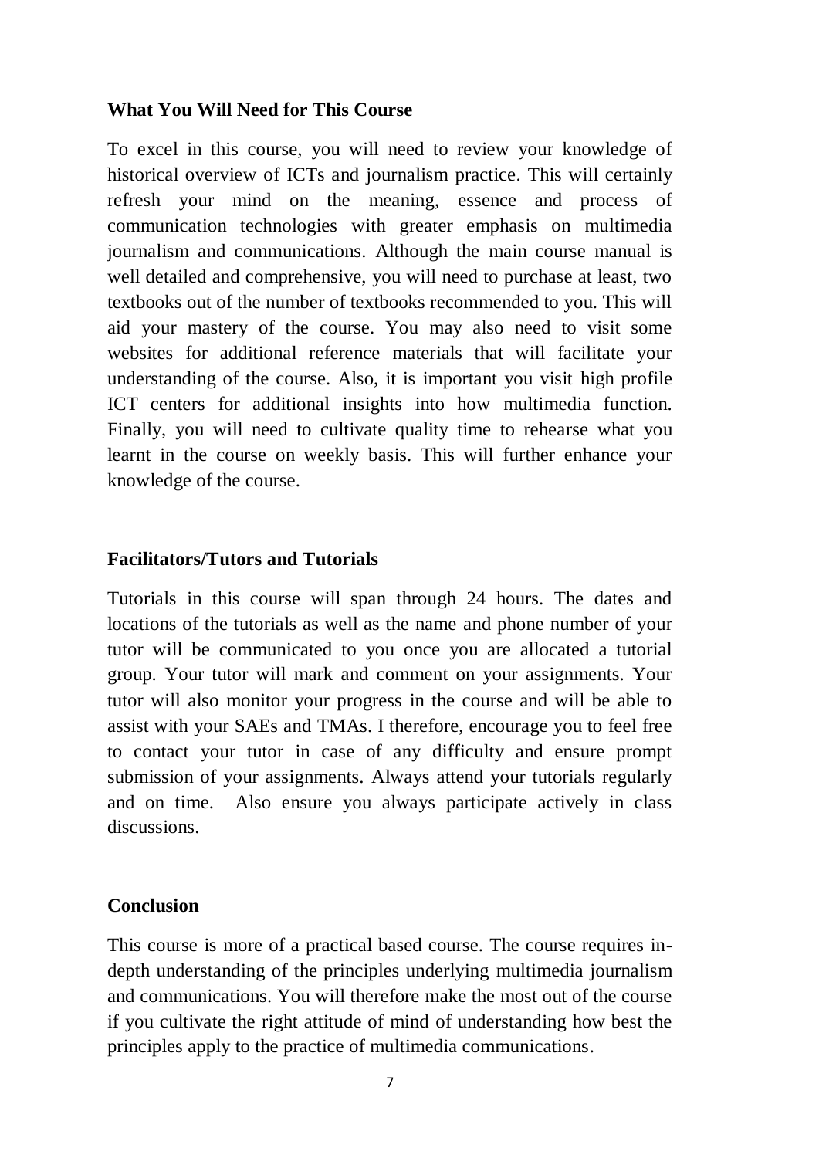### **What You Will Need for This Course**

To excel in this course, you will need to review your knowledge of historical overview of ICTs and journalism practice. This will certainly refresh your mind on the meaning, essence and process of communication technologies with greater emphasis on multimedia journalism and communications. Although the main course manual is well detailed and comprehensive, you will need to purchase at least, two textbooks out of the number of textbooks recommended to you. This will aid your mastery of the course. You may also need to visit some websites for additional reference materials that will facilitate your understanding of the course. Also, it is important you visit high profile ICT centers for additional insights into how multimedia function. Finally, you will need to cultivate quality time to rehearse what you learnt in the course on weekly basis. This will further enhance your knowledge of the course.

### **Facilitators/Tutors and Tutorials**

Tutorials in this course will span through 24 hours. The dates and locations of the tutorials as well as the name and phone number of your tutor will be communicated to you once you are allocated a tutorial group. Your tutor will mark and comment on your assignments. Your tutor will also monitor your progress in the course and will be able to assist with your SAEs and TMAs. I therefore, encourage you to feel free to contact your tutor in case of any difficulty and ensure prompt submission of your assignments. Always attend your tutorials regularly and on time. Also ensure you always participate actively in class discussions.

### **Conclusion**

This course is more of a practical based course. The course requires indepth understanding of the principles underlying multimedia journalism and communications. You will therefore make the most out of the course if you cultivate the right attitude of mind of understanding how best the principles apply to the practice of multimedia communications.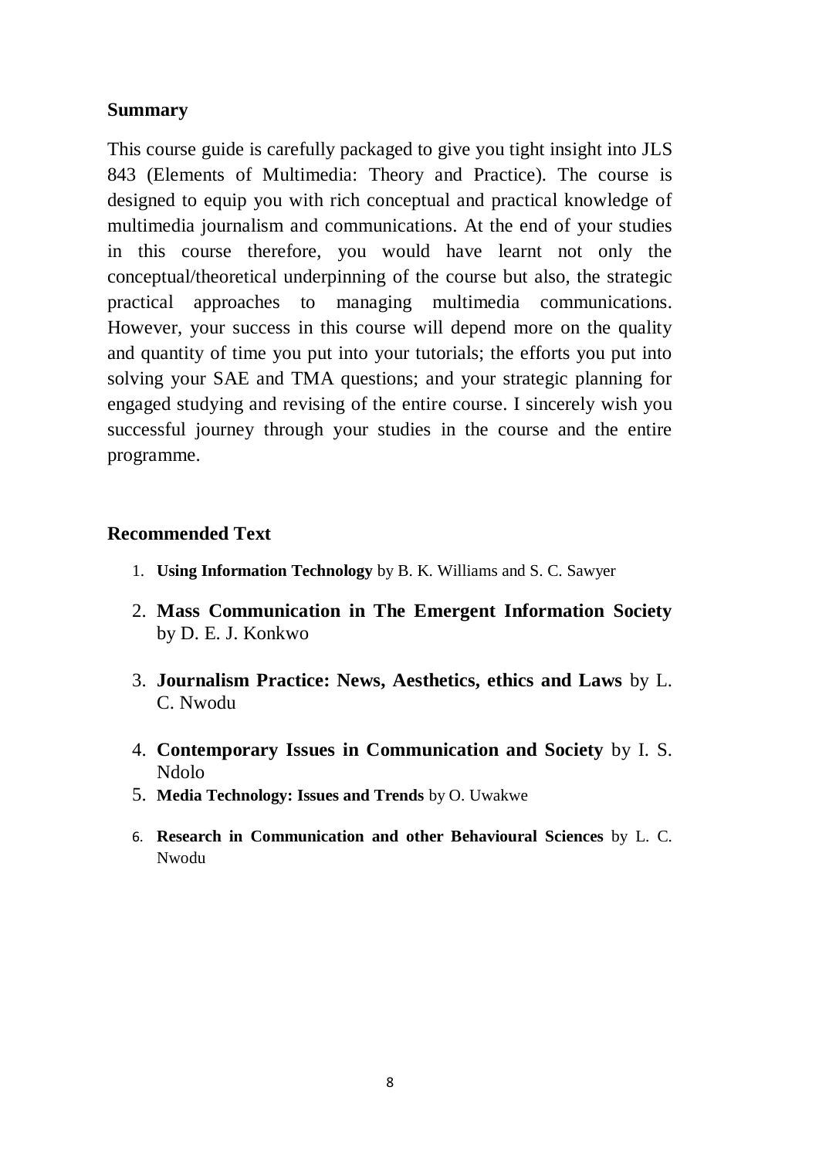## **Summary**

This course guide is carefully packaged to give you tight insight into JLS 843 (Elements of Multimedia: Theory and Practice). The course is designed to equip you with rich conceptual and practical knowledge of multimedia journalism and communications. At the end of your studies in this course therefore, you would have learnt not only the conceptual/theoretical underpinning of the course but also, the strategic practical approaches to managing multimedia communications. However, your success in this course will depend more on the quality and quantity of time you put into your tutorials; the efforts you put into solving your SAE and TMA questions; and your strategic planning for engaged studying and revising of the entire course. I sincerely wish you successful journey through your studies in the course and the entire programme.

## **Recommended Text**

- 1. **Using Information Technology** by B. K. Williams and S. C. Sawyer
- 2. **Mass Communication in The Emergent Information Society**  by D. E. J. Konkwo
- 3. **Journalism Practice: News, Aesthetics, ethics and Laws** by L. C. Nwodu
- 4. **Contemporary Issues in Communication and Society** by I. S. Ndolo
- 5. **Media Technology: Issues and Trends** by O. Uwakwe
- 6. **Research in Communication and other Behavioural Sciences** by L. C. Nwodu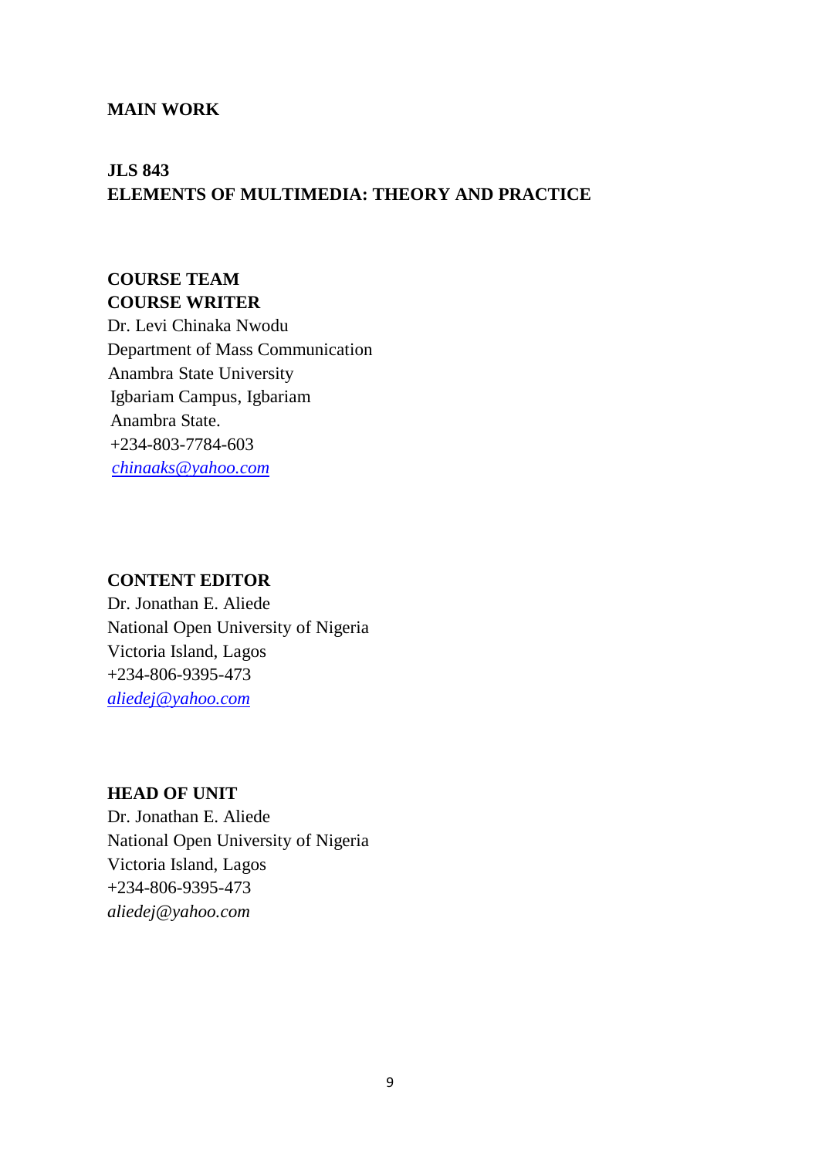#### **MAIN WORK**

# **JLS 843 ELEMENTS OF MULTIMEDIA: THEORY AND PRACTICE**

# **COURSE TEAM COURSE WRITER**

Dr. Levi Chinaka Nwodu Department of Mass Communication Anambra State University Igbariam Campus, Igbariam Anambra State. +234-803-7784-603 *[chinaaks@yahoo.com](mailto:chinaaks@yahoo.com)*

#### **CONTENT EDITOR**

Dr. Jonathan E. Aliede National Open University of Nigeria Victoria Island, Lagos +234-806-9395-473 *[aliedej@yahoo.com](mailto:aliedej@yahoo.com)*

#### **HEAD OF UNIT**

Dr. Jonathan E. Aliede National Open University of Nigeria Victoria Island, Lagos +234-806-9395-473 *aliedej@yahoo.com*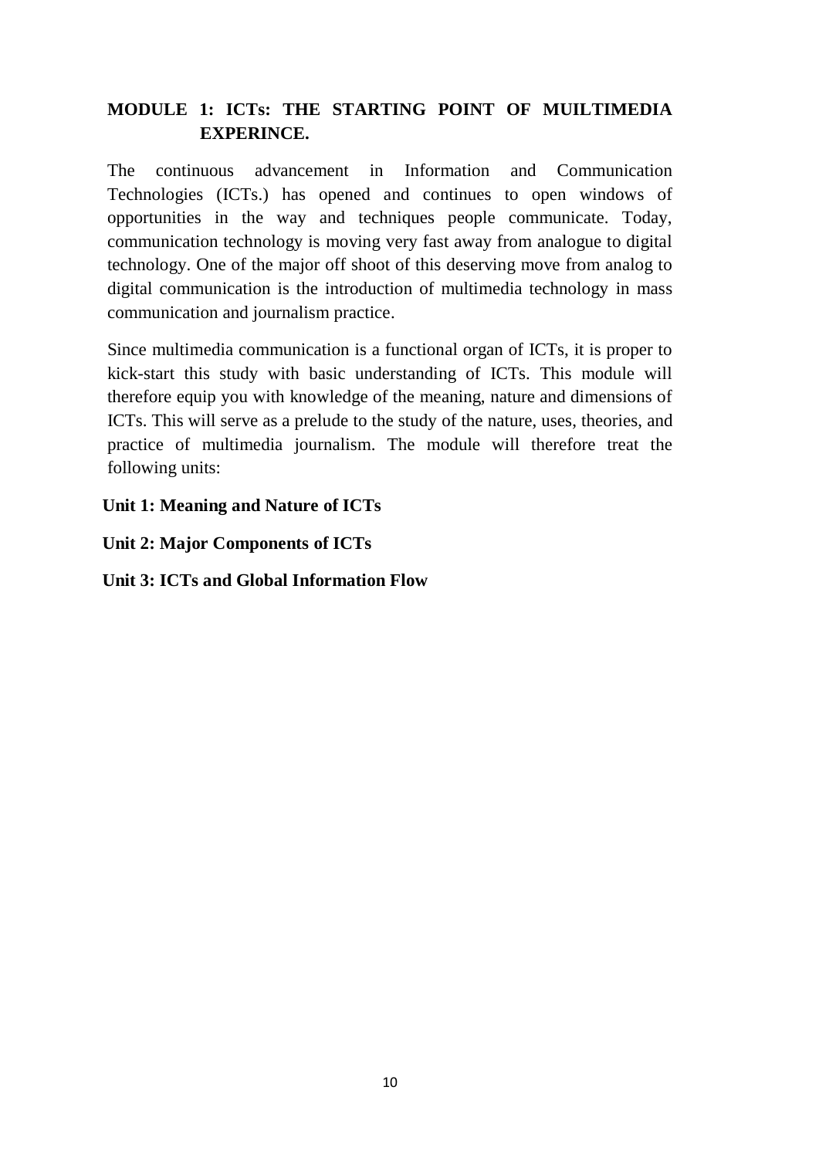# **MODULE 1: ICTs: THE STARTING POINT OF MUILTIMEDIA EXPERINCE.**

The continuous advancement in Information and Communication Technologies (ICTs.) has opened and continues to open windows of opportunities in the way and techniques people communicate. Today, communication technology is moving very fast away from analogue to digital technology. One of the major off shoot of this deserving move from analog to digital communication is the introduction of multimedia technology in mass communication and journalism practice.

Since multimedia communication is a functional organ of ICTs, it is proper to kick-start this study with basic understanding of ICTs. This module will therefore equip you with knowledge of the meaning, nature and dimensions of ICTs. This will serve as a prelude to the study of the nature, uses, theories, and practice of multimedia journalism. The module will therefore treat the following units:

**Unit 1: Meaning and Nature of ICTs**

**Unit 2: Major Components of ICTs**

**Unit 3: ICTs and Global Information Flow**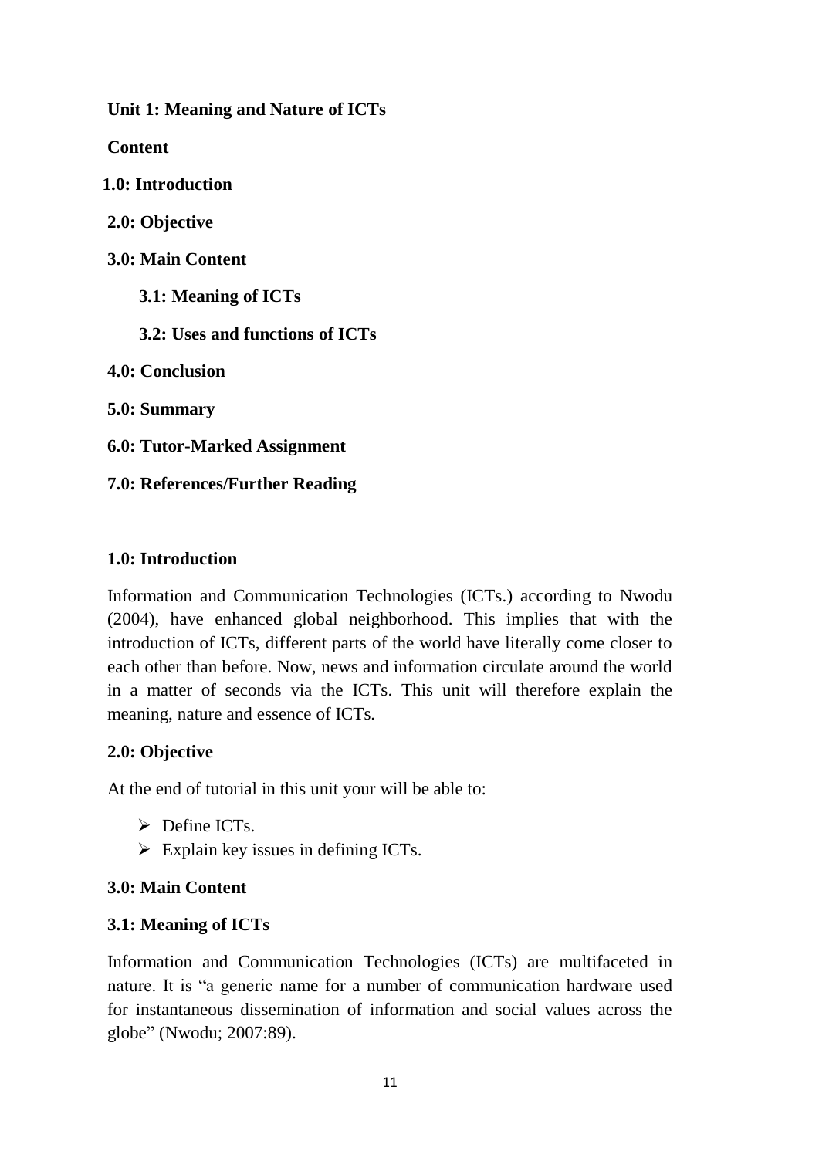**Unit 1: Meaning and Nature of ICTs**

**Content**

**1.0: Introduction**

**2.0: Objective**

- **3.0: Main Content**
	- **3.1: Meaning of ICTs**
	- **3.2: Uses and functions of ICTs**

**4.0: Conclusion**

**5.0: Summary**

**6.0: Tutor-Marked Assignment**

**7.0: References/Further Reading**

### **1.0: Introduction**

Information and Communication Technologies (ICTs.) according to Nwodu (2004), have enhanced global neighborhood. This implies that with the introduction of ICTs, different parts of the world have literally come closer to each other than before. Now, news and information circulate around the world in a matter of seconds via the ICTs. This unit will therefore explain the meaning, nature and essence of ICTs.

### **2.0: Objective**

At the end of tutorial in this unit your will be able to:

- $\triangleright$  Define ICTs.
- $\triangleright$  Explain key issues in defining ICTs.

### **3.0: Main Content**

### **3.1: Meaning of ICTs**

Information and Communication Technologies (ICTs) are multifaceted in nature. It is "a generic name for a number of communication hardware used for instantaneous dissemination of information and social values across the globe" (Nwodu; 2007:89).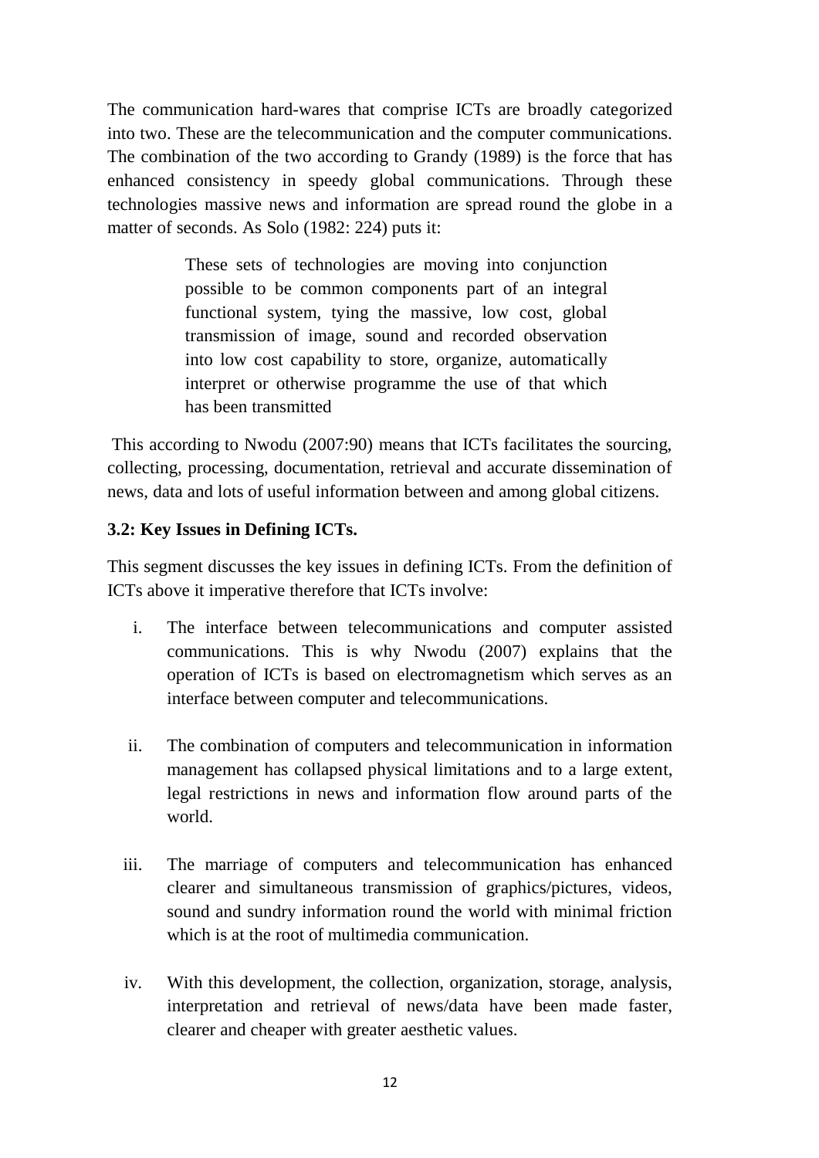The communication hard-wares that comprise ICTs are broadly categorized into two. These are the telecommunication and the computer communications. The combination of the two according to Grandy (1989) is the force that has enhanced consistency in speedy global communications. Through these technologies massive news and information are spread round the globe in a matter of seconds. As Solo (1982: 224) puts it:

> These sets of technologies are moving into conjunction possible to be common components part of an integral functional system, tying the massive, low cost, global transmission of image, sound and recorded observation into low cost capability to store, organize, automatically interpret or otherwise programme the use of that which has been transmitted

This according to Nwodu (2007:90) means that ICTs facilitates the sourcing, collecting, processing, documentation, retrieval and accurate dissemination of news, data and lots of useful information between and among global citizens.

### **3.2: Key Issues in Defining ICTs.**

This segment discusses the key issues in defining ICTs. From the definition of ICTs above it imperative therefore that ICTs involve:

- i. The interface between telecommunications and computer assisted communications. This is why Nwodu (2007) explains that the operation of ICTs is based on electromagnetism which serves as an interface between computer and telecommunications.
- ii. The combination of computers and telecommunication in information management has collapsed physical limitations and to a large extent, legal restrictions in news and information flow around parts of the world.
- iii. The marriage of computers and telecommunication has enhanced clearer and simultaneous transmission of graphics/pictures, videos, sound and sundry information round the world with minimal friction which is at the root of multimedia communication.
- iv. With this development, the collection, organization, storage, analysis, interpretation and retrieval of news/data have been made faster, clearer and cheaper with greater aesthetic values.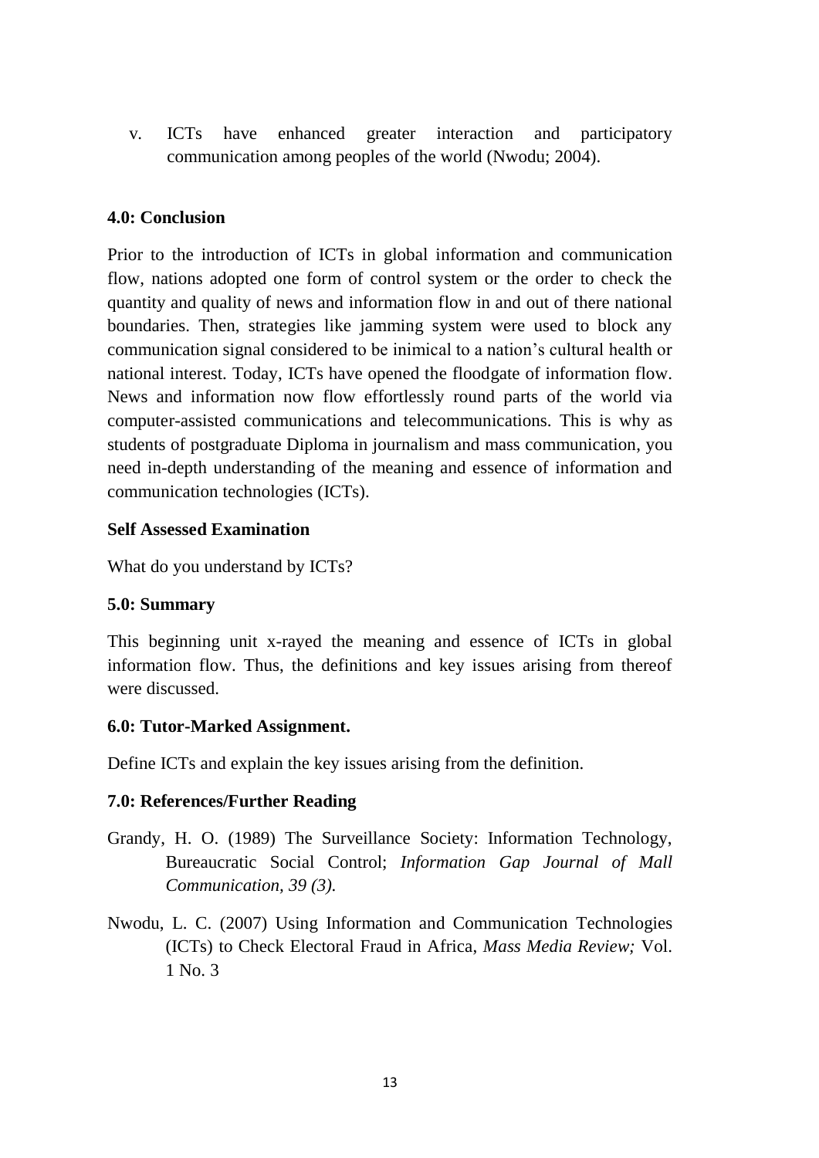v. ICTs have enhanced greater interaction and participatory communication among peoples of the world (Nwodu; 2004).

### **4.0: Conclusion**

Prior to the introduction of ICTs in global information and communication flow, nations adopted one form of control system or the order to check the quantity and quality of news and information flow in and out of there national boundaries. Then, strategies like jamming system were used to block any communication signal considered to be inimical to a nation's cultural health or national interest. Today, ICTs have opened the floodgate of information flow. News and information now flow effortlessly round parts of the world via computer-assisted communications and telecommunications. This is why as students of postgraduate Diploma in journalism and mass communication, you need in-depth understanding of the meaning and essence of information and communication technologies (ICTs).

### **Self Assessed Examination**

What do you understand by ICTs?

### **5.0: Summary**

This beginning unit x-rayed the meaning and essence of ICTs in global information flow. Thus, the definitions and key issues arising from thereof were discussed.

### **6.0: Tutor-Marked Assignment.**

Define ICTs and explain the key issues arising from the definition.

### **7.0: References/Further Reading**

- Grandy, H. O. (1989) The Surveillance Society: Information Technology, Bureaucratic Social Control; *Information Gap Journal of Mall Communication, 39 (3).*
- Nwodu, L. C. (2007) Using Information and Communication Technologies (ICTs) to Check Electoral Fraud in Africa, *Mass Media Review;* Vol. 1 No. 3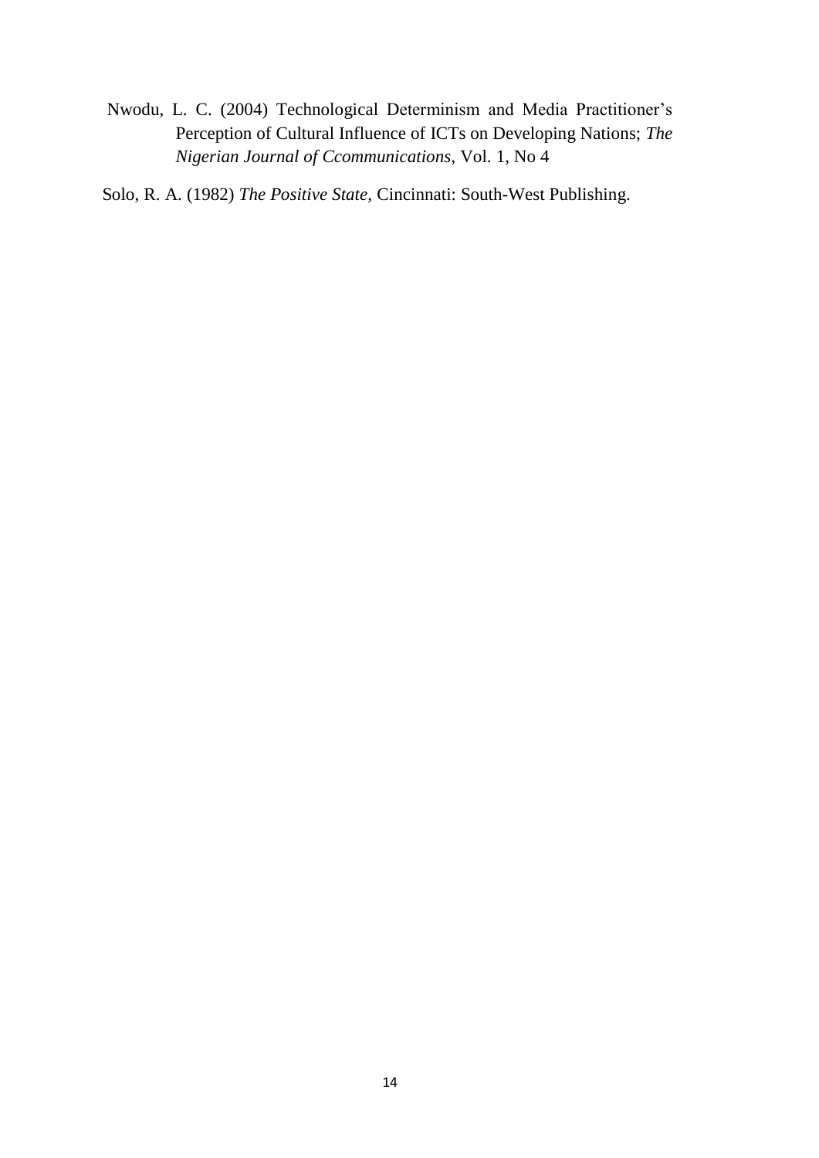Nwodu, L. C. (2004) Technological Determinism and Media Practitioner's Perception of Cultural Influence of ICTs on Developing Nations; *The Nigerian Journal of Ccommunications,* Vol. 1, No 4

Solo, R. A. (1982) *The Positive State,* Cincinnati: South-West Publishing.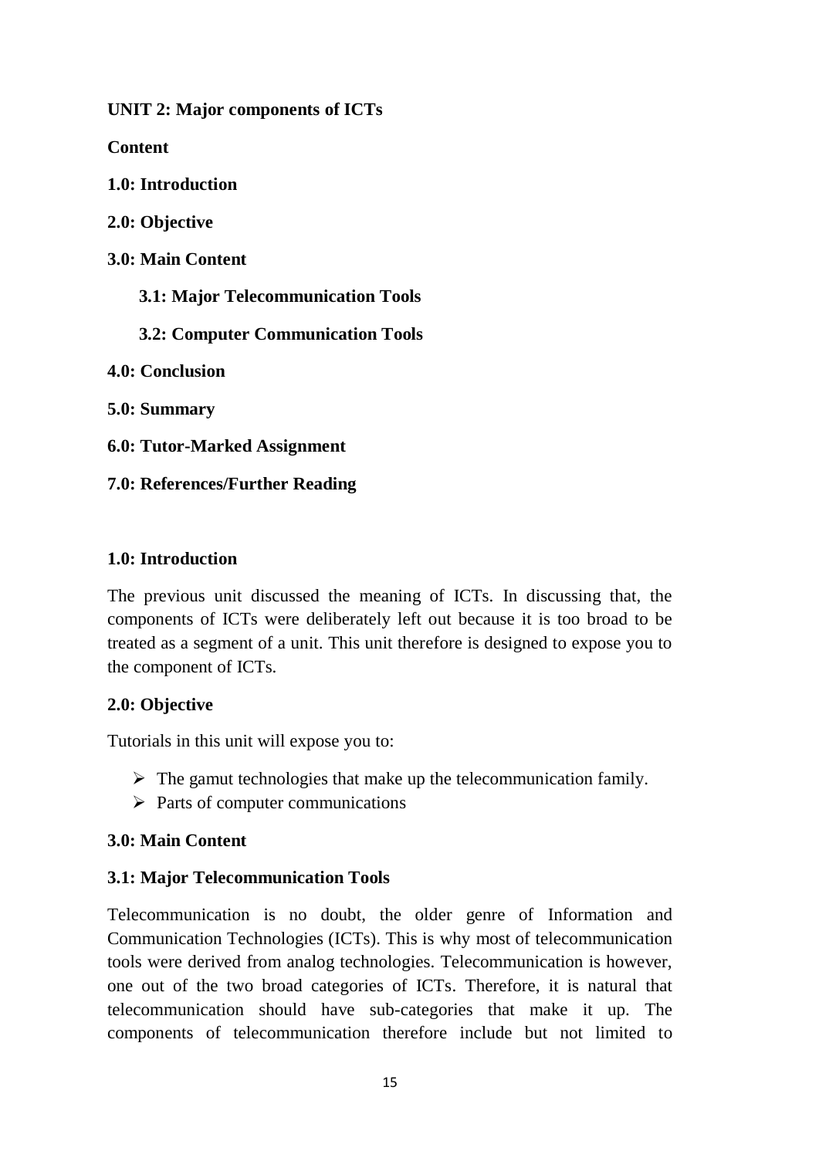**UNIT 2: Major components of ICTs**

**Content**

**1.0: Introduction**

**2.0: Objective**

**3.0: Main Content**

 **3.1: Major Telecommunication Tools**

 **3.2: Computer Communication Tools**

**4.0: Conclusion**

**5.0: Summary**

**6.0: Tutor-Marked Assignment**

**7.0: References/Further Reading**

### **1.0: Introduction**

The previous unit discussed the meaning of ICTs. In discussing that, the components of ICTs were deliberately left out because it is too broad to be treated as a segment of a unit. This unit therefore is designed to expose you to the component of ICTs.

### **2.0: Objective**

Tutorials in this unit will expose you to:

- $\triangleright$  The gamut technologies that make up the telecommunication family.
- $\triangleright$  Parts of computer communications

## **3.0: Main Content**

## **3.1: Major Telecommunication Tools**

Telecommunication is no doubt, the older genre of Information and Communication Technologies (ICTs). This is why most of telecommunication tools were derived from analog technologies. Telecommunication is however, one out of the two broad categories of ICTs. Therefore, it is natural that telecommunication should have sub-categories that make it up. The components of telecommunication therefore include but not limited to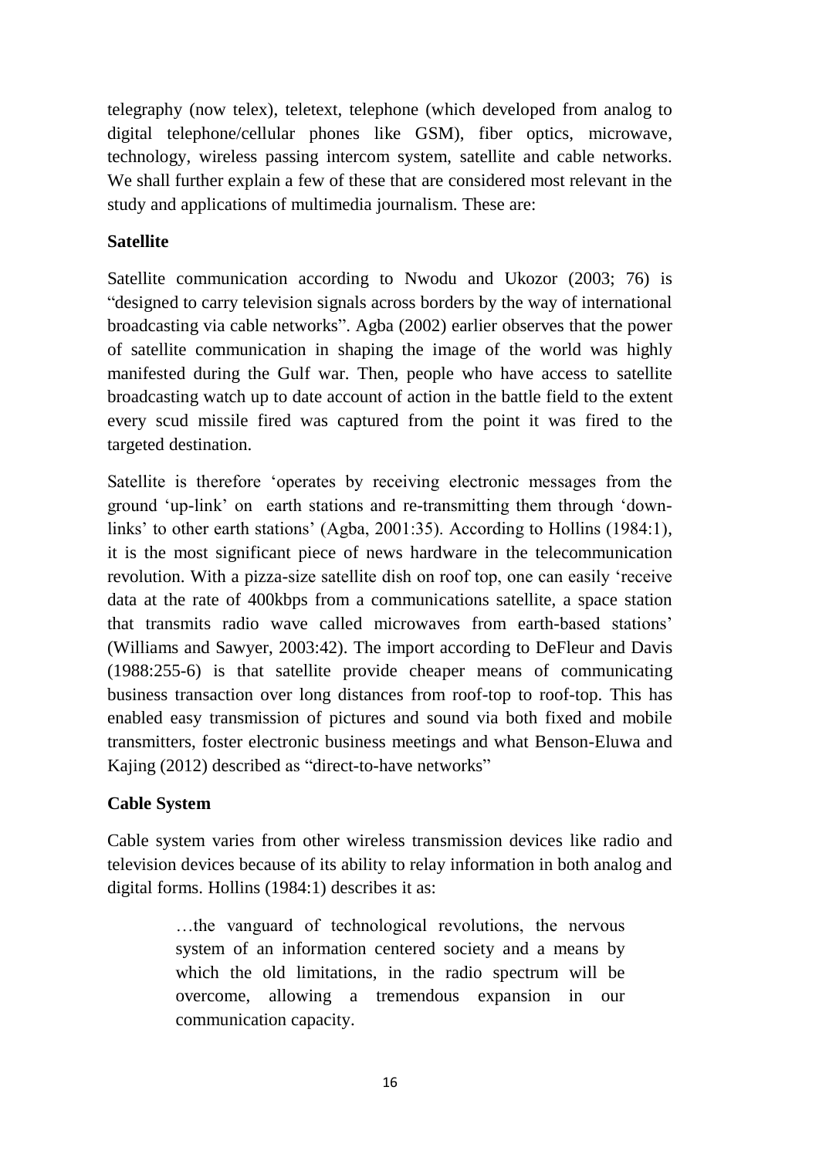telegraphy (now telex), teletext, telephone (which developed from analog to digital telephone/cellular phones like GSM), fiber optics, microwave, technology, wireless passing intercom system, satellite and cable networks. We shall further explain a few of these that are considered most relevant in the study and applications of multimedia journalism. These are:

### **Satellite**

Satellite communication according to Nwodu and Ukozor (2003; 76) is "designed to carry television signals across borders by the way of international broadcasting via cable networks". Agba (2002) earlier observes that the power of satellite communication in shaping the image of the world was highly manifested during the Gulf war. Then, people who have access to satellite broadcasting watch up to date account of action in the battle field to the extent every scud missile fired was captured from the point it was fired to the targeted destination.

Satellite is therefore 'operates by receiving electronic messages from the ground 'up-link' on earth stations and re-transmitting them through 'downlinks' to other earth stations' (Agba, 2001:35). According to Hollins (1984:1), it is the most significant piece of news hardware in the telecommunication revolution. With a pizza-size satellite dish on roof top, one can easily 'receive data at the rate of 400kbps from a communications satellite, a space station that transmits radio wave called microwaves from earth-based stations' (Williams and Sawyer, 2003:42). The import according to DeFleur and Davis (1988:255-6) is that satellite provide cheaper means of communicating business transaction over long distances from roof-top to roof-top. This has enabled easy transmission of pictures and sound via both fixed and mobile transmitters, foster electronic business meetings and what Benson-Eluwa and Kajing (2012) described as "direct-to-have networks"

### **Cable System**

Cable system varies from other wireless transmission devices like radio and television devices because of its ability to relay information in both analog and digital forms. Hollins (1984:1) describes it as:

> …the vanguard of technological revolutions, the nervous system of an information centered society and a means by which the old limitations, in the radio spectrum will be overcome, allowing a tremendous expansion in our communication capacity.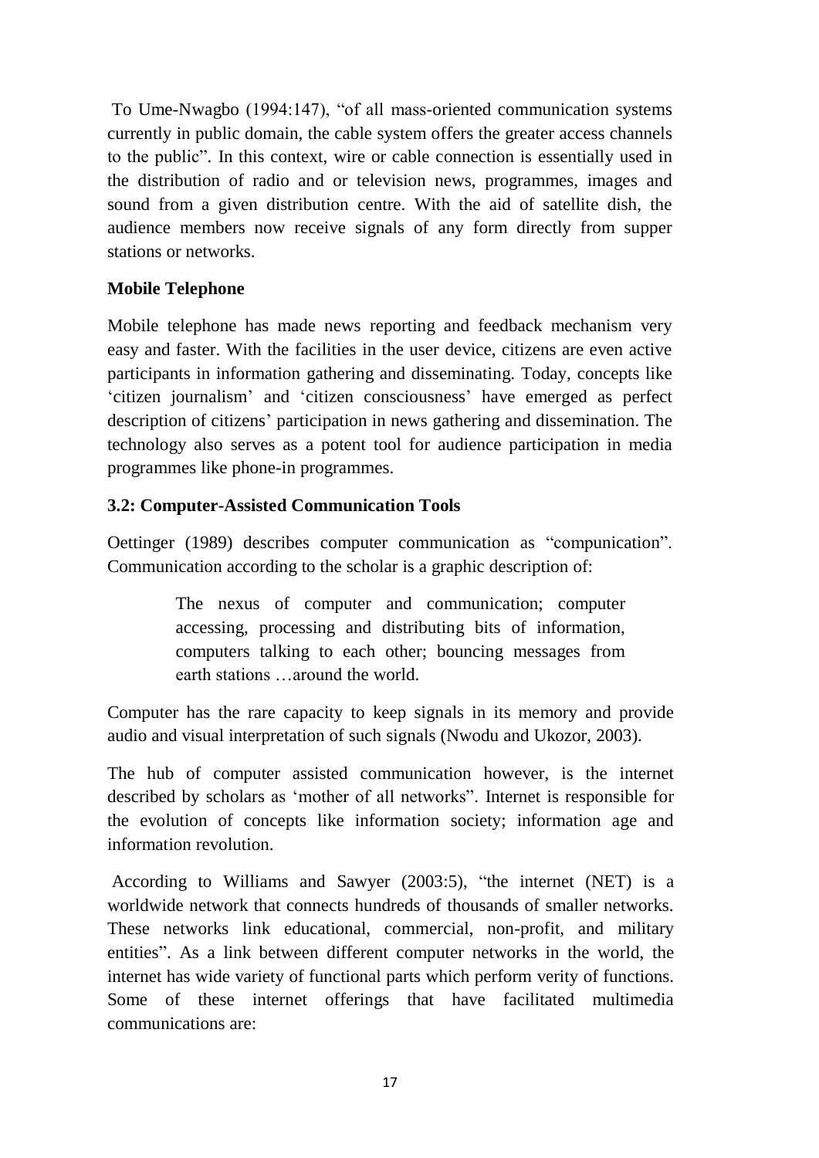To Ume-Nwagbo (1994:147), "of all mass-oriented communication systems currently in public domain, the cable system offers the greater access channels to the public". In this context, wire or cable connection is essentially used in the distribution of radio and or television news, programmes, images and sound from a given distribution centre. With the aid of satellite dish, the audience members now receive signals of any form directly from supper stations or networks.

## **Mobile Telephone**

Mobile telephone has made news reporting and feedback mechanism very easy and faster. With the facilities in the user device, citizens are even active participants in information gathering and disseminating. Today, concepts like 'citizen journalism' and 'citizen consciousness' have emerged as perfect description of citizens' participation in news gathering and dissemination. The technology also serves as a potent tool for audience participation in media programmes like phone-in programmes.

### **3.2: Computer-Assisted Communication Tools**

Oettinger (1989) describes computer communication as "compunication". Communication according to the scholar is a graphic description of:

> The nexus of computer and communication; computer accessing, processing and distributing bits of information, computers talking to each other; bouncing messages from earth stations …around the world.

Computer has the rare capacity to keep signals in its memory and provide audio and visual interpretation of such signals (Nwodu and Ukozor, 2003).

The hub of computer assisted communication however, is the internet described by scholars as 'mother of all networks". Internet is responsible for the evolution of concepts like information society; information age and information revolution.

According to Williams and Sawyer (2003:5), "the internet (NET) is a worldwide network that connects hundreds of thousands of smaller networks. These networks link educational, commercial, non-profit, and military entities". As a link between different computer networks in the world, the internet has wide variety of functional parts which perform verity of functions. Some of these internet offerings that have facilitated multimedia communications are: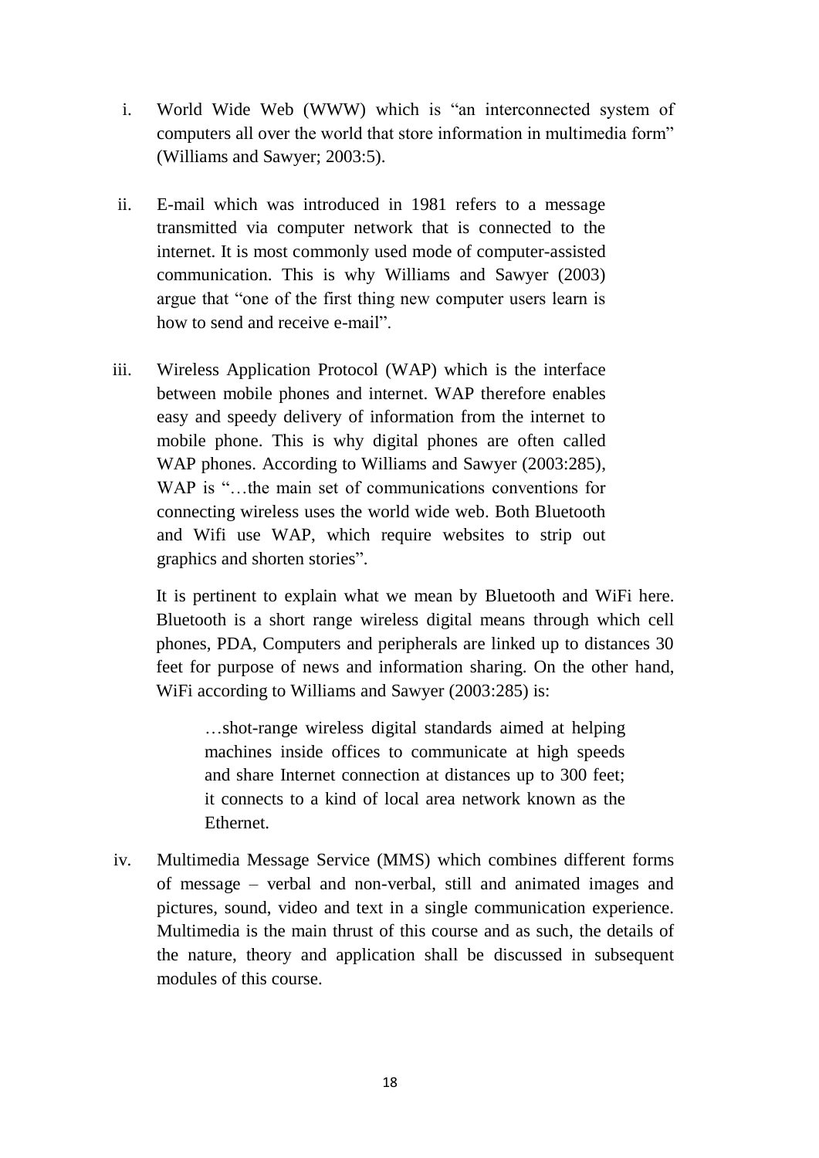- i. World Wide Web (WWW) which is "an interconnected system of computers all over the world that store information in multimedia form" (Williams and Sawyer; 2003:5).
- ii. E-mail which was introduced in 1981 refers to a message transmitted via computer network that is connected to the internet. It is most commonly used mode of computer-assisted communication. This is why Williams and Sawyer (2003) argue that "one of the first thing new computer users learn is how to send and receive e-mail".
- iii. Wireless Application Protocol (WAP) which is the interface between mobile phones and internet. WAP therefore enables easy and speedy delivery of information from the internet to mobile phone. This is why digital phones are often called WAP phones. According to Williams and Sawyer (2003:285), WAP is "...the main set of communications conventions for connecting wireless uses the world wide web. Both Bluetooth and Wifi use WAP, which require websites to strip out graphics and shorten stories".

It is pertinent to explain what we mean by Bluetooth and WiFi here. Bluetooth is a short range wireless digital means through which cell phones, PDA, Computers and peripherals are linked up to distances 30 feet for purpose of news and information sharing. On the other hand, WiFi according to Williams and Sawyer (2003:285) is:

…shot-range wireless digital standards aimed at helping machines inside offices to communicate at high speeds and share Internet connection at distances up to 300 feet; it connects to a kind of local area network known as the **Ethernet** 

iv. Multimedia Message Service (MMS) which combines different forms of message – verbal and non-verbal, still and animated images and pictures, sound, video and text in a single communication experience. Multimedia is the main thrust of this course and as such, the details of the nature, theory and application shall be discussed in subsequent modules of this course.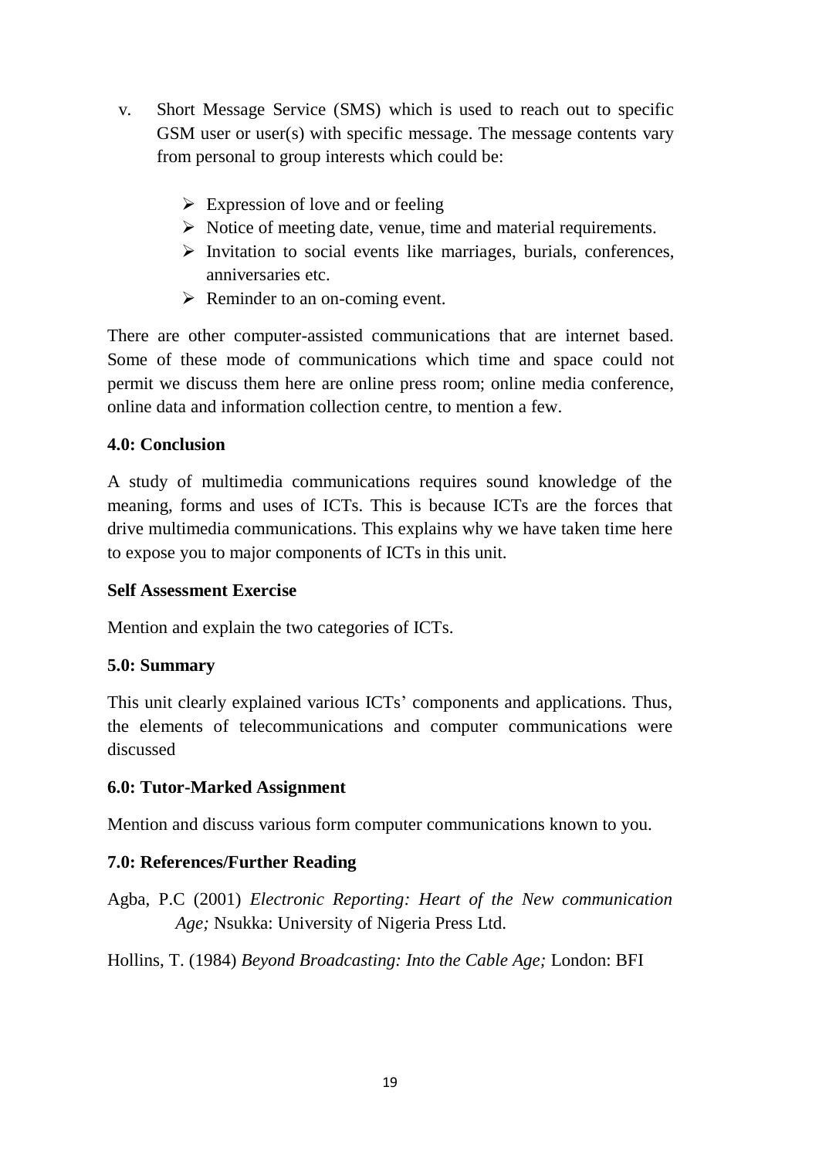- v. Short Message Service (SMS) which is used to reach out to specific GSM user or user(s) with specific message. The message contents vary from personal to group interests which could be:
	- $\triangleright$  Expression of love and or feeling
	- $\triangleright$  Notice of meeting date, venue, time and material requirements.
	- $\triangleright$  Invitation to social events like marriages, burials, conferences, anniversaries etc.
	- $\triangleright$  Reminder to an on-coming event.

There are other computer-assisted communications that are internet based. Some of these mode of communications which time and space could not permit we discuss them here are online press room; online media conference, online data and information collection centre, to mention a few.

## **4.0: Conclusion**

A study of multimedia communications requires sound knowledge of the meaning, forms and uses of ICTs. This is because ICTs are the forces that drive multimedia communications. This explains why we have taken time here to expose you to major components of ICTs in this unit.

### **Self Assessment Exercise**

Mention and explain the two categories of ICTs.

## **5.0: Summary**

This unit clearly explained various ICTs' components and applications. Thus, the elements of telecommunications and computer communications were discussed

## **6.0: Tutor-Marked Assignment**

Mention and discuss various form computer communications known to you.

## **7.0: References/Further Reading**

Agba, P.C (2001) *Electronic Reporting: Heart of the New communication Age;* Nsukka: University of Nigeria Press Ltd.

Hollins, T. (1984) *Beyond Broadcasting: Into the Cable Age;* London: BFI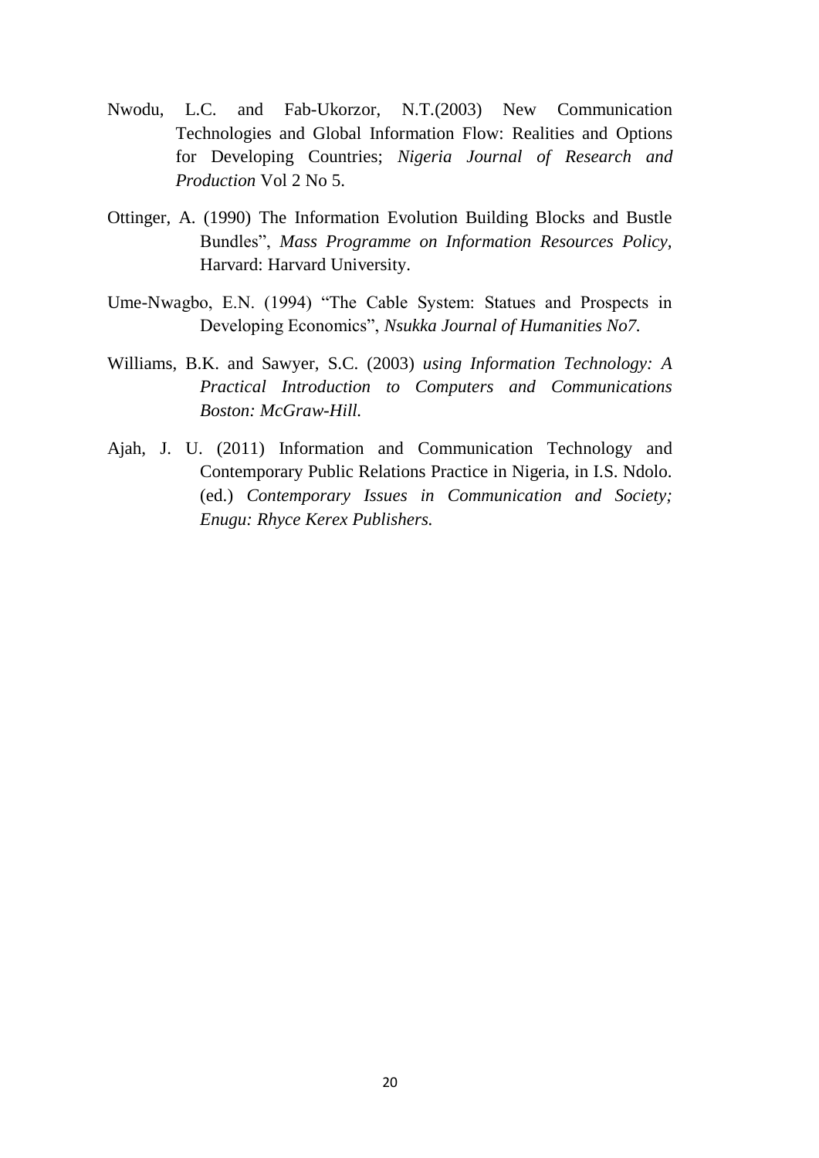- Nwodu, L.C. and Fab-Ukorzor, N.T.(2003) New Communication Technologies and Global Information Flow: Realities and Options for Developing Countries; *Nigeria Journal of Research and Production* Vol 2 No 5.
- Ottinger, A. (1990) The Information Evolution Building Blocks and Bustle Bundles", *Mass Programme on Information Resources Policy,* Harvard: Harvard University.
- Ume-Nwagbo, E.N. (1994) "The Cable System: Statues and Prospects in Developing Economics", *Nsukka Journal of Humanities No7.*
- Williams, B.K. and Sawyer, S.C. (2003) *using Information Technology: A Practical Introduction to Computers and Communications Boston: McGraw-Hill.*
- Ajah, J. U. (2011) Information and Communication Technology and Contemporary Public Relations Practice in Nigeria, in I.S. Ndolo. (ed.) *Contemporary Issues in Communication and Society; Enugu: Rhyce Kerex Publishers.*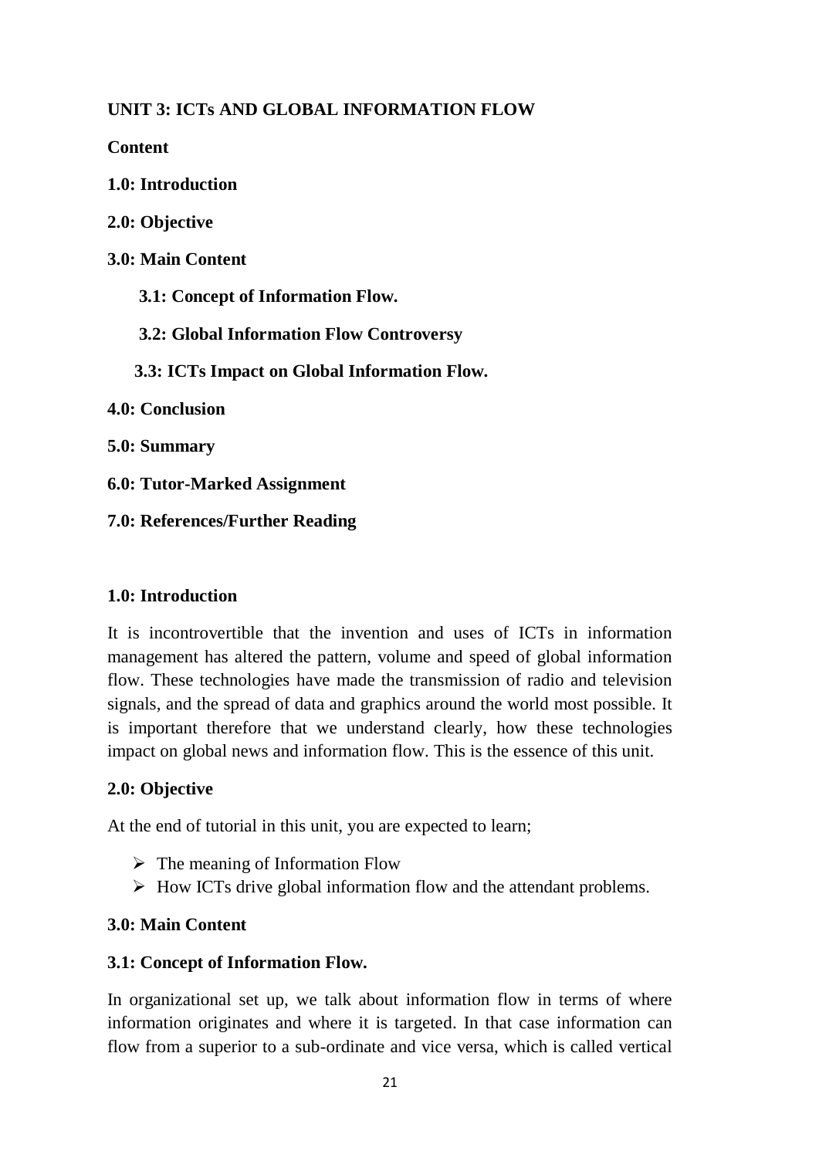## **UNIT 3: ICTs AND GLOBAL INFORMATION FLOW**

**Content**

**1.0: Introduction**

**2.0: Objective**

**3.0: Main Content**

 **3.1: Concept of Information Flow.**

 **3.2: Global Information Flow Controversy**

 **3.3: ICTs Impact on Global Information Flow.**

**4.0: Conclusion**

**5.0: Summary**

**6.0: Tutor-Marked Assignment**

**7.0: References/Further Reading**

### **1.0: Introduction**

It is incontrovertible that the invention and uses of ICTs in information management has altered the pattern, volume and speed of global information flow. These technologies have made the transmission of radio and television signals, and the spread of data and graphics around the world most possible. It is important therefore that we understand clearly, how these technologies impact on global news and information flow. This is the essence of this unit.

### **2.0: Objective**

At the end of tutorial in this unit, you are expected to learn;

- $\triangleright$  The meaning of Information Flow
- $\triangleright$  How ICTs drive global information flow and the attendant problems.

### **3.0: Main Content**

### **3.1: Concept of Information Flow.**

In organizational set up, we talk about information flow in terms of where information originates and where it is targeted. In that case information can flow from a superior to a sub-ordinate and vice versa, which is called vertical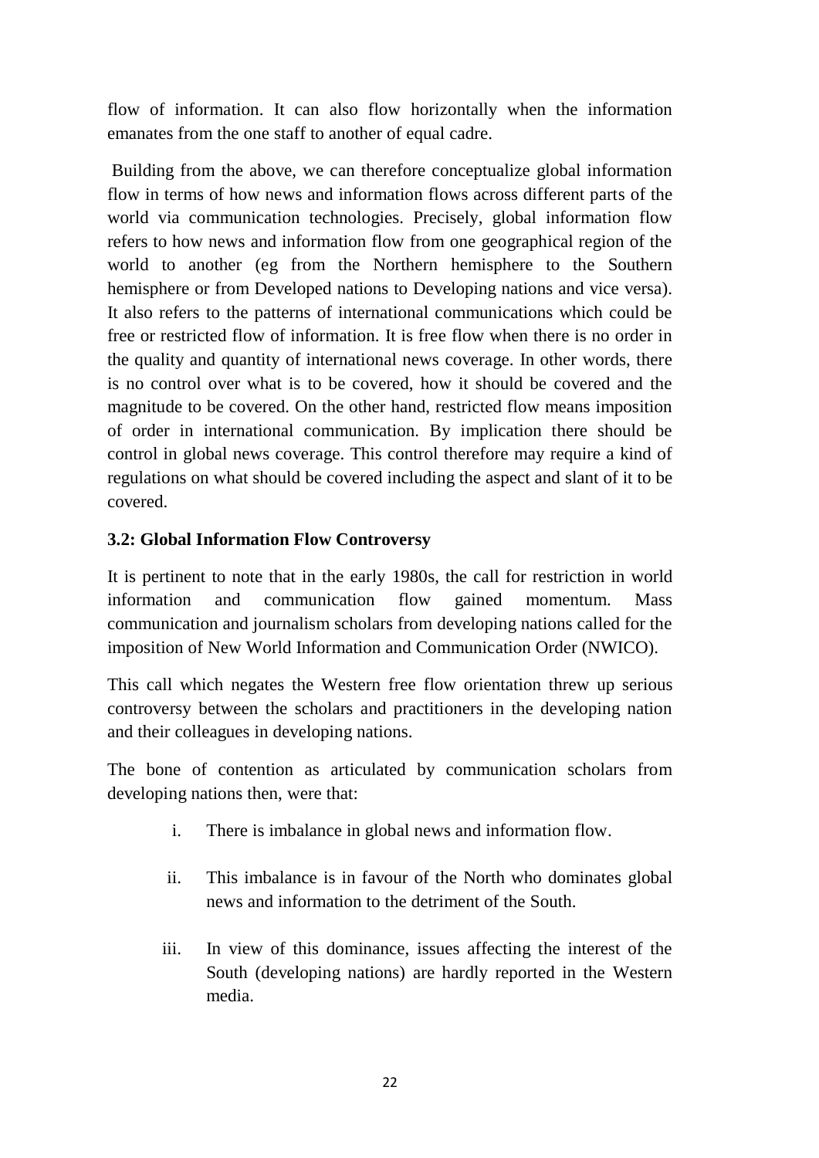flow of information. It can also flow horizontally when the information emanates from the one staff to another of equal cadre.

Building from the above, we can therefore conceptualize global information flow in terms of how news and information flows across different parts of the world via communication technologies. Precisely, global information flow refers to how news and information flow from one geographical region of the world to another (eg from the Northern hemisphere to the Southern hemisphere or from Developed nations to Developing nations and vice versa). It also refers to the patterns of international communications which could be free or restricted flow of information. It is free flow when there is no order in the quality and quantity of international news coverage. In other words, there is no control over what is to be covered, how it should be covered and the magnitude to be covered. On the other hand, restricted flow means imposition of order in international communication. By implication there should be control in global news coverage. This control therefore may require a kind of regulations on what should be covered including the aspect and slant of it to be covered.

### **3.2: Global Information Flow Controversy**

It is pertinent to note that in the early 1980s, the call for restriction in world information and communication flow gained momentum. Mass communication and journalism scholars from developing nations called for the imposition of New World Information and Communication Order (NWICO).

This call which negates the Western free flow orientation threw up serious controversy between the scholars and practitioners in the developing nation and their colleagues in developing nations.

The bone of contention as articulated by communication scholars from developing nations then, were that:

- i. There is imbalance in global news and information flow.
- ii. This imbalance is in favour of the North who dominates global news and information to the detriment of the South.
- iii. In view of this dominance, issues affecting the interest of the South (developing nations) are hardly reported in the Western media.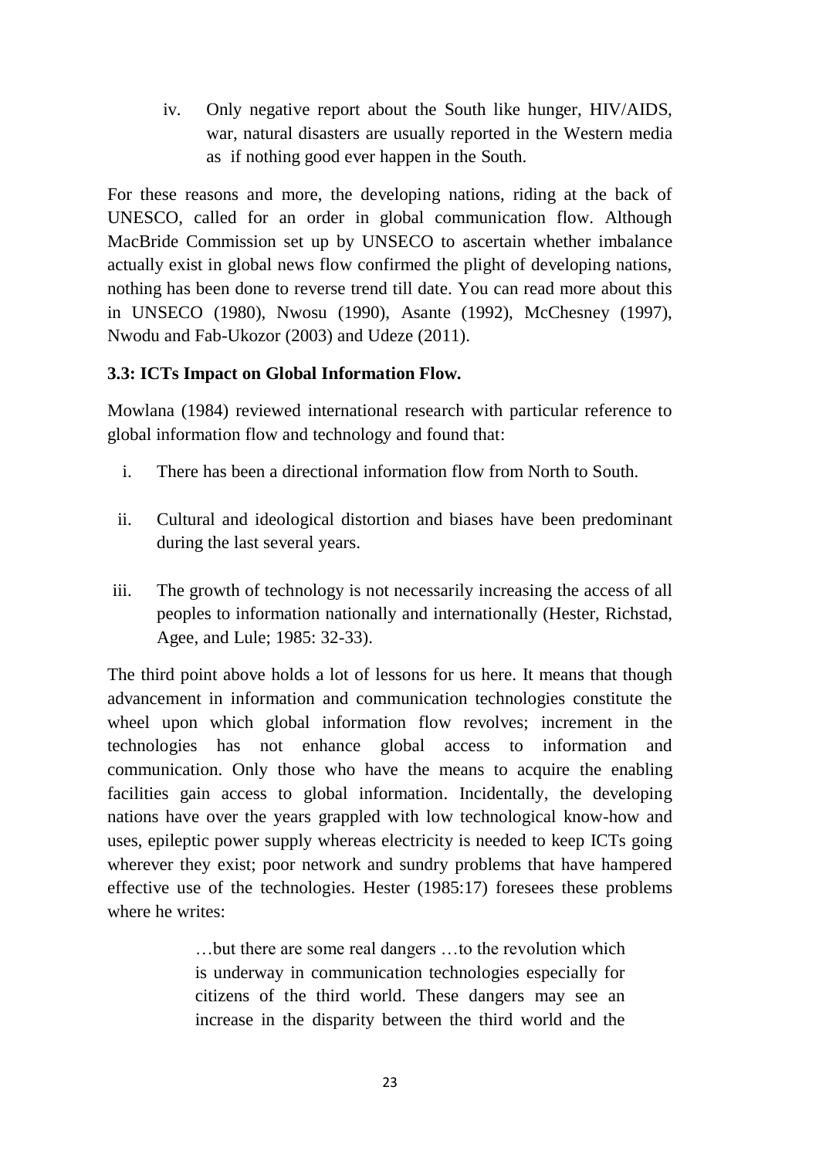iv. Only negative report about the South like hunger, HIV/AIDS, war, natural disasters are usually reported in the Western media as if nothing good ever happen in the South.

For these reasons and more, the developing nations, riding at the back of UNESCO, called for an order in global communication flow. Although MacBride Commission set up by UNSECO to ascertain whether imbalance actually exist in global news flow confirmed the plight of developing nations, nothing has been done to reverse trend till date. You can read more about this in UNSECO (1980), Nwosu (1990), Asante (1992), McChesney (1997), Nwodu and Fab-Ukozor (2003) and Udeze (2011).

### **3.3: ICTs Impact on Global Information Flow.**

Mowlana (1984) reviewed international research with particular reference to global information flow and technology and found that:

- i. There has been a directional information flow from North to South.
- ii. Cultural and ideological distortion and biases have been predominant during the last several years.
- iii. The growth of technology is not necessarily increasing the access of all peoples to information nationally and internationally (Hester, Richstad, Agee, and Lule; 1985: 32-33).

The third point above holds a lot of lessons for us here. It means that though advancement in information and communication technologies constitute the wheel upon which global information flow revolves; increment in the technologies has not enhance global access to information and communication. Only those who have the means to acquire the enabling facilities gain access to global information. Incidentally, the developing nations have over the years grappled with low technological know-how and uses, epileptic power supply whereas electricity is needed to keep ICTs going wherever they exist; poor network and sundry problems that have hampered effective use of the technologies. Hester (1985:17) foresees these problems where he writes:

> …but there are some real dangers …to the revolution which is underway in communication technologies especially for citizens of the third world. These dangers may see an increase in the disparity between the third world and the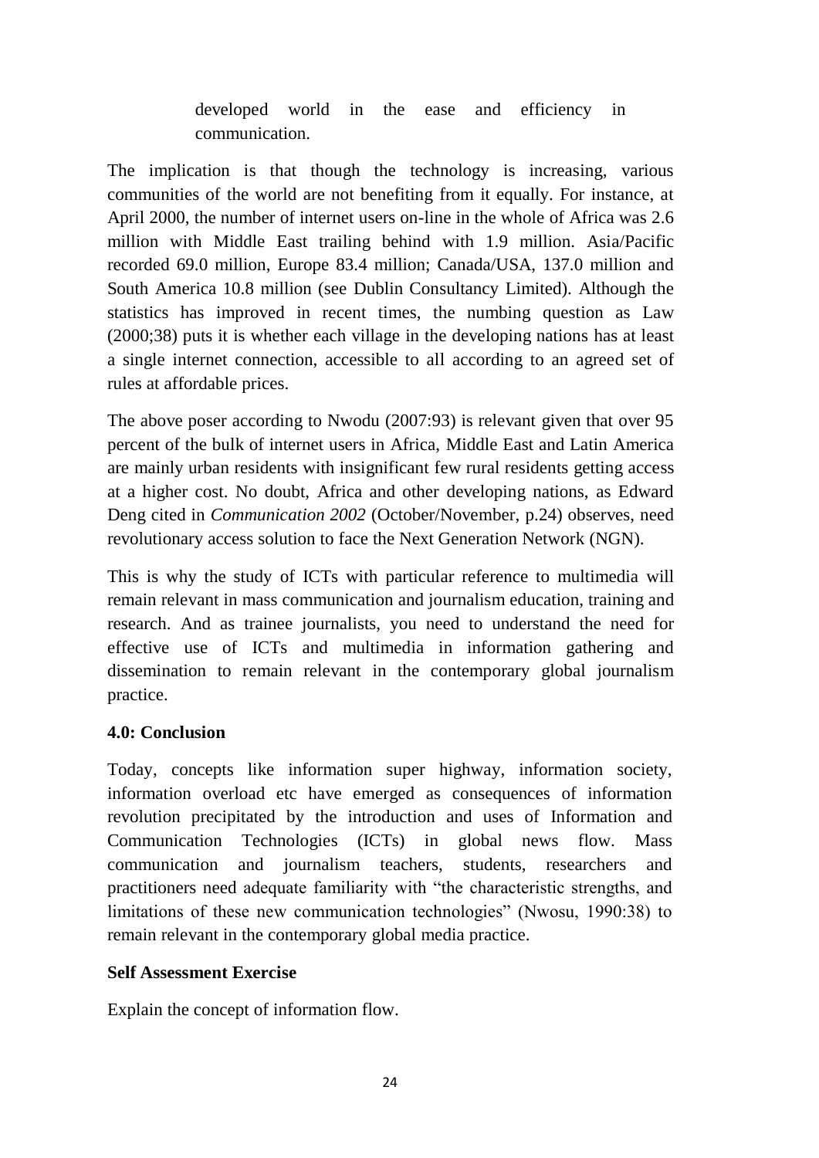developed world in the ease and efficiency in communication.

The implication is that though the technology is increasing, various communities of the world are not benefiting from it equally. For instance, at April 2000, the number of internet users on-line in the whole of Africa was 2.6 million with Middle East trailing behind with 1.9 million. Asia/Pacific recorded 69.0 million, Europe 83.4 million; Canada/USA, 137.0 million and South America 10.8 million (see Dublin Consultancy Limited). Although the statistics has improved in recent times, the numbing question as Law (2000;38) puts it is whether each village in the developing nations has at least a single internet connection, accessible to all according to an agreed set of rules at affordable prices.

The above poser according to Nwodu (2007:93) is relevant given that over 95 percent of the bulk of internet users in Africa, Middle East and Latin America are mainly urban residents with insignificant few rural residents getting access at a higher cost. No doubt, Africa and other developing nations, as Edward Deng cited in *Communication 2002* (October/November, p.24) observes, need revolutionary access solution to face the Next Generation Network (NGN).

This is why the study of ICTs with particular reference to multimedia will remain relevant in mass communication and journalism education, training and research. And as trainee journalists, you need to understand the need for effective use of ICTs and multimedia in information gathering and dissemination to remain relevant in the contemporary global journalism practice.

## **4.0: Conclusion**

Today, concepts like information super highway, information society, information overload etc have emerged as consequences of information revolution precipitated by the introduction and uses of Information and Communication Technologies (ICTs) in global news flow. Mass communication and journalism teachers, students, researchers and practitioners need adequate familiarity with "the characteristic strengths, and limitations of these new communication technologies" (Nwosu, 1990:38) to remain relevant in the contemporary global media practice.

### **Self Assessment Exercise**

Explain the concept of information flow.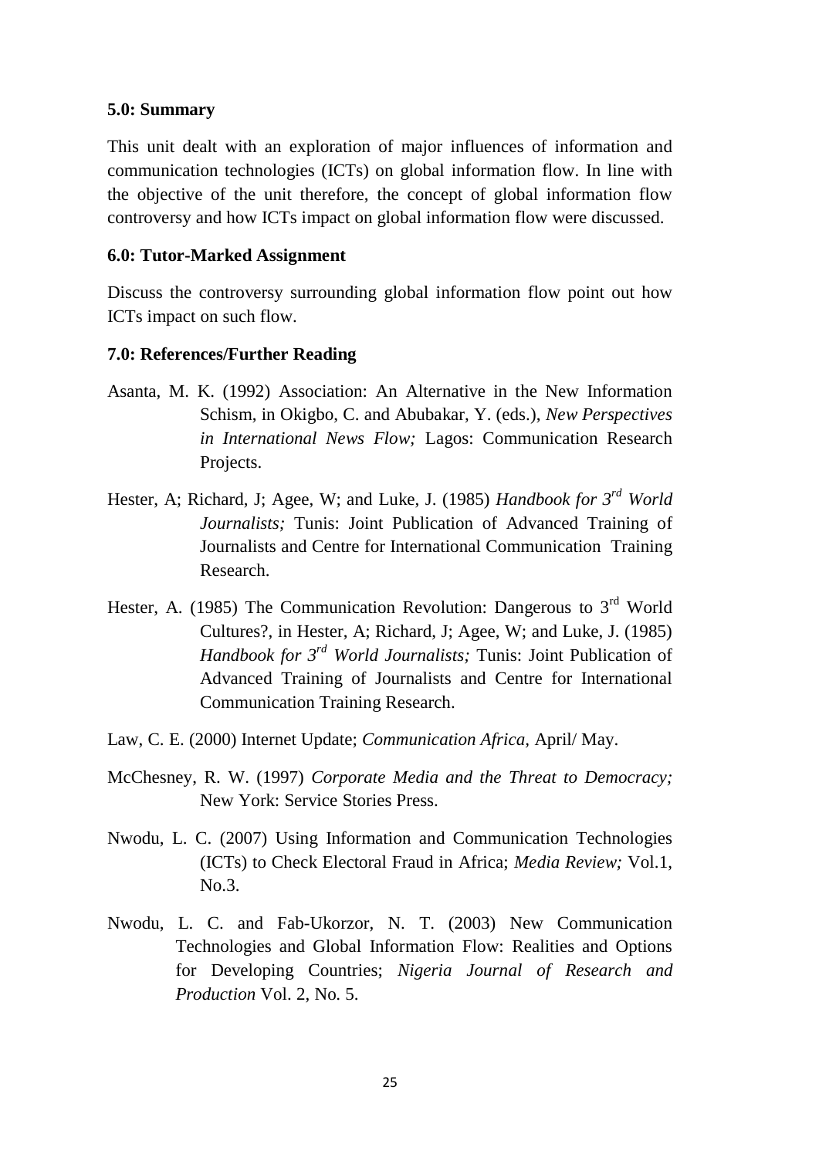#### **5.0: Summary**

This unit dealt with an exploration of major influences of information and communication technologies (ICTs) on global information flow. In line with the objective of the unit therefore, the concept of global information flow controversy and how ICTs impact on global information flow were discussed.

#### **6.0: Tutor-Marked Assignment**

Discuss the controversy surrounding global information flow point out how ICTs impact on such flow.

#### **7.0: References/Further Reading**

- Asanta, M. K. (1992) Association: An Alternative in the New Information Schism, in Okigbo, C. and Abubakar, Y. (eds.), *New Perspectives in International News Flow;* Lagos: Communication Research Projects.
- Hester, A; Richard, J; Agee, W; and Luke, J. (1985) *Handbook for 3rd World Journalists;* Tunis: Joint Publication of Advanced Training of Journalists and Centre for International Communication Training Research.
- Hester, A. (1985) The Communication Revolution: Dangerous to 3<sup>rd</sup> World Cultures?, in Hester, A; Richard, J; Agee, W; and Luke, J. (1985) *Handbook for 3rd World Journalists;* Tunis: Joint Publication of Advanced Training of Journalists and Centre for International Communication Training Research.
- Law, C. E. (2000) Internet Update; *Communication Africa,* April/ May.
- McChesney, R. W. (1997) *Corporate Media and the Threat to Democracy;* New York: Service Stories Press.
- Nwodu, L. C. (2007) Using Information and Communication Technologies (ICTs) to Check Electoral Fraud in Africa; *Media Review;* Vol.1, No.3.
- Nwodu, L. C. and Fab-Ukorzor, N. T. (2003) New Communication Technologies and Global Information Flow: Realities and Options for Developing Countries; *Nigeria Journal of Research and Production* Vol. 2, No. 5.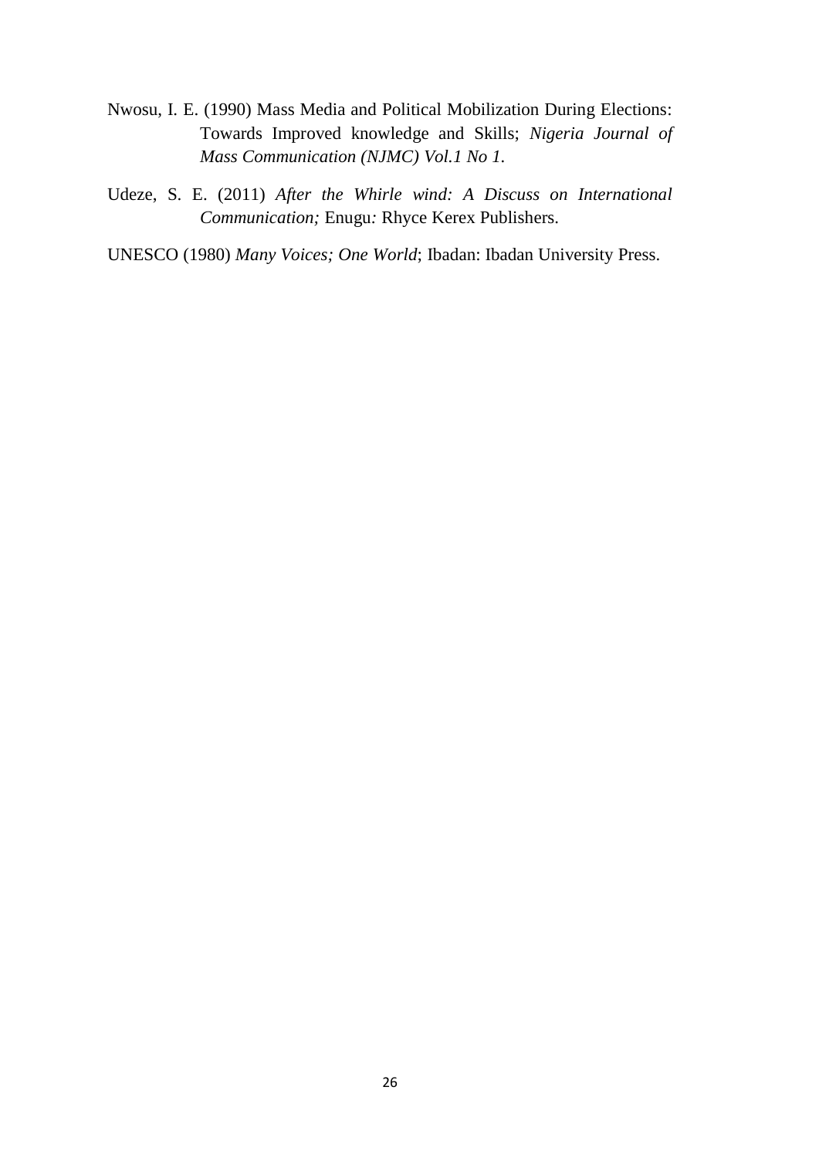- Nwosu, I. E. (1990) Mass Media and Political Mobilization During Elections: Towards Improved knowledge and Skills; *Nigeria Journal of Mass Communication (NJMC) Vol.1 No 1.*
- Udeze, S. E. (2011) *After the Whirle wind: A Discuss on International Communication;* Enugu*:* Rhyce Kerex Publishers.
- UNESCO (1980) *Many Voices; One World*; Ibadan: Ibadan University Press.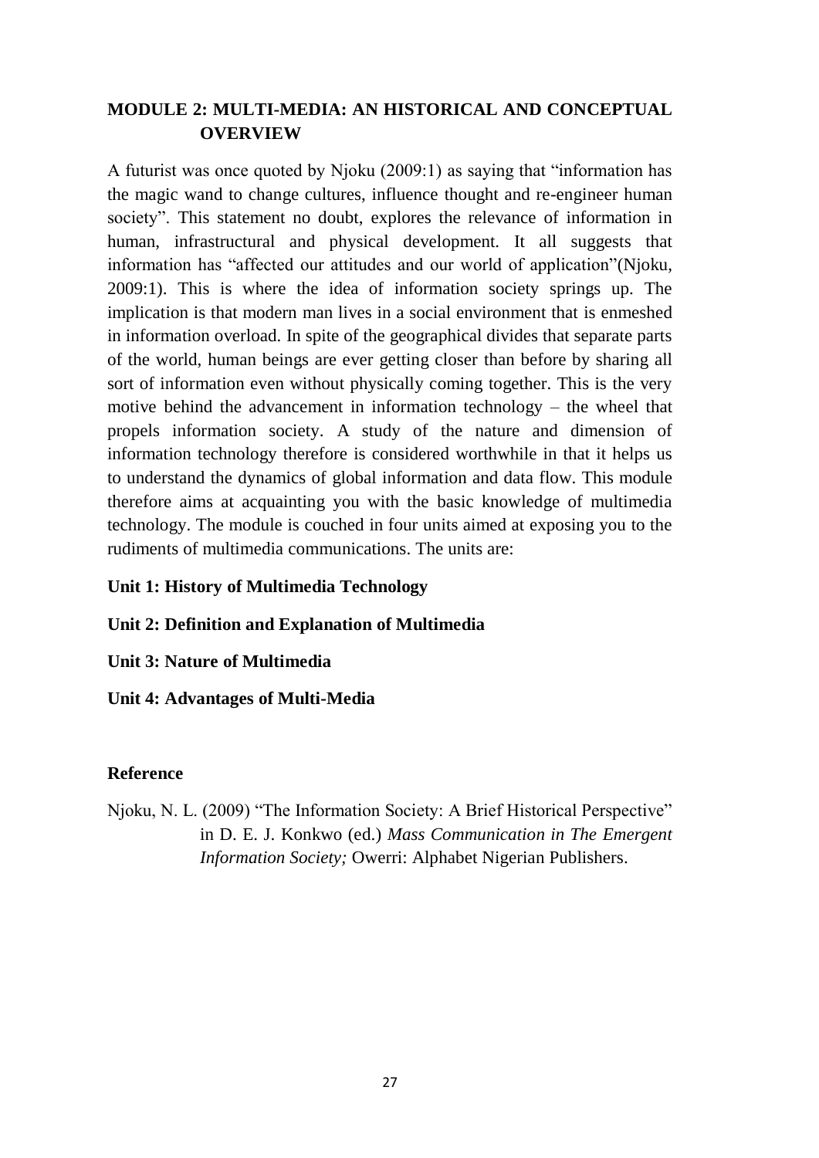## **MODULE 2: MULTI-MEDIA: AN HISTORICAL AND CONCEPTUAL OVERVIEW**

A futurist was once quoted by Njoku (2009:1) as saying that "information has the magic wand to change cultures, influence thought and re-engineer human society". This statement no doubt, explores the relevance of information in human, infrastructural and physical development. It all suggests that information has "affected our attitudes and our world of application"(Njoku, 2009:1). This is where the idea of information society springs up. The implication is that modern man lives in a social environment that is enmeshed in information overload. In spite of the geographical divides that separate parts of the world, human beings are ever getting closer than before by sharing all sort of information even without physically coming together. This is the very motive behind the advancement in information technology – the wheel that propels information society. A study of the nature and dimension of information technology therefore is considered worthwhile in that it helps us to understand the dynamics of global information and data flow. This module therefore aims at acquainting you with the basic knowledge of multimedia technology. The module is couched in four units aimed at exposing you to the rudiments of multimedia communications. The units are:

### **Unit 1: History of Multimedia Technology**

### **Unit 2: Definition and Explanation of Multimedia**

**Unit 3: Nature of Multimedia**

**Unit 4: Advantages of Multi-Media** 

#### **Reference**

Njoku, N. L. (2009) "The Information Society: A Brief Historical Perspective" in D. E. J. Konkwo (ed.) *Mass Communication in The Emergent Information Society;* Owerri: Alphabet Nigerian Publishers.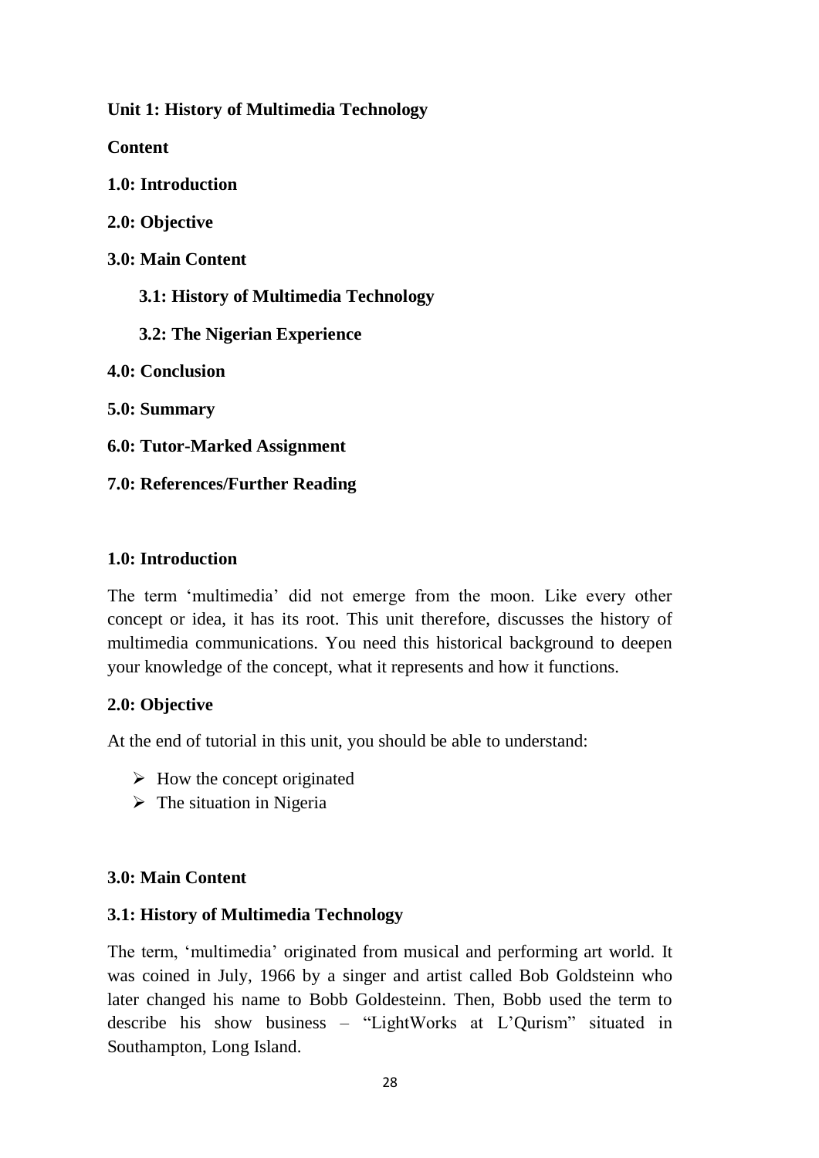**Unit 1: History of Multimedia Technology**

**Content**

**1.0: Introduction**

**2.0: Objective**

**3.0: Main Content**

 **3.1: History of Multimedia Technology**

 **3.2: The Nigerian Experience**

**4.0: Conclusion**

**5.0: Summary**

**6.0: Tutor-Marked Assignment**

**7.0: References/Further Reading**

### **1.0: Introduction**

The term 'multimedia' did not emerge from the moon. Like every other concept or idea, it has its root. This unit therefore, discusses the history of multimedia communications. You need this historical background to deepen your knowledge of the concept, what it represents and how it functions.

### **2.0: Objective**

At the end of tutorial in this unit, you should be able to understand:

- $\triangleright$  How the concept originated
- $\triangleright$  The situation in Nigeria

### **3.0: Main Content**

## **3.1: History of Multimedia Technology**

The term, 'multimedia' originated from musical and performing art world. It was coined in July, 1966 by a singer and artist called Bob Goldsteinn who later changed his name to Bobb Goldesteinn. Then, Bobb used the term to describe his show business – "LightWorks at L'Qurism" situated in Southampton, Long Island.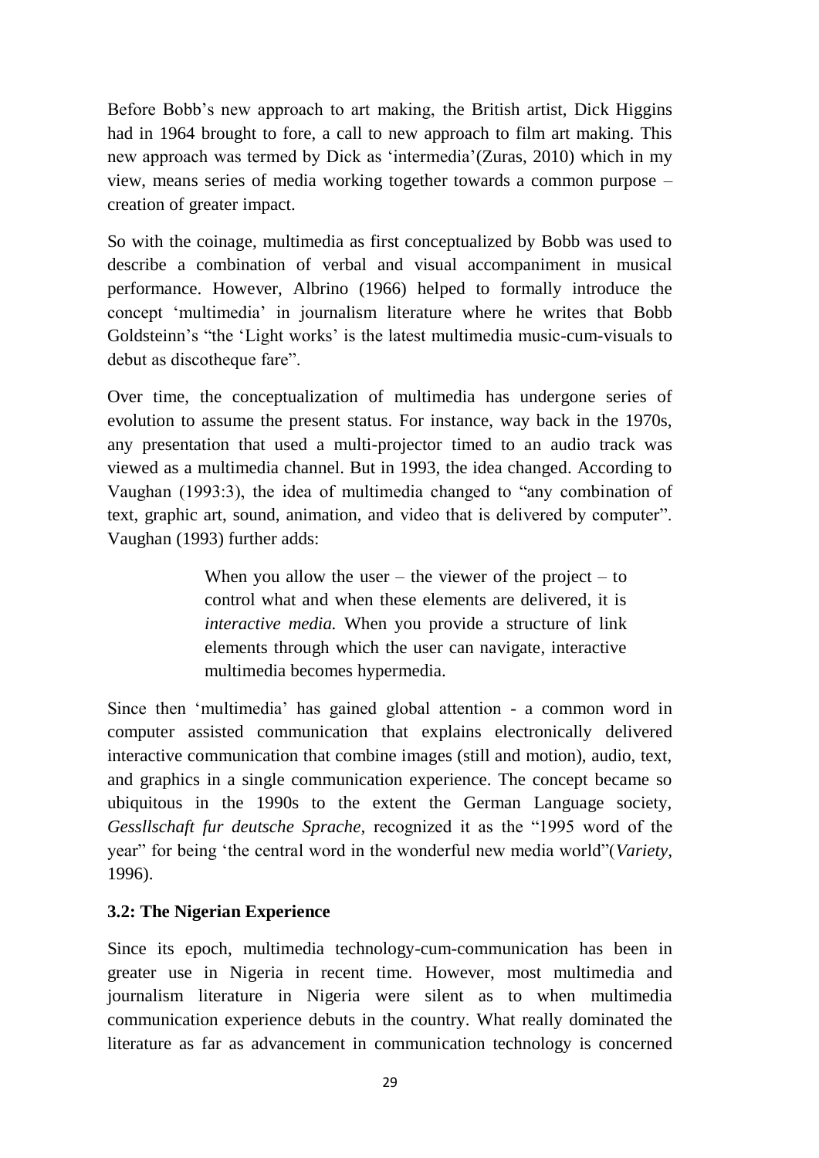Before Bobb's new approach to art making, the British artist, Dick Higgins had in 1964 brought to fore, a call to new approach to film art making. This new approach was termed by Dick as 'intermedia'(Zuras, 2010) which in my view, means series of media working together towards a common purpose – creation of greater impact.

So with the coinage, multimedia as first conceptualized by Bobb was used to describe a combination of verbal and visual accompaniment in musical performance. However, Albrino (1966) helped to formally introduce the concept 'multimedia' in journalism literature where he writes that Bobb Goldsteinn's "the 'Light works' is the latest multimedia music-cum-visuals to debut as discotheque fare".

Over time, the conceptualization of multimedia has undergone series of evolution to assume the present status. For instance, way back in the 1970s, any presentation that used a multi-projector timed to an audio track was viewed as a multimedia channel. But in 1993, the idea changed. According to Vaughan (1993:3), the idea of multimedia changed to "any combination of text, graphic art, sound, animation, and video that is delivered by computer". Vaughan (1993) further adds:

> When you allow the user – the viewer of the project – to control what and when these elements are delivered, it is *interactive media.* When you provide a structure of link elements through which the user can navigate, interactive multimedia becomes hypermedia.

Since then 'multimedia' has gained global attention - a common word in computer assisted communication that explains electronically delivered interactive communication that combine images (still and motion), audio, text, and graphics in a single communication experience. The concept became so ubiquitous in the 1990s to the extent the German Language society, *Gessllschaft fur deutsche Sprache,* recognized it as the "1995 word of the year" for being 'the central word in the wonderful new media world"(*Variety,*  1996).

### **3.2: The Nigerian Experience**

Since its epoch, multimedia technology-cum-communication has been in greater use in Nigeria in recent time. However, most multimedia and journalism literature in Nigeria were silent as to when multimedia communication experience debuts in the country. What really dominated the literature as far as advancement in communication technology is concerned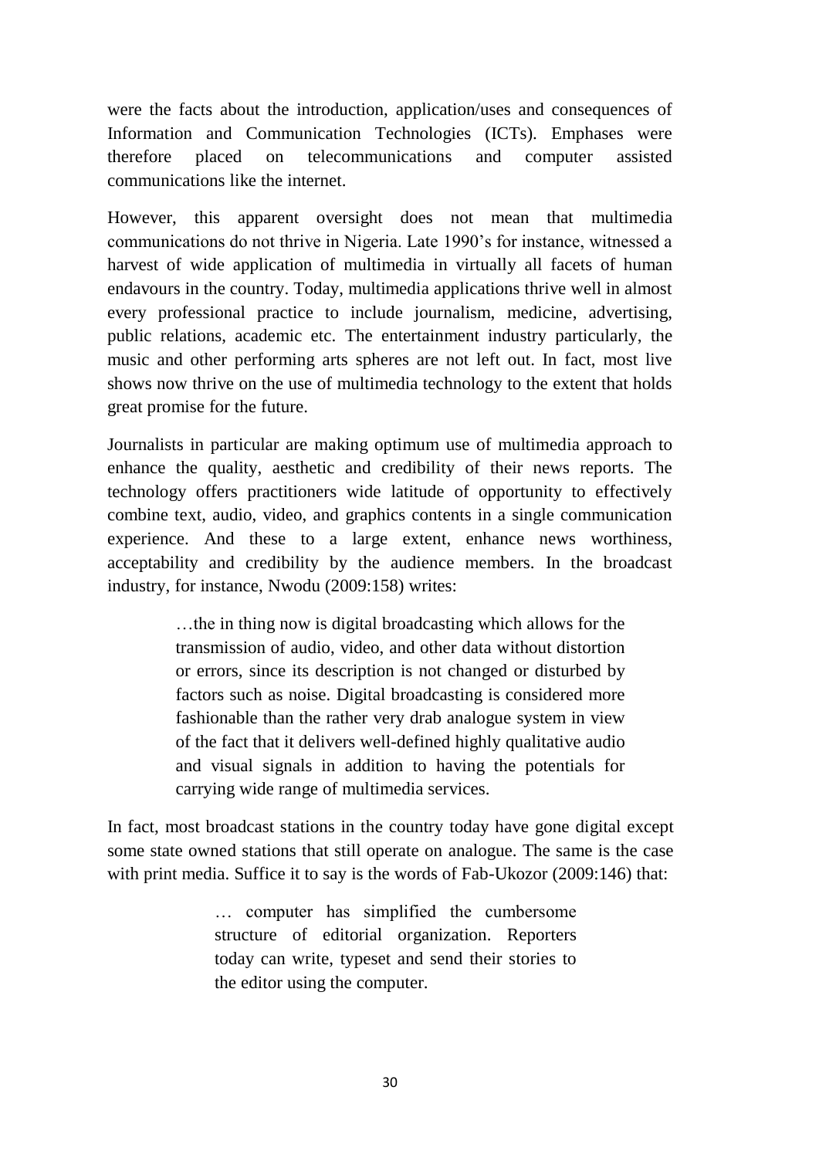were the facts about the introduction, application/uses and consequences of Information and Communication Technologies (ICTs). Emphases were therefore placed on telecommunications and computer assisted communications like the internet.

However, this apparent oversight does not mean that multimedia communications do not thrive in Nigeria. Late 1990's for instance, witnessed a harvest of wide application of multimedia in virtually all facets of human endavours in the country. Today, multimedia applications thrive well in almost every professional practice to include journalism, medicine, advertising, public relations, academic etc. The entertainment industry particularly, the music and other performing arts spheres are not left out. In fact, most live shows now thrive on the use of multimedia technology to the extent that holds great promise for the future.

Journalists in particular are making optimum use of multimedia approach to enhance the quality, aesthetic and credibility of their news reports. The technology offers practitioners wide latitude of opportunity to effectively combine text, audio, video, and graphics contents in a single communication experience. And these to a large extent, enhance news worthiness, acceptability and credibility by the audience members. In the broadcast industry, for instance, Nwodu (2009:158) writes:

> …the in thing now is digital broadcasting which allows for the transmission of audio, video, and other data without distortion or errors, since its description is not changed or disturbed by factors such as noise. Digital broadcasting is considered more fashionable than the rather very drab analogue system in view of the fact that it delivers well-defined highly qualitative audio and visual signals in addition to having the potentials for carrying wide range of multimedia services.

In fact, most broadcast stations in the country today have gone digital except some state owned stations that still operate on analogue. The same is the case with print media. Suffice it to say is the words of Fab-Ukozor (2009:146) that:

> … computer has simplified the cumbersome structure of editorial organization. Reporters today can write, typeset and send their stories to the editor using the computer.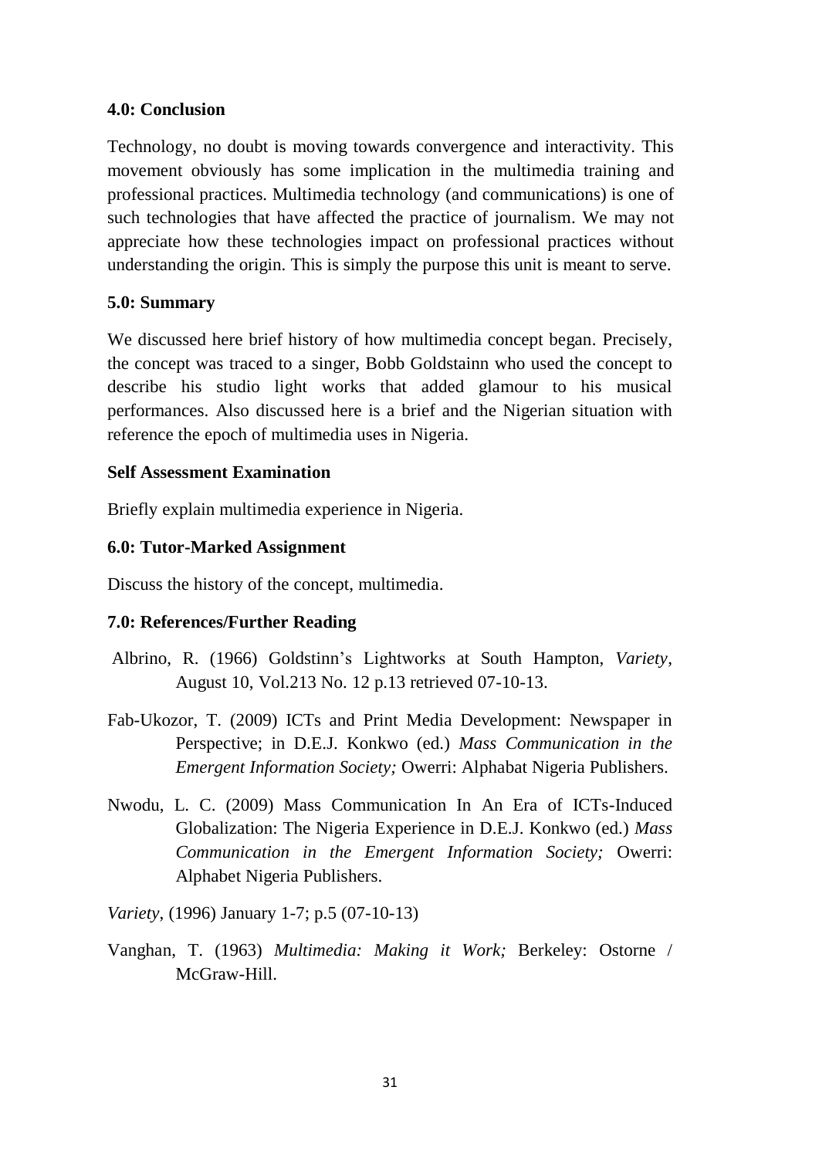#### **4.0: Conclusion**

Technology, no doubt is moving towards convergence and interactivity. This movement obviously has some implication in the multimedia training and professional practices. Multimedia technology (and communications) is one of such technologies that have affected the practice of journalism. We may not appreciate how these technologies impact on professional practices without understanding the origin. This is simply the purpose this unit is meant to serve.

### **5.0: Summary**

We discussed here brief history of how multimedia concept began. Precisely, the concept was traced to a singer, Bobb Goldstainn who used the concept to describe his studio light works that added glamour to his musical performances. Also discussed here is a brief and the Nigerian situation with reference the epoch of multimedia uses in Nigeria.

#### **Self Assessment Examination**

Briefly explain multimedia experience in Nigeria.

#### **6.0: Tutor-Marked Assignment**

Discuss the history of the concept, multimedia.

### **7.0: References/Further Reading**

- Albrino, R. (1966) Goldstinn's Lightworks at South Hampton, *Variety*, August 10, Vol.213 No. 12 p.13 retrieved 07-10-13.
- Fab-Ukozor, T. (2009) ICTs and Print Media Development: Newspaper in Perspective; in D.E.J. Konkwo (ed.) *Mass Communication in the Emergent Information Society;* Owerri: Alphabat Nigeria Publishers.
- Nwodu, L. C. (2009) Mass Communication In An Era of ICTs-Induced Globalization: The Nigeria Experience in D.E.J. Konkwo (ed.) *Mass Communication in the Emergent Information Society;* Owerri: Alphabet Nigeria Publishers.

*Variety*, (1996) January 1-7; p.5 (07-10-13)

Vanghan, T. (1963) *Multimedia: Making it Work;* Berkeley: Ostorne / McGraw-Hill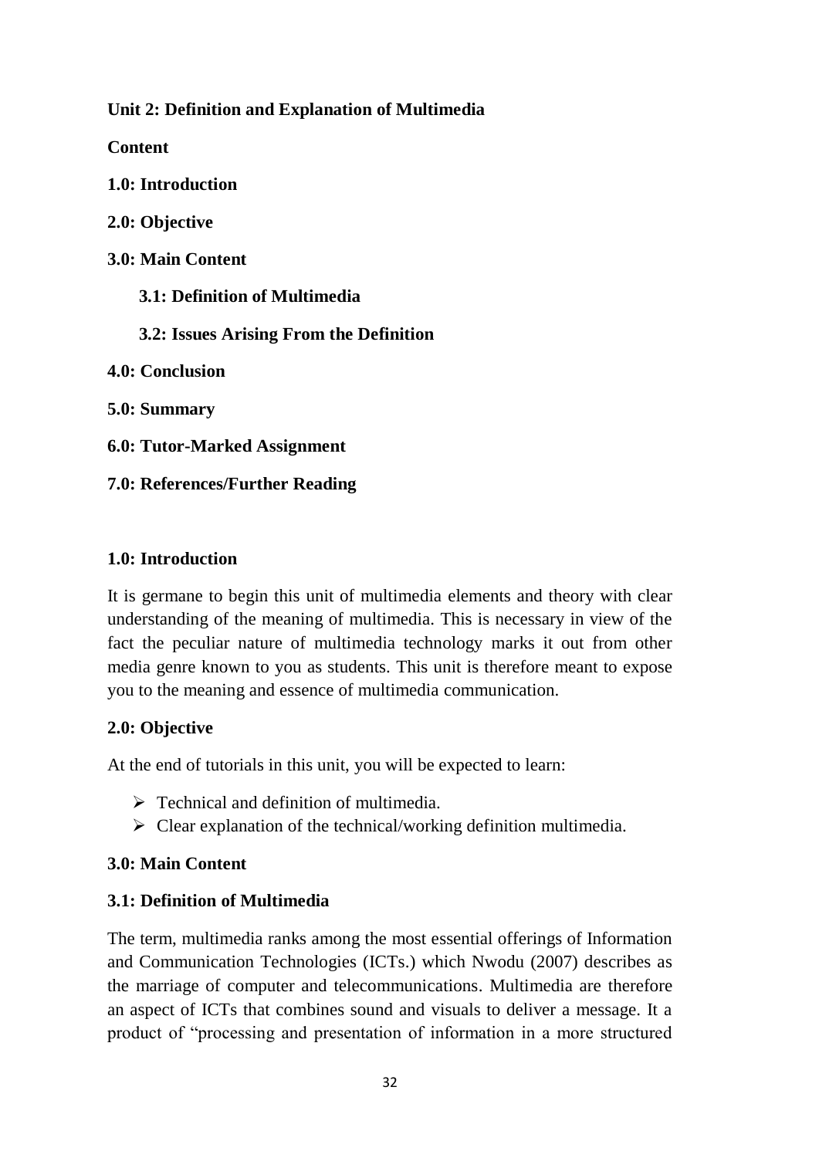**Unit 2: Definition and Explanation of Multimedia**

**Content**

**1.0: Introduction**

**2.0: Objective**

**3.0: Main Content**

 **3.1: Definition of Multimedia**

 **3.2: Issues Arising From the Definition**

**4.0: Conclusion**

**5.0: Summary**

**6.0: Tutor-Marked Assignment**

**7.0: References/Further Reading**

# **1.0: Introduction**

It is germane to begin this unit of multimedia elements and theory with clear understanding of the meaning of multimedia. This is necessary in view of the fact the peculiar nature of multimedia technology marks it out from other media genre known to you as students. This unit is therefore meant to expose you to the meaning and essence of multimedia communication.

# **2.0: Objective**

At the end of tutorials in this unit, you will be expected to learn:

- $\triangleright$  Technical and definition of multimedia.
- $\triangleright$  Clear explanation of the technical/working definition multimedia.

# **3.0: Main Content**

# **3.1: Definition of Multimedia**

The term, multimedia ranks among the most essential offerings of Information and Communication Technologies (ICTs.) which Nwodu (2007) describes as the marriage of computer and telecommunications. Multimedia are therefore an aspect of ICTs that combines sound and visuals to deliver a message. It a product of "processing and presentation of information in a more structured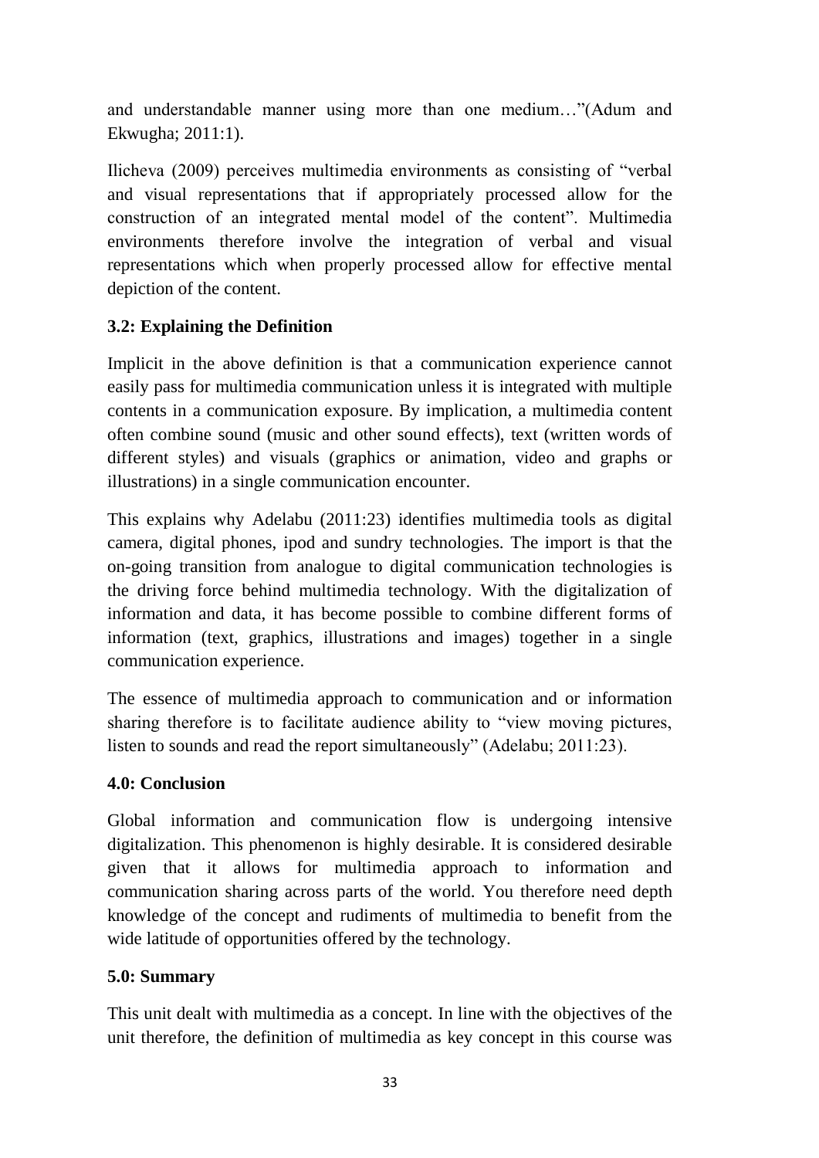and understandable manner using more than one medium…"(Adum and Ekwugha; 2011:1).

Ilicheva (2009) perceives multimedia environments as consisting of "verbal and visual representations that if appropriately processed allow for the construction of an integrated mental model of the content". Multimedia environments therefore involve the integration of verbal and visual representations which when properly processed allow for effective mental depiction of the content.

# **3.2: Explaining the Definition**

Implicit in the above definition is that a communication experience cannot easily pass for multimedia communication unless it is integrated with multiple contents in a communication exposure. By implication, a multimedia content often combine sound (music and other sound effects), text (written words of different styles) and visuals (graphics or animation, video and graphs or illustrations) in a single communication encounter.

This explains why Adelabu (2011:23) identifies multimedia tools as digital camera, digital phones, ipod and sundry technologies. The import is that the on-going transition from analogue to digital communication technologies is the driving force behind multimedia technology. With the digitalization of information and data, it has become possible to combine different forms of information (text, graphics, illustrations and images) together in a single communication experience.

The essence of multimedia approach to communication and or information sharing therefore is to facilitate audience ability to "view moving pictures, listen to sounds and read the report simultaneously" (Adelabu; 2011:23).

## **4.0: Conclusion**

Global information and communication flow is undergoing intensive digitalization. This phenomenon is highly desirable. It is considered desirable given that it allows for multimedia approach to information and communication sharing across parts of the world. You therefore need depth knowledge of the concept and rudiments of multimedia to benefit from the wide latitude of opportunities offered by the technology.

## **5.0: Summary**

This unit dealt with multimedia as a concept. In line with the objectives of the unit therefore, the definition of multimedia as key concept in this course was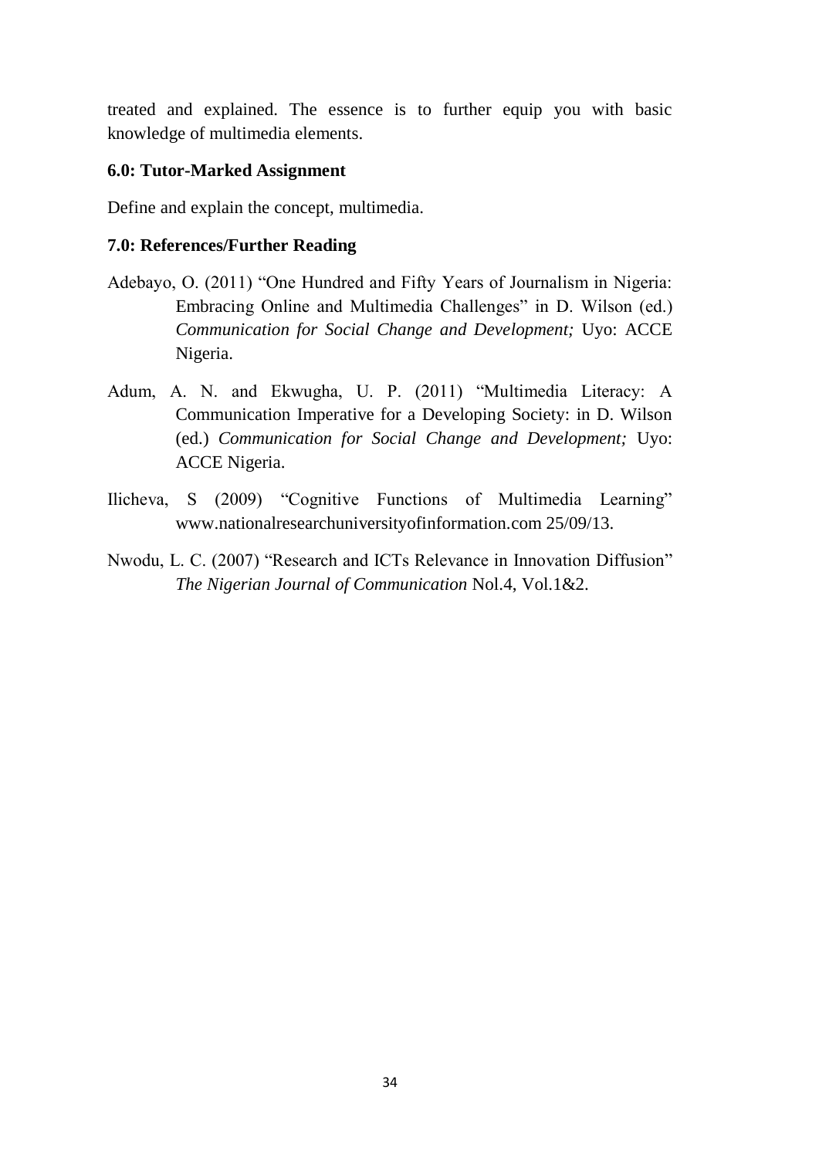treated and explained. The essence is to further equip you with basic knowledge of multimedia elements.

### **6.0: Tutor-Marked Assignment**

Define and explain the concept, multimedia.

### **7.0: References/Further Reading**

- Adebayo, O. (2011) "One Hundred and Fifty Years of Journalism in Nigeria: Embracing Online and Multimedia Challenges" in D. Wilson (ed.) *Communication for Social Change and Development;* Uyo: ACCE Nigeria.
- Adum, A. N. and Ekwugha, U. P. (2011) "Multimedia Literacy: A Communication Imperative for a Developing Society: in D. Wilson (ed.) *Communication for Social Change and Development;* Uyo: ACCE Nigeria.
- Ilicheva, S (2009) "Cognitive Functions of Multimedia Learning" www.nationalresearchuniversityofinformation.com 25/09/13.
- Nwodu, L. C. (2007) "Research and ICTs Relevance in Innovation Diffusion" *The Nigerian Journal of Communication* Nol.4, Vol.1&2.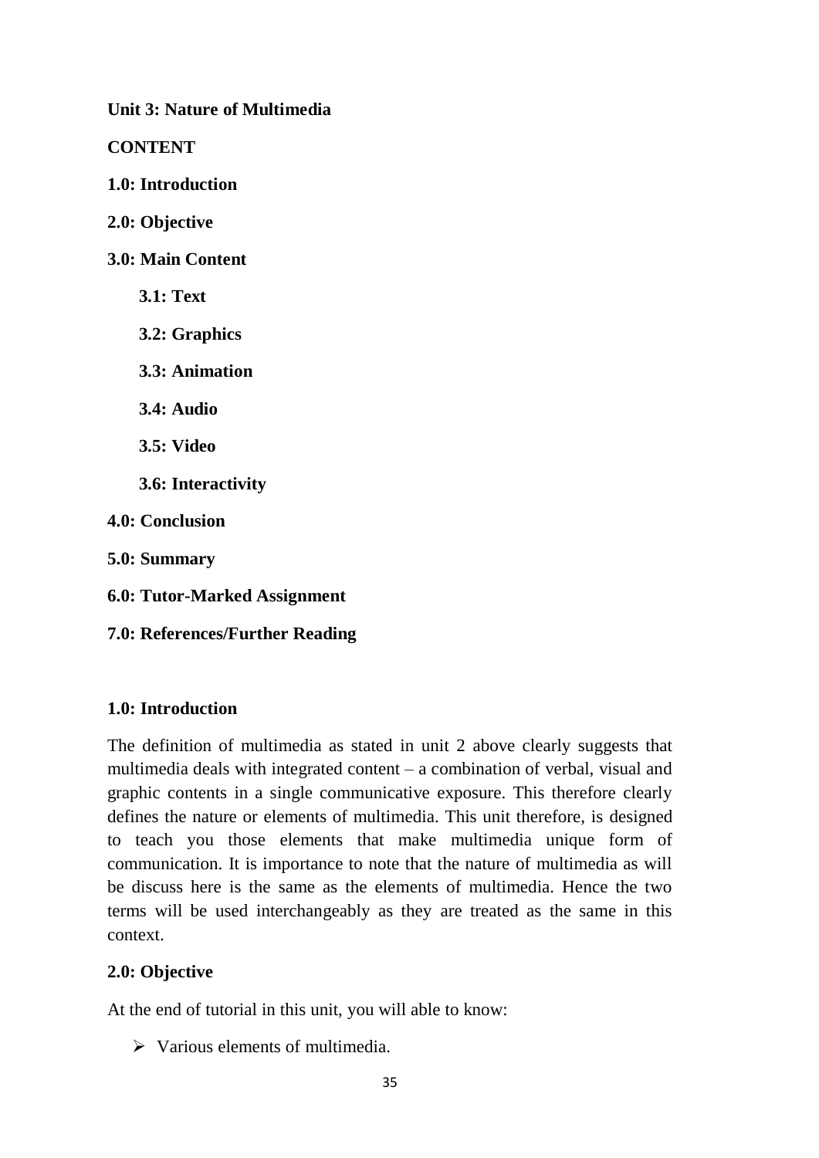**Unit 3: Nature of Multimedia**

**CONTENT**

- **1.0: Introduction**
- **2.0: Objective**
- **3.0: Main Content**
	- **3.1: Text**
	- **3.2: Graphics**
	- **3.3: Animation**
	- **3.4: Audio**
	- **3.5: Video**
	- **3.6: Interactivity**
- **4.0: Conclusion**
- **5.0: Summary**
- **6.0: Tutor-Marked Assignment**
- **7.0: References/Further Reading**

### **1.0: Introduction**

The definition of multimedia as stated in unit 2 above clearly suggests that multimedia deals with integrated content – a combination of verbal, visual and graphic contents in a single communicative exposure. This therefore clearly defines the nature or elements of multimedia. This unit therefore, is designed to teach you those elements that make multimedia unique form of communication. It is importance to note that the nature of multimedia as will be discuss here is the same as the elements of multimedia. Hence the two terms will be used interchangeably as they are treated as the same in this context.

### **2.0: Objective**

At the end of tutorial in this unit, you will able to know:

 $\triangleright$  Various elements of multimedia.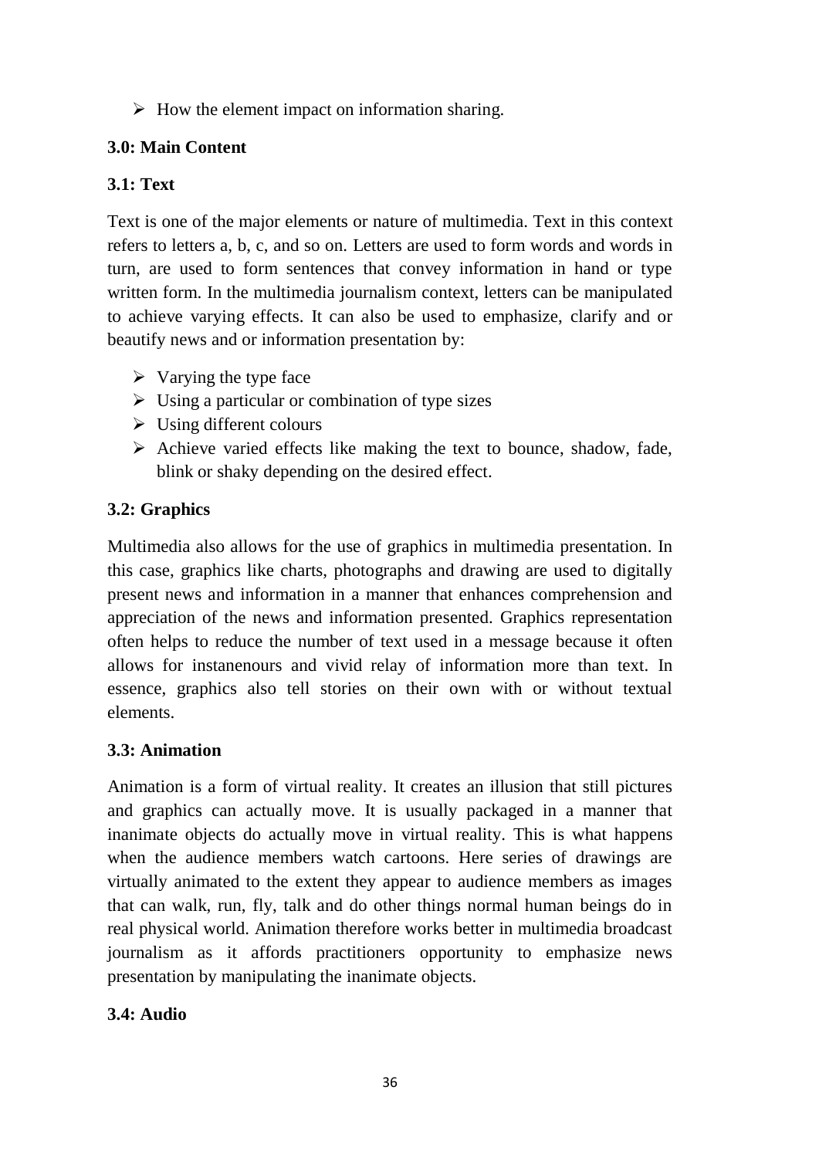$\triangleright$  How the element impact on information sharing.

# **3.0: Main Content**

# **3.1: Text**

Text is one of the major elements or nature of multimedia. Text in this context refers to letters a, b, c, and so on. Letters are used to form words and words in turn, are used to form sentences that convey information in hand or type written form. In the multimedia journalism context, letters can be manipulated to achieve varying effects. It can also be used to emphasize, clarify and or beautify news and or information presentation by:

- $\triangleright$  Varying the type face
- $\triangleright$  Using a particular or combination of type sizes
- $\triangleright$  Using different colours
- $\triangleright$  Achieve varied effects like making the text to bounce, shadow, fade, blink or shaky depending on the desired effect.

# **3.2: Graphics**

Multimedia also allows for the use of graphics in multimedia presentation. In this case, graphics like charts, photographs and drawing are used to digitally present news and information in a manner that enhances comprehension and appreciation of the news and information presented. Graphics representation often helps to reduce the number of text used in a message because it often allows for instanenours and vivid relay of information more than text. In essence, graphics also tell stories on their own with or without textual elements.

# **3.3: Animation**

Animation is a form of virtual reality. It creates an illusion that still pictures and graphics can actually move. It is usually packaged in a manner that inanimate objects do actually move in virtual reality. This is what happens when the audience members watch cartoons. Here series of drawings are virtually animated to the extent they appear to audience members as images that can walk, run, fly, talk and do other things normal human beings do in real physical world. Animation therefore works better in multimedia broadcast journalism as it affords practitioners opportunity to emphasize news presentation by manipulating the inanimate objects.

# **3.4: Audio**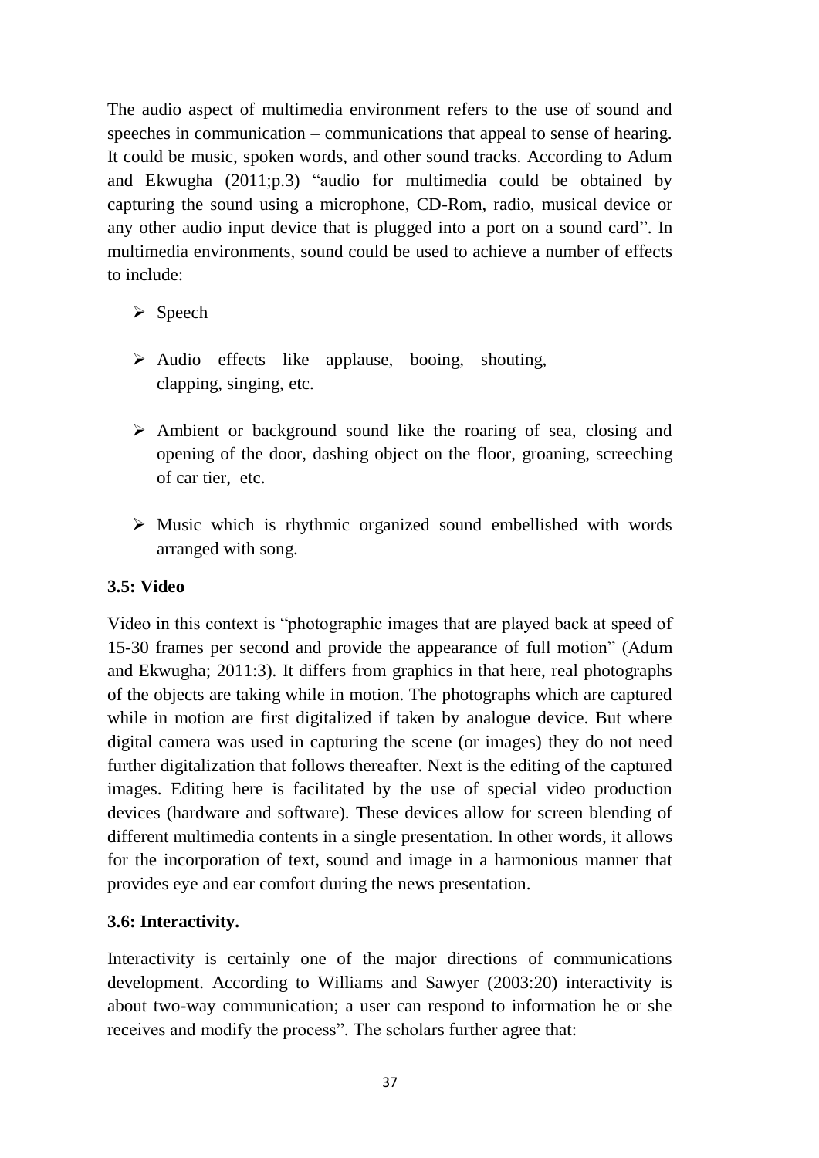The audio aspect of multimedia environment refers to the use of sound and speeches in communication – communications that appeal to sense of hearing. It could be music, spoken words, and other sound tracks. According to Adum and Ekwugha (2011;p.3) "audio for multimedia could be obtained by capturing the sound using a microphone, CD-Rom, radio, musical device or any other audio input device that is plugged into a port on a sound card". In multimedia environments, sound could be used to achieve a number of effects to include:

- $\triangleright$  Speech
- $\triangleright$  Audio effects like applause, booing, shouting, clapping, singing, etc.
- $\triangleright$  Ambient or background sound like the roaring of sea, closing and opening of the door, dashing object on the floor, groaning, screeching of car tier, etc.
- $\triangleright$  Music which is rhythmic organized sound embellished with words arranged with song.

# **3.5: Video**

Video in this context is "photographic images that are played back at speed of 15-30 frames per second and provide the appearance of full motion" (Adum and Ekwugha; 2011:3). It differs from graphics in that here, real photographs of the objects are taking while in motion. The photographs which are captured while in motion are first digitalized if taken by analogue device. But where digital camera was used in capturing the scene (or images) they do not need further digitalization that follows thereafter. Next is the editing of the captured images. Editing here is facilitated by the use of special video production devices (hardware and software). These devices allow for screen blending of different multimedia contents in a single presentation. In other words, it allows for the incorporation of text, sound and image in a harmonious manner that provides eye and ear comfort during the news presentation.

# **3.6: Interactivity.**

Interactivity is certainly one of the major directions of communications development. According to Williams and Sawyer (2003:20) interactivity is about two-way communication; a user can respond to information he or she receives and modify the process". The scholars further agree that: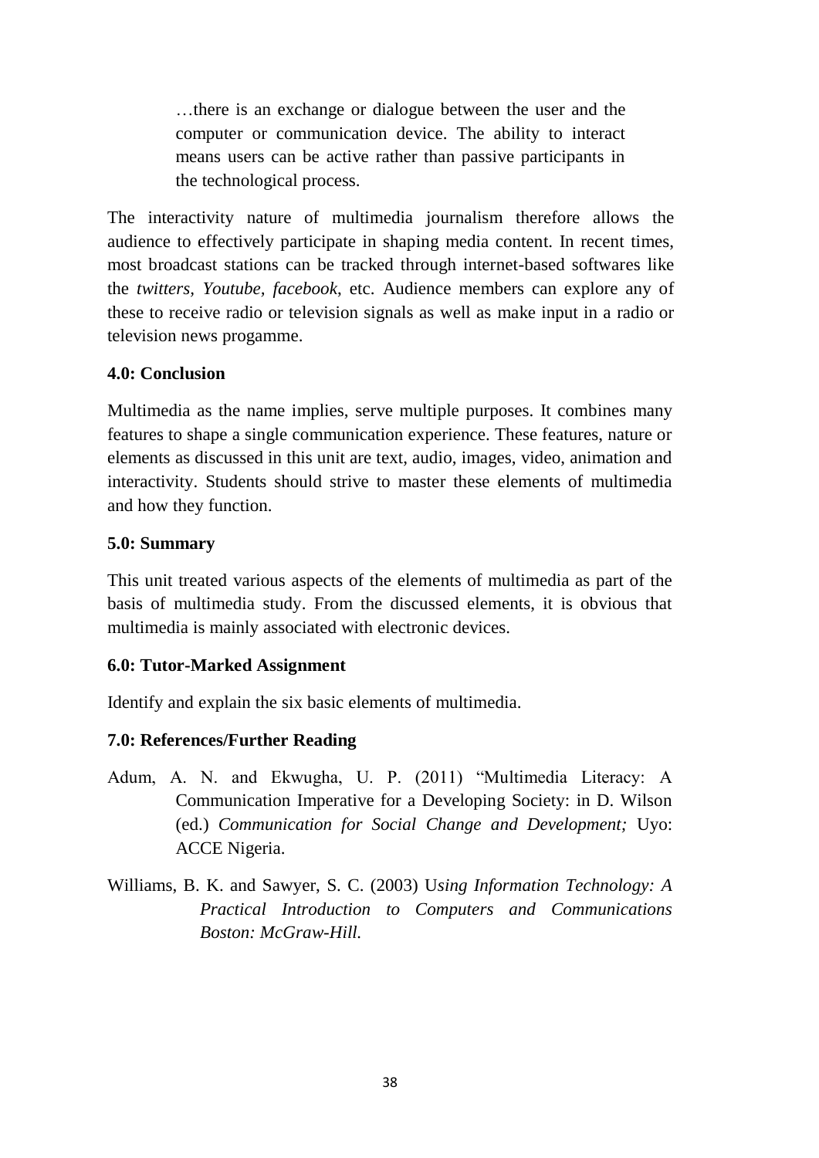…there is an exchange or dialogue between the user and the computer or communication device. The ability to interact means users can be active rather than passive participants in the technological process.

The interactivity nature of multimedia journalism therefore allows the audience to effectively participate in shaping media content. In recent times, most broadcast stations can be tracked through internet-based softwares like the *twitters, Youtube, facebook*, etc. Audience members can explore any of these to receive radio or television signals as well as make input in a radio or television news progamme.

### **4.0: Conclusion**

Multimedia as the name implies, serve multiple purposes. It combines many features to shape a single communication experience. These features, nature or elements as discussed in this unit are text, audio, images, video, animation and interactivity. Students should strive to master these elements of multimedia and how they function.

### **5.0: Summary**

This unit treated various aspects of the elements of multimedia as part of the basis of multimedia study. From the discussed elements, it is obvious that multimedia is mainly associated with electronic devices.

### **6.0: Tutor-Marked Assignment**

Identify and explain the six basic elements of multimedia.

- Adum, A. N. and Ekwugha, U. P. (2011) "Multimedia Literacy: A Communication Imperative for a Developing Society: in D. Wilson (ed.) *Communication for Social Change and Development;* Uyo: ACCE Nigeria.
- Williams, B. K. and Sawyer, S. C. (2003) U*sing Information Technology: A Practical Introduction to Computers and Communications Boston: McGraw-Hill.*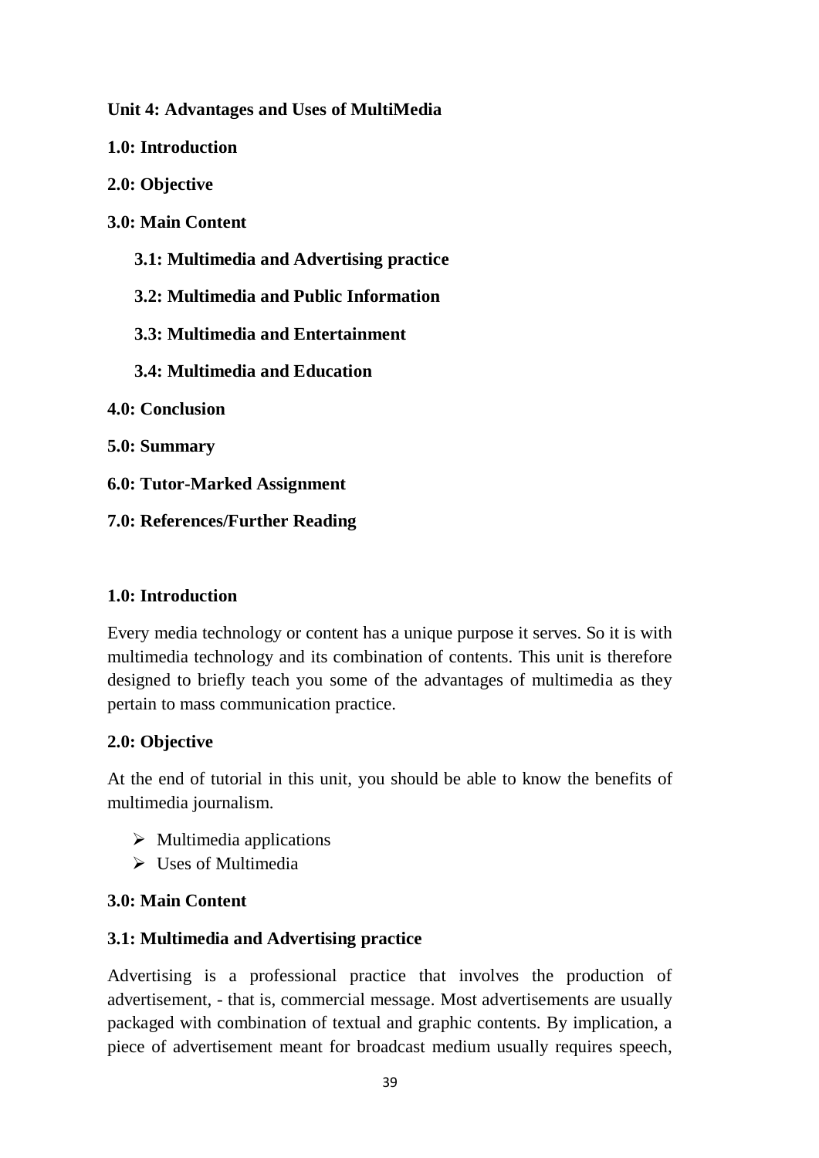**Unit 4: Advantages and Uses of MultiMedia** 

**1.0: Introduction**

**2.0: Objective**

**3.0: Main Content**

 **3.1: Multimedia and Advertising practice**

 **3.2: Multimedia and Public Information**

 **3.3: Multimedia and Entertainment**

 **3.4: Multimedia and Education**

**4.0: Conclusion**

**5.0: Summary**

**6.0: Tutor-Marked Assignment**

**7.0: References/Further Reading**

## **1.0: Introduction**

Every media technology or content has a unique purpose it serves. So it is with multimedia technology and its combination of contents. This unit is therefore designed to briefly teach you some of the advantages of multimedia as they pertain to mass communication practice.

# **2.0: Objective**

At the end of tutorial in this unit, you should be able to know the benefits of multimedia journalism.

- $\triangleright$  Multimedia applications
- $\triangleright$  Uses of Multimedia

# **3.0: Main Content**

# **3.1: Multimedia and Advertising practice**

Advertising is a professional practice that involves the production of advertisement, - that is, commercial message. Most advertisements are usually packaged with combination of textual and graphic contents. By implication, a piece of advertisement meant for broadcast medium usually requires speech,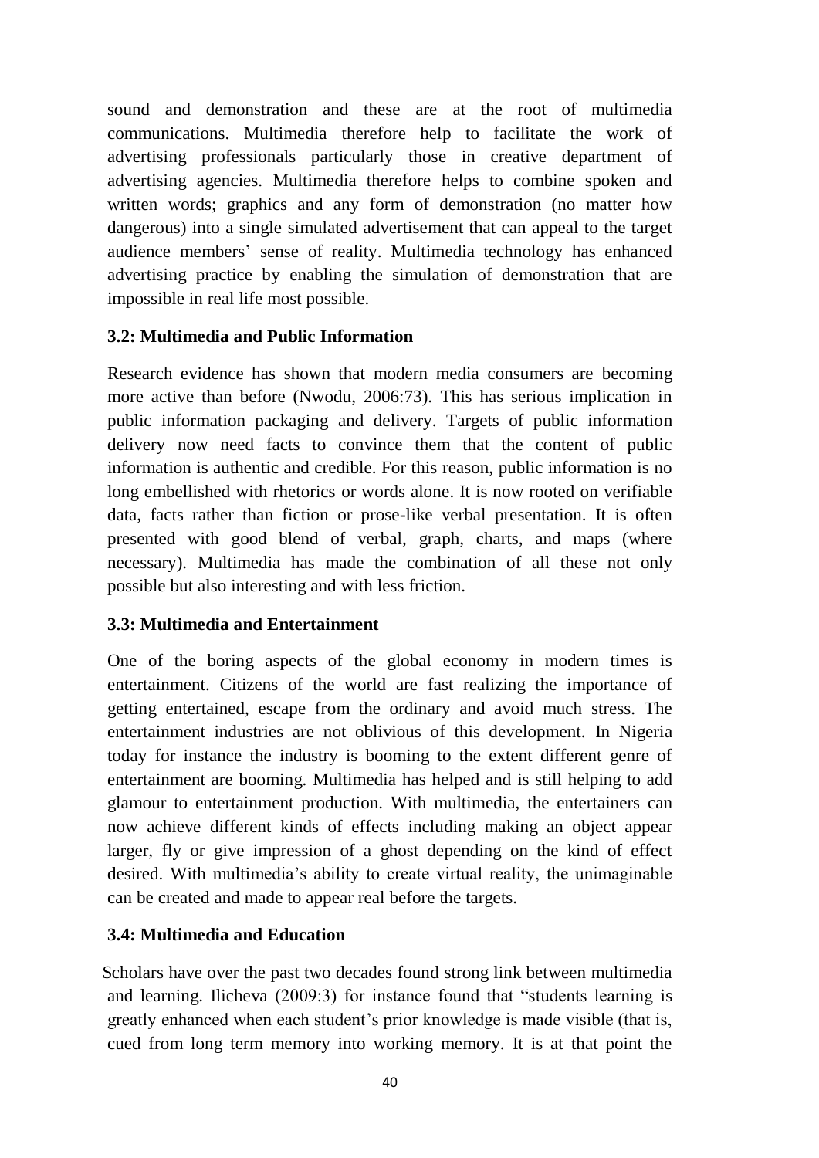sound and demonstration and these are at the root of multimedia communications. Multimedia therefore help to facilitate the work of advertising professionals particularly those in creative department of advertising agencies. Multimedia therefore helps to combine spoken and written words; graphics and any form of demonstration (no matter how dangerous) into a single simulated advertisement that can appeal to the target audience members' sense of reality. Multimedia technology has enhanced advertising practice by enabling the simulation of demonstration that are impossible in real life most possible.

## **3.2: Multimedia and Public Information**

Research evidence has shown that modern media consumers are becoming more active than before (Nwodu, 2006:73). This has serious implication in public information packaging and delivery. Targets of public information delivery now need facts to convince them that the content of public information is authentic and credible. For this reason, public information is no long embellished with rhetorics or words alone. It is now rooted on verifiable data, facts rather than fiction or prose-like verbal presentation. It is often presented with good blend of verbal, graph, charts, and maps (where necessary). Multimedia has made the combination of all these not only possible but also interesting and with less friction.

# **3.3: Multimedia and Entertainment**

One of the boring aspects of the global economy in modern times is entertainment. Citizens of the world are fast realizing the importance of getting entertained, escape from the ordinary and avoid much stress. The entertainment industries are not oblivious of this development. In Nigeria today for instance the industry is booming to the extent different genre of entertainment are booming. Multimedia has helped and is still helping to add glamour to entertainment production. With multimedia, the entertainers can now achieve different kinds of effects including making an object appear larger, fly or give impression of a ghost depending on the kind of effect desired. With multimedia's ability to create virtual reality, the unimaginable can be created and made to appear real before the targets.

## **3.4: Multimedia and Education**

Scholars have over the past two decades found strong link between multimedia and learning. Ilicheva (2009:3) for instance found that "students learning is greatly enhanced when each student's prior knowledge is made visible (that is, cued from long term memory into working memory. It is at that point the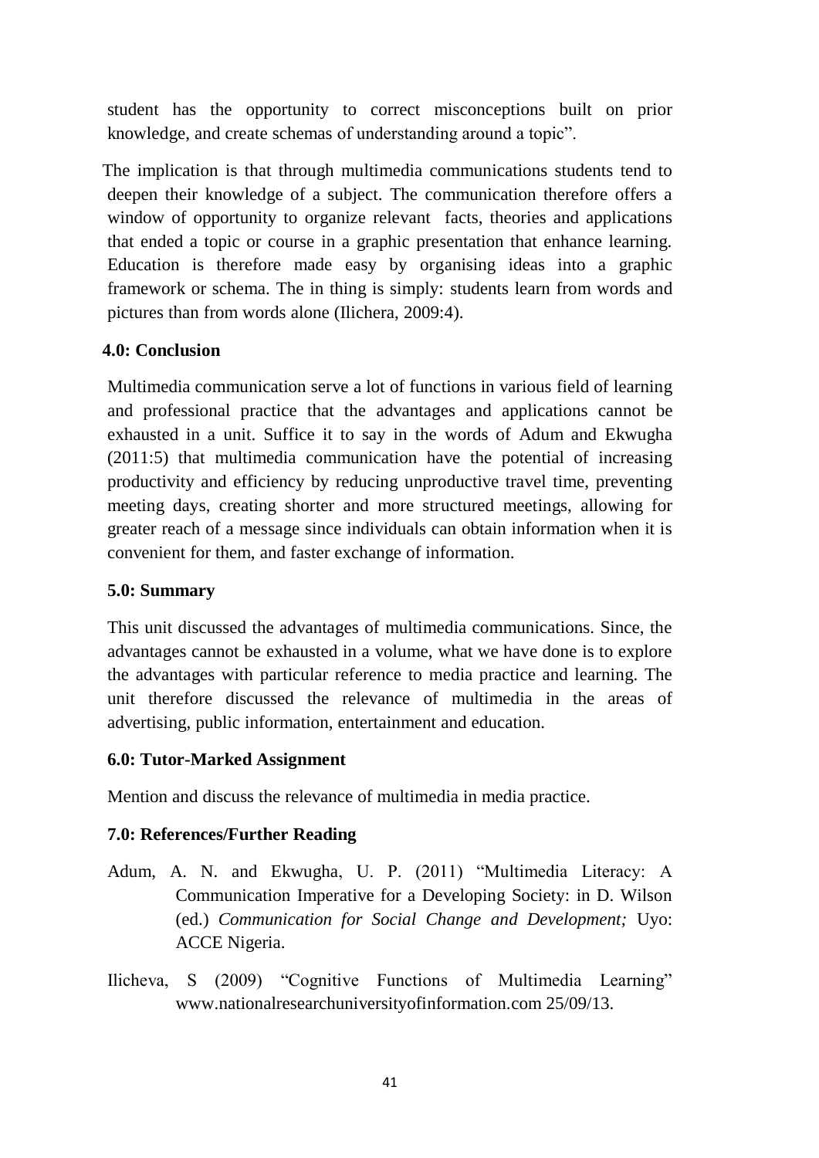student has the opportunity to correct misconceptions built on prior knowledge, and create schemas of understanding around a topic".

The implication is that through multimedia communications students tend to deepen their knowledge of a subject. The communication therefore offers a window of opportunity to organize relevant facts, theories and applications that ended a topic or course in a graphic presentation that enhance learning. Education is therefore made easy by organising ideas into a graphic framework or schema. The in thing is simply: students learn from words and pictures than from words alone (Ilichera, 2009:4).

## **4.0: Conclusion**

Multimedia communication serve a lot of functions in various field of learning and professional practice that the advantages and applications cannot be exhausted in a unit. Suffice it to say in the words of Adum and Ekwugha (2011:5) that multimedia communication have the potential of increasing productivity and efficiency by reducing unproductive travel time, preventing meeting days, creating shorter and more structured meetings, allowing for greater reach of a message since individuals can obtain information when it is convenient for them, and faster exchange of information.

## **5.0: Summary**

This unit discussed the advantages of multimedia communications. Since, the advantages cannot be exhausted in a volume, what we have done is to explore the advantages with particular reference to media practice and learning. The unit therefore discussed the relevance of multimedia in the areas of advertising, public information, entertainment and education.

## **6.0: Tutor-Marked Assignment**

Mention and discuss the relevance of multimedia in media practice.

- Adum, A. N. and Ekwugha, U. P. (2011) "Multimedia Literacy: A Communication Imperative for a Developing Society: in D. Wilson (ed.) *Communication for Social Change and Development;* Uyo: ACCE Nigeria.
- Ilicheva, S (2009) "Cognitive Functions of Multimedia Learning" www.nationalresearchuniversityofinformation.com 25/09/13.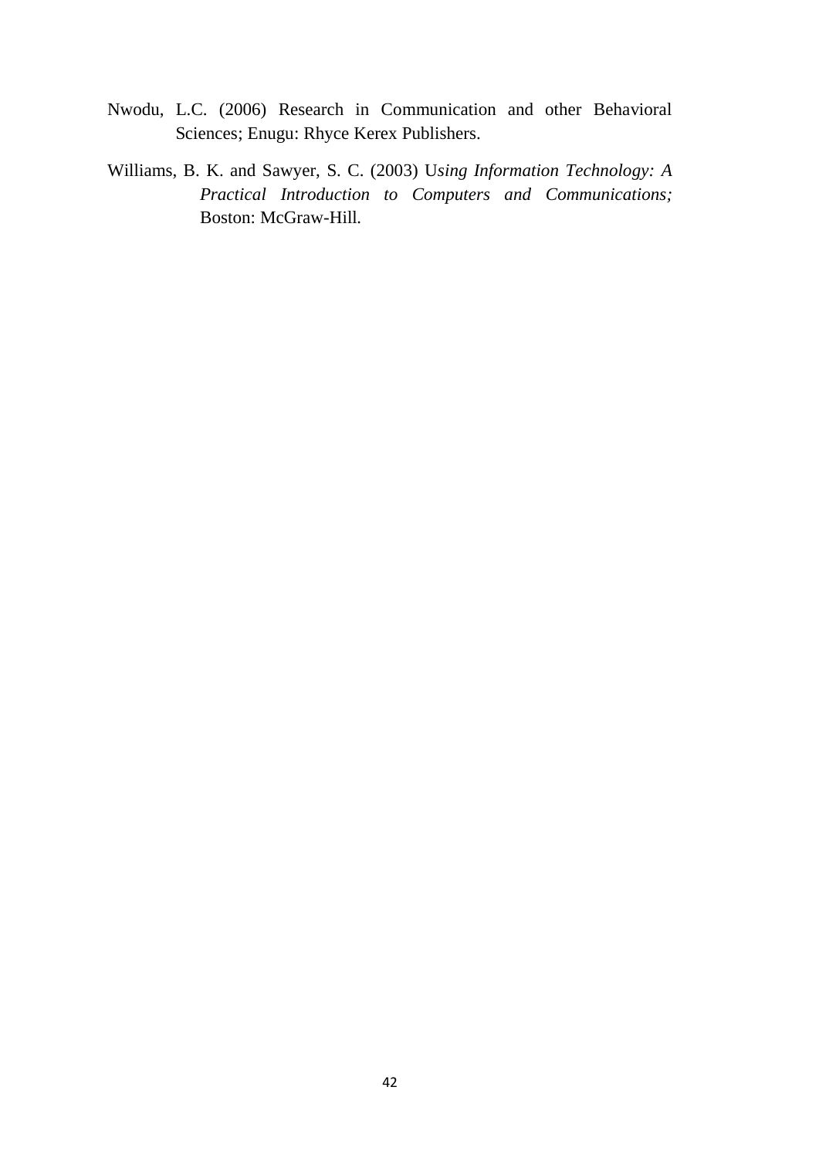- Nwodu, L.C. (2006) Research in Communication and other Behavioral Sciences; Enugu: Rhyce Kerex Publishers.
- Williams, B. K. and Sawyer, S. C. (2003) U*sing Information Technology: A Practical Introduction to Computers and Communications;* Boston: McGraw-Hill*.*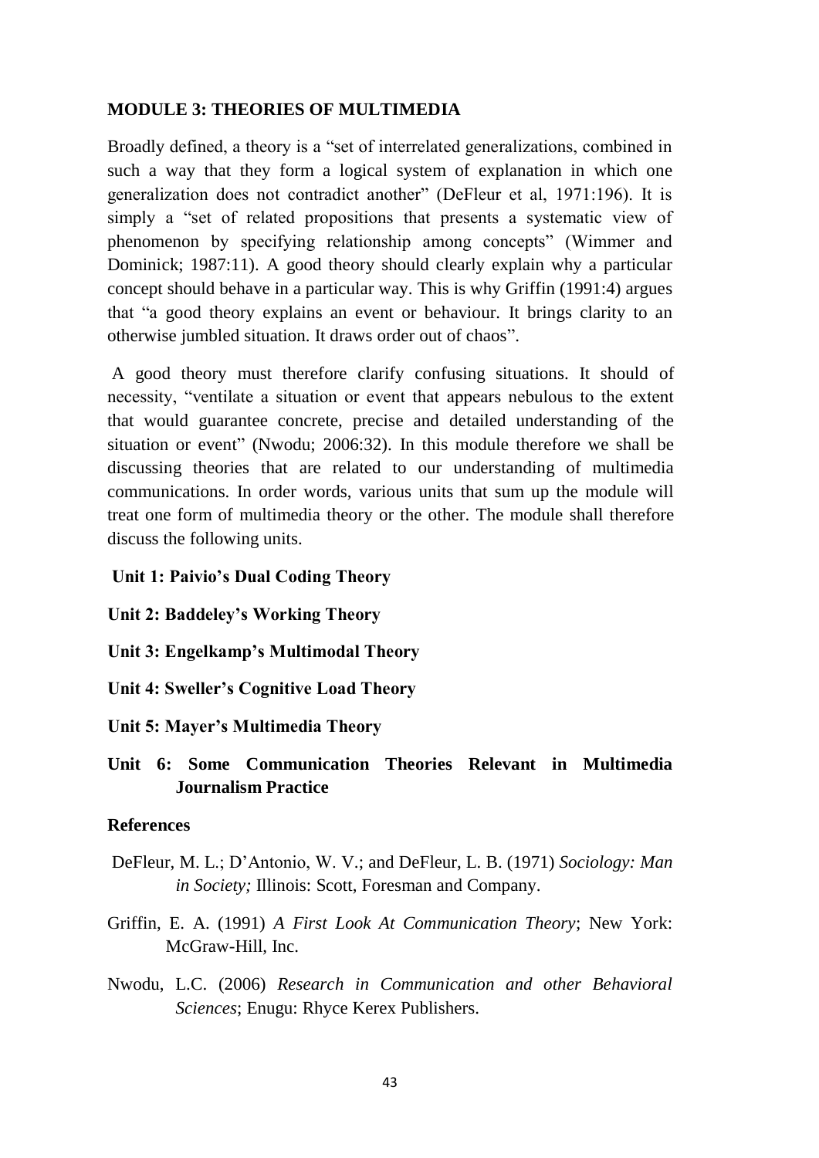### **MODULE 3: THEORIES OF MULTIMEDIA**

Broadly defined, a theory is a "set of interrelated generalizations, combined in such a way that they form a logical system of explanation in which one generalization does not contradict another" (DeFleur et al, 1971:196). It is simply a "set of related propositions that presents a systematic view of phenomenon by specifying relationship among concepts" (Wimmer and Dominick; 1987:11). A good theory should clearly explain why a particular concept should behave in a particular way. This is why Griffin (1991:4) argues that "a good theory explains an event or behaviour. It brings clarity to an otherwise jumbled situation. It draws order out of chaos".

A good theory must therefore clarify confusing situations. It should of necessity, "ventilate a situation or event that appears nebulous to the extent that would guarantee concrete, precise and detailed understanding of the situation or event" (Nwodu; 2006:32). In this module therefore we shall be discussing theories that are related to our understanding of multimedia communications. In order words, various units that sum up the module will treat one form of multimedia theory or the other. The module shall therefore discuss the following units.

#### **Unit 1: Paivio's Dual Coding Theory**

**Unit 2: Baddeley's Working Theory**

**Unit 3: Engelkamp's Multimodal Theory**

**Unit 4: Sweller's Cognitive Load Theory**

**Unit 5: Mayer's Multimedia Theory**

# **Unit 6: Some Communication Theories Relevant in Multimedia Journalism Practice**

#### **References**

- DeFleur, M. L.; D'Antonio, W. V.; and DeFleur, L. B. (1971) *Sociology: Man in Society;* Illinois: Scott, Foresman and Company.
- Griffin, E. A. (1991) *A First Look At Communication Theory*; New York: McGraw-Hill, Inc.
- Nwodu, L.C. (2006) *Research in Communication and other Behavioral Sciences*; Enugu: Rhyce Kerex Publishers.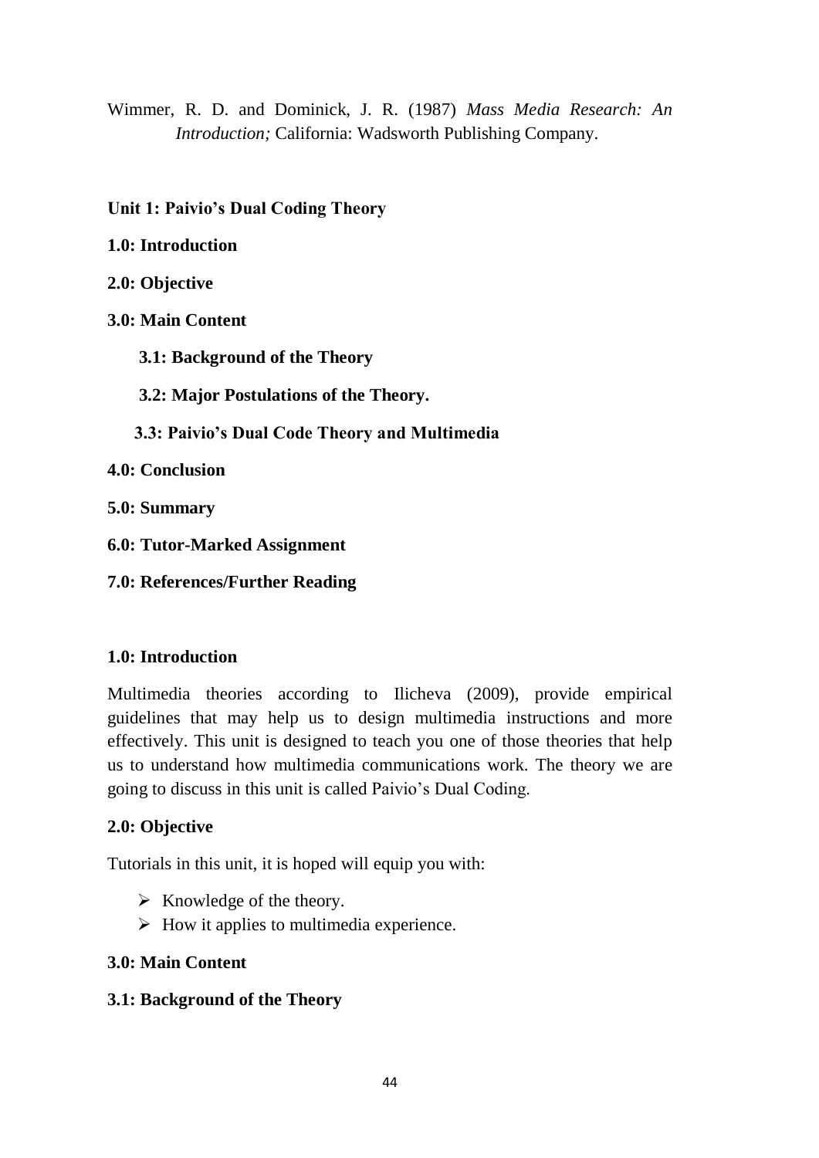Wimmer, R. D. and Dominick, J. R. (1987) *Mass Media Research: An Introduction;* California: Wadsworth Publishing Company.

**Unit 1: Paivio's Dual Coding Theory**

**1.0: Introduction**

**2.0: Objective**

**3.0: Main Content**

 **3.1: Background of the Theory**

 **3.2: Major Postulations of the Theory.**

 **3.3: Paivio's Dual Code Theory and Multimedia** 

**4.0: Conclusion**

**5.0: Summary**

**6.0: Tutor-Marked Assignment**

**7.0: References/Further Reading**

## **1.0: Introduction**

Multimedia theories according to Ilicheva (2009), provide empirical guidelines that may help us to design multimedia instructions and more effectively. This unit is designed to teach you one of those theories that help us to understand how multimedia communications work. The theory we are going to discuss in this unit is called Paivio's Dual Coding.

# **2.0: Objective**

Tutorials in this unit, it is hoped will equip you with:

- $\triangleright$  Knowledge of the theory.
- $\triangleright$  How it applies to multimedia experience.

# **3.0: Main Content**

# **3.1: Background of the Theory**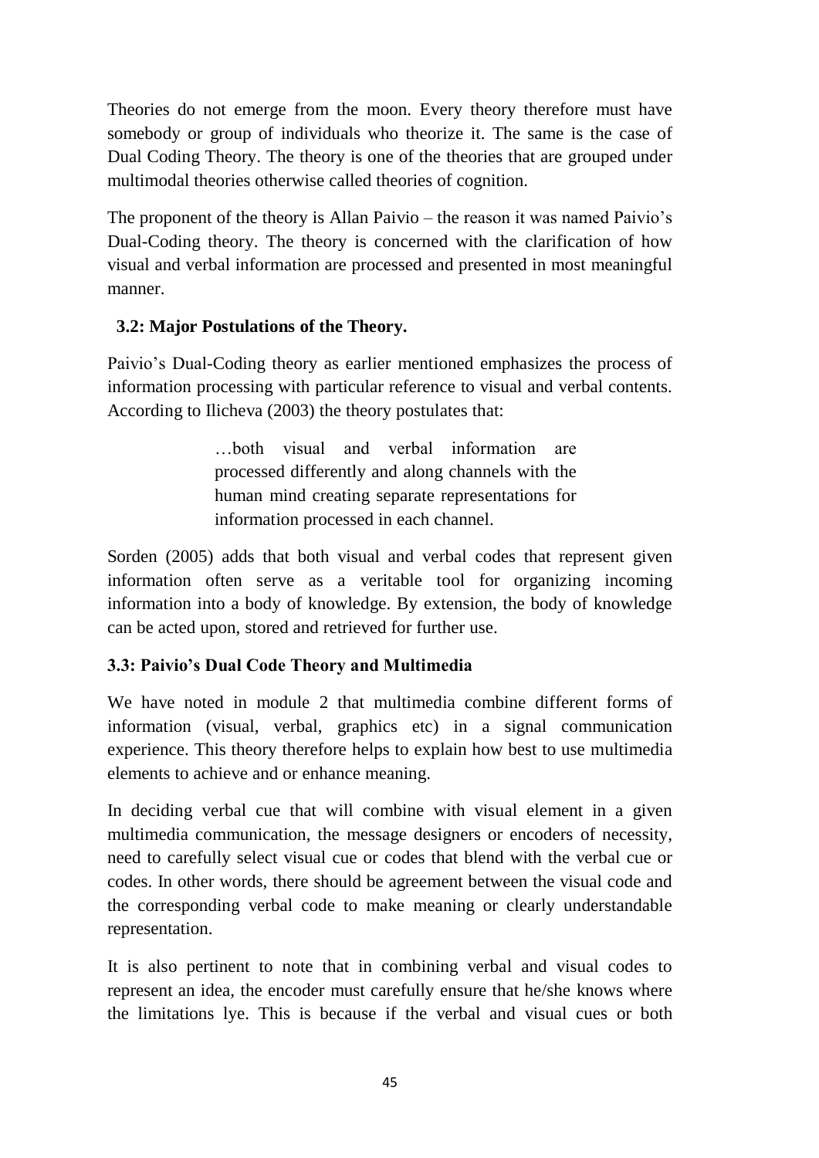Theories do not emerge from the moon. Every theory therefore must have somebody or group of individuals who theorize it. The same is the case of Dual Coding Theory. The theory is one of the theories that are grouped under multimodal theories otherwise called theories of cognition.

The proponent of the theory is Allan Paivio – the reason it was named Paivio's Dual-Coding theory. The theory is concerned with the clarification of how visual and verbal information are processed and presented in most meaningful manner.

# **3.2: Major Postulations of the Theory.**

Paivio's Dual-Coding theory as earlier mentioned emphasizes the process of information processing with particular reference to visual and verbal contents. According to Ilicheva (2003) the theory postulates that:

> …both visual and verbal information are processed differently and along channels with the human mind creating separate representations for information processed in each channel.

Sorden (2005) adds that both visual and verbal codes that represent given information often serve as a veritable tool for organizing incoming information into a body of knowledge. By extension, the body of knowledge can be acted upon, stored and retrieved for further use.

# **3.3: Paivio's Dual Code Theory and Multimedia**

We have noted in module 2 that multimedia combine different forms of information (visual, verbal, graphics etc) in a signal communication experience. This theory therefore helps to explain how best to use multimedia elements to achieve and or enhance meaning.

In deciding verbal cue that will combine with visual element in a given multimedia communication, the message designers or encoders of necessity, need to carefully select visual cue or codes that blend with the verbal cue or codes. In other words, there should be agreement between the visual code and the corresponding verbal code to make meaning or clearly understandable representation.

It is also pertinent to note that in combining verbal and visual codes to represent an idea, the encoder must carefully ensure that he/she knows where the limitations lye. This is because if the verbal and visual cues or both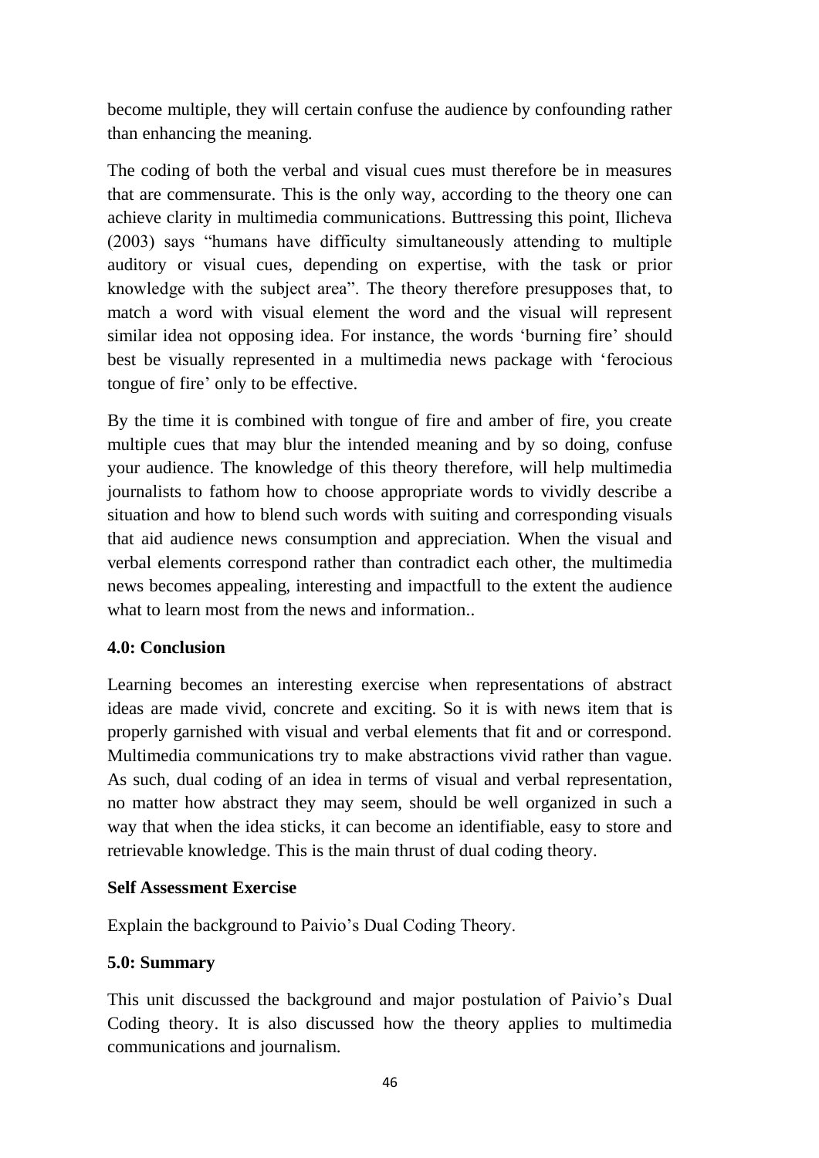become multiple, they will certain confuse the audience by confounding rather than enhancing the meaning.

The coding of both the verbal and visual cues must therefore be in measures that are commensurate. This is the only way, according to the theory one can achieve clarity in multimedia communications. Buttressing this point, Ilicheva (2003) says "humans have difficulty simultaneously attending to multiple auditory or visual cues, depending on expertise, with the task or prior knowledge with the subject area". The theory therefore presupposes that, to match a word with visual element the word and the visual will represent similar idea not opposing idea. For instance, the words 'burning fire' should best be visually represented in a multimedia news package with 'ferocious tongue of fire' only to be effective.

By the time it is combined with tongue of fire and amber of fire, you create multiple cues that may blur the intended meaning and by so doing, confuse your audience. The knowledge of this theory therefore, will help multimedia journalists to fathom how to choose appropriate words to vividly describe a situation and how to blend such words with suiting and corresponding visuals that aid audience news consumption and appreciation. When the visual and verbal elements correspond rather than contradict each other, the multimedia news becomes appealing, interesting and impactfull to the extent the audience what to learn most from the news and information..

## **4.0: Conclusion**

Learning becomes an interesting exercise when representations of abstract ideas are made vivid, concrete and exciting. So it is with news item that is properly garnished with visual and verbal elements that fit and or correspond. Multimedia communications try to make abstractions vivid rather than vague. As such, dual coding of an idea in terms of visual and verbal representation, no matter how abstract they may seem, should be well organized in such a way that when the idea sticks, it can become an identifiable, easy to store and retrievable knowledge. This is the main thrust of dual coding theory.

## **Self Assessment Exercise**

Explain the background to Paivio's Dual Coding Theory.

# **5.0: Summary**

This unit discussed the background and major postulation of Paivio's Dual Coding theory. It is also discussed how the theory applies to multimedia communications and journalism.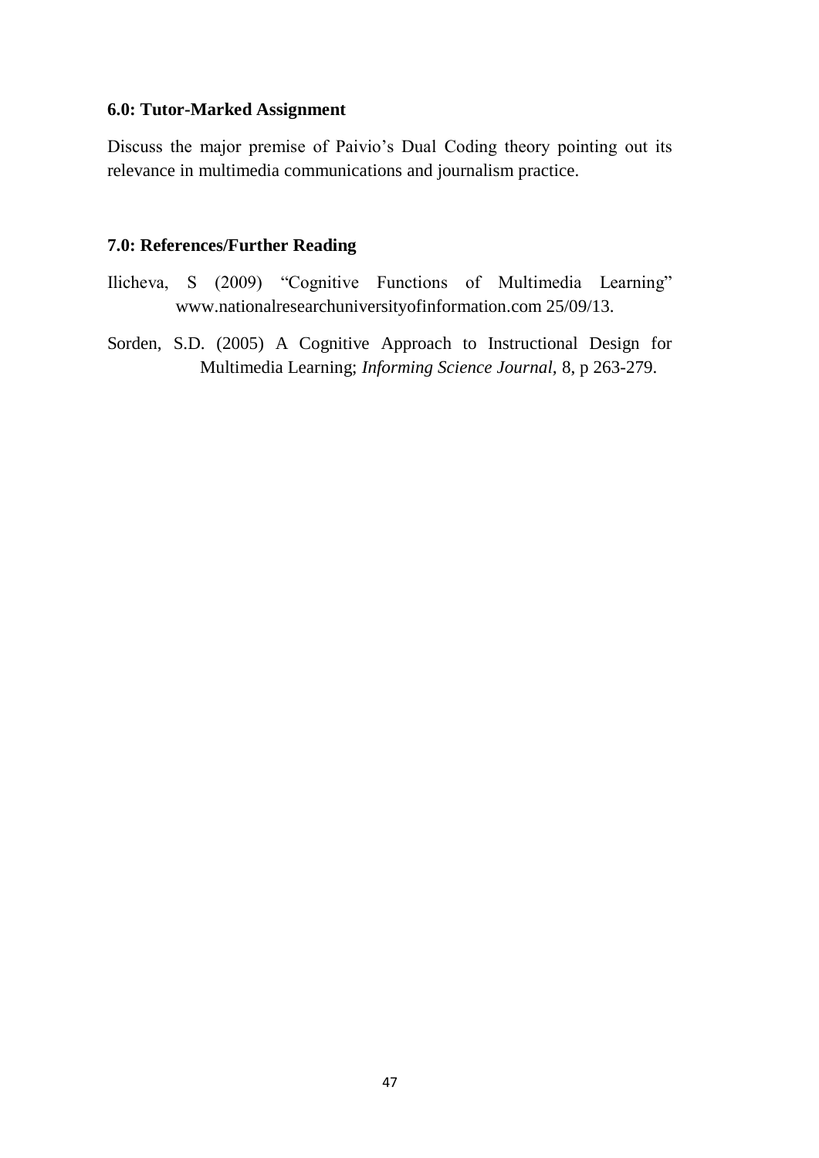### **6.0: Tutor-Marked Assignment**

Discuss the major premise of Paivio's Dual Coding theory pointing out its relevance in multimedia communications and journalism practice.

- Ilicheva, S (2009) "Cognitive Functions of Multimedia Learning" www.nationalresearchuniversityofinformation.com 25/09/13.
- Sorden, S.D. (2005) A Cognitive Approach to Instructional Design for Multimedia Learning; *Informing Science Journal,* 8, p 263-279.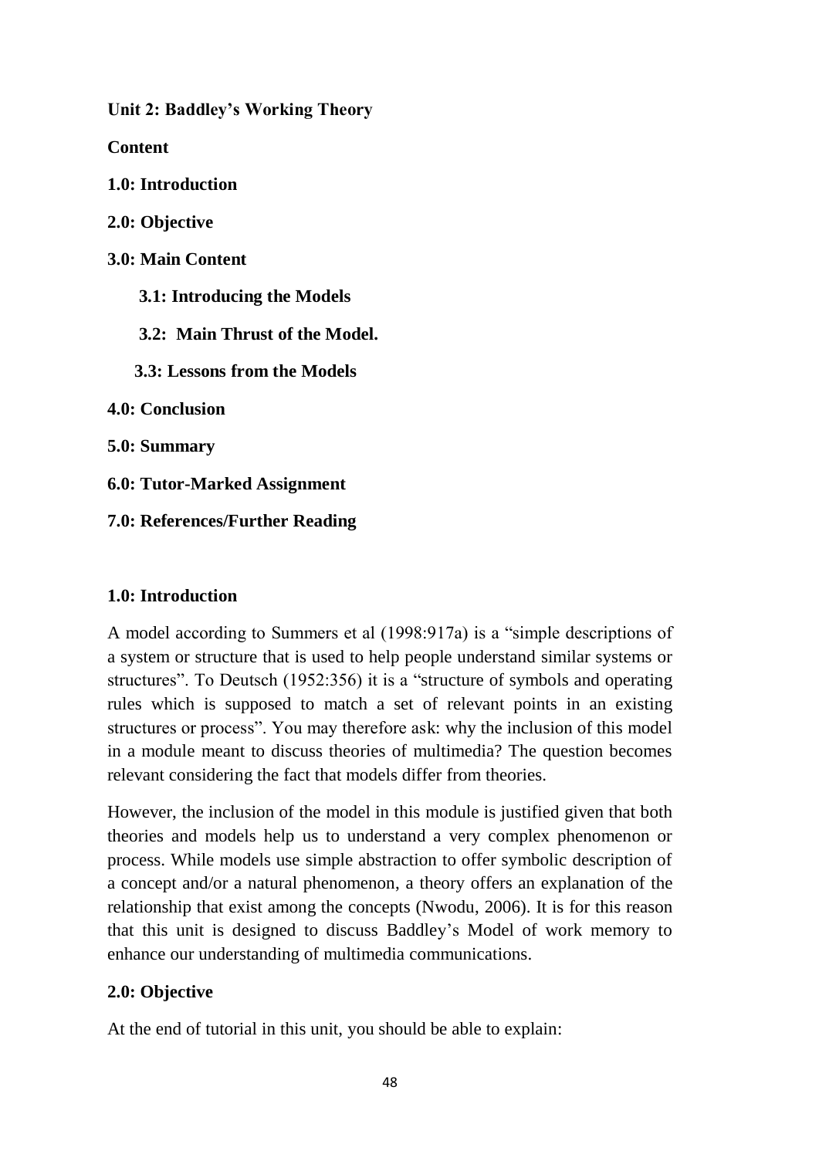**Unit 2: Baddley's Working Theory**

**Content**

**1.0: Introduction**

**2.0: Objective**

**3.0: Main Content**

 **3.1: Introducing the Models**

 **3.2: Main Thrust of the Model.**

 **3.3: Lessons from the Models** 

**4.0: Conclusion**

**5.0: Summary**

**6.0: Tutor-Marked Assignment**

**7.0: References/Further Reading**

## **1.0: Introduction**

A model according to Summers et al (1998:917a) is a "simple descriptions of a system or structure that is used to help people understand similar systems or structures". To Deutsch (1952:356) it is a "structure of symbols and operating rules which is supposed to match a set of relevant points in an existing structures or process". You may therefore ask: why the inclusion of this model in a module meant to discuss theories of multimedia? The question becomes relevant considering the fact that models differ from theories.

However, the inclusion of the model in this module is justified given that both theories and models help us to understand a very complex phenomenon or process. While models use simple abstraction to offer symbolic description of a concept and/or a natural phenomenon, a theory offers an explanation of the relationship that exist among the concepts (Nwodu, 2006). It is for this reason that this unit is designed to discuss Baddley's Model of work memory to enhance our understanding of multimedia communications.

# **2.0: Objective**

At the end of tutorial in this unit, you should be able to explain: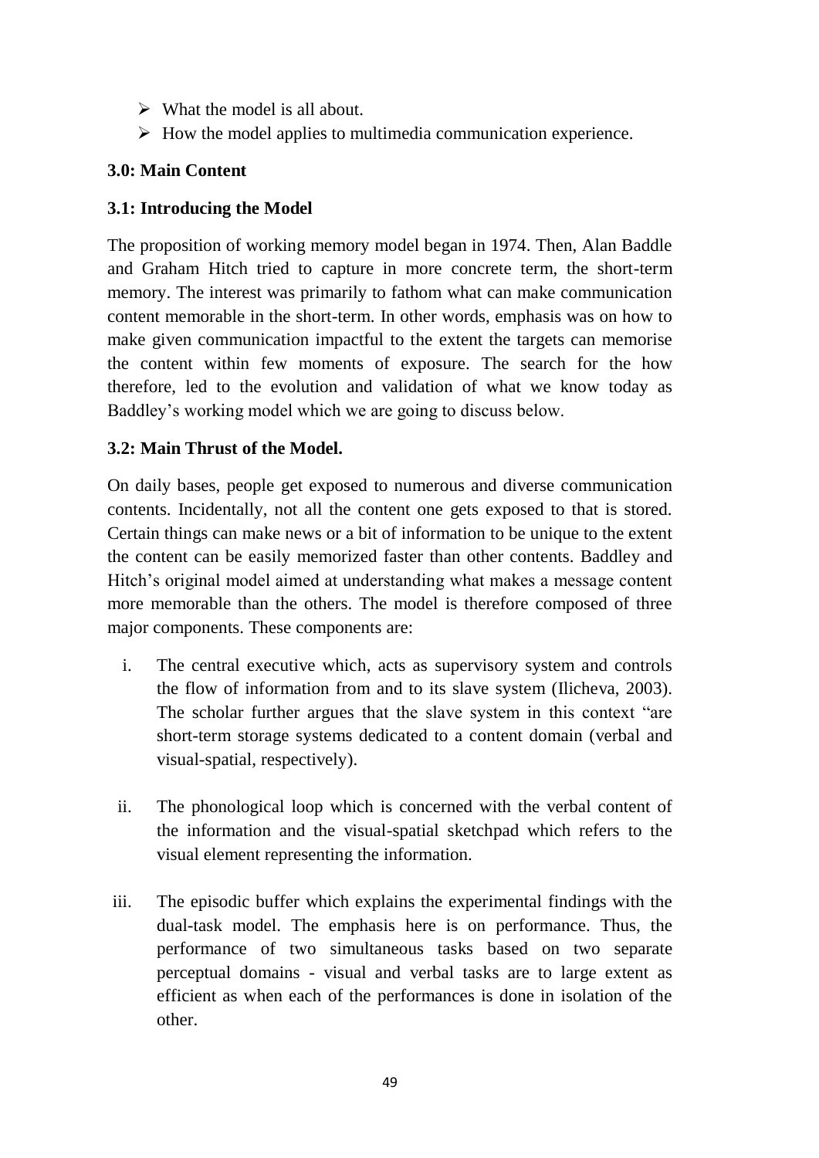- $\triangleright$  What the model is all about.
- $\triangleright$  How the model applies to multimedia communication experience.

# **3.0: Main Content**

## **3.1: Introducing the Model**

The proposition of working memory model began in 1974. Then, Alan Baddle and Graham Hitch tried to capture in more concrete term, the short-term memory. The interest was primarily to fathom what can make communication content memorable in the short-term. In other words, emphasis was on how to make given communication impactful to the extent the targets can memorise the content within few moments of exposure. The search for the how therefore, led to the evolution and validation of what we know today as Baddley's working model which we are going to discuss below.

# **3.2: Main Thrust of the Model.**

On daily bases, people get exposed to numerous and diverse communication contents. Incidentally, not all the content one gets exposed to that is stored. Certain things can make news or a bit of information to be unique to the extent the content can be easily memorized faster than other contents. Baddley and Hitch's original model aimed at understanding what makes a message content more memorable than the others. The model is therefore composed of three major components. These components are:

- i. The central executive which, acts as supervisory system and controls the flow of information from and to its slave system (Ilicheva, 2003). The scholar further argues that the slave system in this context "are short-term storage systems dedicated to a content domain (verbal and visual-spatial, respectively).
- ii. The phonological loop which is concerned with the verbal content of the information and the visual-spatial sketchpad which refers to the visual element representing the information.
- iii. The episodic buffer which explains the experimental findings with the dual-task model. The emphasis here is on performance. Thus, the performance of two simultaneous tasks based on two separate perceptual domains - visual and verbal tasks are to large extent as efficient as when each of the performances is done in isolation of the other.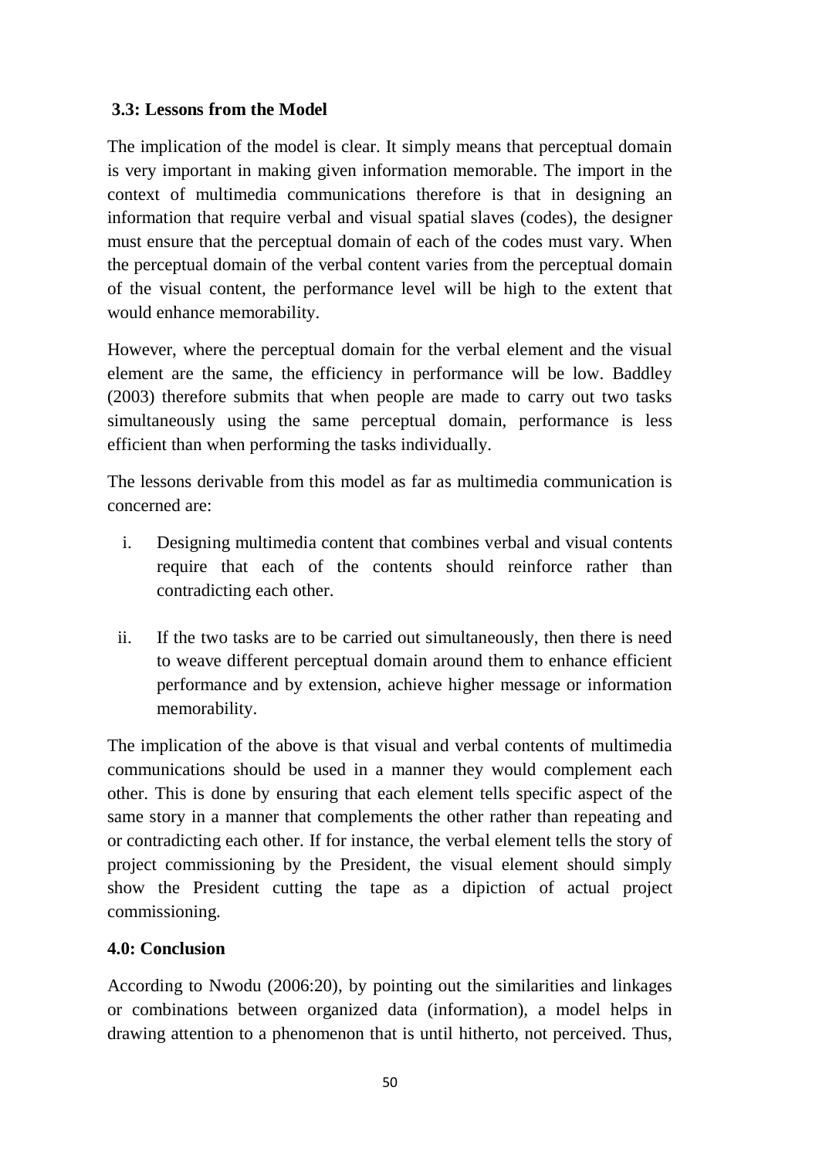# **3.3: Lessons from the Model**

The implication of the model is clear. It simply means that perceptual domain is very important in making given information memorable. The import in the context of multimedia communications therefore is that in designing an information that require verbal and visual spatial slaves (codes), the designer must ensure that the perceptual domain of each of the codes must vary. When the perceptual domain of the verbal content varies from the perceptual domain of the visual content, the performance level will be high to the extent that would enhance memorability.

However, where the perceptual domain for the verbal element and the visual element are the same, the efficiency in performance will be low. Baddley (2003) therefore submits that when people are made to carry out two tasks simultaneously using the same perceptual domain, performance is less efficient than when performing the tasks individually.

The lessons derivable from this model as far as multimedia communication is concerned are:

- i. Designing multimedia content that combines verbal and visual contents require that each of the contents should reinforce rather than contradicting each other.
- ii. If the two tasks are to be carried out simultaneously, then there is need to weave different perceptual domain around them to enhance efficient performance and by extension, achieve higher message or information memorability.

The implication of the above is that visual and verbal contents of multimedia communications should be used in a manner they would complement each other. This is done by ensuring that each element tells specific aspect of the same story in a manner that complements the other rather than repeating and or contradicting each other. If for instance, the verbal element tells the story of project commissioning by the President, the visual element should simply show the President cutting the tape as a dipiction of actual project commissioning.

# **4.0: Conclusion**

According to Nwodu (2006:20), by pointing out the similarities and linkages or combinations between organized data (information), a model helps in drawing attention to a phenomenon that is until hitherto, not perceived. Thus,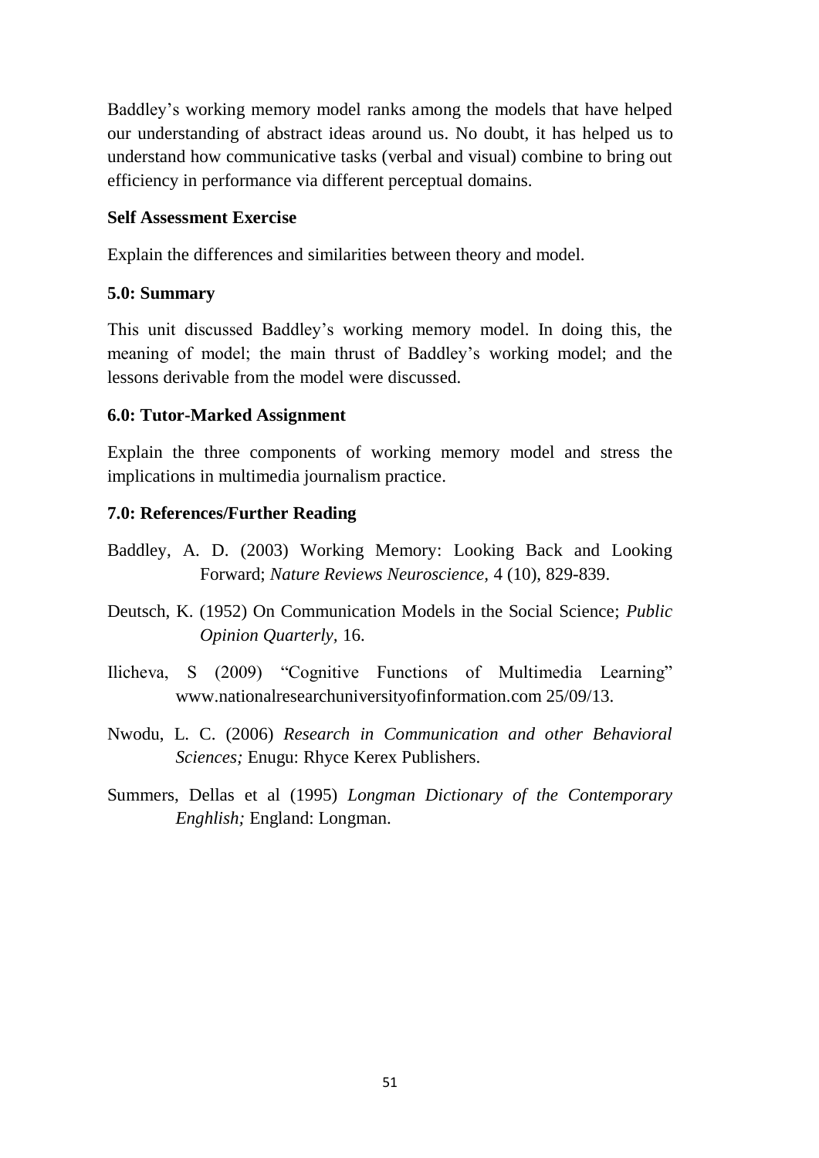Baddley's working memory model ranks among the models that have helped our understanding of abstract ideas around us. No doubt, it has helped us to understand how communicative tasks (verbal and visual) combine to bring out efficiency in performance via different perceptual domains.

### **Self Assessment Exercise**

Explain the differences and similarities between theory and model.

### **5.0: Summary**

This unit discussed Baddley's working memory model. In doing this, the meaning of model; the main thrust of Baddley's working model; and the lessons derivable from the model were discussed.

### **6.0: Tutor-Marked Assignment**

Explain the three components of working memory model and stress the implications in multimedia journalism practice.

- Baddley, A. D. (2003) Working Memory: Looking Back and Looking Forward; *Nature Reviews Neuroscience,* 4 (10), 829-839.
- Deutsch, K. (1952) On Communication Models in the Social Science; *Public Opinion Quarterly,* 16.
- Ilicheva, S (2009) "Cognitive Functions of Multimedia Learning" www.nationalresearchuniversityofinformation.com 25/09/13.
- Nwodu, L. C. (2006) *Research in Communication and other Behavioral Sciences;* Enugu: Rhyce Kerex Publishers.
- Summers, Dellas et al (1995) *Longman Dictionary of the Contemporary Enghlish;* England: Longman.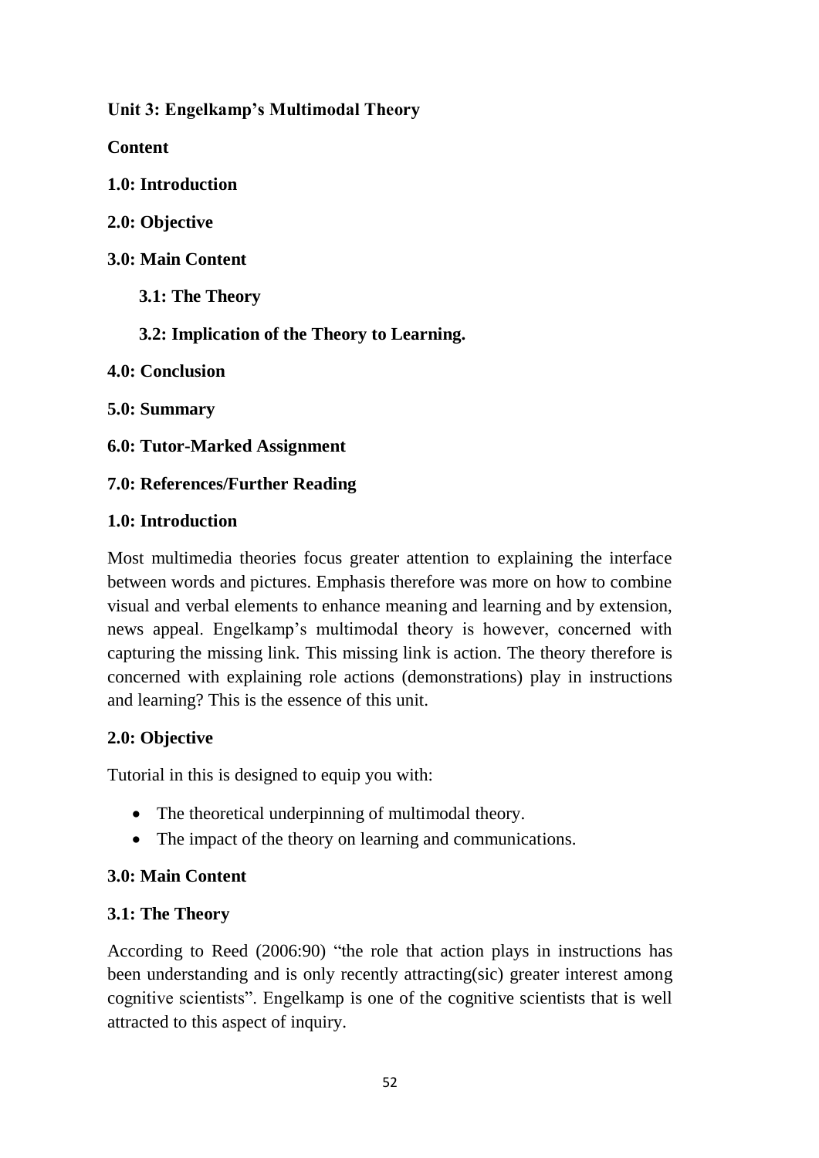**Unit 3: Engelkamp's Multimodal Theory**

**Content**

**1.0: Introduction**

**2.0: Objective**

**3.0: Main Content**

 **3.1: The Theory**

 **3.2: Implication of the Theory to Learning.**

**4.0: Conclusion**

**5.0: Summary**

**6.0: Tutor-Marked Assignment**

**7.0: References/Further Reading**

# **1.0: Introduction**

Most multimedia theories focus greater attention to explaining the interface between words and pictures. Emphasis therefore was more on how to combine visual and verbal elements to enhance meaning and learning and by extension, news appeal. Engelkamp's multimodal theory is however, concerned with capturing the missing link. This missing link is action. The theory therefore is concerned with explaining role actions (demonstrations) play in instructions and learning? This is the essence of this unit.

# **2.0: Objective**

Tutorial in this is designed to equip you with:

- The theoretical underpinning of multimodal theory.
- The impact of the theory on learning and communications.

# **3.0: Main Content**

# **3.1: The Theory**

According to Reed (2006:90) "the role that action plays in instructions has been understanding and is only recently attracting(sic) greater interest among cognitive scientists". Engelkamp is one of the cognitive scientists that is well attracted to this aspect of inquiry.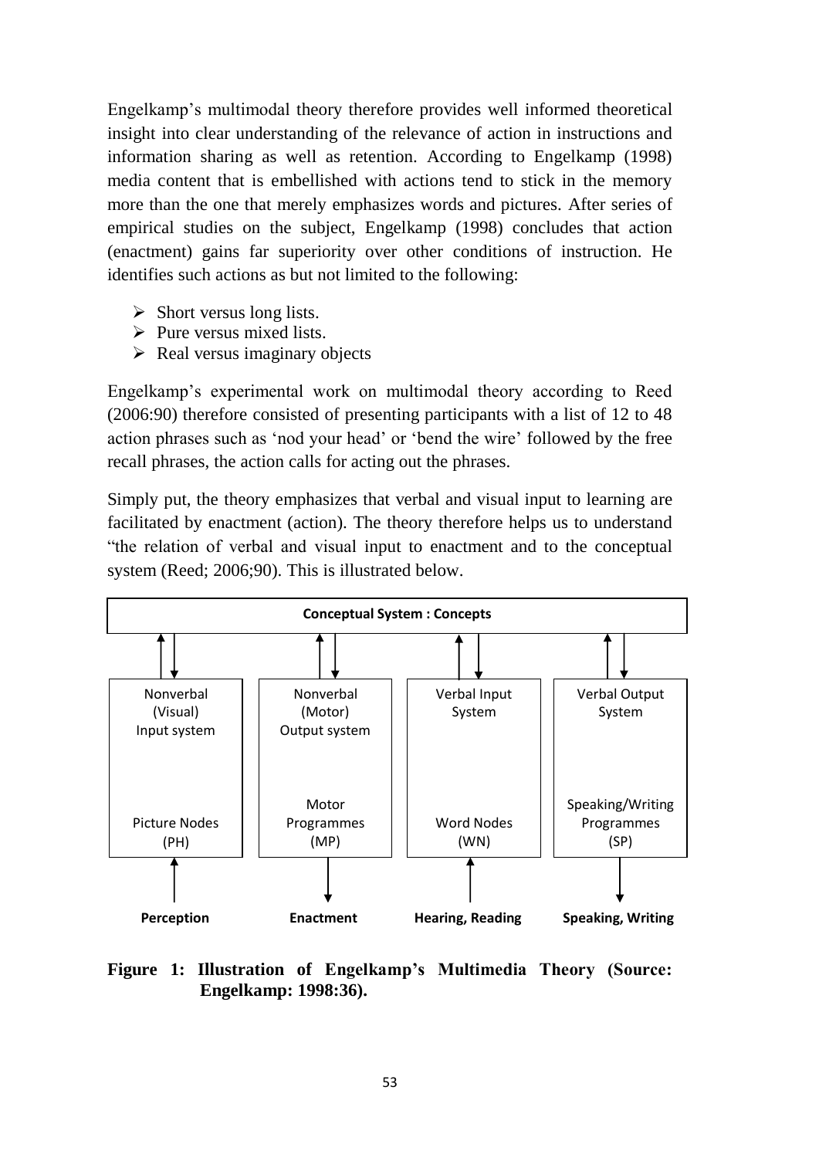Engelkamp's multimodal theory therefore provides well informed theoretical insight into clear understanding of the relevance of action in instructions and information sharing as well as retention. According to Engelkamp (1998) media content that is embellished with actions tend to stick in the memory more than the one that merely emphasizes words and pictures. After series of empirical studies on the subject, Engelkamp (1998) concludes that action (enactment) gains far superiority over other conditions of instruction. He identifies such actions as but not limited to the following:

- $\triangleright$  Short versus long lists.
- $\triangleright$  Pure versus mixed lists.
- $\triangleright$  Real versus imaginary objects

Engelkamp's experimental work on multimodal theory according to Reed (2006:90) therefore consisted of presenting participants with a list of 12 to 48 action phrases such as 'nod your head' or 'bend the wire' followed by the free recall phrases, the action calls for acting out the phrases.

Simply put, the theory emphasizes that verbal and visual input to learning are facilitated by enactment (action). The theory therefore helps us to understand "the relation of verbal and visual input to enactment and to the conceptual system (Reed; 2006;90). This is illustrated below.



### **Figure 1: Illustration of Engelkamp's Multimedia Theory (Source: Engelkamp: 1998:36).**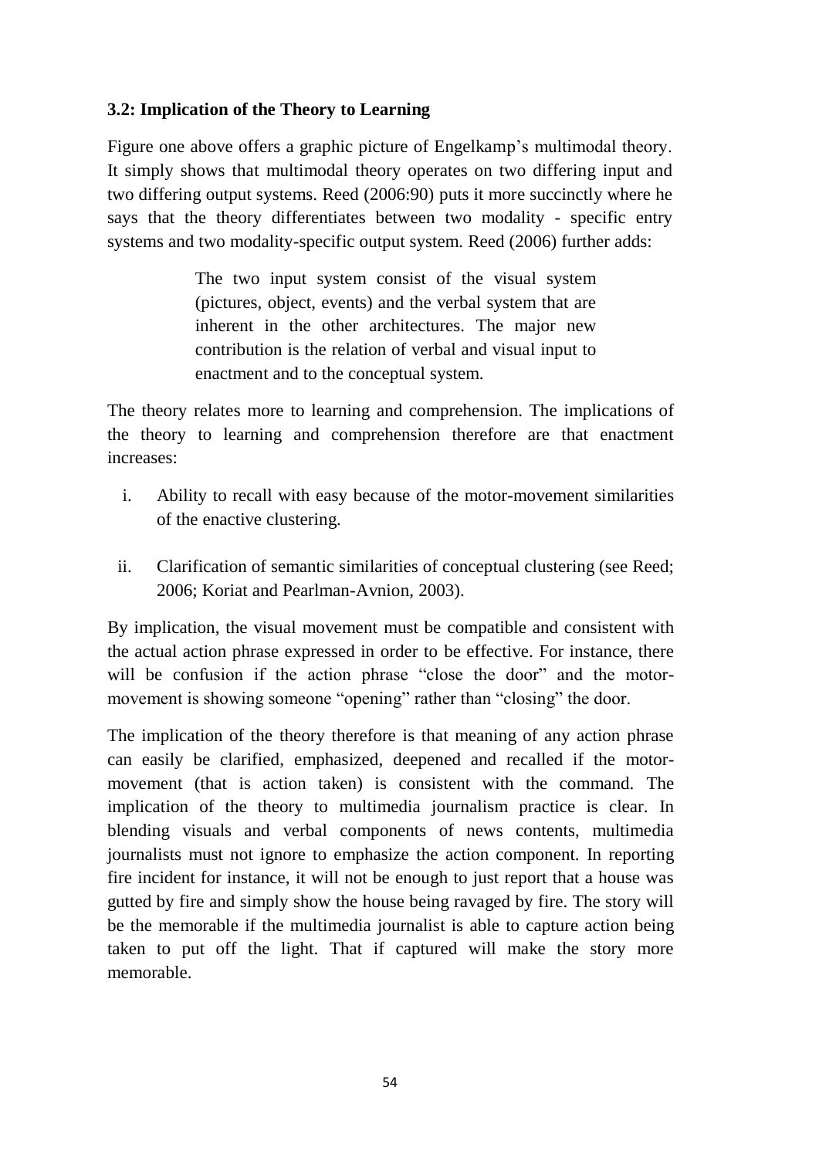# **3.2: Implication of the Theory to Learning**

Figure one above offers a graphic picture of Engelkamp's multimodal theory. It simply shows that multimodal theory operates on two differing input and two differing output systems. Reed (2006:90) puts it more succinctly where he says that the theory differentiates between two modality - specific entry systems and two modality-specific output system. Reed (2006) further adds:

> The two input system consist of the visual system (pictures, object, events) and the verbal system that are inherent in the other architectures. The major new contribution is the relation of verbal and visual input to enactment and to the conceptual system.

The theory relates more to learning and comprehension. The implications of the theory to learning and comprehension therefore are that enactment increases:

- i. Ability to recall with easy because of the motor-movement similarities of the enactive clustering.
- ii. Clarification of semantic similarities of conceptual clustering (see Reed; 2006; Koriat and Pearlman-Avnion, 2003).

By implication, the visual movement must be compatible and consistent with the actual action phrase expressed in order to be effective. For instance, there will be confusion if the action phrase "close the door" and the motormovement is showing someone "opening" rather than "closing" the door.

The implication of the theory therefore is that meaning of any action phrase can easily be clarified, emphasized, deepened and recalled if the motormovement (that is action taken) is consistent with the command. The implication of the theory to multimedia journalism practice is clear. In blending visuals and verbal components of news contents, multimedia journalists must not ignore to emphasize the action component. In reporting fire incident for instance, it will not be enough to just report that a house was gutted by fire and simply show the house being ravaged by fire. The story will be the memorable if the multimedia journalist is able to capture action being taken to put off the light. That if captured will make the story more memorable.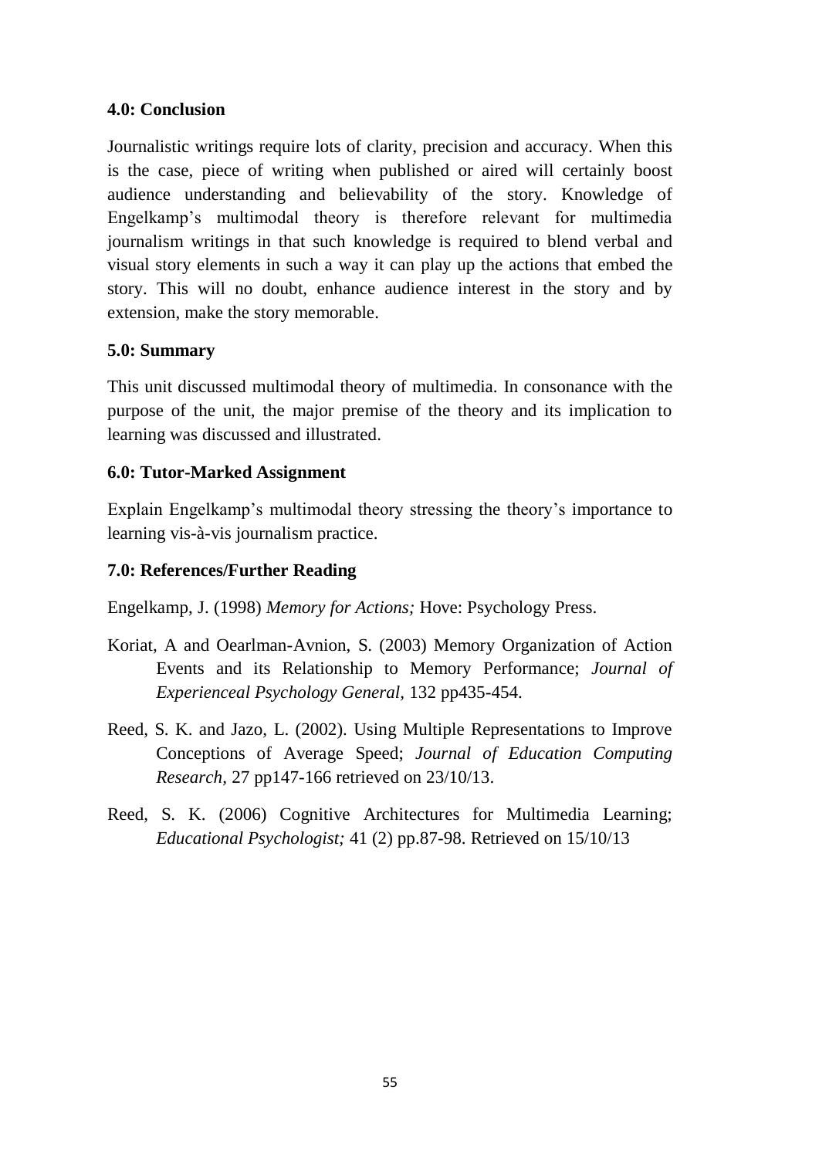### **4.0: Conclusion**

Journalistic writings require lots of clarity, precision and accuracy. When this is the case, piece of writing when published or aired will certainly boost audience understanding and believability of the story. Knowledge of Engelkamp's multimodal theory is therefore relevant for multimedia journalism writings in that such knowledge is required to blend verbal and visual story elements in such a way it can play up the actions that embed the story. This will no doubt, enhance audience interest in the story and by extension, make the story memorable.

### **5.0: Summary**

This unit discussed multimodal theory of multimedia. In consonance with the purpose of the unit, the major premise of the theory and its implication to learning was discussed and illustrated.

## **6.0: Tutor-Marked Assignment**

Explain Engelkamp's multimodal theory stressing the theory's importance to learning vis-à-vis journalism practice.

### **7.0: References/Further Reading**

Engelkamp, J. (1998) *Memory for Actions;* Hove: Psychology Press.

- Koriat, A and Oearlman-Avnion, S. (2003) Memory Organization of Action Events and its Relationship to Memory Performance; *Journal of Experienceal Psychology General,* 132 pp435-454.
- Reed, S. K. and Jazo, L. (2002). Using Multiple Representations to Improve Conceptions of Average Speed; *Journal of Education Computing Research,* 27 pp147-166 retrieved on 23/10/13.
- Reed, S. K. (2006) Cognitive Architectures for Multimedia Learning; *Educational Psychologist;* 41 (2) pp.87-98. Retrieved on 15/10/13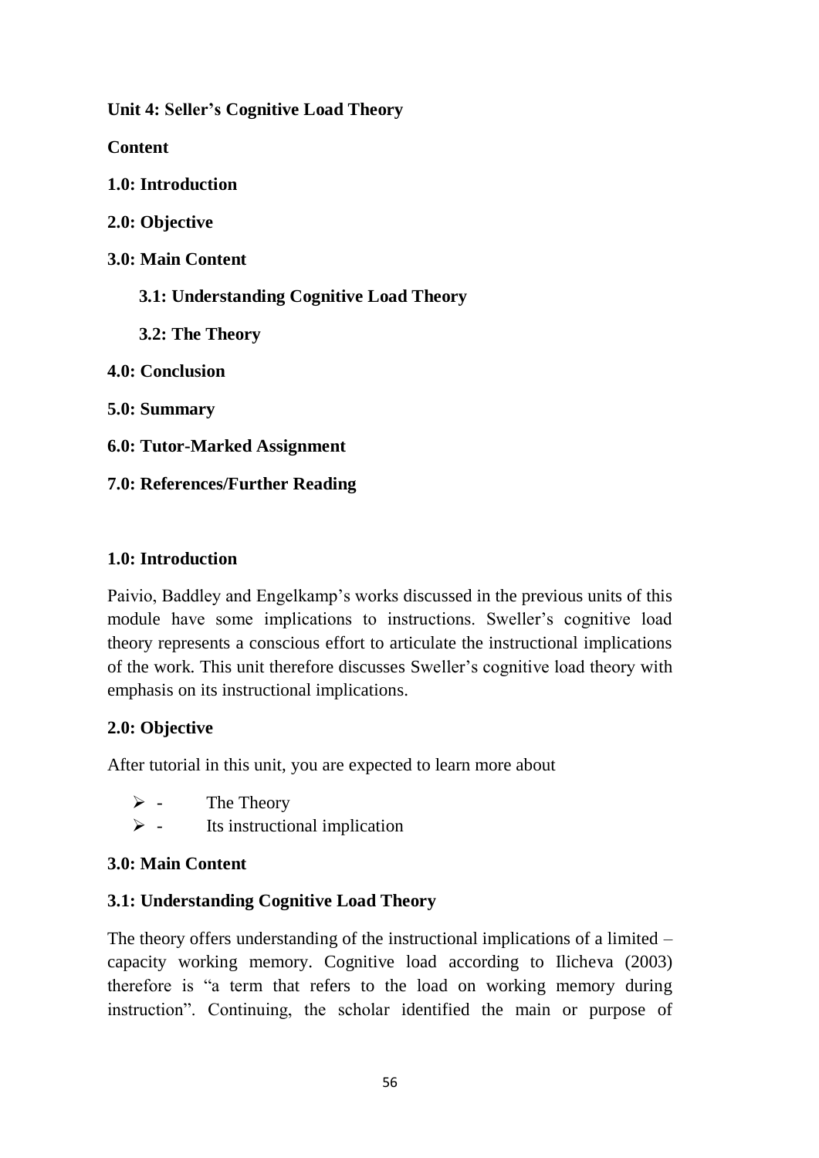**Unit 4: Seller's Cognitive Load Theory**

**Content**

**1.0: Introduction**

**2.0: Objective**

**3.0: Main Content**

 **3.1: Understanding Cognitive Load Theory**

 **3.2: The Theory**

**4.0: Conclusion**

**5.0: Summary**

**6.0: Tutor-Marked Assignment**

**7.0: References/Further Reading**

# **1.0: Introduction**

Paivio, Baddley and Engelkamp's works discussed in the previous units of this module have some implications to instructions. Sweller's cognitive load theory represents a conscious effort to articulate the instructional implications of the work. This unit therefore discusses Sweller's cognitive load theory with emphasis on its instructional implications.

# **2.0: Objective**

After tutorial in this unit, you are expected to learn more about

- $\triangleright$  The Theory
- $\triangleright$  Its instructional implication

# **3.0: Main Content**

# **3.1: Understanding Cognitive Load Theory**

The theory offers understanding of the instructional implications of a limited – capacity working memory. Cognitive load according to Ilicheva (2003) therefore is "a term that refers to the load on working memory during instruction". Continuing, the scholar identified the main or purpose of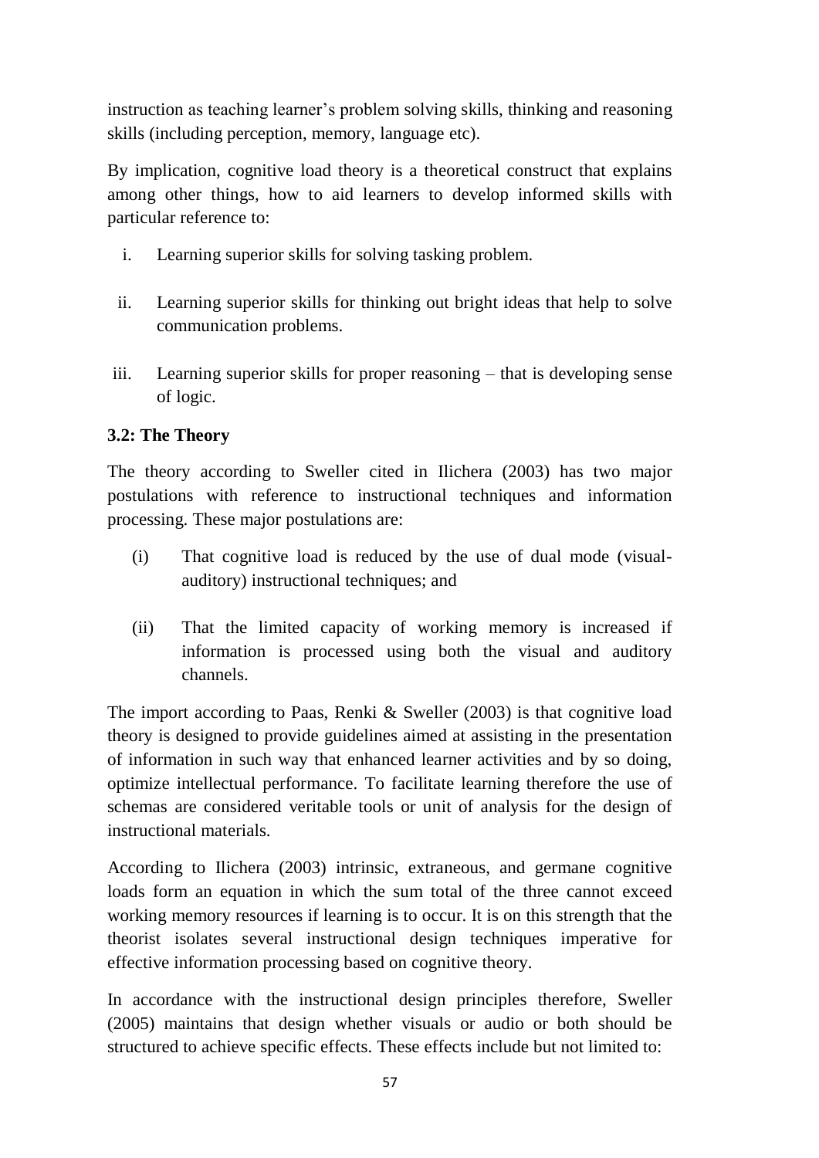instruction as teaching learner's problem solving skills, thinking and reasoning skills (including perception, memory, language etc).

By implication, cognitive load theory is a theoretical construct that explains among other things, how to aid learners to develop informed skills with particular reference to:

- i. Learning superior skills for solving tasking problem.
- ii. Learning superior skills for thinking out bright ideas that help to solve communication problems.
- iii. Learning superior skills for proper reasoning that is developing sense of logic.

# **3.2: The Theory**

The theory according to Sweller cited in Ilichera (2003) has two major postulations with reference to instructional techniques and information processing. These major postulations are:

- (i) That cognitive load is reduced by the use of dual mode (visualauditory) instructional techniques; and
- (ii) That the limited capacity of working memory is increased if information is processed using both the visual and auditory channels.

The import according to Paas, Renki & Sweller (2003) is that cognitive load theory is designed to provide guidelines aimed at assisting in the presentation of information in such way that enhanced learner activities and by so doing, optimize intellectual performance. To facilitate learning therefore the use of schemas are considered veritable tools or unit of analysis for the design of instructional materials.

According to Ilichera (2003) intrinsic, extraneous, and germane cognitive loads form an equation in which the sum total of the three cannot exceed working memory resources if learning is to occur. It is on this strength that the theorist isolates several instructional design techniques imperative for effective information processing based on cognitive theory.

In accordance with the instructional design principles therefore, Sweller (2005) maintains that design whether visuals or audio or both should be structured to achieve specific effects. These effects include but not limited to: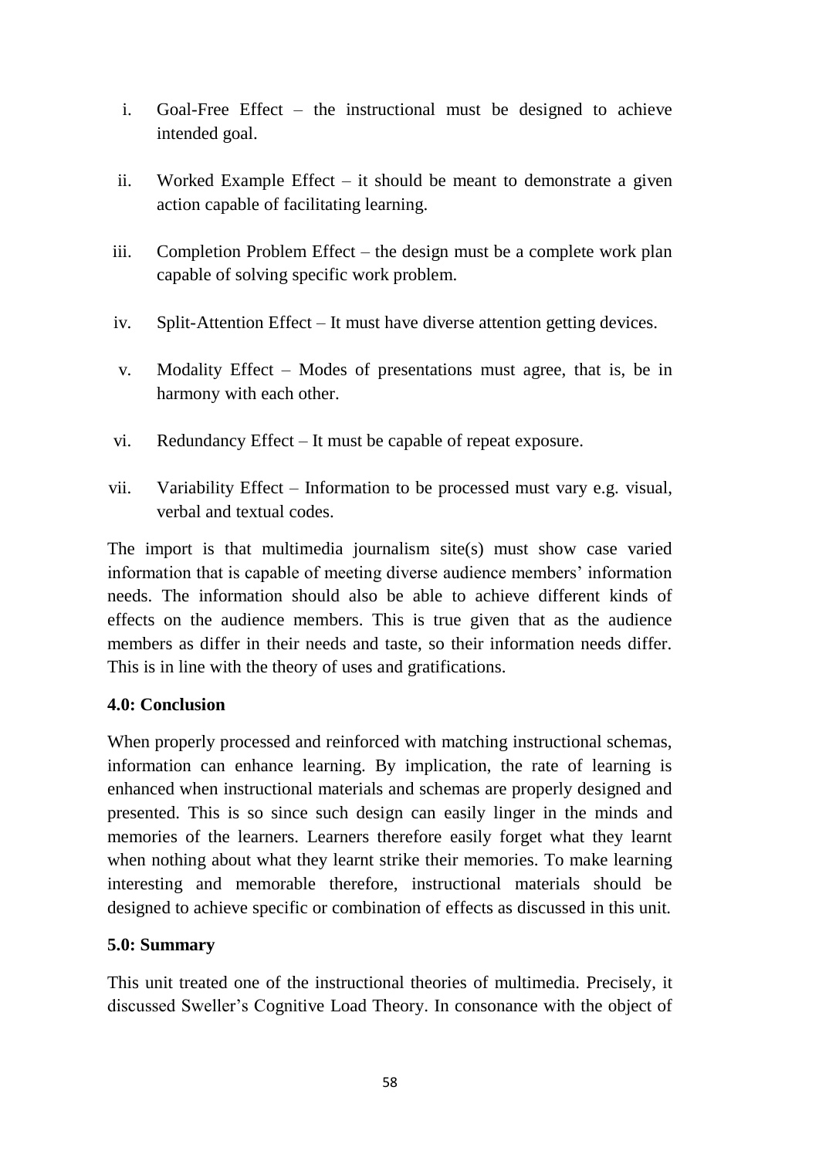- i. Goal-Free Effect the instructional must be designed to achieve intended goal.
- ii. Worked Example Effect it should be meant to demonstrate a given action capable of facilitating learning.
- iii. Completion Problem Effect the design must be a complete work plan capable of solving specific work problem.
- iv. Split-Attention Effect It must have diverse attention getting devices.
- v. Modality Effect Modes of presentations must agree, that is, be in harmony with each other.
- vi. Redundancy Effect It must be capable of repeat exposure.
- vii. Variability Effect Information to be processed must vary e.g. visual, verbal and textual codes.

The import is that multimedia journalism site(s) must show case varied information that is capable of meeting diverse audience members' information needs. The information should also be able to achieve different kinds of effects on the audience members. This is true given that as the audience members as differ in their needs and taste, so their information needs differ. This is in line with the theory of uses and gratifications.

## **4.0: Conclusion**

When properly processed and reinforced with matching instructional schemas, information can enhance learning. By implication, the rate of learning is enhanced when instructional materials and schemas are properly designed and presented. This is so since such design can easily linger in the minds and memories of the learners. Learners therefore easily forget what they learnt when nothing about what they learnt strike their memories. To make learning interesting and memorable therefore, instructional materials should be designed to achieve specific or combination of effects as discussed in this unit.

# **5.0: Summary**

This unit treated one of the instructional theories of multimedia. Precisely, it discussed Sweller's Cognitive Load Theory. In consonance with the object of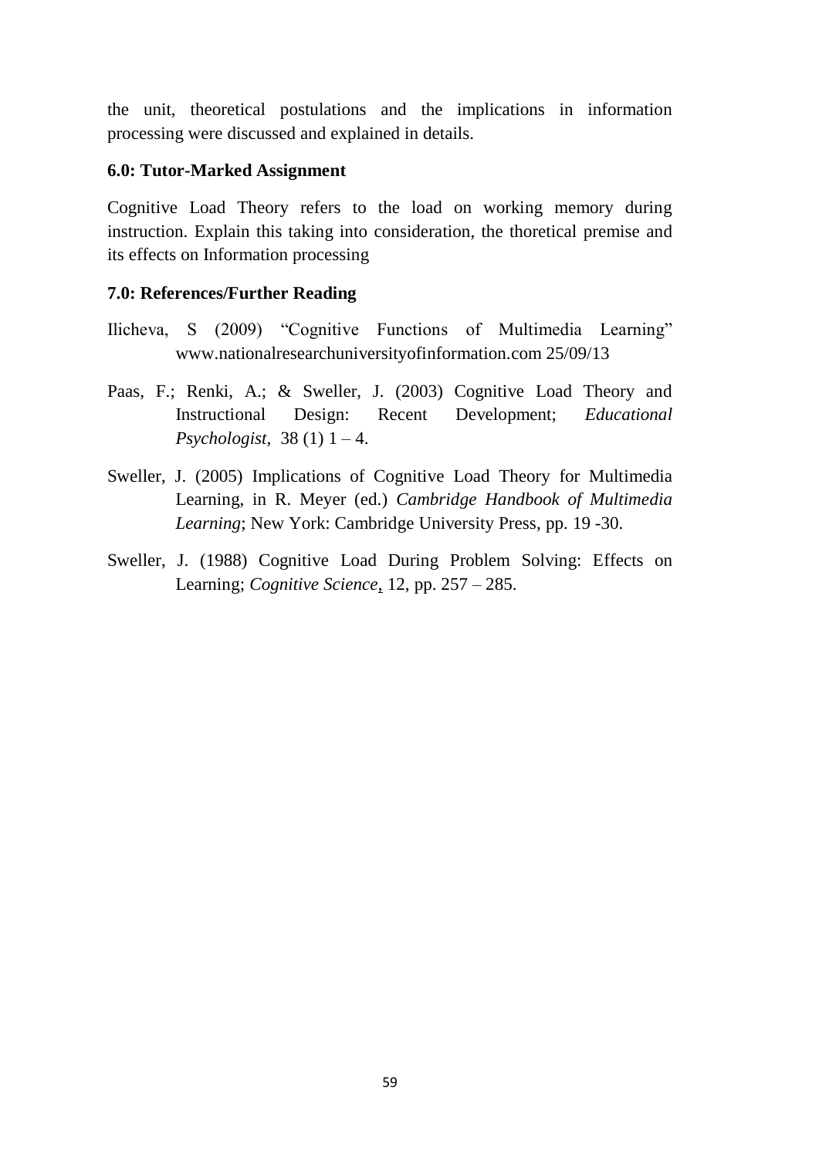the unit, theoretical postulations and the implications in information processing were discussed and explained in details.

### **6.0: Tutor-Marked Assignment**

Cognitive Load Theory refers to the load on working memory during instruction. Explain this taking into consideration, the thoretical premise and its effects on Information processing

- Ilicheva, S (2009) "Cognitive Functions of Multimedia Learning" www.nationalresearchuniversityofinformation.com 25/09/13
- Paas, F.; Renki, A.; & Sweller, J. (2003) Cognitive Load Theory and Instructional Design: Recent Development; *Educational Psychologist,* 38 (1) 1 – 4.
- Sweller, J. (2005) Implications of Cognitive Load Theory for Multimedia Learning, in R. Meyer (ed.) *Cambridge Handbook of Multimedia Learning*; New York: Cambridge University Press, pp. 19 -30.
- Sweller, J. (1988) Cognitive Load During Problem Solving: Effects on Learning; *Cognitive Science*, 12, pp. 257 – 285.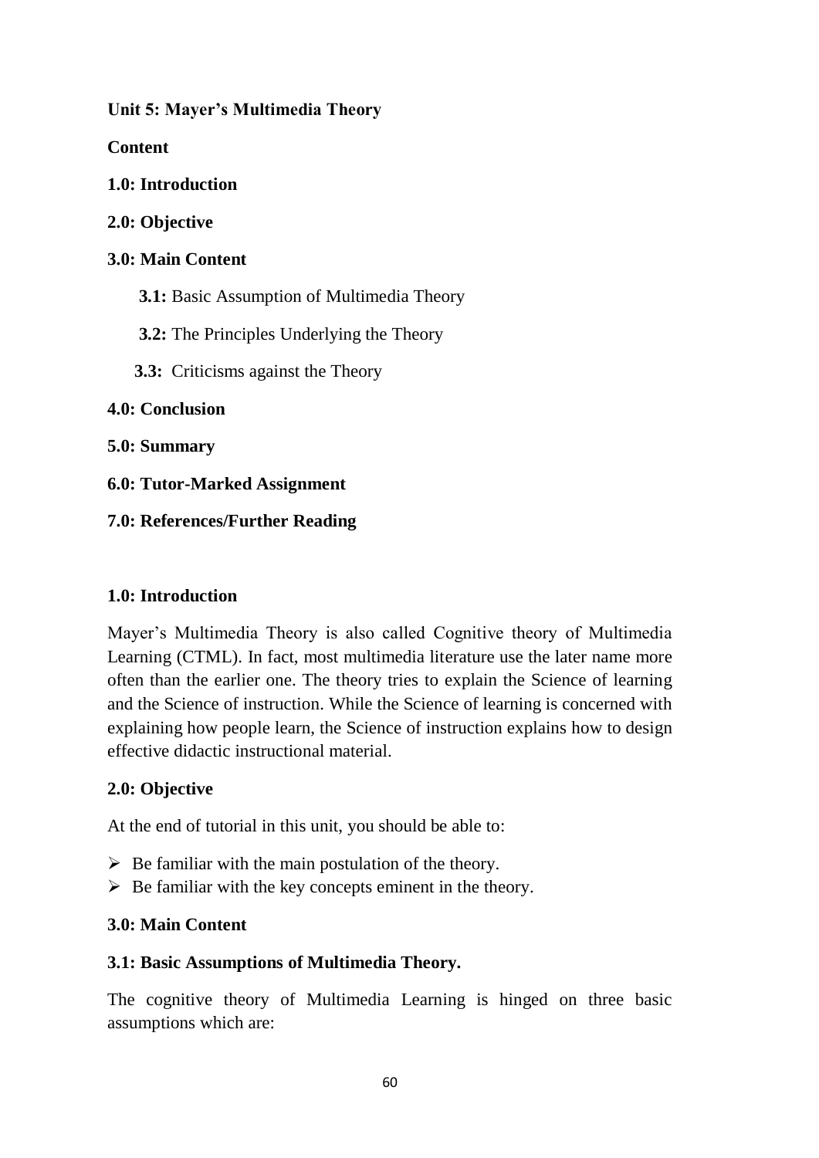**Unit 5: Mayer's Multimedia Theory**

**Content**

**1.0: Introduction**

**2.0: Objective**

## **3.0: Main Content**

 **3.1:** Basic Assumption of Multimedia Theory

 **3.2:** The Principles Underlying the Theory

 **3.3:** Criticisms against the Theory

## **4.0: Conclusion**

**5.0: Summary**

**6.0: Tutor-Marked Assignment**

# **7.0: References/Further Reading**

## **1.0: Introduction**

Mayer's Multimedia Theory is also called Cognitive theory of Multimedia Learning (CTML). In fact, most multimedia literature use the later name more often than the earlier one. The theory tries to explain the Science of learning and the Science of instruction. While the Science of learning is concerned with explaining how people learn, the Science of instruction explains how to design effective didactic instructional material.

## **2.0: Objective**

At the end of tutorial in this unit, you should be able to:

- $\triangleright$  Be familiar with the main postulation of the theory.
- $\triangleright$  Be familiar with the key concepts eminent in the theory.

# **3.0: Main Content**

## **3.1: Basic Assumptions of Multimedia Theory.**

The cognitive theory of Multimedia Learning is hinged on three basic assumptions which are: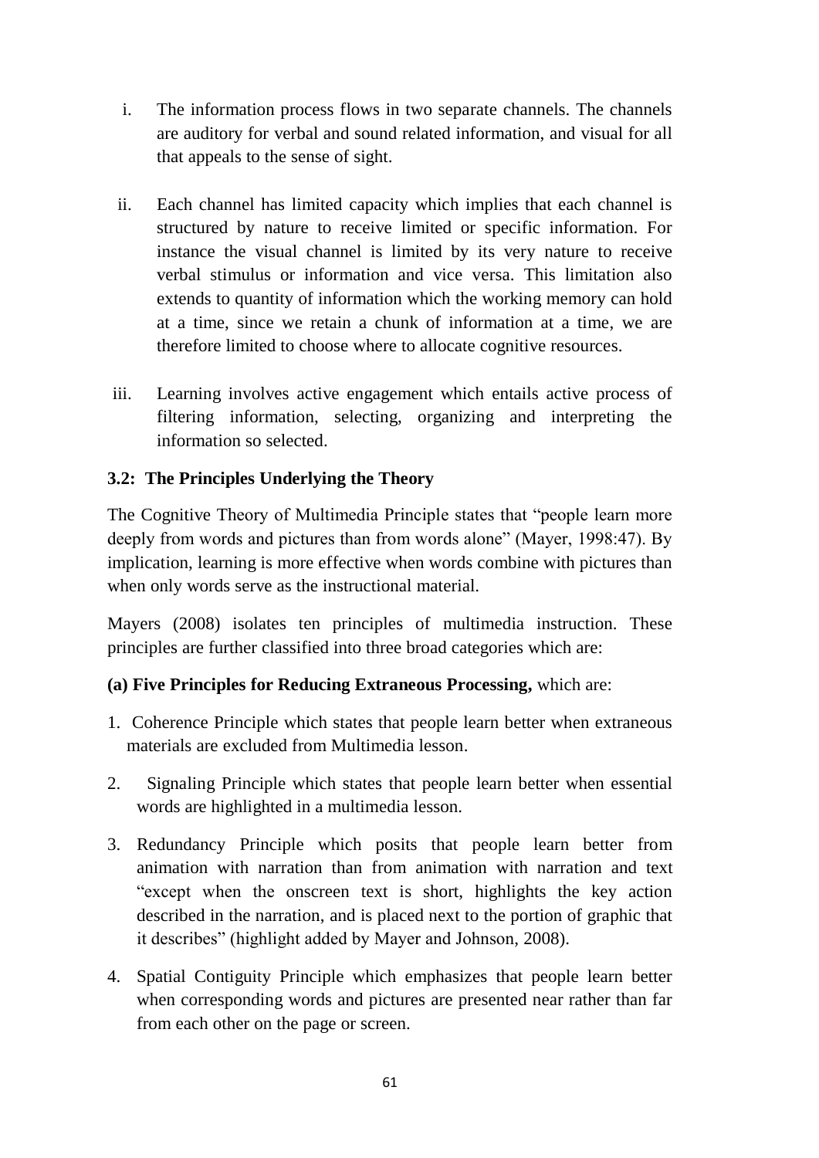- i. The information process flows in two separate channels. The channels are auditory for verbal and sound related information, and visual for all that appeals to the sense of sight.
- ii. Each channel has limited capacity which implies that each channel is structured by nature to receive limited or specific information. For instance the visual channel is limited by its very nature to receive verbal stimulus or information and vice versa. This limitation also extends to quantity of information which the working memory can hold at a time, since we retain a chunk of information at a time, we are therefore limited to choose where to allocate cognitive resources.
- iii. Learning involves active engagement which entails active process of filtering information, selecting, organizing and interpreting the information so selected.

# **3.2: The Principles Underlying the Theory**

The Cognitive Theory of Multimedia Principle states that "people learn more deeply from words and pictures than from words alone" (Mayer, 1998:47). By implication, learning is more effective when words combine with pictures than when only words serve as the instructional material.

Mayers (2008) isolates ten principles of multimedia instruction. These principles are further classified into three broad categories which are:

## **(a) Five Principles for Reducing Extraneous Processing,** which are:

- 1. Coherence Principle which states that people learn better when extraneous materials are excluded from Multimedia lesson.
- 2. Signaling Principle which states that people learn better when essential words are highlighted in a multimedia lesson.
- 3. Redundancy Principle which posits that people learn better from animation with narration than from animation with narration and text "except when the onscreen text is short, highlights the key action described in the narration, and is placed next to the portion of graphic that it describes" (highlight added by Mayer and Johnson, 2008).
- 4. Spatial Contiguity Principle which emphasizes that people learn better when corresponding words and pictures are presented near rather than far from each other on the page or screen.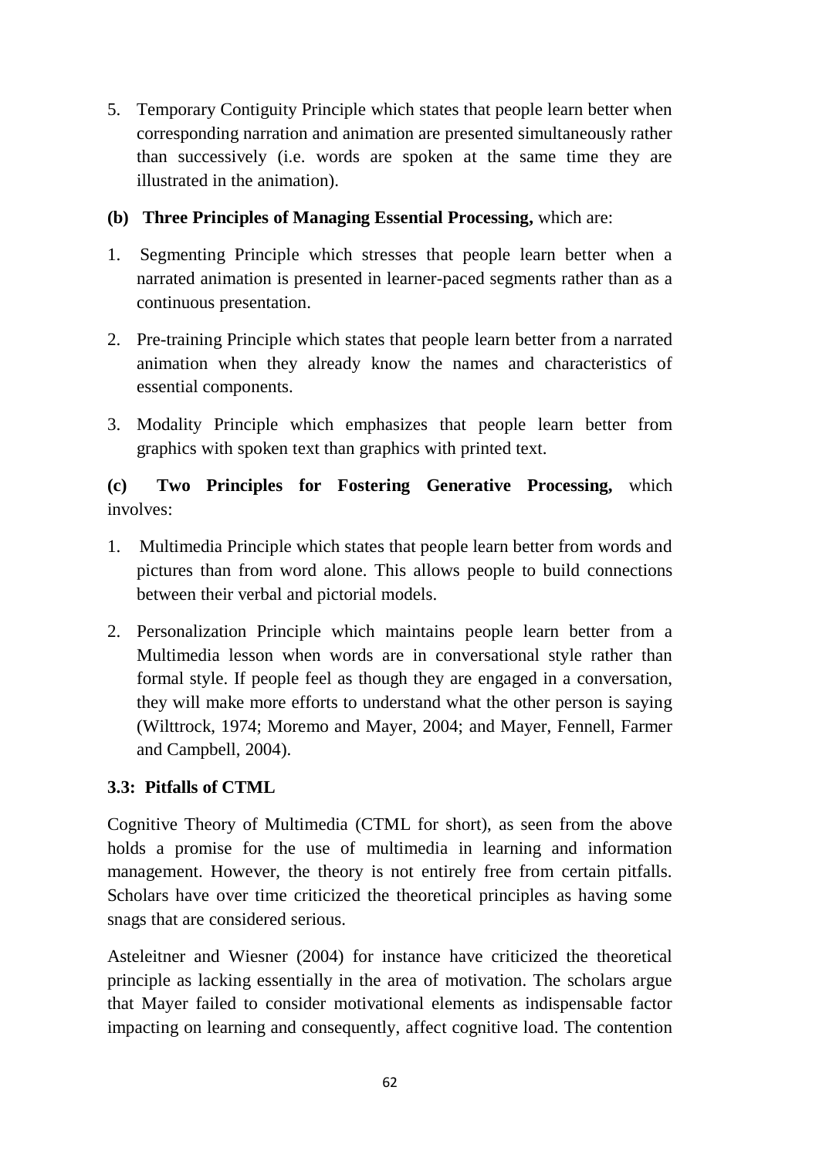5. Temporary Contiguity Principle which states that people learn better when corresponding narration and animation are presented simultaneously rather than successively (i.e. words are spoken at the same time they are illustrated in the animation).

# **(b) Three Principles of Managing Essential Processing,** which are:

- 1. Segmenting Principle which stresses that people learn better when a narrated animation is presented in learner-paced segments rather than as a continuous presentation.
- 2. Pre-training Principle which states that people learn better from a narrated animation when they already know the names and characteristics of essential components.
- 3. Modality Principle which emphasizes that people learn better from graphics with spoken text than graphics with printed text.

# **(c) Two Principles for Fostering Generative Processing,** which involves:

- 1. Multimedia Principle which states that people learn better from words and pictures than from word alone. This allows people to build connections between their verbal and pictorial models.
- 2. Personalization Principle which maintains people learn better from a Multimedia lesson when words are in conversational style rather than formal style. If people feel as though they are engaged in a conversation, they will make more efforts to understand what the other person is saying (Wilttrock, 1974; Moremo and Mayer, 2004; and Mayer, Fennell, Farmer and Campbell, 2004).

# **3.3: Pitfalls of CTML**

Cognitive Theory of Multimedia (CTML for short), as seen from the above holds a promise for the use of multimedia in learning and information management. However, the theory is not entirely free from certain pitfalls. Scholars have over time criticized the theoretical principles as having some snags that are considered serious.

Asteleitner and Wiesner (2004) for instance have criticized the theoretical principle as lacking essentially in the area of motivation. The scholars argue that Mayer failed to consider motivational elements as indispensable factor impacting on learning and consequently, affect cognitive load. The contention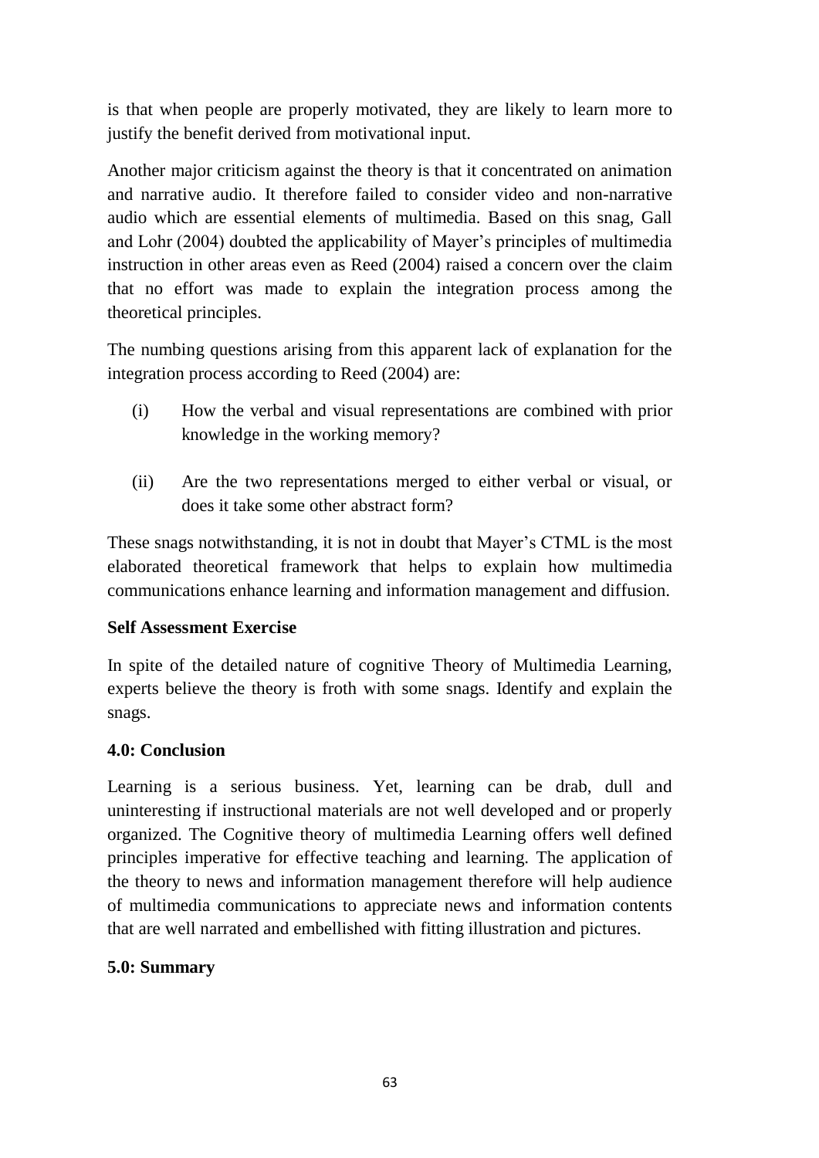is that when people are properly motivated, they are likely to learn more to justify the benefit derived from motivational input.

Another major criticism against the theory is that it concentrated on animation and narrative audio. It therefore failed to consider video and non-narrative audio which are essential elements of multimedia. Based on this snag, Gall and Lohr (2004) doubted the applicability of Mayer's principles of multimedia instruction in other areas even as Reed (2004) raised a concern over the claim that no effort was made to explain the integration process among the theoretical principles.

The numbing questions arising from this apparent lack of explanation for the integration process according to Reed (2004) are:

- (i) How the verbal and visual representations are combined with prior knowledge in the working memory?
- (ii) Are the two representations merged to either verbal or visual, or does it take some other abstract form?

These snags notwithstanding, it is not in doubt that Mayer's CTML is the most elaborated theoretical framework that helps to explain how multimedia communications enhance learning and information management and diffusion.

## **Self Assessment Exercise**

In spite of the detailed nature of cognitive Theory of Multimedia Learning, experts believe the theory is froth with some snags. Identify and explain the snags.

## **4.0: Conclusion**

Learning is a serious business. Yet, learning can be drab, dull and uninteresting if instructional materials are not well developed and or properly organized. The Cognitive theory of multimedia Learning offers well defined principles imperative for effective teaching and learning. The application of the theory to news and information management therefore will help audience of multimedia communications to appreciate news and information contents that are well narrated and embellished with fitting illustration and pictures.

## **5.0: Summary**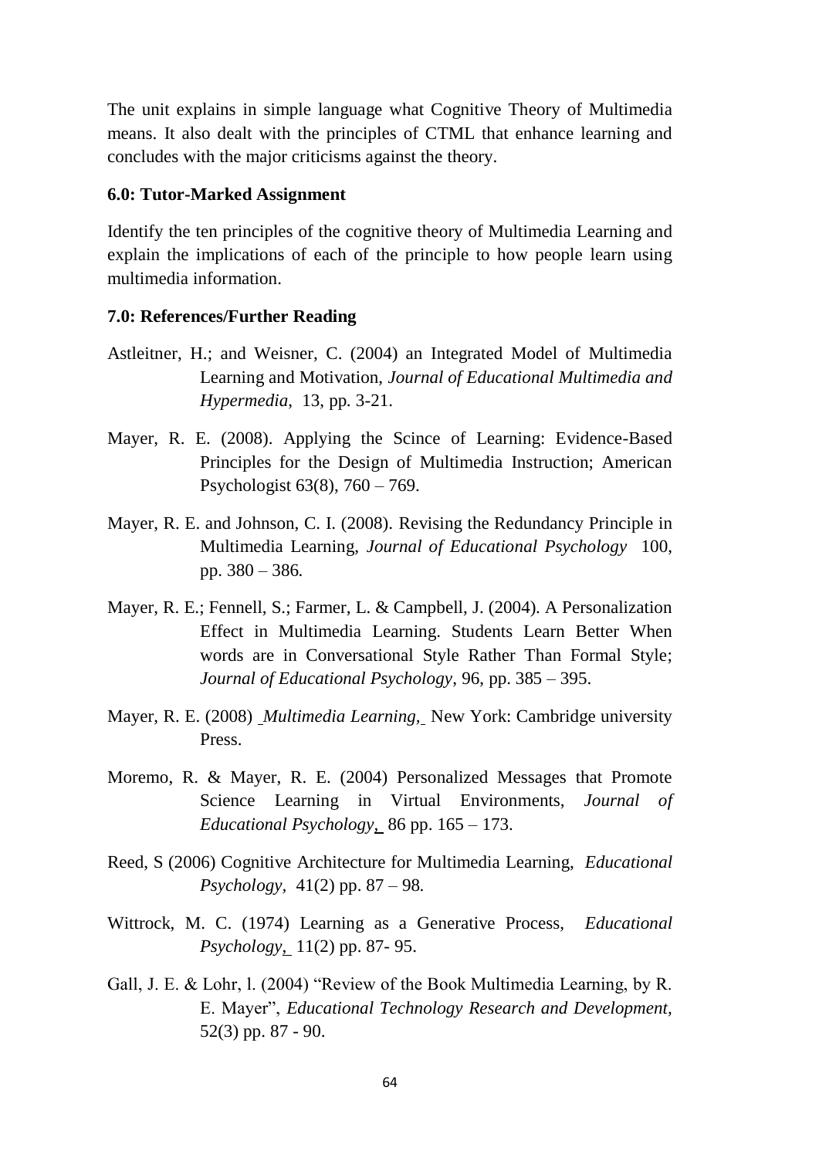The unit explains in simple language what Cognitive Theory of Multimedia means. It also dealt with the principles of CTML that enhance learning and concludes with the major criticisms against the theory.

### **6.0: Tutor-Marked Assignment**

Identify the ten principles of the cognitive theory of Multimedia Learning and explain the implications of each of the principle to how people learn using multimedia information.

- Astleitner, H.; and Weisner, C. (2004) an Integrated Model of Multimedia Learning and Motivation, *Journal of Educational Multimedia and Hypermedia*, 13, pp. 3-21.
- Mayer, R. E. (2008). Applying the Scince of Learning: Evidence-Based Principles for the Design of Multimedia Instruction; American Psychologist 63(8), 760 – 769.
- Mayer, R. E. and Johnson, C. I. (2008). Revising the Redundancy Principle in Multimedia Learning, *Journal of Educational Psychology* 100, pp. 380 – 386.
- Mayer, R. E.; Fennell, S.; Farmer, L. & Campbell, J. (2004). A Personalization Effect in Multimedia Learning. Students Learn Better When words are in Conversational Style Rather Than Formal Style; *Journal of Educational Psychology*, 96, pp. 385 – 395.
- Mayer, R. E. (2008) *Multimedia Learning,* New York: Cambridge university Press.
- Moremo, R. & Mayer, R. E. (2004) Personalized Messages that Promote Science Learning in Virtual Environments, *Journal of Educational Psychology,* 86 pp. 165 – 173.
- Reed, S (2006) Cognitive Architecture for Multimedia Learning, *Educational Psychology,* 41(2) pp. 87 – 98.
- Wittrock, M. C. (1974) Learning as a Generative Process, *Educational Psychology*, 11(2) pp. 87- 95.
- Gall, J. E. & Lohr, l. (2004) "Review of the Book Multimedia Learning, by R. E. Mayer", *Educational Technology Research and Development,*  52(3) pp. 87 - 90.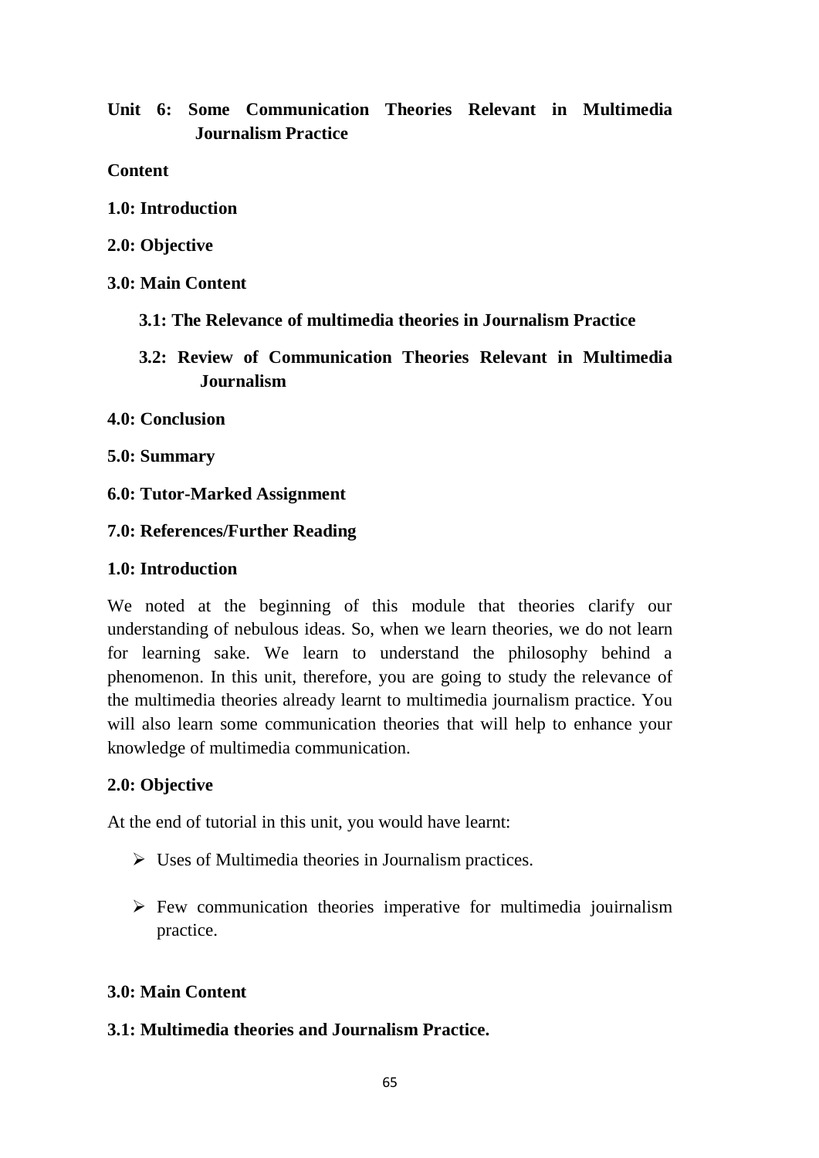# **Unit 6: Some Communication Theories Relevant in Multimedia Journalism Practice**

**Content**

- **1.0: Introduction**
- **2.0: Objective**
- **3.0: Main Content**
	- **3.1: The Relevance of multimedia theories in Journalism Practice**
	- **3.2: Review of Communication Theories Relevant in Multimedia Journalism**
- **4.0: Conclusion**
- **5.0: Summary**
- **6.0: Tutor-Marked Assignment**

### **7.0: References/Further Reading**

### **1.0: Introduction**

We noted at the beginning of this module that theories clarify our understanding of nebulous ideas. So, when we learn theories, we do not learn for learning sake. We learn to understand the philosophy behind a phenomenon. In this unit, therefore, you are going to study the relevance of the multimedia theories already learnt to multimedia journalism practice. You will also learn some communication theories that will help to enhance your knowledge of multimedia communication.

### **2.0: Objective**

At the end of tutorial in this unit, you would have learnt:

- $\triangleright$  Uses of Multimedia theories in Journalism practices.
- $\triangleright$  Few communication theories imperative for multimedia journalism practice.

### **3.0: Main Content**

## **3.1: Multimedia theories and Journalism Practice.**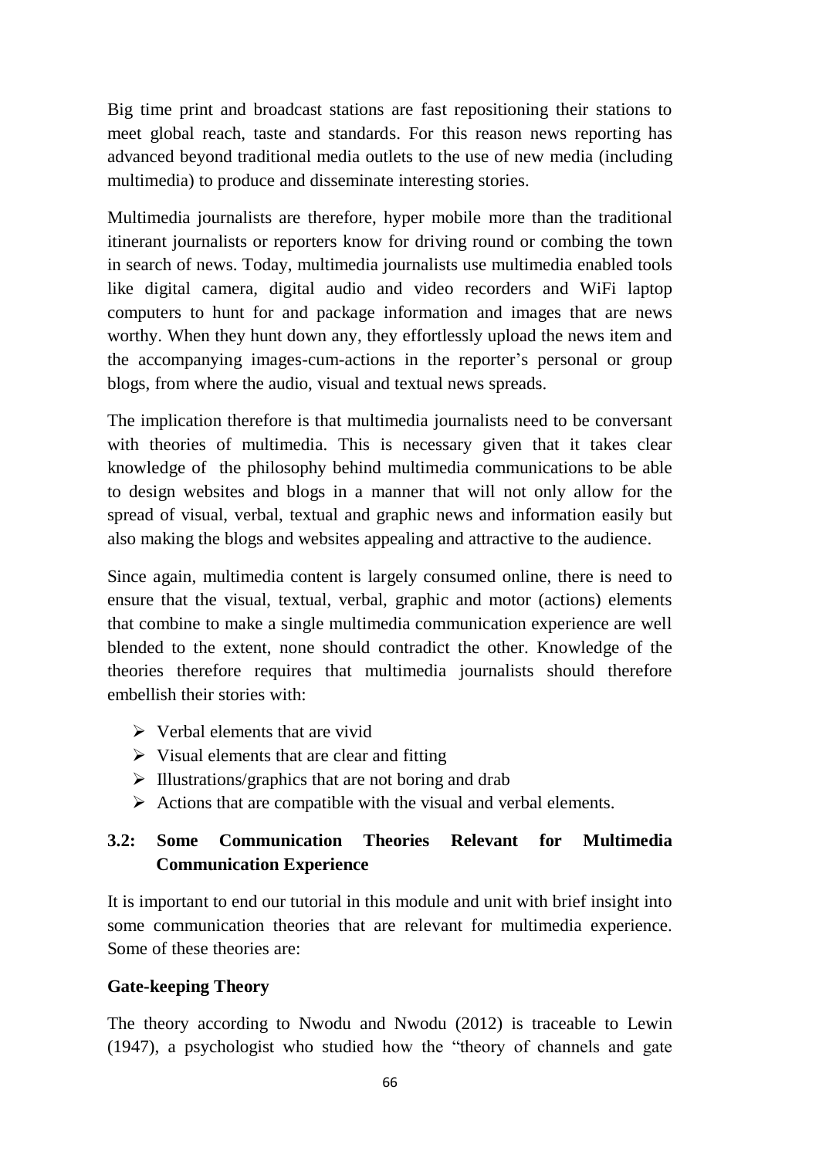Big time print and broadcast stations are fast repositioning their stations to meet global reach, taste and standards. For this reason news reporting has advanced beyond traditional media outlets to the use of new media (including multimedia) to produce and disseminate interesting stories.

Multimedia journalists are therefore, hyper mobile more than the traditional itinerant journalists or reporters know for driving round or combing the town in search of news. Today, multimedia journalists use multimedia enabled tools like digital camera, digital audio and video recorders and WiFi laptop computers to hunt for and package information and images that are news worthy. When they hunt down any, they effortlessly upload the news item and the accompanying images-cum-actions in the reporter's personal or group blogs, from where the audio, visual and textual news spreads.

The implication therefore is that multimedia journalists need to be conversant with theories of multimedia. This is necessary given that it takes clear knowledge of the philosophy behind multimedia communications to be able to design websites and blogs in a manner that will not only allow for the spread of visual, verbal, textual and graphic news and information easily but also making the blogs and websites appealing and attractive to the audience.

Since again, multimedia content is largely consumed online, there is need to ensure that the visual, textual, verbal, graphic and motor (actions) elements that combine to make a single multimedia communication experience are well blended to the extent, none should contradict the other. Knowledge of the theories therefore requires that multimedia journalists should therefore embellish their stories with:

- $\triangleright$  Verbal elements that are vivid
- $\triangleright$  Visual elements that are clear and fitting
- $\triangleright$  Illustrations/graphics that are not boring and drab
- $\triangleright$  Actions that are compatible with the visual and verbal elements.

# **3.2: Some Communication Theories Relevant for Multimedia Communication Experience**

It is important to end our tutorial in this module and unit with brief insight into some communication theories that are relevant for multimedia experience. Some of these theories are:

## **Gate-keeping Theory**

The theory according to Nwodu and Nwodu (2012) is traceable to Lewin (1947), a psychologist who studied how the "theory of channels and gate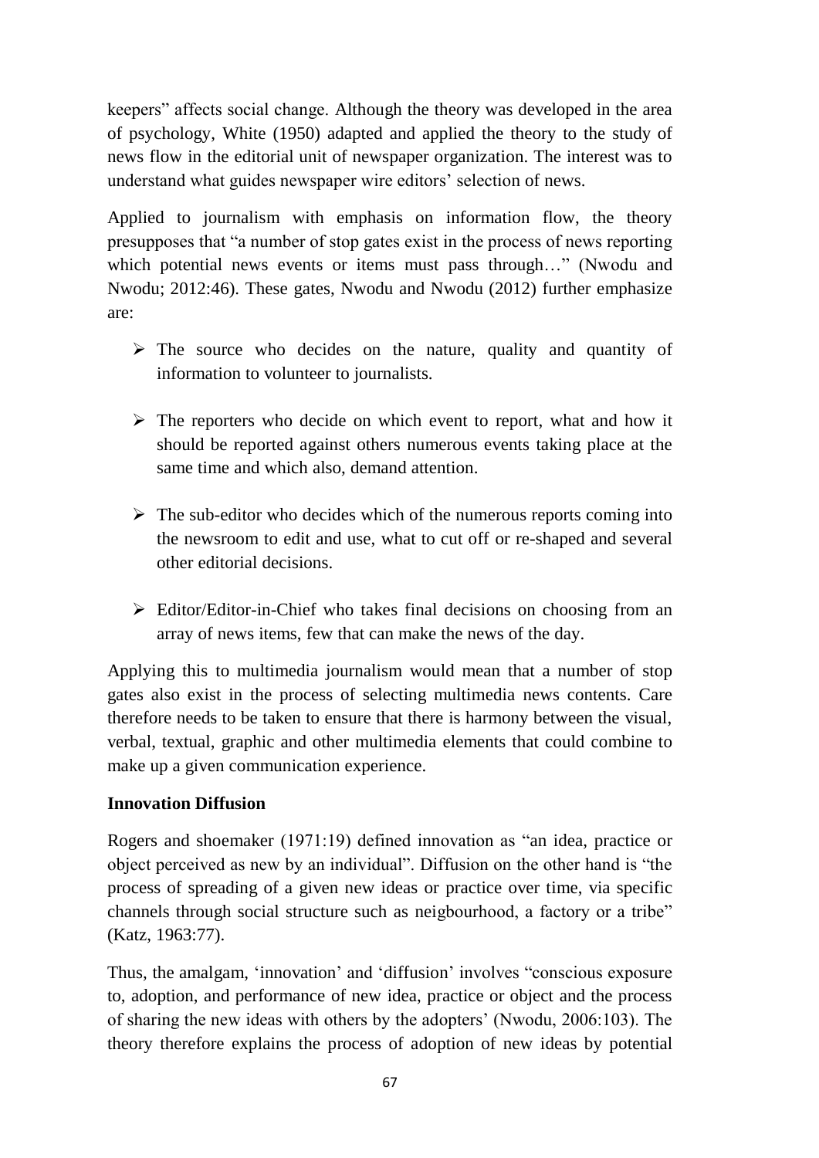keepers" affects social change. Although the theory was developed in the area of psychology, White (1950) adapted and applied the theory to the study of news flow in the editorial unit of newspaper organization. The interest was to understand what guides newspaper wire editors' selection of news.

Applied to journalism with emphasis on information flow, the theory presupposes that "a number of stop gates exist in the process of news reporting which potential news events or items must pass through..." (Nwodu and Nwodu; 2012:46). These gates, Nwodu and Nwodu (2012) further emphasize are:

- $\triangleright$  The source who decides on the nature, quality and quantity of information to volunteer to journalists.
- $\triangleright$  The reporters who decide on which event to report, what and how it should be reported against others numerous events taking place at the same time and which also, demand attention.
- $\triangleright$  The sub-editor who decides which of the numerous reports coming into the newsroom to edit and use, what to cut off or re-shaped and several other editorial decisions.
- $\triangleright$  Editor/Editor-in-Chief who takes final decisions on choosing from an array of news items, few that can make the news of the day.

Applying this to multimedia journalism would mean that a number of stop gates also exist in the process of selecting multimedia news contents. Care therefore needs to be taken to ensure that there is harmony between the visual, verbal, textual, graphic and other multimedia elements that could combine to make up a given communication experience.

## **Innovation Diffusion**

Rogers and shoemaker (1971:19) defined innovation as "an idea, practice or object perceived as new by an individual". Diffusion on the other hand is "the process of spreading of a given new ideas or practice over time, via specific channels through social structure such as neigbourhood, a factory or a tribe" (Katz, 1963:77).

Thus, the amalgam, 'innovation' and 'diffusion' involves "conscious exposure to, adoption, and performance of new idea, practice or object and the process of sharing the new ideas with others by the adopters' (Nwodu, 2006:103). The theory therefore explains the process of adoption of new ideas by potential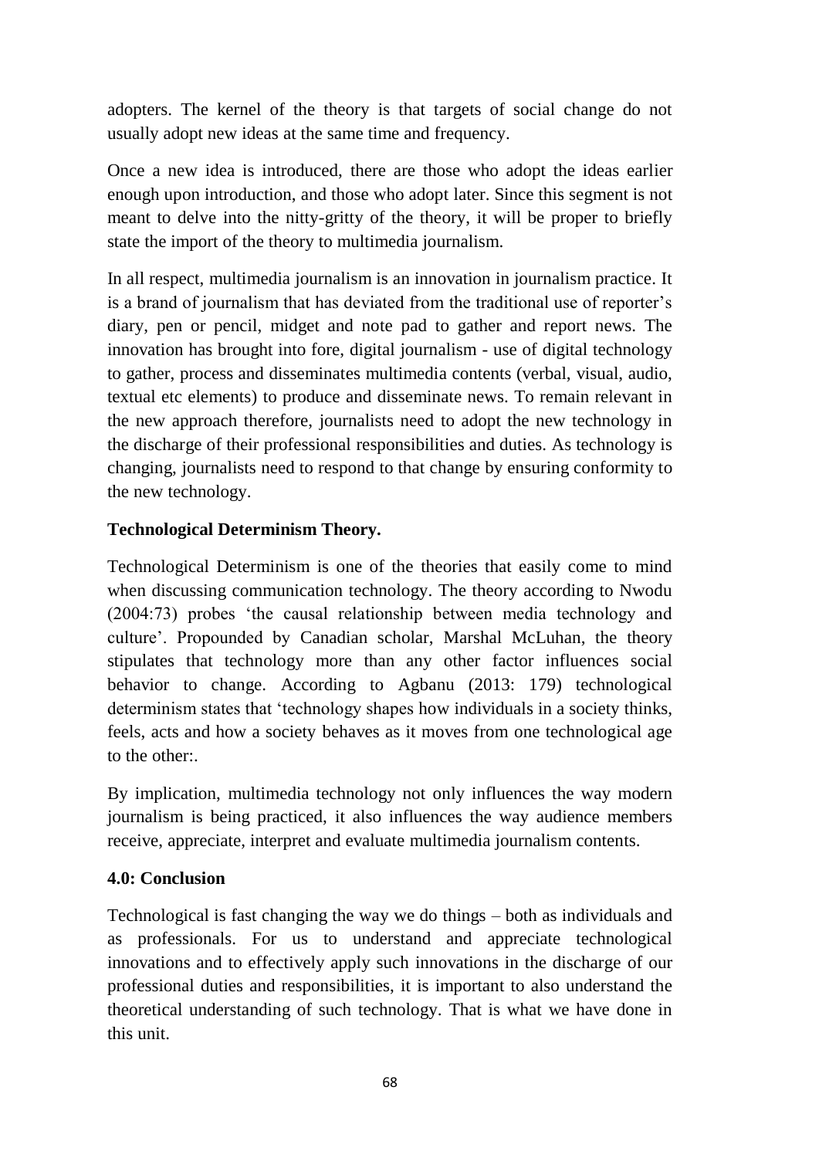adopters. The kernel of the theory is that targets of social change do not usually adopt new ideas at the same time and frequency.

Once a new idea is introduced, there are those who adopt the ideas earlier enough upon introduction, and those who adopt later. Since this segment is not meant to delve into the nitty-gritty of the theory, it will be proper to briefly state the import of the theory to multimedia journalism.

In all respect, multimedia journalism is an innovation in journalism practice. It is a brand of journalism that has deviated from the traditional use of reporter's diary, pen or pencil, midget and note pad to gather and report news. The innovation has brought into fore, digital journalism - use of digital technology to gather, process and disseminates multimedia contents (verbal, visual, audio, textual etc elements) to produce and disseminate news. To remain relevant in the new approach therefore, journalists need to adopt the new technology in the discharge of their professional responsibilities and duties. As technology is changing, journalists need to respond to that change by ensuring conformity to the new technology.

# **Technological Determinism Theory.**

Technological Determinism is one of the theories that easily come to mind when discussing communication technology. The theory according to Nwodu (2004:73) probes 'the causal relationship between media technology and culture'. Propounded by Canadian scholar, Marshal McLuhan, the theory stipulates that technology more than any other factor influences social behavior to change. According to Agbanu (2013: 179) technological determinism states that 'technology shapes how individuals in a society thinks, feels, acts and how a society behaves as it moves from one technological age to the other:.

By implication, multimedia technology not only influences the way modern journalism is being practiced, it also influences the way audience members receive, appreciate, interpret and evaluate multimedia journalism contents.

# **4.0: Conclusion**

Technological is fast changing the way we do things – both as individuals and as professionals. For us to understand and appreciate technological innovations and to effectively apply such innovations in the discharge of our professional duties and responsibilities, it is important to also understand the theoretical understanding of such technology. That is what we have done in this unit.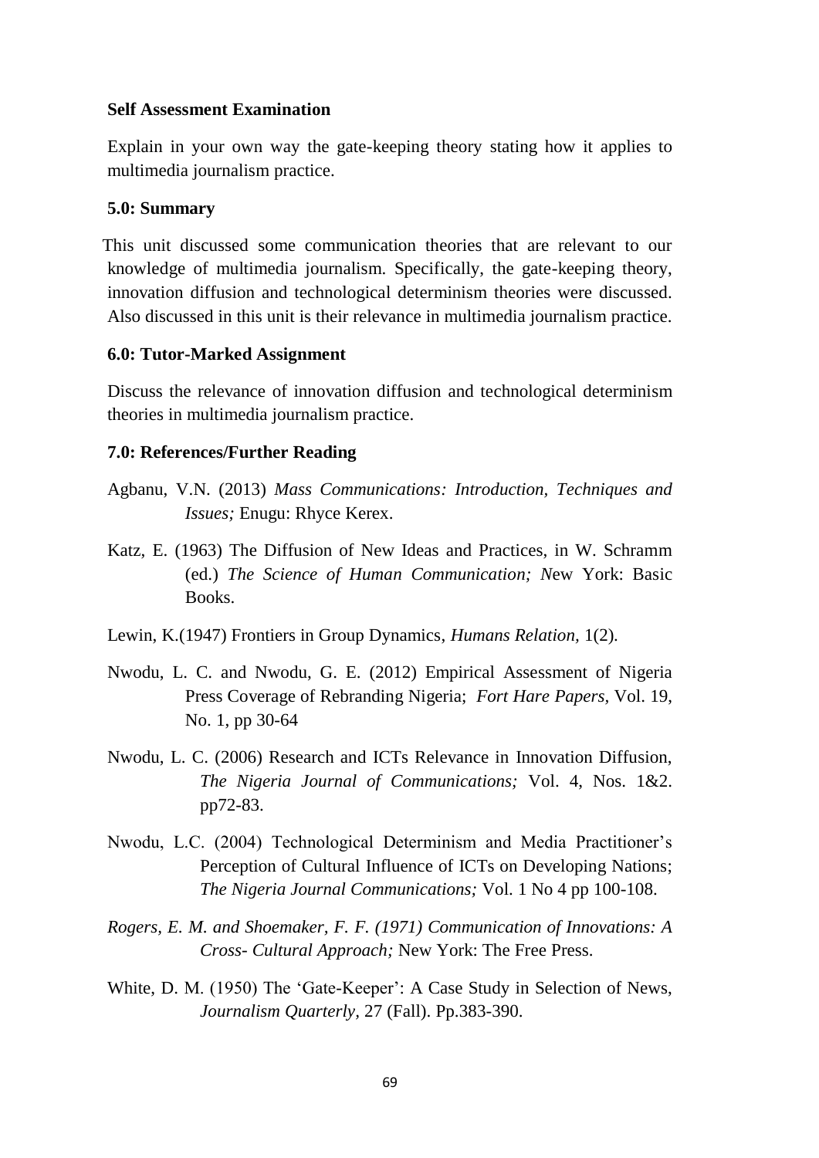### **Self Assessment Examination**

Explain in your own way the gate-keeping theory stating how it applies to multimedia journalism practice.

#### **5.0: Summary**

This unit discussed some communication theories that are relevant to our knowledge of multimedia journalism. Specifically, the gate-keeping theory, innovation diffusion and technological determinism theories were discussed. Also discussed in this unit is their relevance in multimedia journalism practice.

#### **6.0: Tutor-Marked Assignment**

Discuss the relevance of innovation diffusion and technological determinism theories in multimedia journalism practice.

- Agbanu, V.N. (2013) *Mass Communications: Introduction, Techniques and Issues;* Enugu: Rhyce Kerex.
- Katz, E. (1963) The Diffusion of New Ideas and Practices, in W. Schramm (ed.) *The Science of Human Communication; N*ew York: Basic Books.
- Lewin, K.(1947) Frontiers in Group Dynamics, *Humans Relation,* 1(2).
- Nwodu, L. C. and Nwodu, G. E. (2012) Empirical Assessment of Nigeria Press Coverage of Rebranding Nigeria; *Fort Hare Papers,* Vol. 19, No. 1, pp 30-64
- Nwodu, L. C. (2006) Research and ICTs Relevance in Innovation Diffusion, *The Nigeria Journal of Communications;* Vol. 4, Nos. 1&2. pp72-83.
- Nwodu, L.C. (2004) Technological Determinism and Media Practitioner's Perception of Cultural Influence of ICTs on Developing Nations; *The Nigeria Journal Communications;* Vol. 1 No 4 pp 100-108.
- *Rogers, E. M. and Shoemaker, F. F. (1971) Communication of Innovations: A Cross- Cultural Approach;* New York: The Free Press.
- White, D. M. (1950) The 'Gate-Keeper': A Case Study in Selection of News, *Journalism Quarterly,* 27 (Fall). Pp.383-390.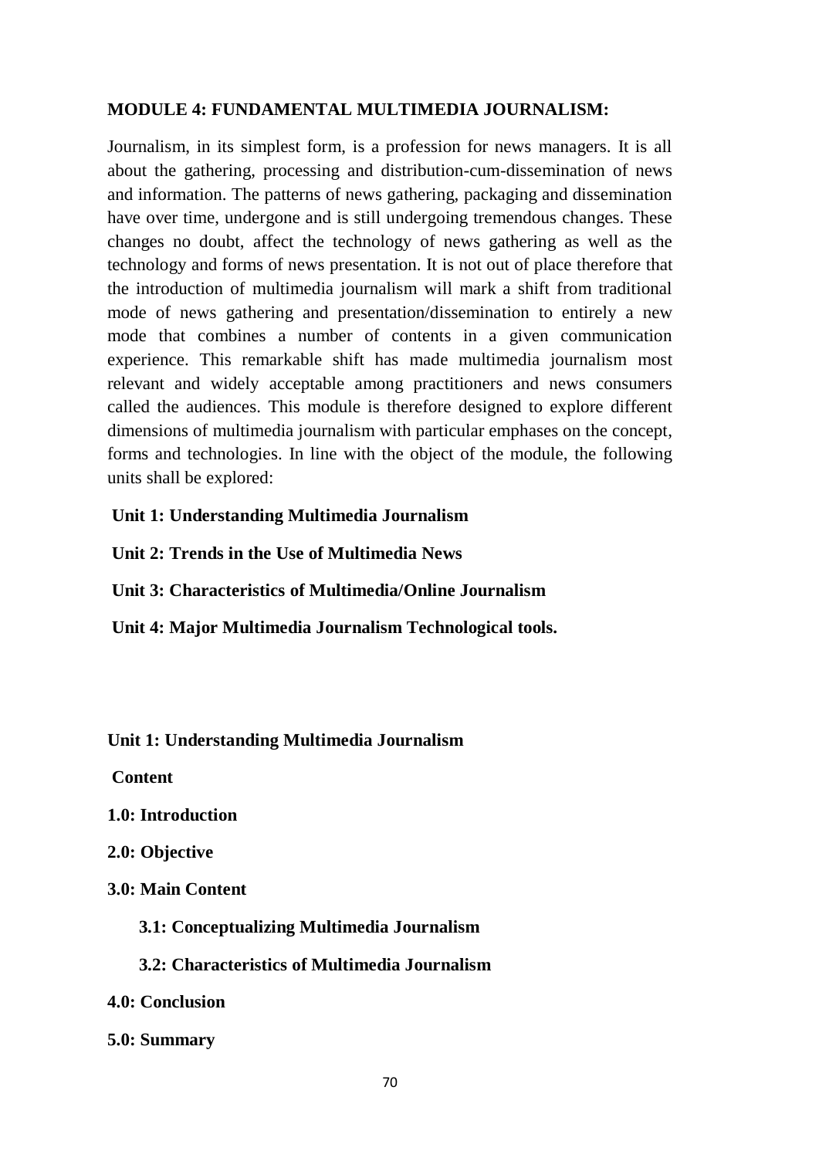## **MODULE 4: FUNDAMENTAL MULTIMEDIA JOURNALISM:**

Journalism, in its simplest form, is a profession for news managers. It is all about the gathering, processing and distribution-cum-dissemination of news and information. The patterns of news gathering, packaging and dissemination have over time, undergone and is still undergoing tremendous changes. These changes no doubt, affect the technology of news gathering as well as the technology and forms of news presentation. It is not out of place therefore that the introduction of multimedia journalism will mark a shift from traditional mode of news gathering and presentation/dissemination to entirely a new mode that combines a number of contents in a given communication experience. This remarkable shift has made multimedia journalism most relevant and widely acceptable among practitioners and news consumers called the audiences. This module is therefore designed to explore different dimensions of multimedia journalism with particular emphases on the concept, forms and technologies. In line with the object of the module, the following units shall be explored:

### **Unit 1: Understanding Multimedia Journalism**

**Unit 2: Trends in the Use of Multimedia News**

**Unit 3: Characteristics of Multimedia/Online Journalism**

**Unit 4: Major Multimedia Journalism Technological tools.**

**Unit 1: Understanding Multimedia Journalism**

**Content**

- **1.0: Introduction**
- **2.0: Objective**
- **3.0: Main Content**
	- **3.1: Conceptualizing Multimedia Journalism**

 **3.2: Characteristics of Multimedia Journalism**

- **4.0: Conclusion**
- **5.0: Summary**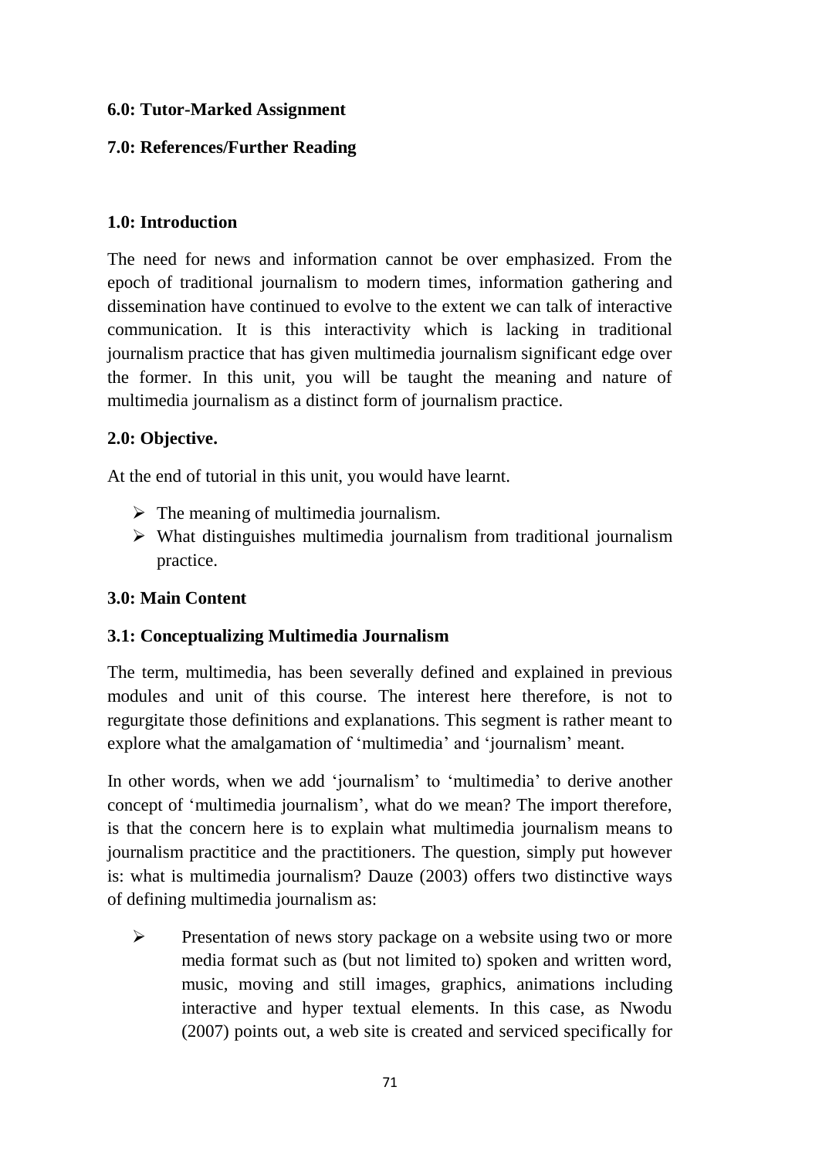## **6.0: Tutor-Marked Assignment**

# **7.0: References/Further Reading**

## **1.0: Introduction**

The need for news and information cannot be over emphasized. From the epoch of traditional journalism to modern times, information gathering and dissemination have continued to evolve to the extent we can talk of interactive communication. It is this interactivity which is lacking in traditional journalism practice that has given multimedia journalism significant edge over the former. In this unit, you will be taught the meaning and nature of multimedia journalism as a distinct form of journalism practice.

# **2.0: Objective.**

At the end of tutorial in this unit, you would have learnt.

- $\triangleright$  The meaning of multimedia journalism.
- $\triangleright$  What distinguishes multimedia journalism from traditional journalism practice.

# **3.0: Main Content**

# **3.1: Conceptualizing Multimedia Journalism**

The term, multimedia, has been severally defined and explained in previous modules and unit of this course. The interest here therefore, is not to regurgitate those definitions and explanations. This segment is rather meant to explore what the amalgamation of 'multimedia' and 'journalism' meant.

In other words, when we add 'journalism' to 'multimedia' to derive another concept of 'multimedia journalism', what do we mean? The import therefore, is that the concern here is to explain what multimedia journalism means to journalism practitice and the practitioners. The question, simply put however is: what is multimedia journalism? Dauze (2003) offers two distinctive ways of defining multimedia journalism as:

 $\triangleright$  Presentation of news story package on a website using two or more media format such as (but not limited to) spoken and written word, music, moving and still images, graphics, animations including interactive and hyper textual elements. In this case, as Nwodu (2007) points out, a web site is created and serviced specifically for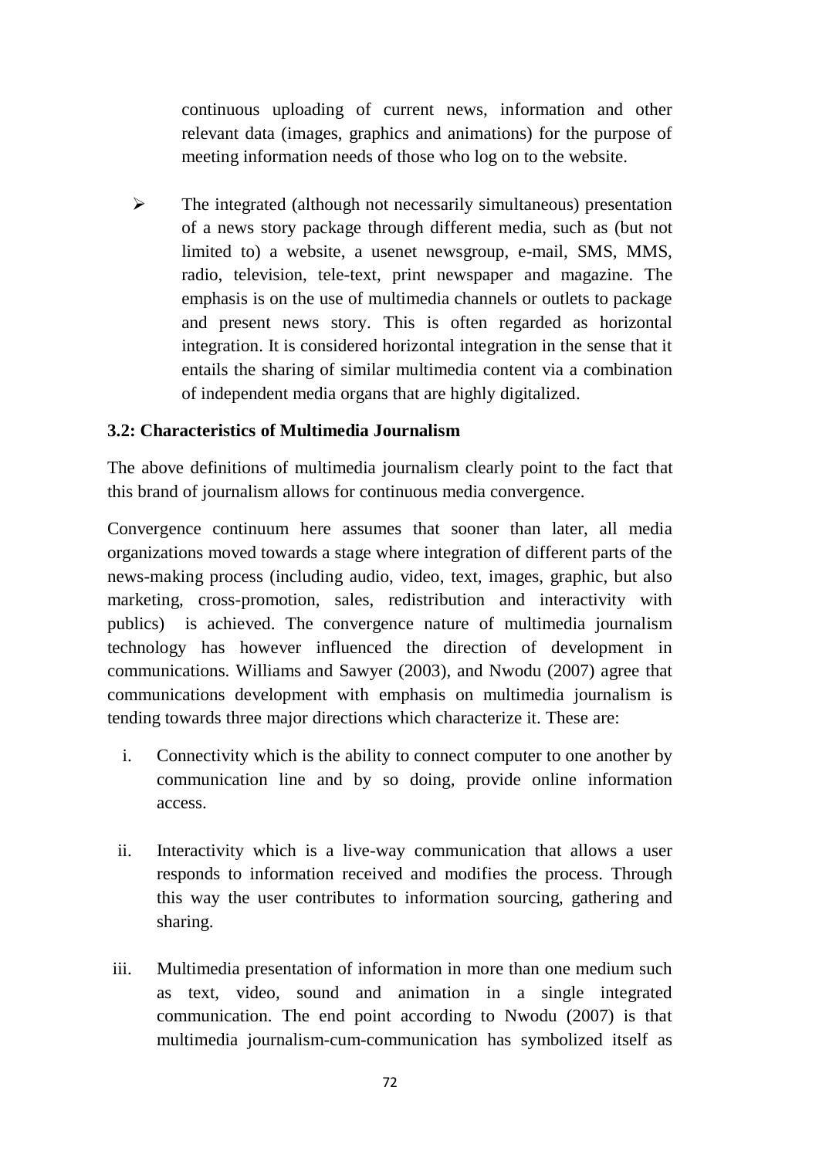continuous uploading of current news, information and other relevant data (images, graphics and animations) for the purpose of meeting information needs of those who log on to the website.

 $\triangleright$  The integrated (although not necessarily simultaneous) presentation of a news story package through different media, such as (but not limited to) a website, a usenet newsgroup, e-mail, SMS, MMS, radio, television, tele-text, print newspaper and magazine. The emphasis is on the use of multimedia channels or outlets to package and present news story. This is often regarded as horizontal integration. It is considered horizontal integration in the sense that it entails the sharing of similar multimedia content via a combination of independent media organs that are highly digitalized.

# **3.2: Characteristics of Multimedia Journalism**

The above definitions of multimedia journalism clearly point to the fact that this brand of journalism allows for continuous media convergence.

Convergence continuum here assumes that sooner than later, all media organizations moved towards a stage where integration of different parts of the news-making process (including audio, video, text, images, graphic, but also marketing, cross-promotion, sales, redistribution and interactivity with publics) is achieved. The convergence nature of multimedia journalism technology has however influenced the direction of development in communications. Williams and Sawyer (2003), and Nwodu (2007) agree that communications development with emphasis on multimedia journalism is tending towards three major directions which characterize it. These are:

- i. Connectivity which is the ability to connect computer to one another by communication line and by so doing, provide online information access.
- ii. Interactivity which is a live-way communication that allows a user responds to information received and modifies the process. Through this way the user contributes to information sourcing, gathering and sharing.
- iii. Multimedia presentation of information in more than one medium such as text, video, sound and animation in a single integrated communication. The end point according to Nwodu (2007) is that multimedia journalism-cum-communication has symbolized itself as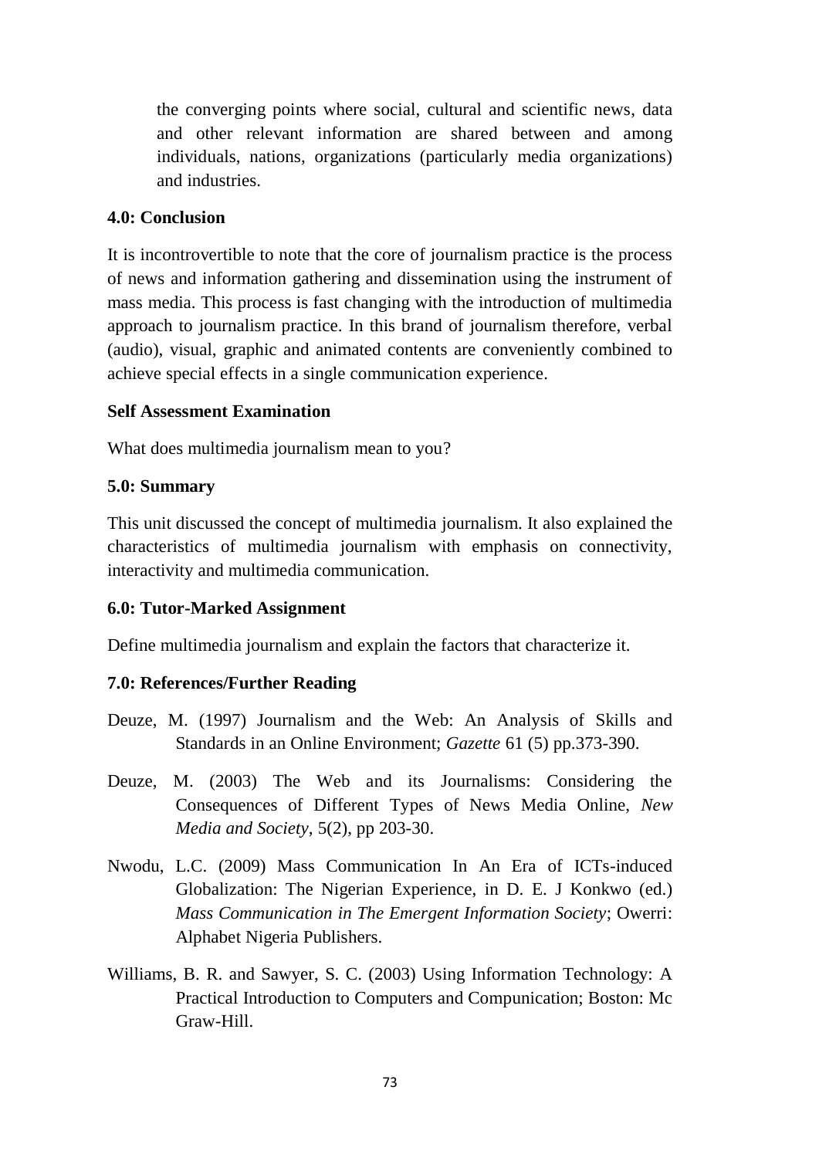the converging points where social, cultural and scientific news, data and other relevant information are shared between and among individuals, nations, organizations (particularly media organizations) and industries.

### **4.0: Conclusion**

It is incontrovertible to note that the core of journalism practice is the process of news and information gathering and dissemination using the instrument of mass media. This process is fast changing with the introduction of multimedia approach to journalism practice. In this brand of journalism therefore, verbal (audio), visual, graphic and animated contents are conveniently combined to achieve special effects in a single communication experience.

#### **Self Assessment Examination**

What does multimedia journalism mean to you?

### **5.0: Summary**

This unit discussed the concept of multimedia journalism. It also explained the characteristics of multimedia journalism with emphasis on connectivity, interactivity and multimedia communication.

### **6.0: Tutor-Marked Assignment**

Define multimedia journalism and explain the factors that characterize it.

### **7.0: References/Further Reading**

- Deuze, M. (1997) Journalism and the Web: An Analysis of Skills and Standards in an Online Environment; *Gazette* 61 (5) pp.373-390.
- Deuze, M. (2003) The Web and its Journalisms: Considering the Consequences of Different Types of News Media Online, *New Media and Society*, 5(2), pp 203-30.
- Nwodu, L.C. (2009) Mass Communication In An Era of ICTs-induced Globalization: The Nigerian Experience, in D. E. J Konkwo (ed.) *Mass Communication in The Emergent Information Society*; Owerri: Alphabet Nigeria Publishers.
- Williams, B. R. and Sawyer, S. C. (2003) Using Information Technology: A Practical Introduction to Computers and Compunication; Boston: Mc Graw-Hill.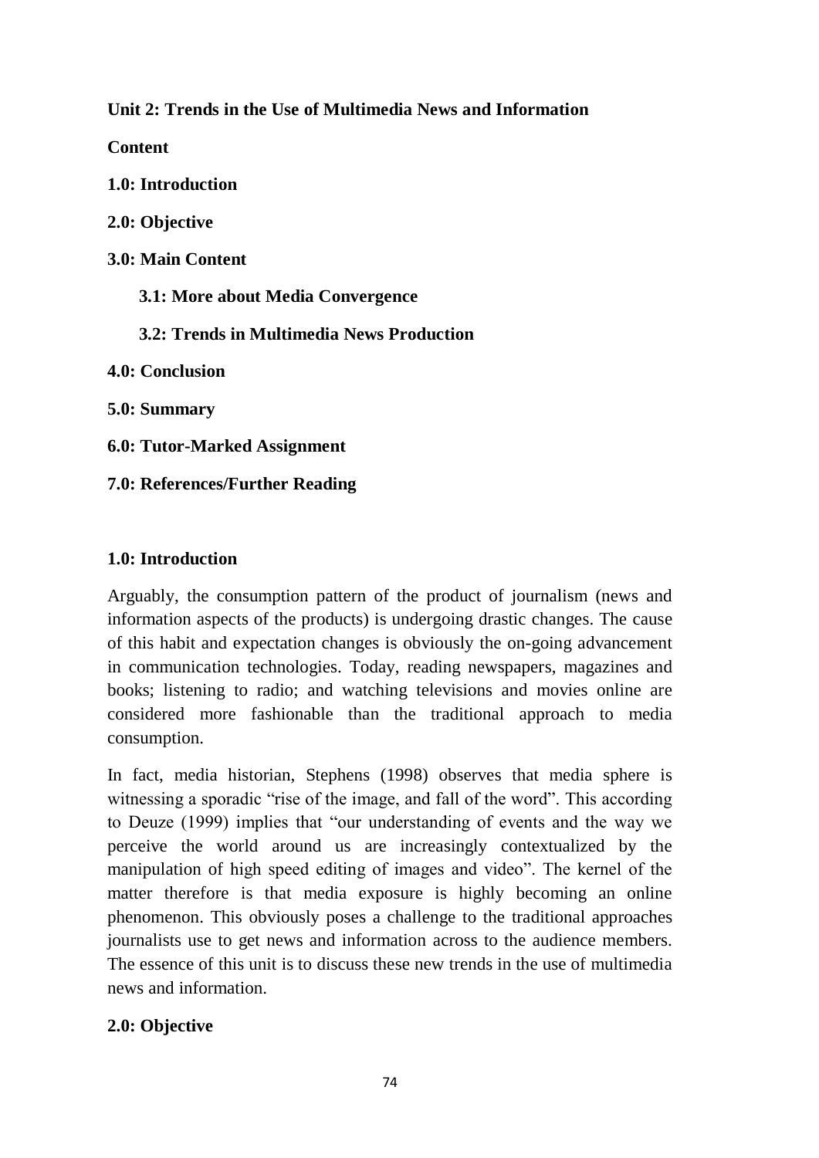**Unit 2: Trends in the Use of Multimedia News and Information**

**Content**

**1.0: Introduction**

**2.0: Objective**

**3.0: Main Content**

 **3.1: More about Media Convergence**

 **3.2: Trends in Multimedia News Production**

**4.0: Conclusion**

**5.0: Summary**

**6.0: Tutor-Marked Assignment**

**7.0: References/Further Reading**

## **1.0: Introduction**

Arguably, the consumption pattern of the product of journalism (news and information aspects of the products) is undergoing drastic changes. The cause of this habit and expectation changes is obviously the on-going advancement in communication technologies. Today, reading newspapers, magazines and books; listening to radio; and watching televisions and movies online are considered more fashionable than the traditional approach to media consumption.

In fact, media historian, Stephens (1998) observes that media sphere is witnessing a sporadic "rise of the image, and fall of the word". This according to Deuze (1999) implies that "our understanding of events and the way we perceive the world around us are increasingly contextualized by the manipulation of high speed editing of images and video". The kernel of the matter therefore is that media exposure is highly becoming an online phenomenon. This obviously poses a challenge to the traditional approaches journalists use to get news and information across to the audience members. The essence of this unit is to discuss these new trends in the use of multimedia news and information.

# **2.0: Objective**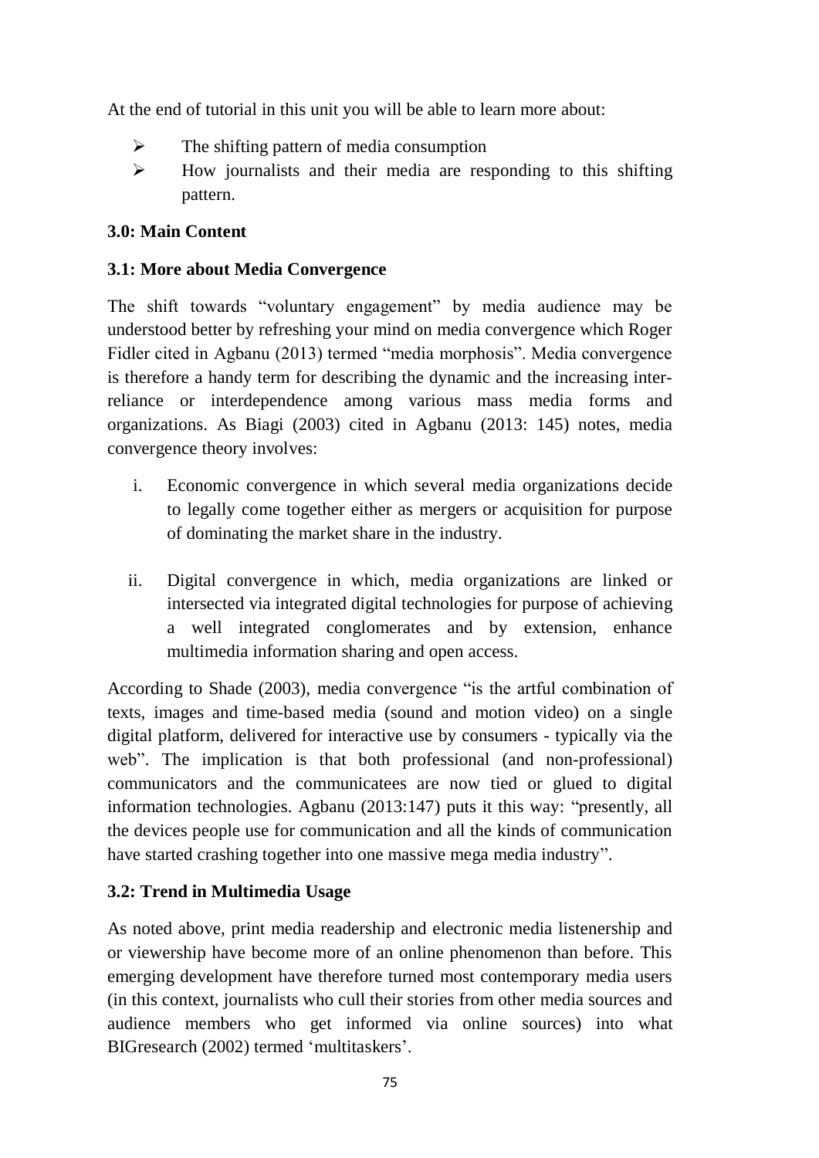At the end of tutorial in this unit you will be able to learn more about:

- $\triangleright$  The shifting pattern of media consumption
- $\triangleright$  How journalists and their media are responding to this shifting pattern.

## **3.0: Main Content**

## **3.1: More about Media Convergence**

The shift towards "voluntary engagement" by media audience may be understood better by refreshing your mind on media convergence which Roger Fidler cited in Agbanu (2013) termed "media morphosis". Media convergence is therefore a handy term for describing the dynamic and the increasing interreliance or interdependence among various mass media forms and organizations. As Biagi (2003) cited in Agbanu (2013: 145) notes, media convergence theory involves:

- i. Economic convergence in which several media organizations decide to legally come together either as mergers or acquisition for purpose of dominating the market share in the industry.
- ii. Digital convergence in which, media organizations are linked or intersected via integrated digital technologies for purpose of achieving a well integrated conglomerates and by extension, enhance multimedia information sharing and open access.

According to Shade (2003), media convergence "is the artful combination of texts, images and time-based media (sound and motion video) on a single digital platform, delivered for interactive use by consumers - typically via the web". The implication is that both professional (and non-professional) communicators and the communicatees are now tied or glued to digital information technologies. Agbanu (2013:147) puts it this way: "presently, all the devices people use for communication and all the kinds of communication have started crashing together into one massive mega media industry".

## **3.2: Trend in Multimedia Usage**

As noted above, print media readership and electronic media listenership and or viewership have become more of an online phenomenon than before. This emerging development have therefore turned most contemporary media users (in this context, journalists who cull their stories from other media sources and audience members who get informed via online sources) into what BIGresearch (2002) termed 'multitaskers'.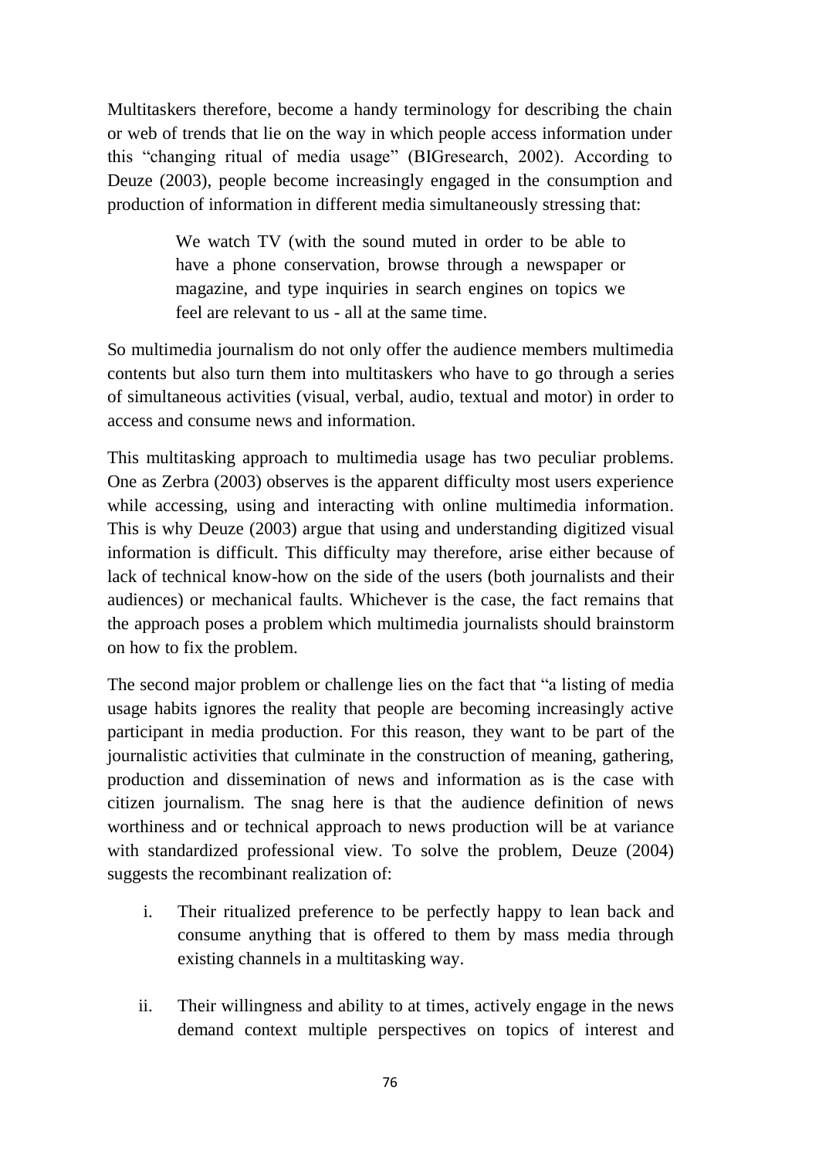Multitaskers therefore, become a handy terminology for describing the chain or web of trends that lie on the way in which people access information under this "changing ritual of media usage" (BIGresearch, 2002). According to Deuze (2003), people become increasingly engaged in the consumption and production of information in different media simultaneously stressing that:

> We watch TV (with the sound muted in order to be able to have a phone conservation, browse through a newspaper or magazine, and type inquiries in search engines on topics we feel are relevant to us - all at the same time.

So multimedia journalism do not only offer the audience members multimedia contents but also turn them into multitaskers who have to go through a series of simultaneous activities (visual, verbal, audio, textual and motor) in order to access and consume news and information.

This multitasking approach to multimedia usage has two peculiar problems. One as Zerbra (2003) observes is the apparent difficulty most users experience while accessing, using and interacting with online multimedia information. This is why Deuze (2003) argue that using and understanding digitized visual information is difficult. This difficulty may therefore, arise either because of lack of technical know-how on the side of the users (both journalists and their audiences) or mechanical faults. Whichever is the case, the fact remains that the approach poses a problem which multimedia journalists should brainstorm on how to fix the problem.

The second major problem or challenge lies on the fact that "a listing of media usage habits ignores the reality that people are becoming increasingly active participant in media production. For this reason, they want to be part of the journalistic activities that culminate in the construction of meaning, gathering, production and dissemination of news and information as is the case with citizen journalism. The snag here is that the audience definition of news worthiness and or technical approach to news production will be at variance with standardized professional view. To solve the problem, Deuze (2004) suggests the recombinant realization of:

- i. Their ritualized preference to be perfectly happy to lean back and consume anything that is offered to them by mass media through existing channels in a multitasking way.
- ii. Their willingness and ability to at times, actively engage in the news demand context multiple perspectives on topics of interest and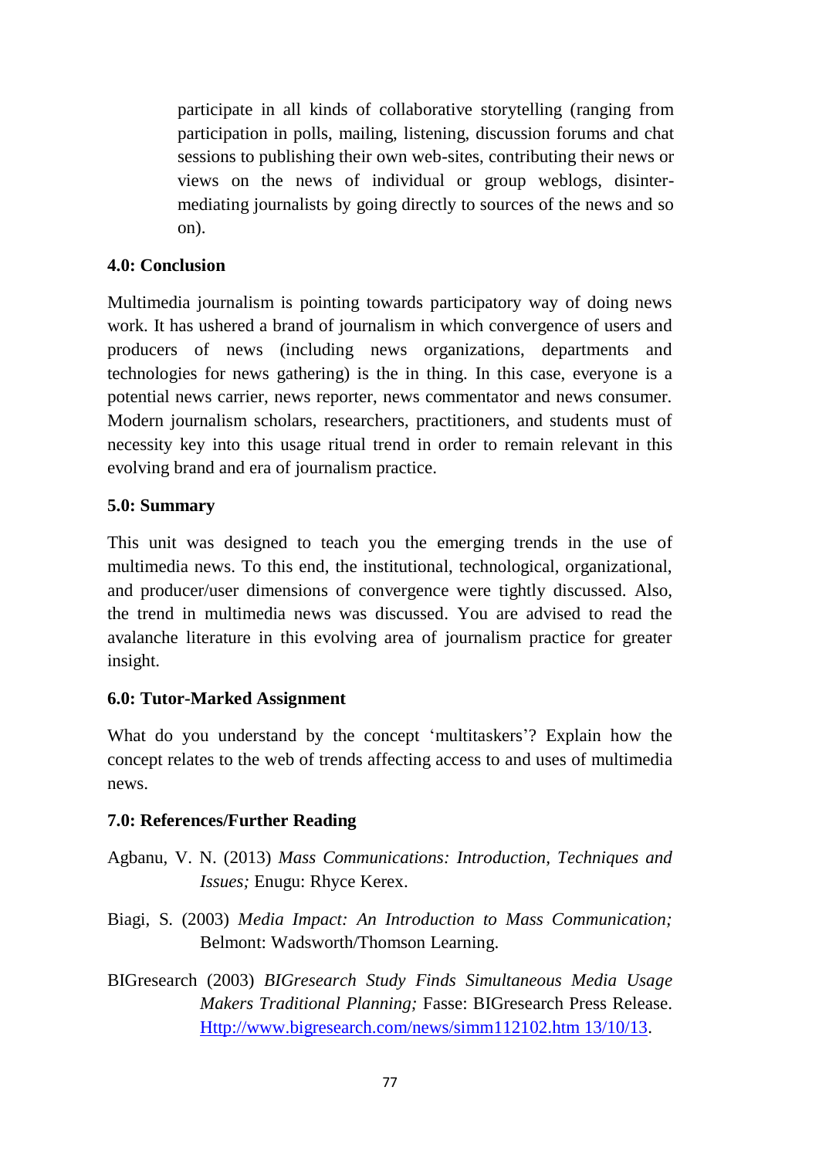participate in all kinds of collaborative storytelling (ranging from participation in polls, mailing, listening, discussion forums and chat sessions to publishing their own web-sites, contributing their news or views on the news of individual or group weblogs, disintermediating journalists by going directly to sources of the news and so on).

## **4.0: Conclusion**

Multimedia journalism is pointing towards participatory way of doing news work. It has ushered a brand of journalism in which convergence of users and producers of news (including news organizations, departments and technologies for news gathering) is the in thing. In this case, everyone is a potential news carrier, news reporter, news commentator and news consumer. Modern journalism scholars, researchers, practitioners, and students must of necessity key into this usage ritual trend in order to remain relevant in this evolving brand and era of journalism practice.

### **5.0: Summary**

This unit was designed to teach you the emerging trends in the use of multimedia news. To this end, the institutional, technological, organizational, and producer/user dimensions of convergence were tightly discussed. Also, the trend in multimedia news was discussed. You are advised to read the avalanche literature in this evolving area of journalism practice for greater insight.

### **6.0: Tutor-Marked Assignment**

What do you understand by the concept 'multitaskers'? Explain how the concept relates to the web of trends affecting access to and uses of multimedia news.

### **7.0: References/Further Reading**

- Agbanu, V. N. (2013) *Mass Communications: Introduction, Techniques and Issues;* Enugu: Rhyce Kerex.
- Biagi, S. (2003) *Media Impact: An Introduction to Mass Communication;* Belmont: Wadsworth/Thomson Learning.
- BIGresearch (2003) *BIGresearch Study Finds Simultaneous Media Usage Makers Traditional Planning;* Fasse: BIGresearch Press Release. [Http://www.bigresearch.com/news/simm112102.htm 13/10/13.](http://www.bigresearch.com/news/simm112102.htm%2013/10/13)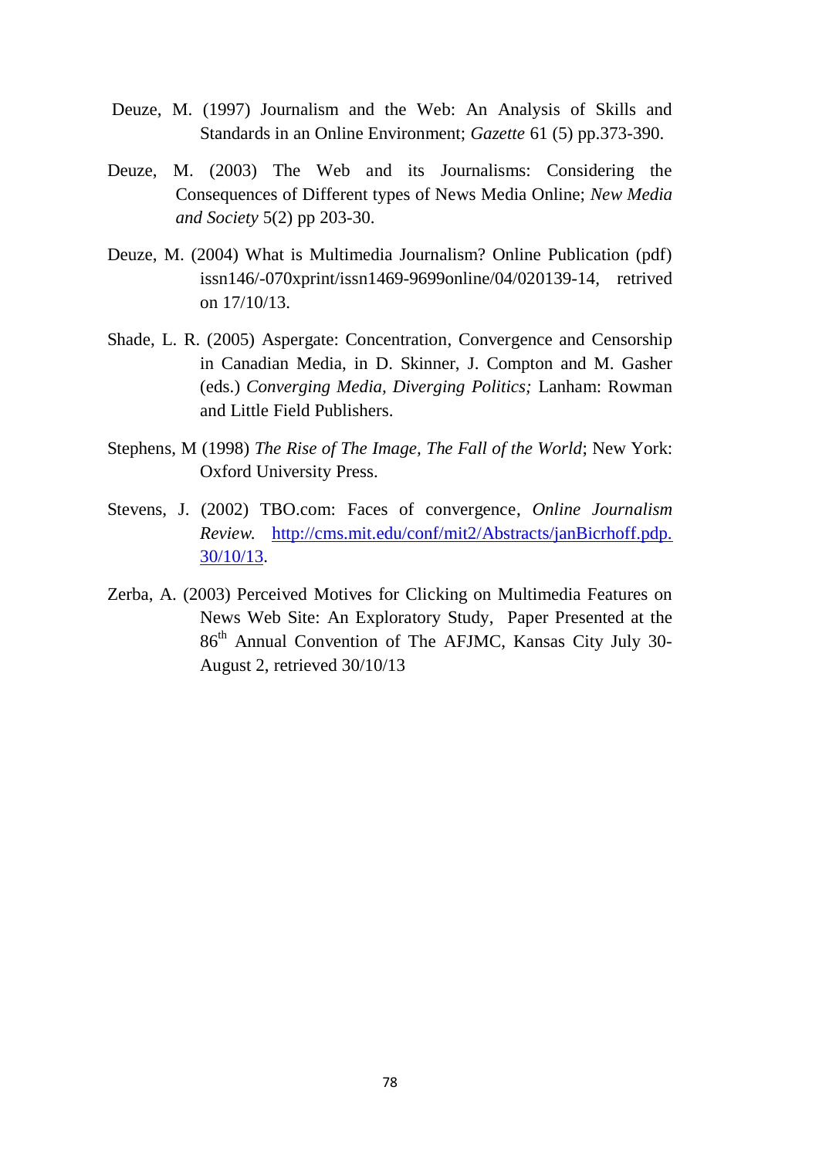- Deuze, M. (1997) Journalism and the Web: An Analysis of Skills and Standards in an Online Environment; *Gazette* 61 (5) pp.373-390.
- Deuze, M. (2003) The Web and its Journalisms: Considering the Consequences of Different types of News Media Online; *New Media and Society* 5(2) pp 203-30.
- Deuze, M. (2004) What is Multimedia Journalism? Online Publication (pdf) issn146/-070xprint/issn1469-9699online/04/020139-14, retrived on 17/10/13.
- Shade, L. R. (2005) Aspergate: Concentration, Convergence and Censorship in Canadian Media, in D. Skinner, J. Compton and M. Gasher (eds.) *Converging Media, Diverging Politics;* Lanham: Rowman and Little Field Publishers.
- Stephens, M (1998) *The Rise of The Image, The Fall of the World*; New York: Oxford University Press.
- Stevens, J. (2002) TBO.com: Faces of convergence, *Online Journalism Review.* [http://cms.mit.edu/conf/mit2/Abstracts/janBicrhoff.pdp.](http://cms.mit.edu/conf/mit2/Abstracts/janBicrhoff.pdp.%2030/10/13)  [30/10/13.](http://cms.mit.edu/conf/mit2/Abstracts/janBicrhoff.pdp.%2030/10/13)
- Zerba, A. (2003) Perceived Motives for Clicking on Multimedia Features on News Web Site: An Exploratory Study, Paper Presented at the 86th Annual Convention of The AFJMC, Kansas City July 30- August 2, retrieved 30/10/13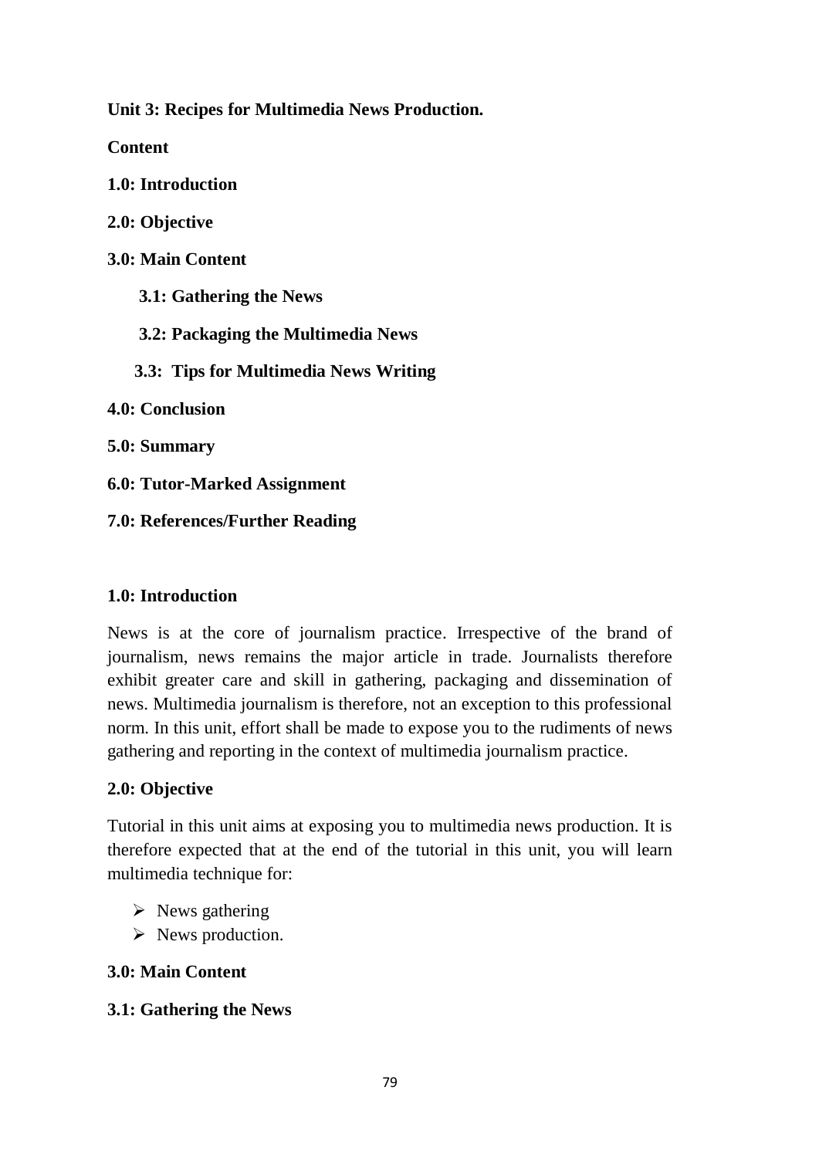**Unit 3: Recipes for Multimedia News Production.** 

**Content**

**1.0: Introduction**

**2.0: Objective**

**3.0: Main Content**

 **3.1: Gathering the News** 

 **3.2: Packaging the Multimedia News** 

 **3.3: Tips for Multimedia News Writing** 

**4.0: Conclusion**

**5.0: Summary**

**6.0: Tutor-Marked Assignment**

**7.0: References/Further Reading**

### **1.0: Introduction**

News is at the core of journalism practice. Irrespective of the brand of journalism, news remains the major article in trade. Journalists therefore exhibit greater care and skill in gathering, packaging and dissemination of news. Multimedia journalism is therefore, not an exception to this professional norm. In this unit, effort shall be made to expose you to the rudiments of news gathering and reporting in the context of multimedia journalism practice.

### **2.0: Objective**

Tutorial in this unit aims at exposing you to multimedia news production. It is therefore expected that at the end of the tutorial in this unit, you will learn multimedia technique for:

- $\triangleright$  News gathering
- $\triangleright$  News production.

## **3.0: Main Content**

## **3.1: Gathering the News**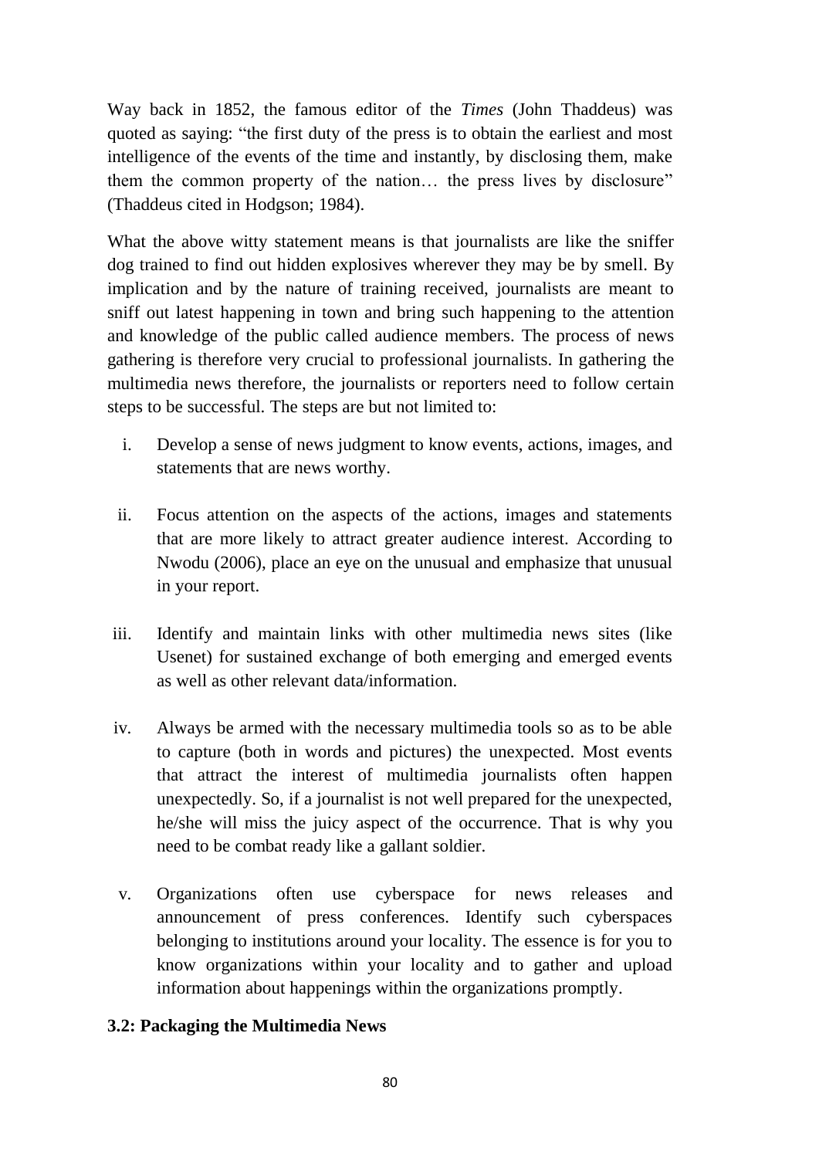Way back in 1852, the famous editor of the *Times* (John Thaddeus) was quoted as saying: "the first duty of the press is to obtain the earliest and most intelligence of the events of the time and instantly, by disclosing them, make them the common property of the nation… the press lives by disclosure" (Thaddeus cited in Hodgson; 1984).

What the above witty statement means is that journalists are like the sniffer dog trained to find out hidden explosives wherever they may be by smell. By implication and by the nature of training received, journalists are meant to sniff out latest happening in town and bring such happening to the attention and knowledge of the public called audience members. The process of news gathering is therefore very crucial to professional journalists. In gathering the multimedia news therefore, the journalists or reporters need to follow certain steps to be successful. The steps are but not limited to:

- i. Develop a sense of news judgment to know events, actions, images, and statements that are news worthy.
- ii. Focus attention on the aspects of the actions, images and statements that are more likely to attract greater audience interest. According to Nwodu (2006), place an eye on the unusual and emphasize that unusual in your report.
- iii. Identify and maintain links with other multimedia news sites (like Usenet) for sustained exchange of both emerging and emerged events as well as other relevant data/information.
- iv. Always be armed with the necessary multimedia tools so as to be able to capture (both in words and pictures) the unexpected. Most events that attract the interest of multimedia journalists often happen unexpectedly. So, if a journalist is not well prepared for the unexpected, he/she will miss the juicy aspect of the occurrence. That is why you need to be combat ready like a gallant soldier.
- v. Organizations often use cyberspace for news releases and announcement of press conferences. Identify such cyberspaces belonging to institutions around your locality. The essence is for you to know organizations within your locality and to gather and upload information about happenings within the organizations promptly.

## **3.2: Packaging the Multimedia News**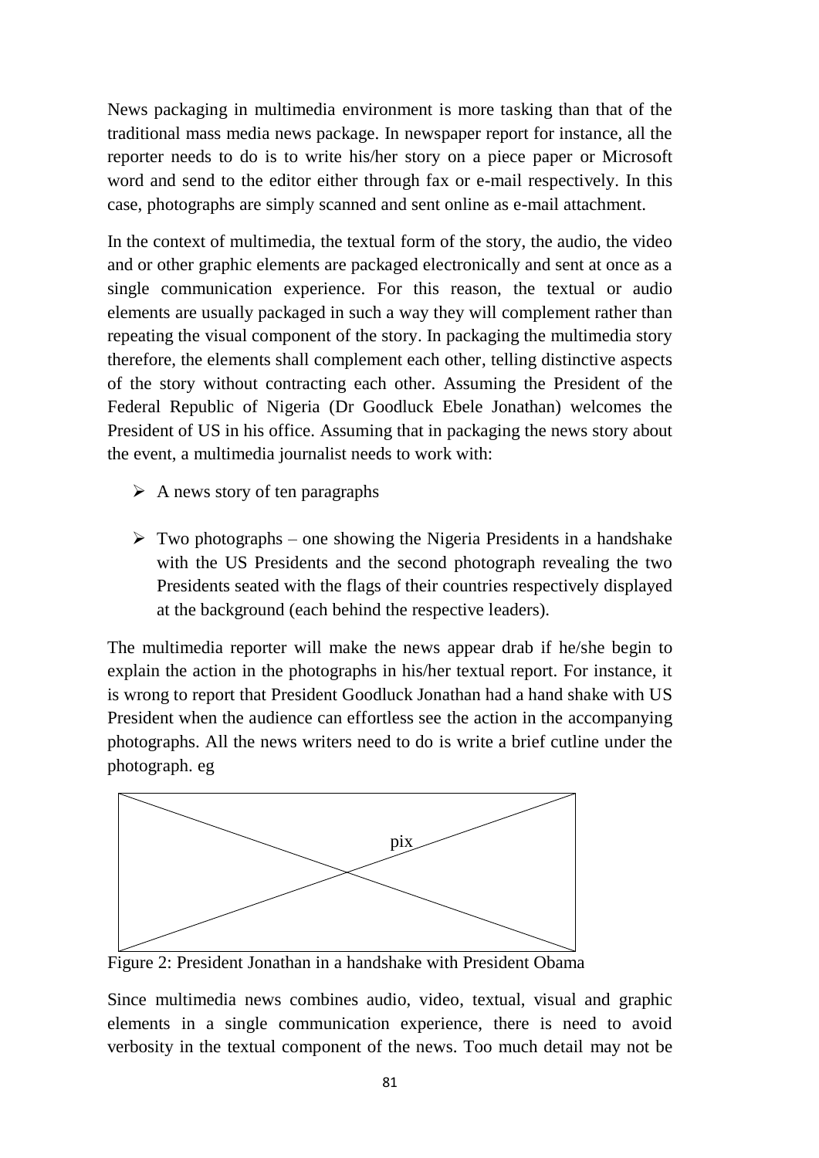News packaging in multimedia environment is more tasking than that of the traditional mass media news package. In newspaper report for instance, all the reporter needs to do is to write his/her story on a piece paper or Microsoft word and send to the editor either through fax or e-mail respectively. In this case, photographs are simply scanned and sent online as e-mail attachment.

In the context of multimedia, the textual form of the story, the audio, the video and or other graphic elements are packaged electronically and sent at once as a single communication experience. For this reason, the textual or audio elements are usually packaged in such a way they will complement rather than repeating the visual component of the story. In packaging the multimedia story therefore, the elements shall complement each other, telling distinctive aspects of the story without contracting each other. Assuming the President of the Federal Republic of Nigeria (Dr Goodluck Ebele Jonathan) welcomes the President of US in his office. Assuming that in packaging the news story about the event, a multimedia journalist needs to work with:

- $\triangleright$  A news story of ten paragraphs
- $\triangleright$  Two photographs one showing the Nigeria Presidents in a handshake with the US Presidents and the second photograph revealing the two Presidents seated with the flags of their countries respectively displayed at the background (each behind the respective leaders).

The multimedia reporter will make the news appear drab if he/she begin to explain the action in the photographs in his/her textual report. For instance, it is wrong to report that President Goodluck Jonathan had a hand shake with US President when the audience can effortless see the action in the accompanying photographs. All the news writers need to do is write a brief cutline under the photograph. eg



Figure 2: President Jonathan in a handshake with President Obama

Since multimedia news combines audio, video, textual, visual and graphic elements in a single communication experience, there is need to avoid verbosity in the textual component of the news. Too much detail may not be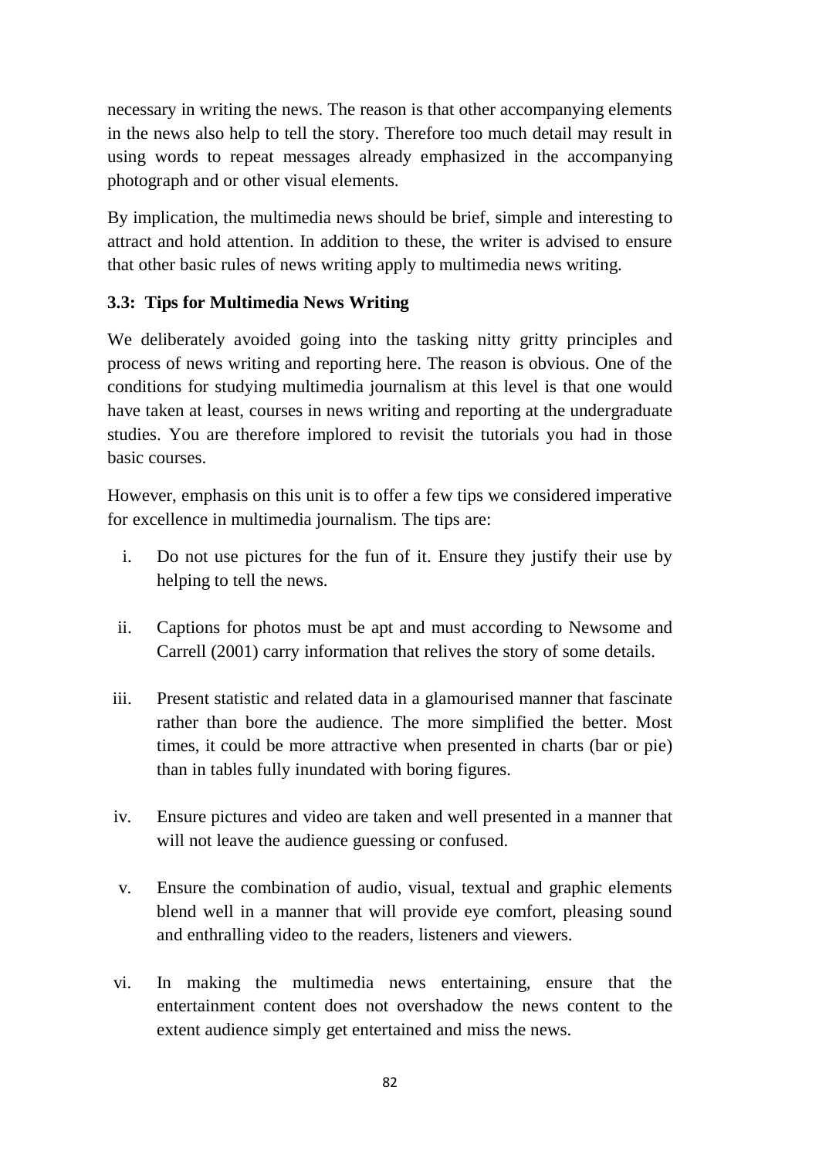necessary in writing the news. The reason is that other accompanying elements in the news also help to tell the story. Therefore too much detail may result in using words to repeat messages already emphasized in the accompanying photograph and or other visual elements.

By implication, the multimedia news should be brief, simple and interesting to attract and hold attention. In addition to these, the writer is advised to ensure that other basic rules of news writing apply to multimedia news writing.

## **3.3: Tips for Multimedia News Writing**

We deliberately avoided going into the tasking nitty gritty principles and process of news writing and reporting here. The reason is obvious. One of the conditions for studying multimedia journalism at this level is that one would have taken at least, courses in news writing and reporting at the undergraduate studies. You are therefore implored to revisit the tutorials you had in those basic courses.

However, emphasis on this unit is to offer a few tips we considered imperative for excellence in multimedia journalism. The tips are:

- i. Do not use pictures for the fun of it. Ensure they justify their use by helping to tell the news.
- ii. Captions for photos must be apt and must according to Newsome and Carrell (2001) carry information that relives the story of some details.
- iii. Present statistic and related data in a glamourised manner that fascinate rather than bore the audience. The more simplified the better. Most times, it could be more attractive when presented in charts (bar or pie) than in tables fully inundated with boring figures.
- iv. Ensure pictures and video are taken and well presented in a manner that will not leave the audience guessing or confused.
- v. Ensure the combination of audio, visual, textual and graphic elements blend well in a manner that will provide eye comfort, pleasing sound and enthralling video to the readers, listeners and viewers.
- vi. In making the multimedia news entertaining, ensure that the entertainment content does not overshadow the news content to the extent audience simply get entertained and miss the news.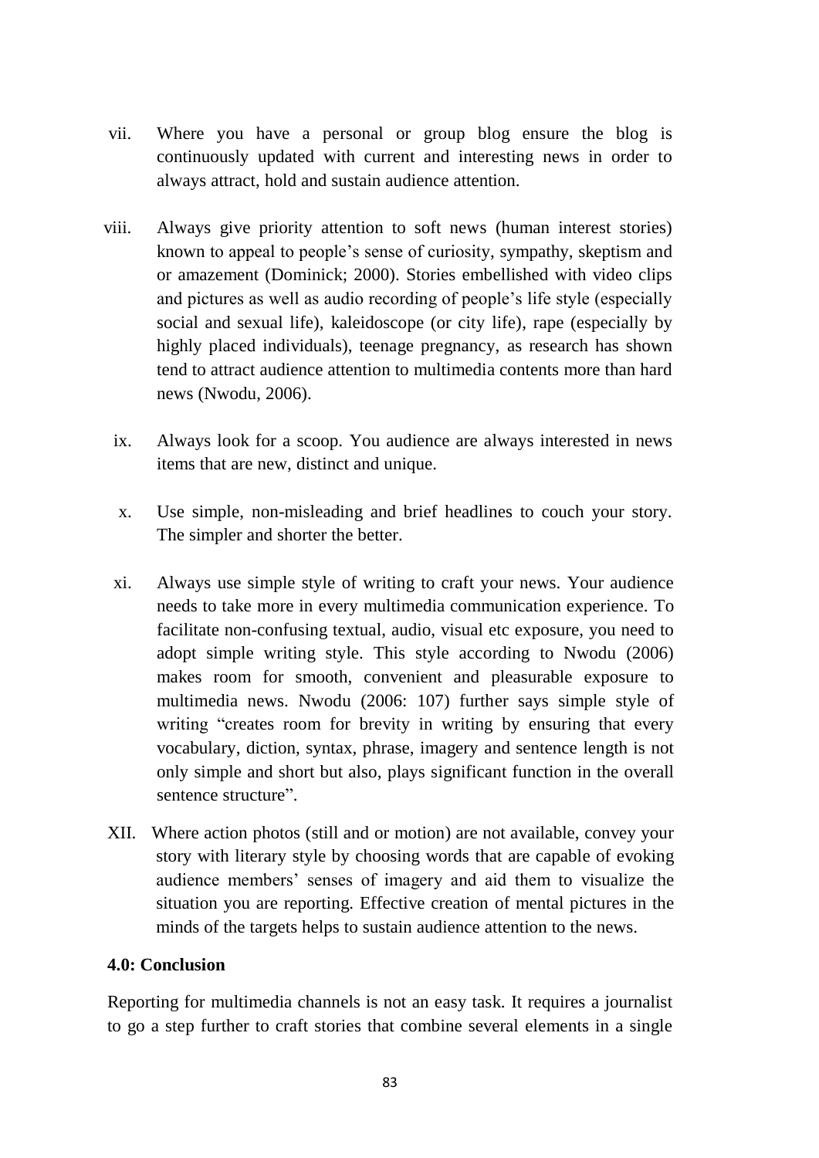- vii. Where you have a personal or group blog ensure the blog is continuously updated with current and interesting news in order to always attract, hold and sustain audience attention.
- viii. Always give priority attention to soft news (human interest stories) known to appeal to people's sense of curiosity, sympathy, skeptism and or amazement (Dominick; 2000). Stories embellished with video clips and pictures as well as audio recording of people's life style (especially social and sexual life), kaleidoscope (or city life), rape (especially by highly placed individuals), teenage pregnancy, as research has shown tend to attract audience attention to multimedia contents more than hard news (Nwodu, 2006).
	- ix. Always look for a scoop. You audience are always interested in news items that are new, distinct and unique.
	- x. Use simple, non-misleading and brief headlines to couch your story. The simpler and shorter the better.
	- xi. Always use simple style of writing to craft your news. Your audience needs to take more in every multimedia communication experience. To facilitate non-confusing textual, audio, visual etc exposure, you need to adopt simple writing style. This style according to Nwodu (2006) makes room for smooth, convenient and pleasurable exposure to multimedia news. Nwodu (2006: 107) further says simple style of writing "creates room for brevity in writing by ensuring that every vocabulary, diction, syntax, phrase, imagery and sentence length is not only simple and short but also, plays significant function in the overall sentence structure".
- XII. Where action photos (still and or motion) are not available, convey your story with literary style by choosing words that are capable of evoking audience members' senses of imagery and aid them to visualize the situation you are reporting. Effective creation of mental pictures in the minds of the targets helps to sustain audience attention to the news.

### **4.0: Conclusion**

Reporting for multimedia channels is not an easy task. It requires a journalist to go a step further to craft stories that combine several elements in a single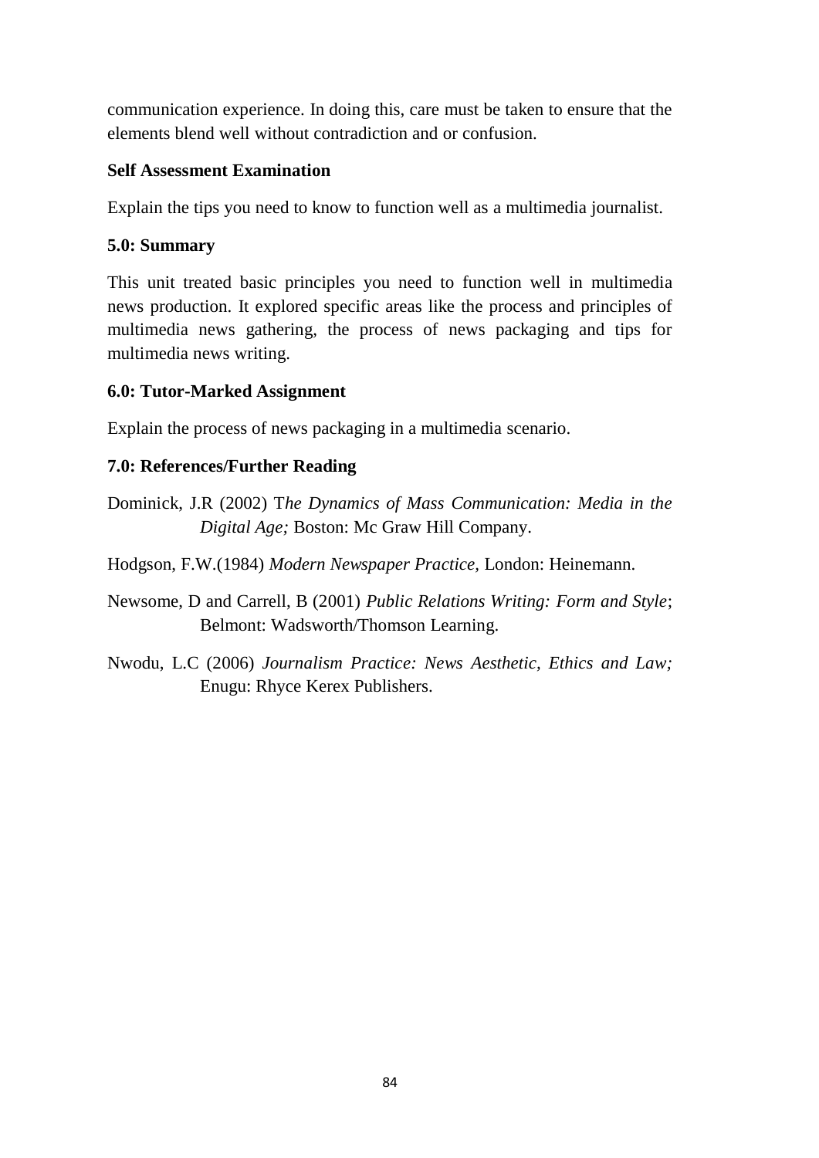communication experience. In doing this, care must be taken to ensure that the elements blend well without contradiction and or confusion.

### **Self Assessment Examination**

Explain the tips you need to know to function well as a multimedia journalist.

## **5.0: Summary**

This unit treated basic principles you need to function well in multimedia news production. It explored specific areas like the process and principles of multimedia news gathering, the process of news packaging and tips for multimedia news writing.

## **6.0: Tutor-Marked Assignment**

Explain the process of news packaging in a multimedia scenario.

## **7.0: References/Further Reading**

Dominick, J.R (2002) T*he Dynamics of Mass Communication: Media in the Digital Age;* Boston: Mc Graw Hill Company.

Hodgson, F.W.(1984) *Modern Newspaper Practice,* London: Heinemann.

Newsome, D and Carrell, B (2001) *Public Relations Writing: Form and Style*; Belmont: Wadsworth/Thomson Learning.

Nwodu, L.C (2006) *Journalism Practice: News Aesthetic, Ethics and Law;* Enugu: Rhyce Kerex Publishers.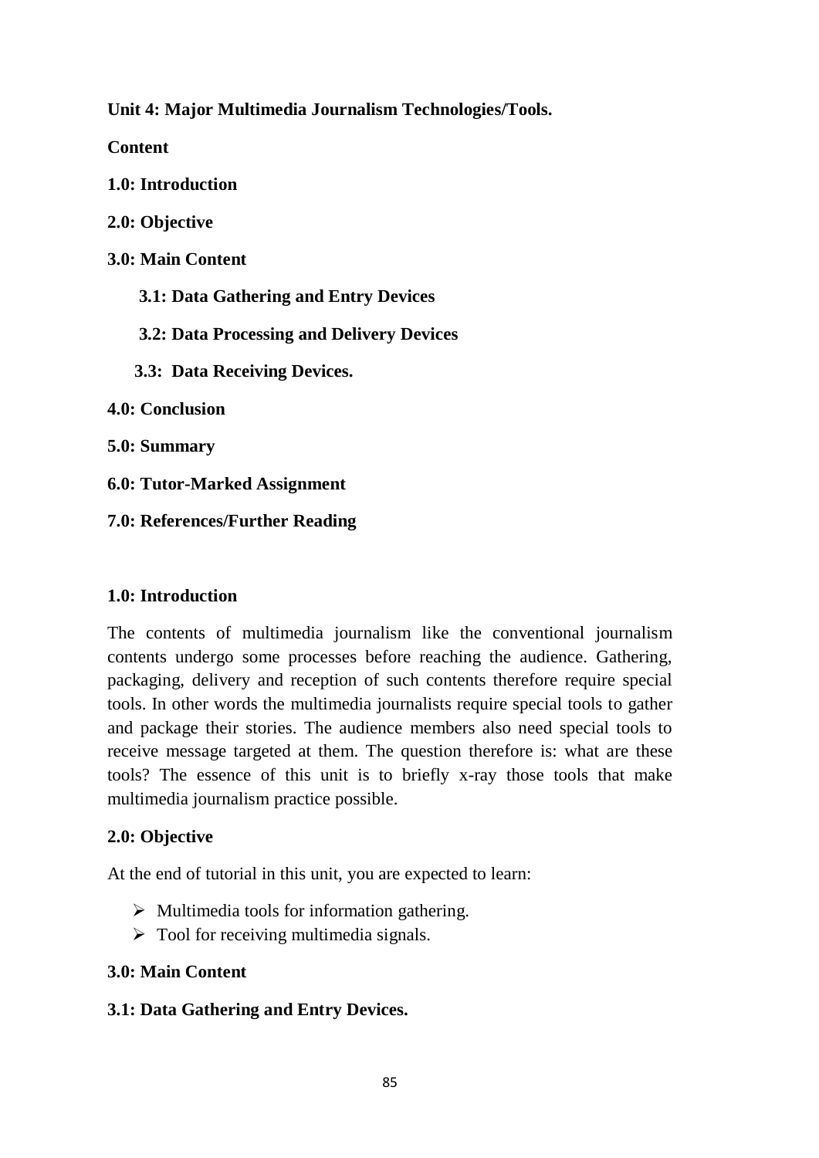**Unit 4: Major Multimedia Journalism Technologies/Tools.** 

**Content**

**1.0: Introduction**

**2.0: Objective**

**3.0: Main Content**

 **3.1: Data Gathering and Entry Devices**

 **3.2: Data Processing and Delivery Devices**

 **3.3: Data Receiving Devices.**

**4.0: Conclusion**

**5.0: Summary**

**6.0: Tutor-Marked Assignment**

**7.0: References/Further Reading**

### **1.0: Introduction**

The contents of multimedia journalism like the conventional journalism contents undergo some processes before reaching the audience. Gathering, packaging, delivery and reception of such contents therefore require special tools. In other words the multimedia journalists require special tools to gather and package their stories. The audience members also need special tools to receive message targeted at them. The question therefore is: what are these tools? The essence of this unit is to briefly x-ray those tools that make multimedia journalism practice possible.

## **2.0: Objective**

At the end of tutorial in this unit, you are expected to learn:

- $\triangleright$  Multimedia tools for information gathering.
- $\triangleright$  Tool for receiving multimedia signals.

## **3.0: Main Content**

## **3.1: Data Gathering and Entry Devices.**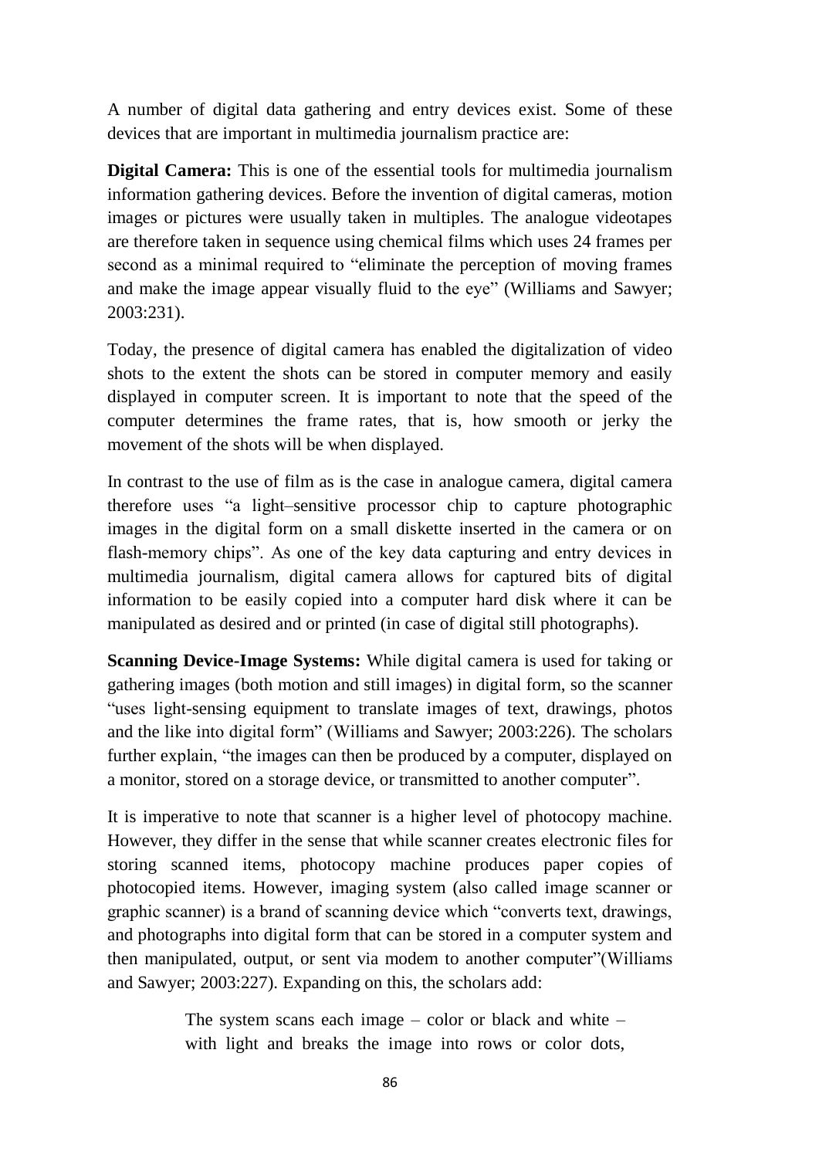A number of digital data gathering and entry devices exist. Some of these devices that are important in multimedia journalism practice are:

**Digital Camera:** This is one of the essential tools for multimedia journalism information gathering devices. Before the invention of digital cameras, motion images or pictures were usually taken in multiples. The analogue videotapes are therefore taken in sequence using chemical films which uses 24 frames per second as a minimal required to "eliminate the perception of moving frames and make the image appear visually fluid to the eye" (Williams and Sawyer; 2003:231).

Today, the presence of digital camera has enabled the digitalization of video shots to the extent the shots can be stored in computer memory and easily displayed in computer screen. It is important to note that the speed of the computer determines the frame rates, that is, how smooth or jerky the movement of the shots will be when displayed.

In contrast to the use of film as is the case in analogue camera, digital camera therefore uses "a light–sensitive processor chip to capture photographic images in the digital form on a small diskette inserted in the camera or on flash-memory chips". As one of the key data capturing and entry devices in multimedia journalism, digital camera allows for captured bits of digital information to be easily copied into a computer hard disk where it can be manipulated as desired and or printed (in case of digital still photographs).

**Scanning Device-Image Systems:** While digital camera is used for taking or gathering images (both motion and still images) in digital form, so the scanner "uses light-sensing equipment to translate images of text, drawings, photos and the like into digital form" (Williams and Sawyer; 2003:226). The scholars further explain, "the images can then be produced by a computer, displayed on a monitor, stored on a storage device, or transmitted to another computer".

It is imperative to note that scanner is a higher level of photocopy machine. However, they differ in the sense that while scanner creates electronic files for storing scanned items, photocopy machine produces paper copies of photocopied items. However, imaging system (also called image scanner or graphic scanner) is a brand of scanning device which "converts text, drawings, and photographs into digital form that can be stored in a computer system and then manipulated, output, or sent via modem to another computer"(Williams and Sawyer; 2003:227). Expanding on this, the scholars add:

> The system scans each image  $-$  color or black and white  $$ with light and breaks the image into rows or color dots,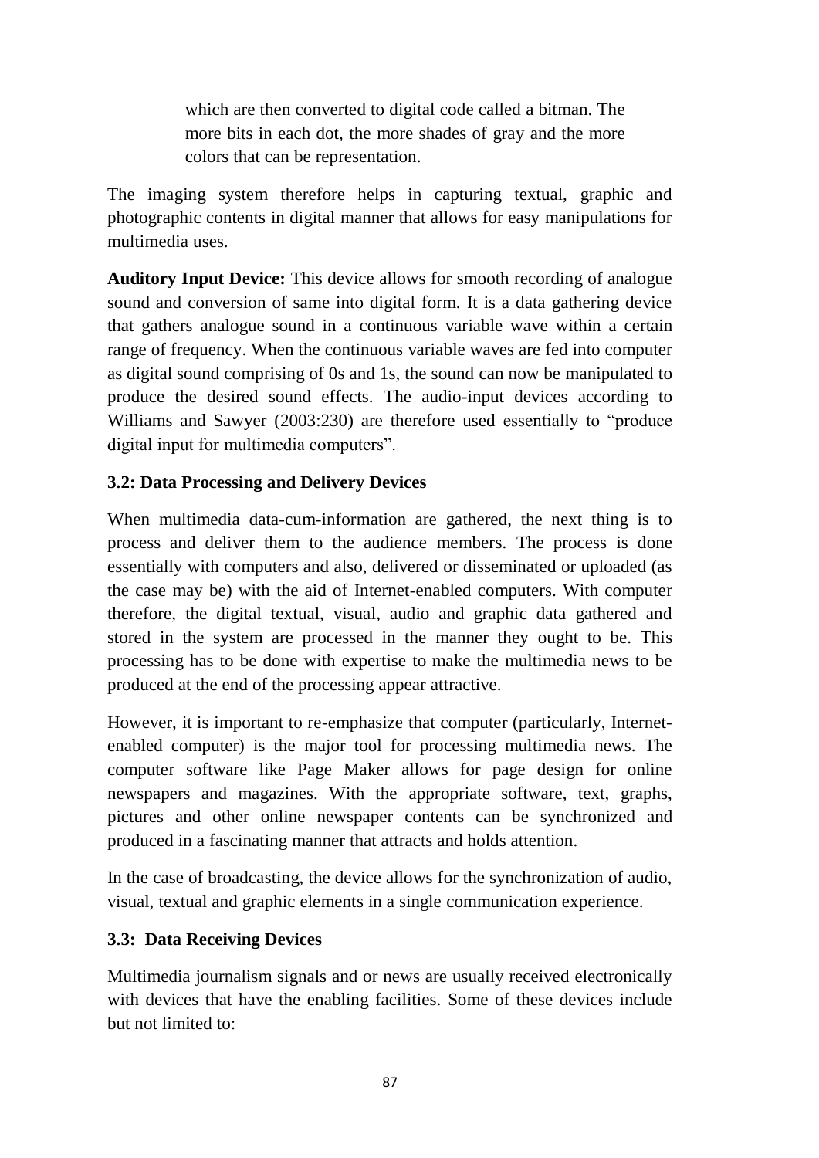which are then converted to digital code called a bitman. The more bits in each dot, the more shades of gray and the more colors that can be representation.

The imaging system therefore helps in capturing textual, graphic and photographic contents in digital manner that allows for easy manipulations for multimedia uses.

**Auditory Input Device:** This device allows for smooth recording of analogue sound and conversion of same into digital form. It is a data gathering device that gathers analogue sound in a continuous variable wave within a certain range of frequency. When the continuous variable waves are fed into computer as digital sound comprising of 0s and 1s, the sound can now be manipulated to produce the desired sound effects. The audio-input devices according to Williams and Sawyer (2003:230) are therefore used essentially to "produce digital input for multimedia computers".

## **3.2: Data Processing and Delivery Devices**

When multimedia data-cum-information are gathered, the next thing is to process and deliver them to the audience members. The process is done essentially with computers and also, delivered or disseminated or uploaded (as the case may be) with the aid of Internet-enabled computers. With computer therefore, the digital textual, visual, audio and graphic data gathered and stored in the system are processed in the manner they ought to be. This processing has to be done with expertise to make the multimedia news to be produced at the end of the processing appear attractive.

However, it is important to re-emphasize that computer (particularly, Internetenabled computer) is the major tool for processing multimedia news. The computer software like Page Maker allows for page design for online newspapers and magazines. With the appropriate software, text, graphs, pictures and other online newspaper contents can be synchronized and produced in a fascinating manner that attracts and holds attention.

In the case of broadcasting, the device allows for the synchronization of audio, visual, textual and graphic elements in a single communication experience.

### **3.3: Data Receiving Devices**

Multimedia journalism signals and or news are usually received electronically with devices that have the enabling facilities. Some of these devices include but not limited to: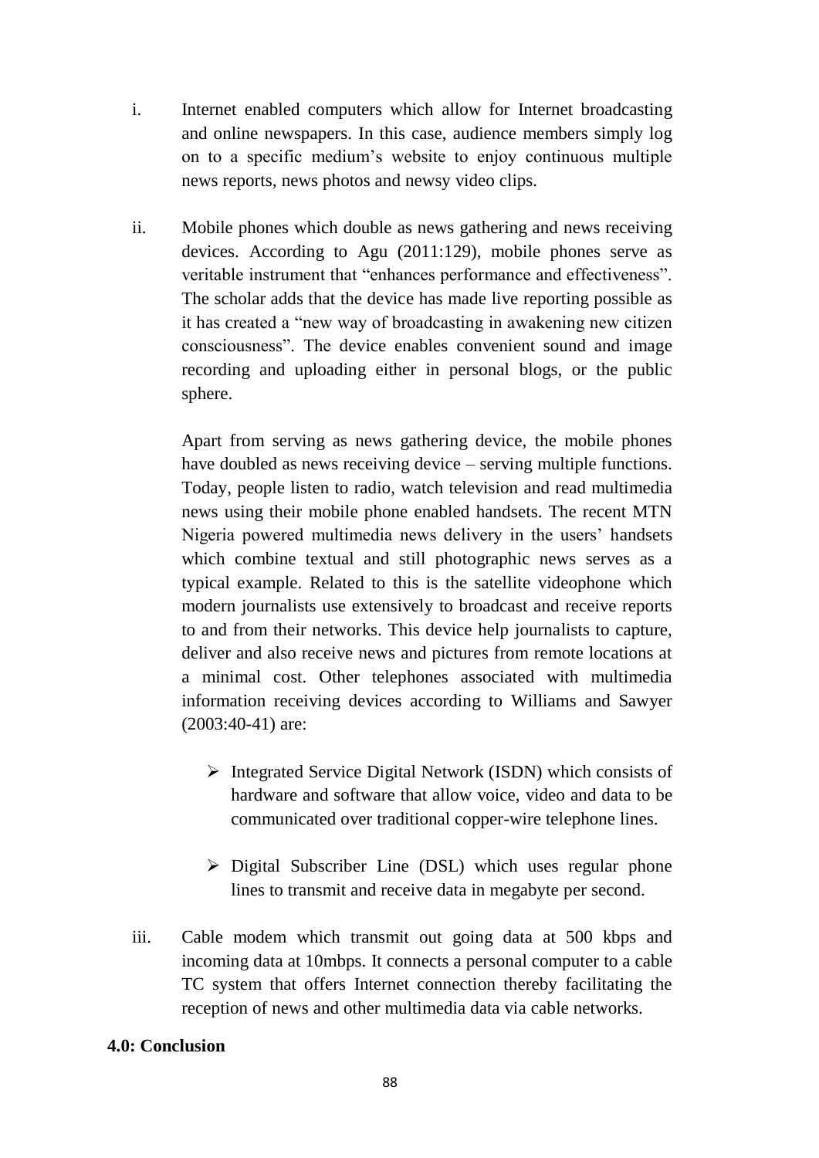- i. Internet enabled computers which allow for Internet broadcasting and online newspapers. In this case, audience members simply log on to a specific medium's website to enjoy continuous multiple news reports, news photos and newsy video clips.
- ii. Mobile phones which double as news gathering and news receiving devices. According to Agu (2011:129), mobile phones serve as veritable instrument that "enhances performance and effectiveness". The scholar adds that the device has made live reporting possible as it has created a "new way of broadcasting in awakening new citizen consciousness". The device enables convenient sound and image recording and uploading either in personal blogs, or the public sphere.

Apart from serving as news gathering device, the mobile phones have doubled as news receiving device – serving multiple functions. Today, people listen to radio, watch television and read multimedia news using their mobile phone enabled handsets. The recent MTN Nigeria powered multimedia news delivery in the users' handsets which combine textual and still photographic news serves as a typical example. Related to this is the satellite videophone which modern journalists use extensively to broadcast and receive reports to and from their networks. This device help journalists to capture, deliver and also receive news and pictures from remote locations at a minimal cost. Other telephones associated with multimedia information receiving devices according to Williams and Sawyer (2003:40-41) are:

- $\triangleright$  Integrated Service Digital Network (ISDN) which consists of hardware and software that allow voice, video and data to be communicated over traditional copper-wire telephone lines.
- $\triangleright$  Digital Subscriber Line (DSL) which uses regular phone lines to transmit and receive data in megabyte per second.
- iii. Cable modem which transmit out going data at 500 kbps and incoming data at 10mbps. It connects a personal computer to a cable TC system that offers Internet connection thereby facilitating the reception of news and other multimedia data via cable networks.

### **4.0: Conclusion**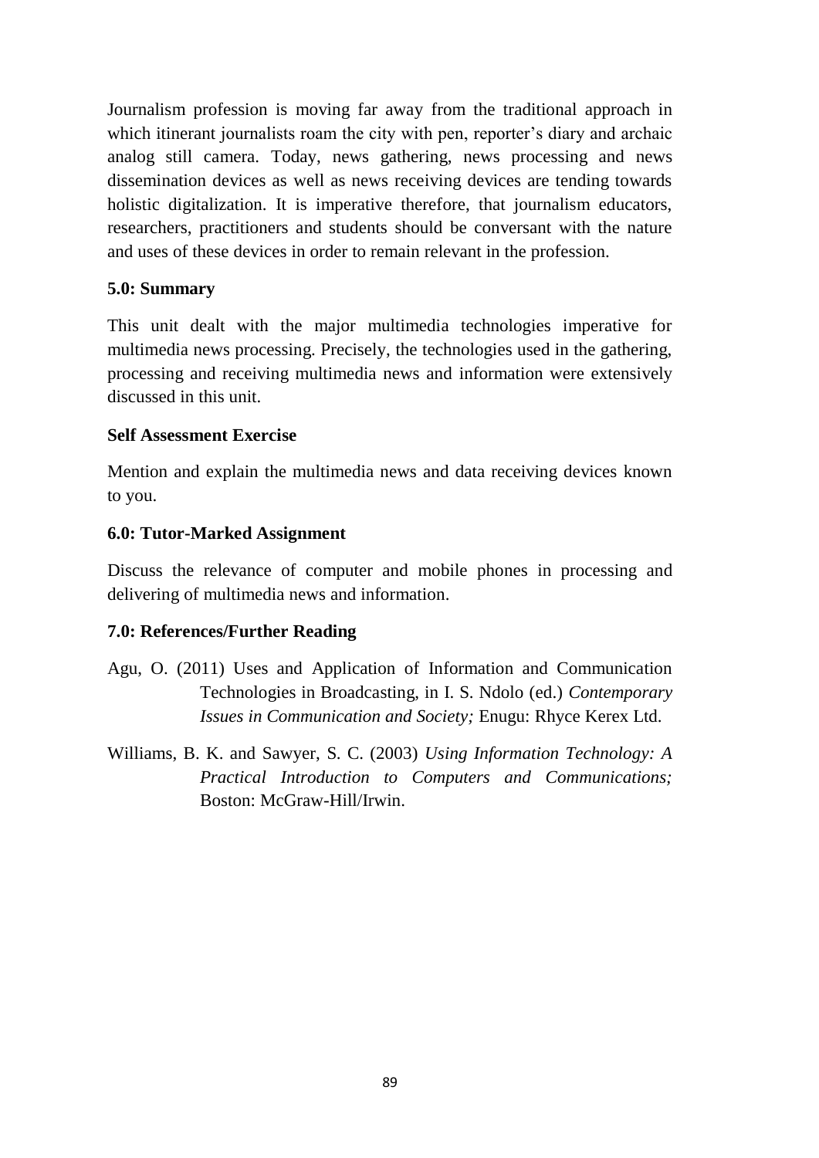Journalism profession is moving far away from the traditional approach in which itinerant journalists roam the city with pen, reporter's diary and archaic analog still camera. Today, news gathering, news processing and news dissemination devices as well as news receiving devices are tending towards holistic digitalization. It is imperative therefore, that journalism educators, researchers, practitioners and students should be conversant with the nature and uses of these devices in order to remain relevant in the profession.

### **5.0: Summary**

This unit dealt with the major multimedia technologies imperative for multimedia news processing. Precisely, the technologies used in the gathering, processing and receiving multimedia news and information were extensively discussed in this unit.

### **Self Assessment Exercise**

Mention and explain the multimedia news and data receiving devices known to you.

### **6.0: Tutor-Marked Assignment**

Discuss the relevance of computer and mobile phones in processing and delivering of multimedia news and information.

### **7.0: References/Further Reading**

- Agu, O. (2011) Uses and Application of Information and Communication Technologies in Broadcasting, in I. S. Ndolo (ed.) *Contemporary Issues in Communication and Society;* Enugu: Rhyce Kerex Ltd.
- Williams, B. K. and Sawyer, S. C. (2003) *Using Information Technology: A Practical Introduction to Computers and Communications;*  Boston: McGraw-Hill/Irwin.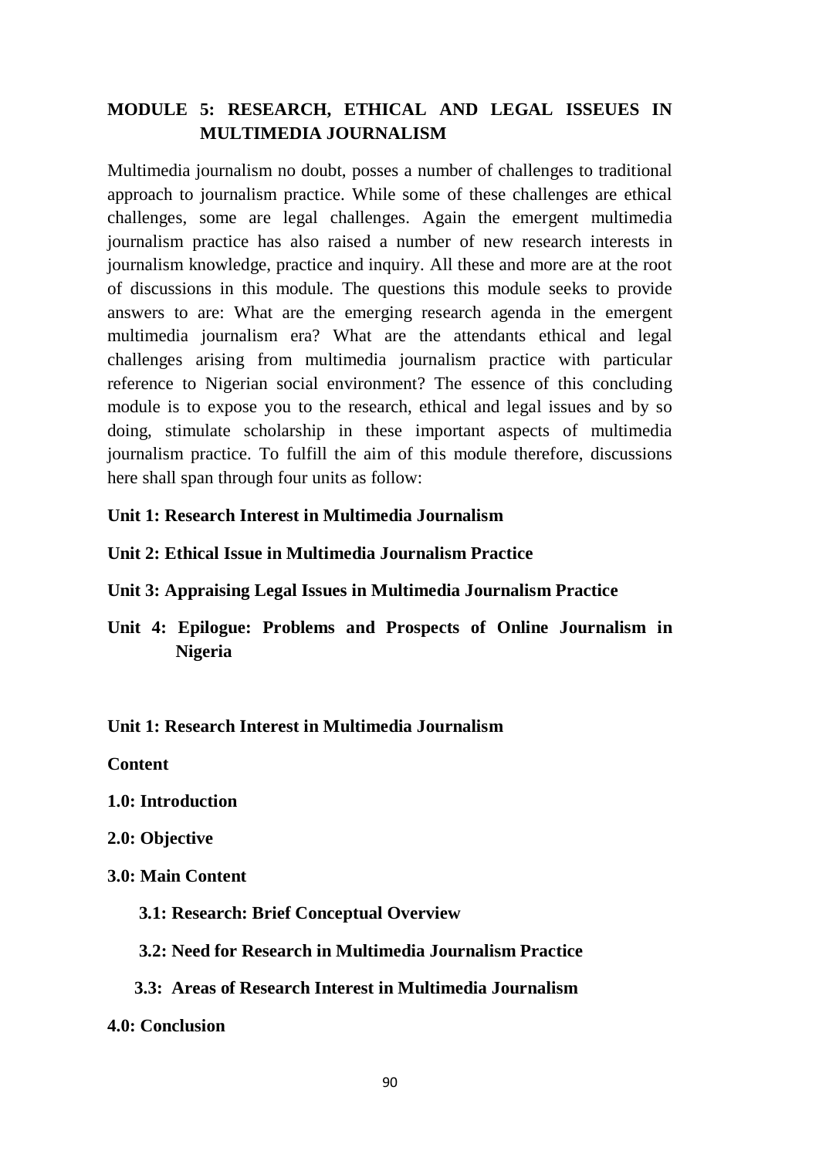## **MODULE 5: RESEARCH, ETHICAL AND LEGAL ISSEUES IN MULTIMEDIA JOURNALISM**

Multimedia journalism no doubt, posses a number of challenges to traditional approach to journalism practice. While some of these challenges are ethical challenges, some are legal challenges. Again the emergent multimedia journalism practice has also raised a number of new research interests in journalism knowledge, practice and inquiry. All these and more are at the root of discussions in this module. The questions this module seeks to provide answers to are: What are the emerging research agenda in the emergent multimedia journalism era? What are the attendants ethical and legal challenges arising from multimedia journalism practice with particular reference to Nigerian social environment? The essence of this concluding module is to expose you to the research, ethical and legal issues and by so doing, stimulate scholarship in these important aspects of multimedia journalism practice. To fulfill the aim of this module therefore, discussions here shall span through four units as follow:

### **Unit 1: Research Interest in Multimedia Journalism**

### **Unit 2: Ethical Issue in Multimedia Journalism Practice**

- **Unit 3: Appraising Legal Issues in Multimedia Journalism Practice**
- **Unit 4: Epilogue: Problems and Prospects of Online Journalism in Nigeria**

#### **Unit 1: Research Interest in Multimedia Journalism**

**Content**

**1.0: Introduction**

#### **2.0: Objective**

- **3.0: Main Content**
	- **3.1: Research: Brief Conceptual Overview**
	- **3.2: Need for Research in Multimedia Journalism Practice**

#### **3.3: Areas of Research Interest in Multimedia Journalism**

#### **4.0: Conclusion**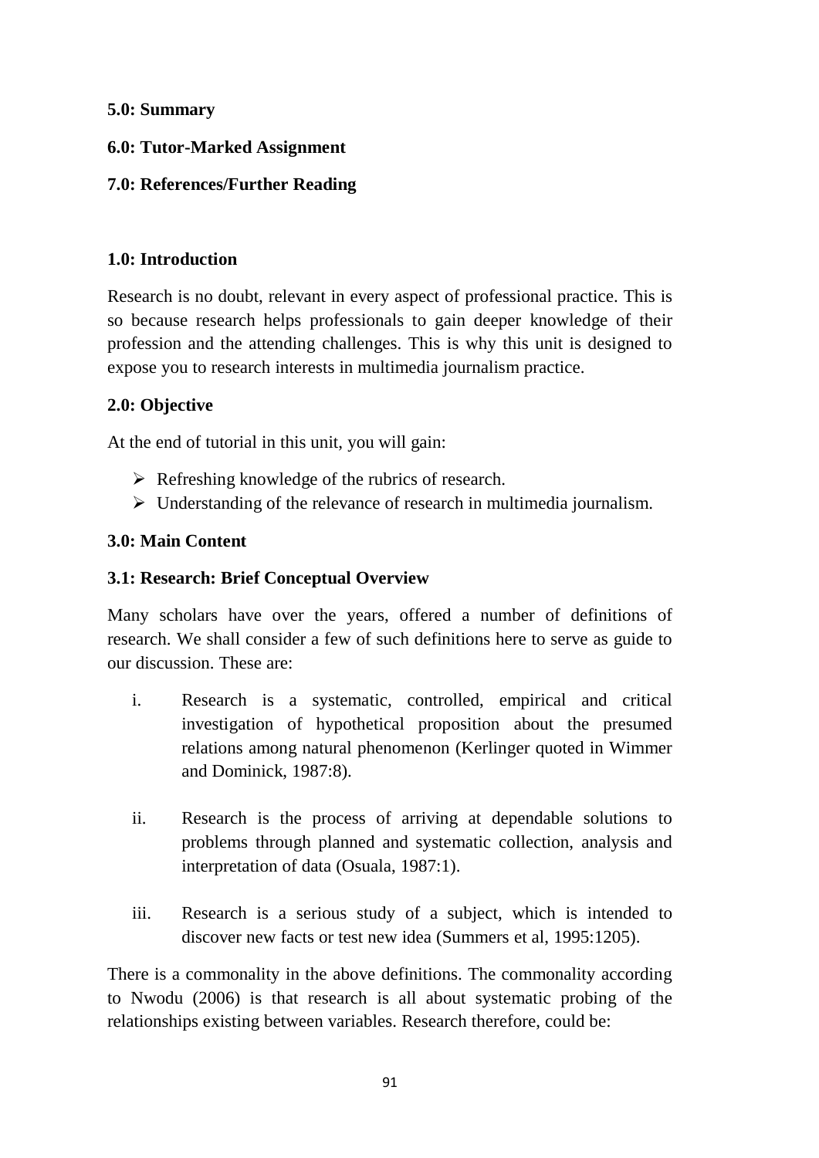### **5.0: Summary**

## **6.0: Tutor-Marked Assignment**

## **7.0: References/Further Reading**

## **1.0: Introduction**

Research is no doubt, relevant in every aspect of professional practice. This is so because research helps professionals to gain deeper knowledge of their profession and the attending challenges. This is why this unit is designed to expose you to research interests in multimedia journalism practice.

## **2.0: Objective**

At the end of tutorial in this unit, you will gain:

- $\triangleright$  Refreshing knowledge of the rubrics of research.
- $\triangleright$  Understanding of the relevance of research in multimedia journalism.

## **3.0: Main Content**

## **3.1: Research: Brief Conceptual Overview**

Many scholars have over the years, offered a number of definitions of research. We shall consider a few of such definitions here to serve as guide to our discussion. These are:

- i. Research is a systematic, controlled, empirical and critical investigation of hypothetical proposition about the presumed relations among natural phenomenon (Kerlinger quoted in Wimmer and Dominick, 1987:8).
- ii. Research is the process of arriving at dependable solutions to problems through planned and systematic collection, analysis and interpretation of data (Osuala, 1987:1).
- iii. Research is a serious study of a subject, which is intended to discover new facts or test new idea (Summers et al, 1995:1205).

There is a commonality in the above definitions. The commonality according to Nwodu (2006) is that research is all about systematic probing of the relationships existing between variables. Research therefore, could be: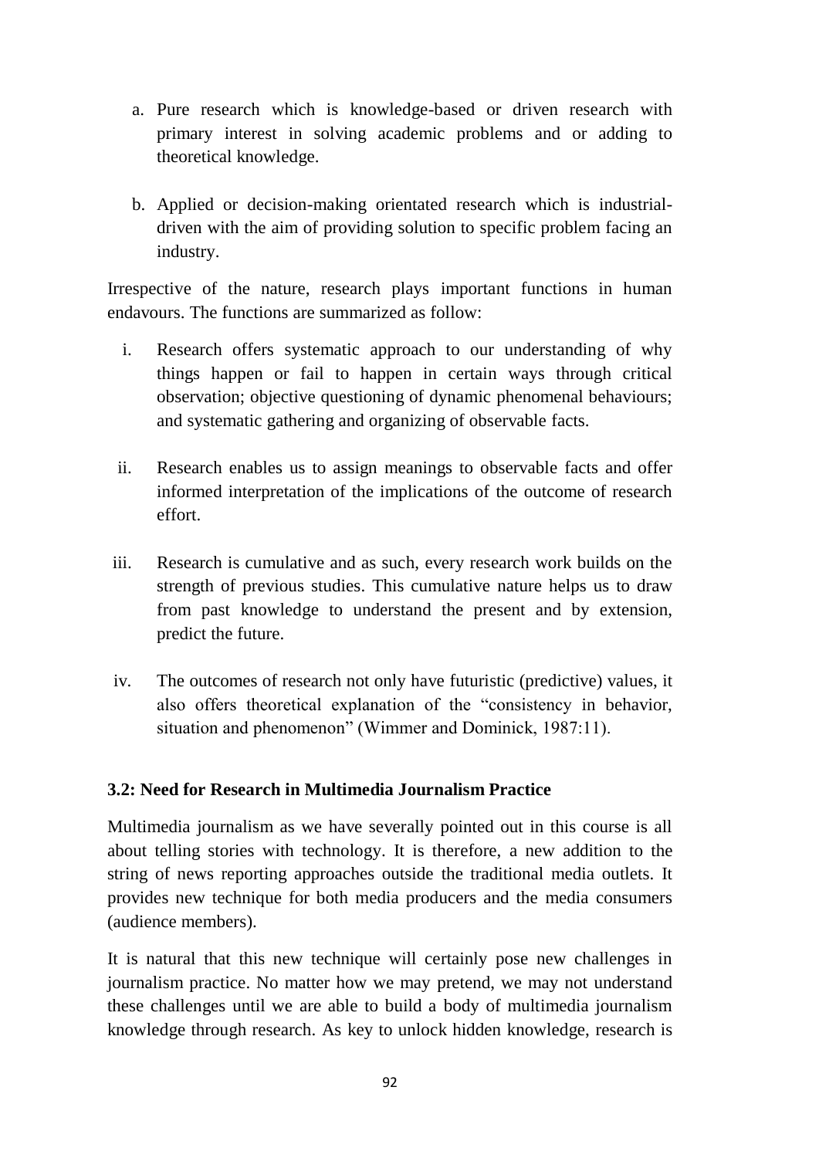- a. Pure research which is knowledge-based or driven research with primary interest in solving academic problems and or adding to theoretical knowledge.
- b. Applied or decision-making orientated research which is industrialdriven with the aim of providing solution to specific problem facing an industry.

Irrespective of the nature, research plays important functions in human endavours. The functions are summarized as follow:

- i. Research offers systematic approach to our understanding of why things happen or fail to happen in certain ways through critical observation; objective questioning of dynamic phenomenal behaviours; and systematic gathering and organizing of observable facts.
- ii. Research enables us to assign meanings to observable facts and offer informed interpretation of the implications of the outcome of research effort.
- iii. Research is cumulative and as such, every research work builds on the strength of previous studies. This cumulative nature helps us to draw from past knowledge to understand the present and by extension, predict the future.
- iv. The outcomes of research not only have futuristic (predictive) values, it also offers theoretical explanation of the "consistency in behavior, situation and phenomenon" (Wimmer and Dominick, 1987:11).

### **3.2: Need for Research in Multimedia Journalism Practice**

Multimedia journalism as we have severally pointed out in this course is all about telling stories with technology. It is therefore, a new addition to the string of news reporting approaches outside the traditional media outlets. It provides new technique for both media producers and the media consumers (audience members).

It is natural that this new technique will certainly pose new challenges in journalism practice. No matter how we may pretend, we may not understand these challenges until we are able to build a body of multimedia journalism knowledge through research. As key to unlock hidden knowledge, research is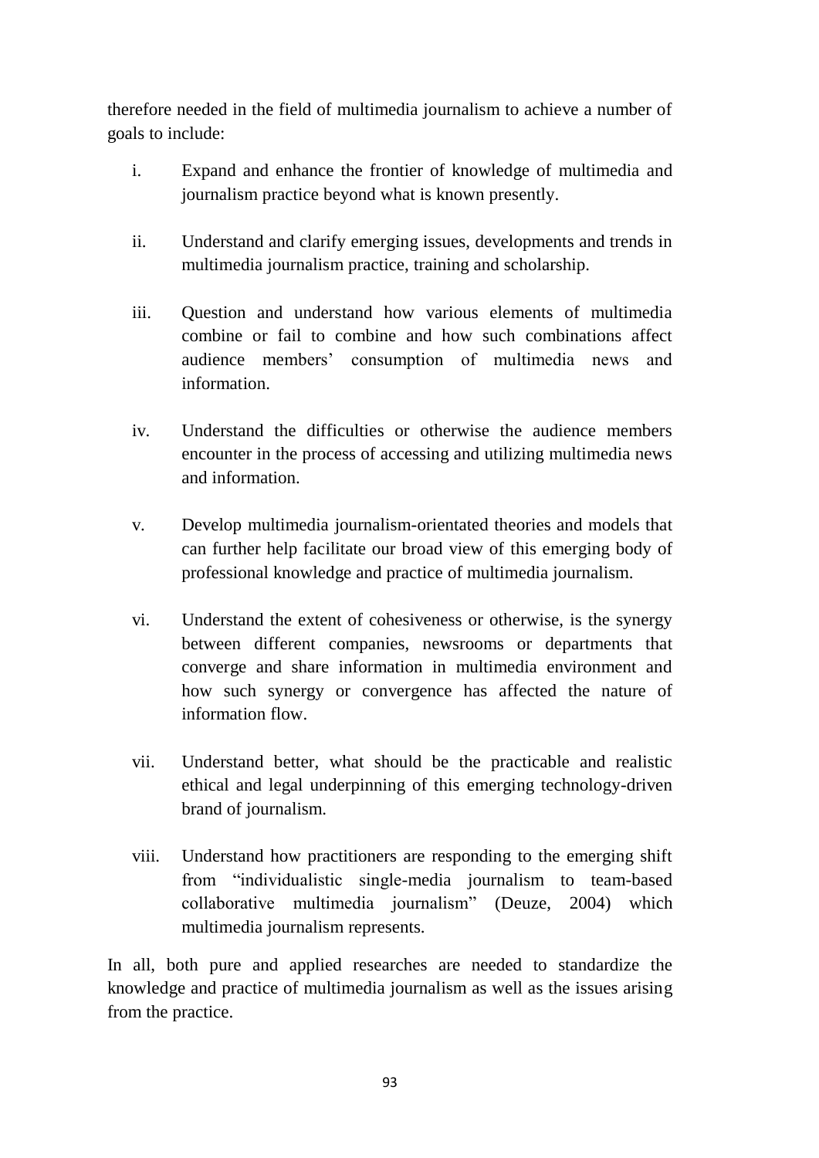therefore needed in the field of multimedia journalism to achieve a number of goals to include:

- i. Expand and enhance the frontier of knowledge of multimedia and journalism practice beyond what is known presently.
- ii. Understand and clarify emerging issues, developments and trends in multimedia journalism practice, training and scholarship.
- iii. Question and understand how various elements of multimedia combine or fail to combine and how such combinations affect audience members' consumption of multimedia news and information.
- iv. Understand the difficulties or otherwise the audience members encounter in the process of accessing and utilizing multimedia news and information.
- v. Develop multimedia journalism-orientated theories and models that can further help facilitate our broad view of this emerging body of professional knowledge and practice of multimedia journalism.
- vi. Understand the extent of cohesiveness or otherwise, is the synergy between different companies, newsrooms or departments that converge and share information in multimedia environment and how such synergy or convergence has affected the nature of information flow.
- vii. Understand better, what should be the practicable and realistic ethical and legal underpinning of this emerging technology-driven brand of journalism.
- viii. Understand how practitioners are responding to the emerging shift from "individualistic single-media journalism to team-based collaborative multimedia journalism" (Deuze, 2004) which multimedia journalism represents.

In all, both pure and applied researches are needed to standardize the knowledge and practice of multimedia journalism as well as the issues arising from the practice.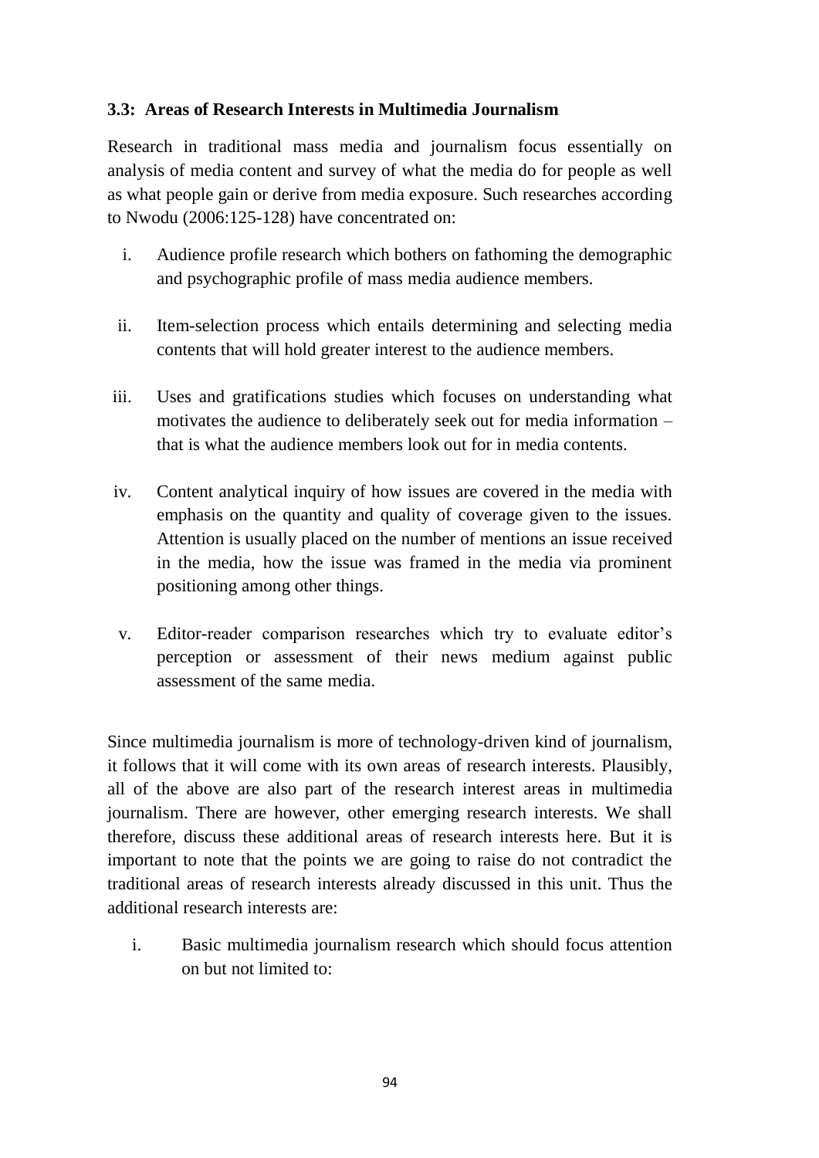### **3.3: Areas of Research Interests in Multimedia Journalism**

Research in traditional mass media and journalism focus essentially on analysis of media content and survey of what the media do for people as well as what people gain or derive from media exposure. Such researches according to Nwodu (2006:125-128) have concentrated on:

- i. Audience profile research which bothers on fathoming the demographic and psychographic profile of mass media audience members.
- ii. Item-selection process which entails determining and selecting media contents that will hold greater interest to the audience members.
- iii. Uses and gratifications studies which focuses on understanding what motivates the audience to deliberately seek out for media information – that is what the audience members look out for in media contents.
- iv. Content analytical inquiry of how issues are covered in the media with emphasis on the quantity and quality of coverage given to the issues. Attention is usually placed on the number of mentions an issue received in the media, how the issue was framed in the media via prominent positioning among other things.
- v. Editor-reader comparison researches which try to evaluate editor's perception or assessment of their news medium against public assessment of the same media.

Since multimedia journalism is more of technology-driven kind of journalism, it follows that it will come with its own areas of research interests. Plausibly, all of the above are also part of the research interest areas in multimedia journalism. There are however, other emerging research interests. We shall therefore, discuss these additional areas of research interests here. But it is important to note that the points we are going to raise do not contradict the traditional areas of research interests already discussed in this unit. Thus the additional research interests are:

i. Basic multimedia journalism research which should focus attention on but not limited to: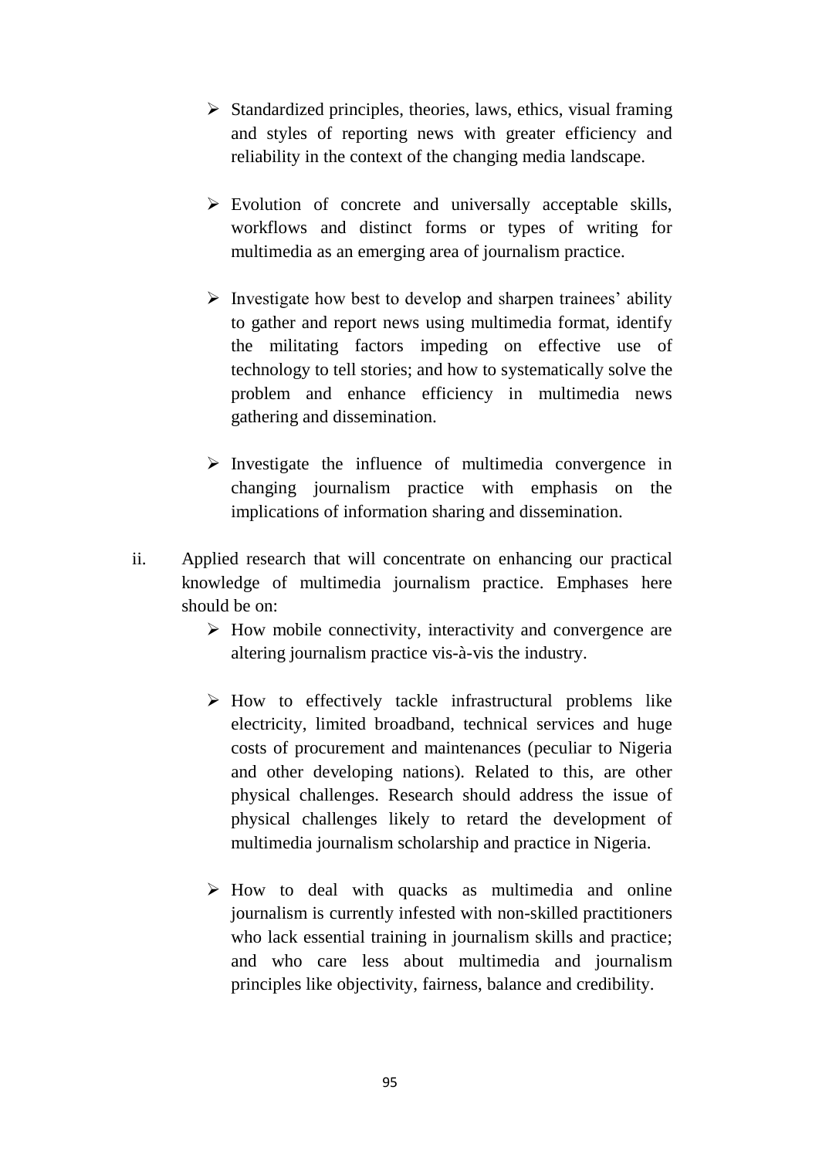- $\triangleright$  Standardized principles, theories, laws, ethics, visual framing and styles of reporting news with greater efficiency and reliability in the context of the changing media landscape.
- $\triangleright$  Evolution of concrete and universally acceptable skills, workflows and distinct forms or types of writing for multimedia as an emerging area of journalism practice.
- $\triangleright$  Investigate how best to develop and sharpen trainees' ability to gather and report news using multimedia format, identify the militating factors impeding on effective use of technology to tell stories; and how to systematically solve the problem and enhance efficiency in multimedia news gathering and dissemination.
- $\triangleright$  Investigate the influence of multimedia convergence in changing journalism practice with emphasis on the implications of information sharing and dissemination.
- ii. Applied research that will concentrate on enhancing our practical knowledge of multimedia journalism practice. Emphases here should be on:
	- $\triangleright$  How mobile connectivity, interactivity and convergence are altering journalism practice vis-à-vis the industry.
	- $\triangleright$  How to effectively tackle infrastructural problems like electricity, limited broadband, technical services and huge costs of procurement and maintenances (peculiar to Nigeria and other developing nations). Related to this, are other physical challenges. Research should address the issue of physical challenges likely to retard the development of multimedia journalism scholarship and practice in Nigeria.
	- $\triangleright$  How to deal with quacks as multimedia and online journalism is currently infested with non-skilled practitioners who lack essential training in journalism skills and practice; and who care less about multimedia and journalism principles like objectivity, fairness, balance and credibility.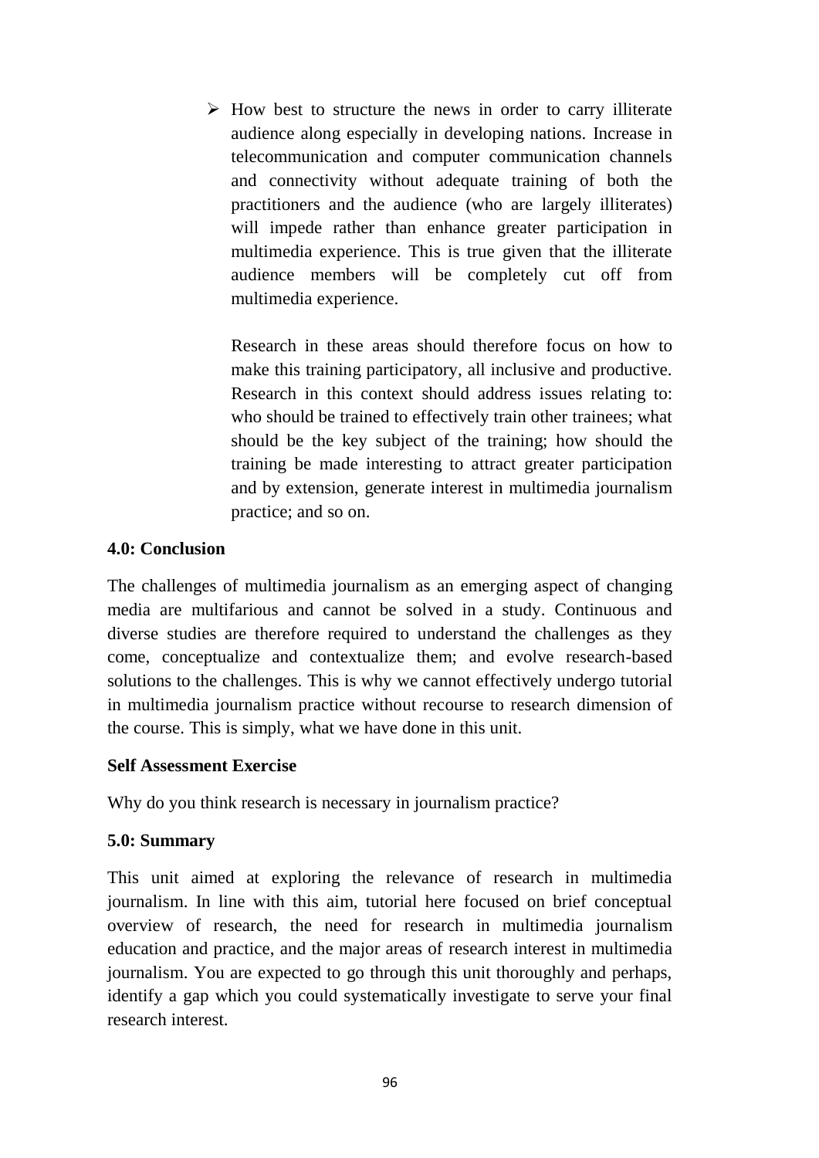$\triangleright$  How best to structure the news in order to carry illiterate audience along especially in developing nations. Increase in telecommunication and computer communication channels and connectivity without adequate training of both the practitioners and the audience (who are largely illiterates) will impede rather than enhance greater participation in multimedia experience. This is true given that the illiterate audience members will be completely cut off from multimedia experience.

Research in these areas should therefore focus on how to make this training participatory, all inclusive and productive. Research in this context should address issues relating to: who should be trained to effectively train other trainees; what should be the key subject of the training; how should the training be made interesting to attract greater participation and by extension, generate interest in multimedia journalism practice; and so on.

### **4.0: Conclusion**

The challenges of multimedia journalism as an emerging aspect of changing media are multifarious and cannot be solved in a study. Continuous and diverse studies are therefore required to understand the challenges as they come, conceptualize and contextualize them; and evolve research-based solutions to the challenges. This is why we cannot effectively undergo tutorial in multimedia journalism practice without recourse to research dimension of the course. This is simply, what we have done in this unit.

### **Self Assessment Exercise**

Why do you think research is necessary in journalism practice?

### **5.0: Summary**

This unit aimed at exploring the relevance of research in multimedia journalism. In line with this aim, tutorial here focused on brief conceptual overview of research, the need for research in multimedia journalism education and practice, and the major areas of research interest in multimedia journalism. You are expected to go through this unit thoroughly and perhaps, identify a gap which you could systematically investigate to serve your final research interest.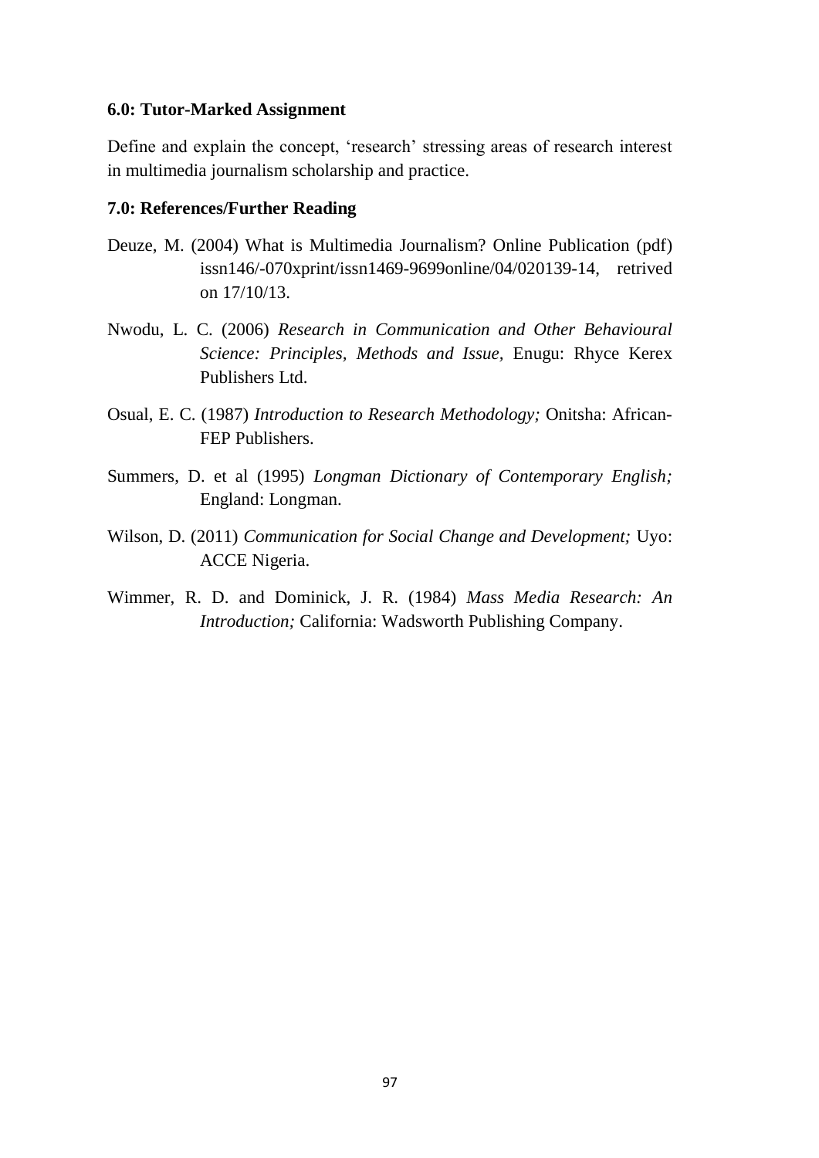#### **6.0: Tutor-Marked Assignment**

Define and explain the concept, 'research' stressing areas of research interest in multimedia journalism scholarship and practice.

#### **7.0: References/Further Reading**

- Deuze, M. (2004) What is Multimedia Journalism? Online Publication (pdf) issn146/-070xprint/issn1469-9699online/04/020139-14, retrived on 17/10/13.
- Nwodu, L. C. (2006) *Research in Communication and Other Behavioural Science: Principles, Methods and Issue,* Enugu: Rhyce Kerex Publishers Ltd.
- Osual, E. C. (1987) *Introduction to Research Methodology;* Onitsha: African-FEP Publishers.
- Summers, D. et al (1995) *Longman Dictionary of Contemporary English;*  England: Longman.
- Wilson, D. (2011) *Communication for Social Change and Development;* Uyo: ACCE Nigeria.
- Wimmer, R. D. and Dominick, J. R. (1984) *Mass Media Research: An Introduction;* California: Wadsworth Publishing Company.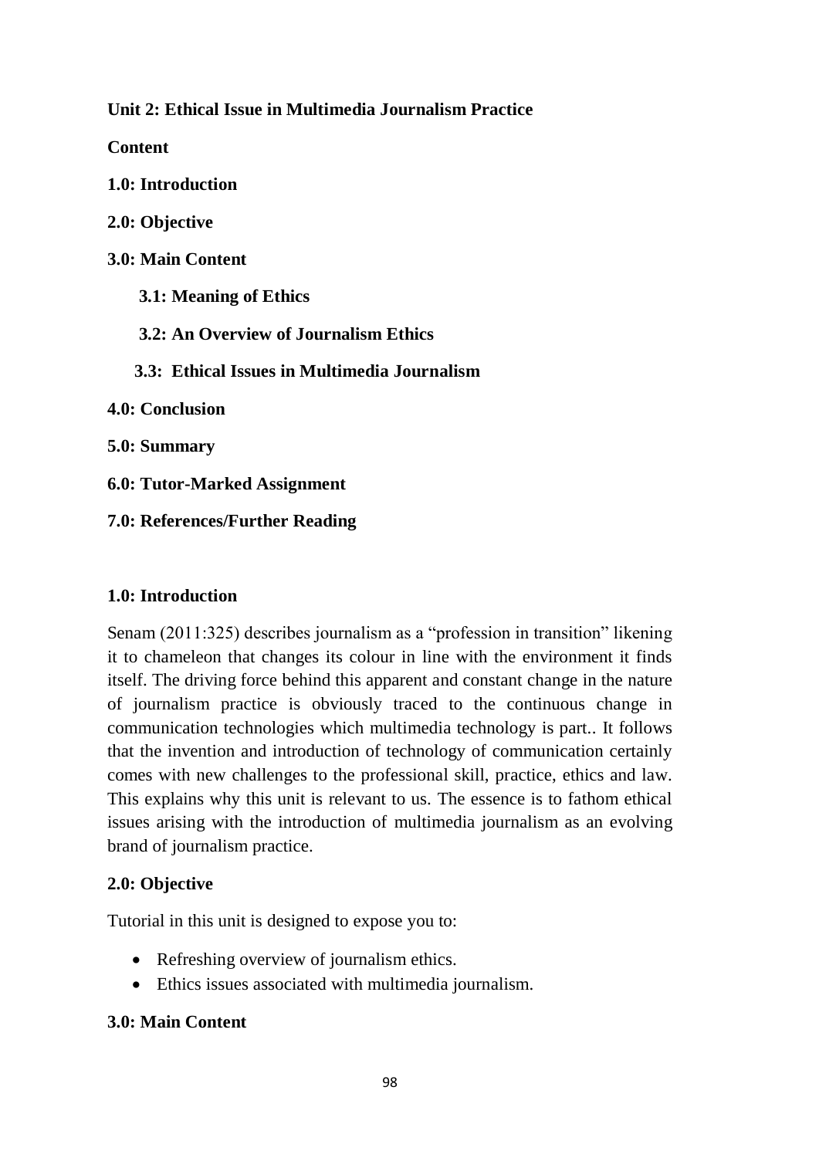**Unit 2: Ethical Issue in Multimedia Journalism Practice**

**Content**

**1.0: Introduction**

**2.0: Objective**

**3.0: Main Content**

 **3.1: Meaning of Ethics**

 **3.2: An Overview of Journalism Ethics**

 **3.3: Ethical Issues in Multimedia Journalism**

**4.0: Conclusion**

**5.0: Summary**

**6.0: Tutor-Marked Assignment**

**7.0: References/Further Reading**

### **1.0: Introduction**

Senam (2011:325) describes journalism as a "profession in transition" likening it to chameleon that changes its colour in line with the environment it finds itself. The driving force behind this apparent and constant change in the nature of journalism practice is obviously traced to the continuous change in communication technologies which multimedia technology is part.. It follows that the invention and introduction of technology of communication certainly comes with new challenges to the professional skill, practice, ethics and law. This explains why this unit is relevant to us. The essence is to fathom ethical issues arising with the introduction of multimedia journalism as an evolving brand of journalism practice.

## **2.0: Objective**

Tutorial in this unit is designed to expose you to:

- Refreshing overview of journalism ethics.
- Ethics issues associated with multimedia journalism.

## **3.0: Main Content**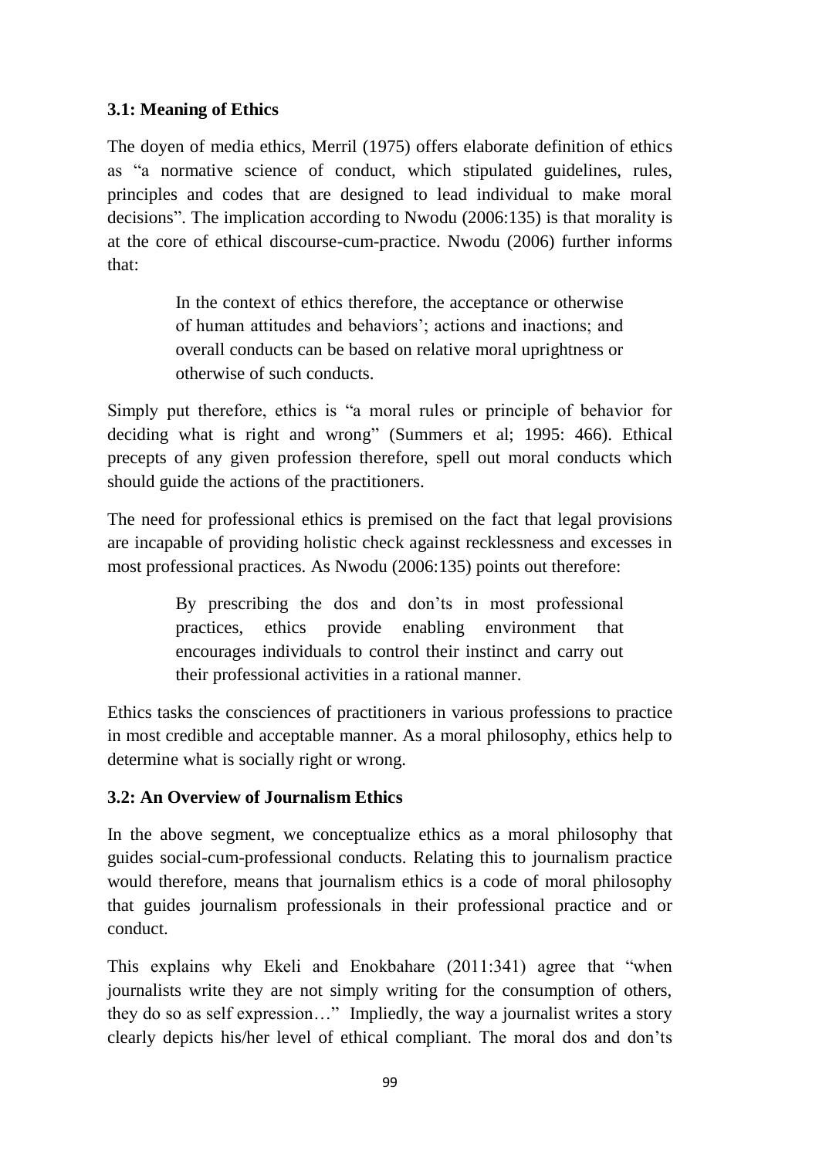## **3.1: Meaning of Ethics**

The doyen of media ethics, Merril (1975) offers elaborate definition of ethics as "a normative science of conduct, which stipulated guidelines, rules, principles and codes that are designed to lead individual to make moral decisions". The implication according to Nwodu (2006:135) is that morality is at the core of ethical discourse-cum-practice. Nwodu (2006) further informs that:

> In the context of ethics therefore, the acceptance or otherwise of human attitudes and behaviors'; actions and inactions; and overall conducts can be based on relative moral uprightness or otherwise of such conducts.

Simply put therefore, ethics is "a moral rules or principle of behavior for deciding what is right and wrong" (Summers et al; 1995: 466). Ethical precepts of any given profession therefore, spell out moral conducts which should guide the actions of the practitioners.

The need for professional ethics is premised on the fact that legal provisions are incapable of providing holistic check against recklessness and excesses in most professional practices. As Nwodu (2006:135) points out therefore:

> By prescribing the dos and don'ts in most professional practices, ethics provide enabling environment that encourages individuals to control their instinct and carry out their professional activities in a rational manner.

Ethics tasks the consciences of practitioners in various professions to practice in most credible and acceptable manner. As a moral philosophy, ethics help to determine what is socially right or wrong.

# **3.2: An Overview of Journalism Ethics**

In the above segment, we conceptualize ethics as a moral philosophy that guides social-cum-professional conducts. Relating this to journalism practice would therefore, means that journalism ethics is a code of moral philosophy that guides journalism professionals in their professional practice and or conduct.

This explains why Ekeli and Enokbahare (2011:341) agree that "when journalists write they are not simply writing for the consumption of others, they do so as self expression…" Impliedly, the way a journalist writes a story clearly depicts his/her level of ethical compliant. The moral dos and don'ts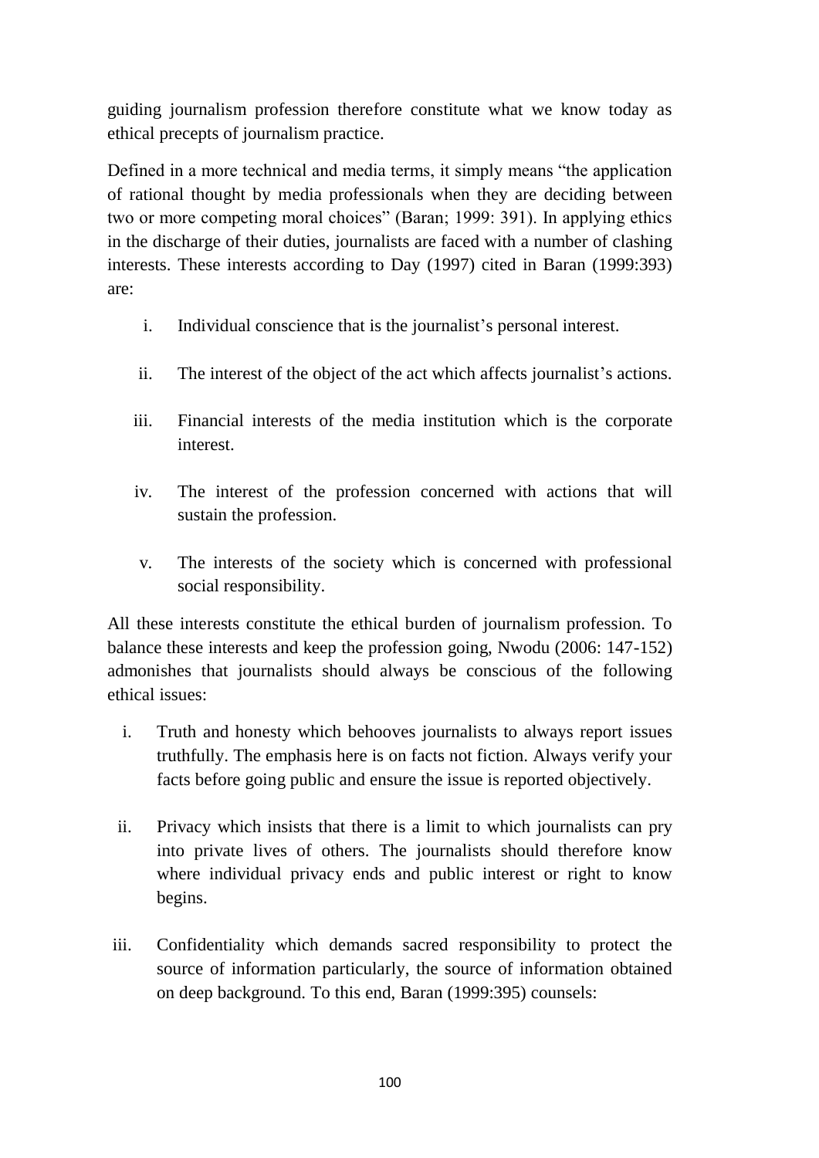guiding journalism profession therefore constitute what we know today as ethical precepts of journalism practice.

Defined in a more technical and media terms, it simply means "the application of rational thought by media professionals when they are deciding between two or more competing moral choices" (Baran; 1999: 391). In applying ethics in the discharge of their duties, journalists are faced with a number of clashing interests. These interests according to Day (1997) cited in Baran (1999:393) are:

- i. Individual conscience that is the journalist's personal interest.
- ii. The interest of the object of the act which affects journalist's actions.
- iii. Financial interests of the media institution which is the corporate interest.
- iv. The interest of the profession concerned with actions that will sustain the profession.
- v. The interests of the society which is concerned with professional social responsibility.

All these interests constitute the ethical burden of journalism profession. To balance these interests and keep the profession going, Nwodu (2006: 147-152) admonishes that journalists should always be conscious of the following ethical issues:

- i. Truth and honesty which behooves journalists to always report issues truthfully. The emphasis here is on facts not fiction. Always verify your facts before going public and ensure the issue is reported objectively.
- ii. Privacy which insists that there is a limit to which journalists can pry into private lives of others. The journalists should therefore know where individual privacy ends and public interest or right to know begins.
- iii. Confidentiality which demands sacred responsibility to protect the source of information particularly, the source of information obtained on deep background. To this end, Baran (1999:395) counsels: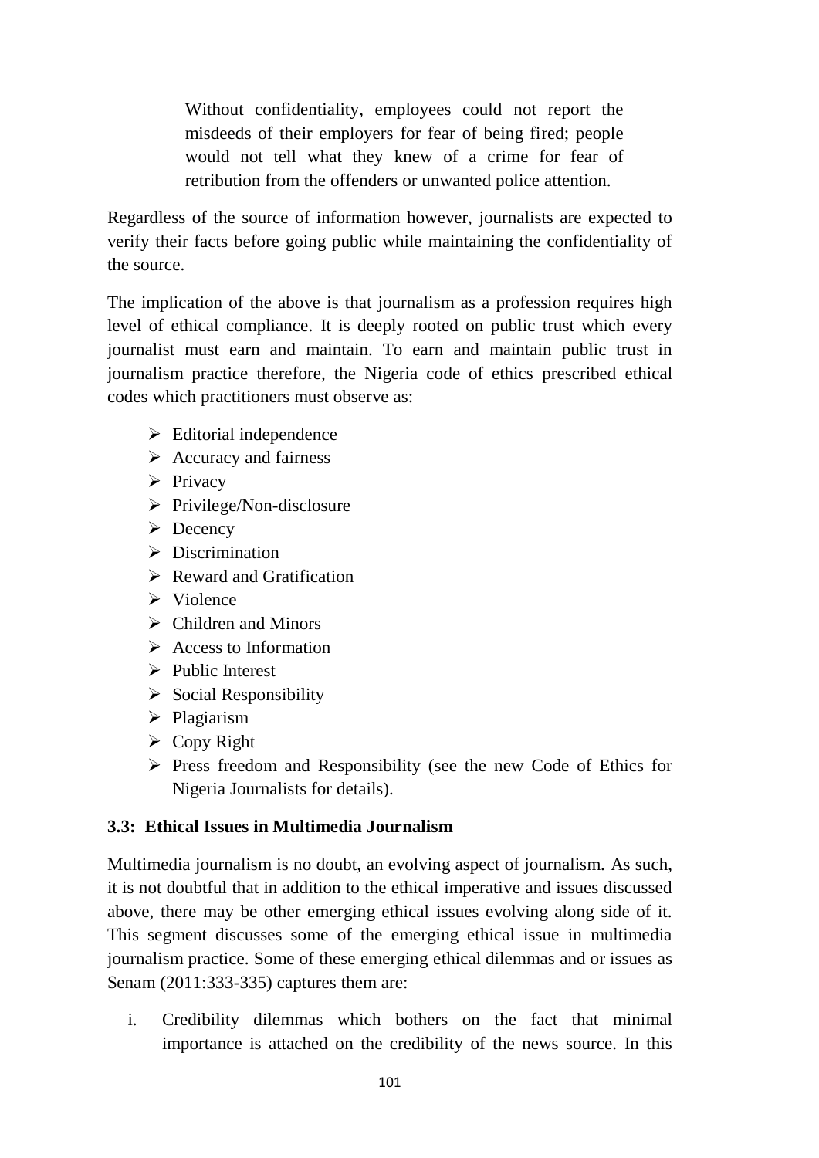Without confidentiality, employees could not report the misdeeds of their employers for fear of being fired; people would not tell what they knew of a crime for fear of retribution from the offenders or unwanted police attention.

Regardless of the source of information however, journalists are expected to verify their facts before going public while maintaining the confidentiality of the source.

The implication of the above is that journalism as a profession requires high level of ethical compliance. It is deeply rooted on public trust which every journalist must earn and maintain. To earn and maintain public trust in journalism practice therefore, the Nigeria code of ethics prescribed ethical codes which practitioners must observe as:

- $\triangleright$  Editorial independence
- $\triangleright$  Accuracy and fairness
- $\triangleright$  Privacy
- $\triangleright$  Privilege/Non-disclosure
- $\triangleright$  Decency
- $\triangleright$  Discrimination
- $\triangleright$  Reward and Gratification
- $\triangleright$  Violence
- $\triangleright$  Children and Minors
- $\triangleright$  Access to Information
- $\triangleright$  Public Interest
- $\triangleright$  Social Responsibility
- $\triangleright$  Plagiarism
- $\triangleright$  Copy Right
- $\triangleright$  Press freedom and Responsibility (see the new Code of Ethics for Nigeria Journalists for details).

## **3.3: Ethical Issues in Multimedia Journalism**

Multimedia journalism is no doubt, an evolving aspect of journalism. As such, it is not doubtful that in addition to the ethical imperative and issues discussed above, there may be other emerging ethical issues evolving along side of it. This segment discusses some of the emerging ethical issue in multimedia journalism practice. Some of these emerging ethical dilemmas and or issues as Senam (2011:333-335) captures them are:

i. Credibility dilemmas which bothers on the fact that minimal importance is attached on the credibility of the news source. In this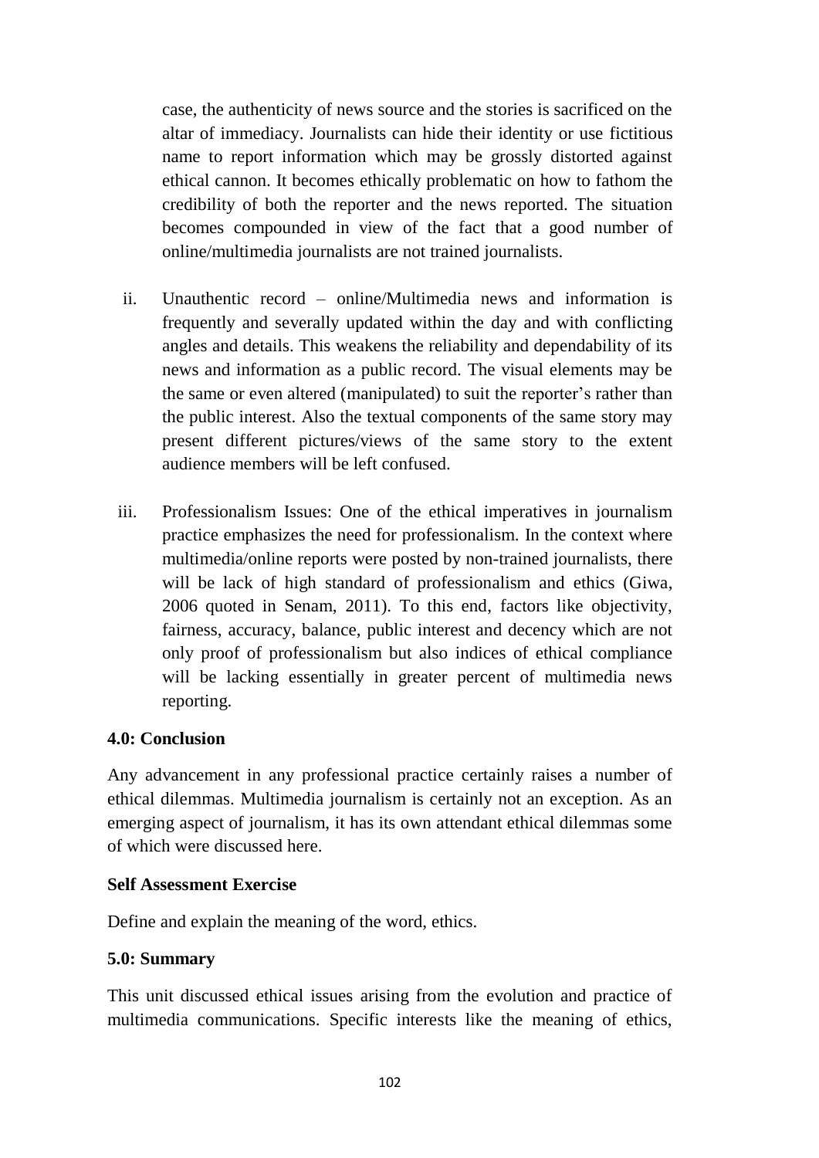case, the authenticity of news source and the stories is sacrificed on the altar of immediacy. Journalists can hide their identity or use fictitious name to report information which may be grossly distorted against ethical cannon. It becomes ethically problematic on how to fathom the credibility of both the reporter and the news reported. The situation becomes compounded in view of the fact that a good number of online/multimedia journalists are not trained journalists.

- ii. Unauthentic record online/Multimedia news and information is frequently and severally updated within the day and with conflicting angles and details. This weakens the reliability and dependability of its news and information as a public record. The visual elements may be the same or even altered (manipulated) to suit the reporter's rather than the public interest. Also the textual components of the same story may present different pictures/views of the same story to the extent audience members will be left confused.
- iii. Professionalism Issues: One of the ethical imperatives in journalism practice emphasizes the need for professionalism. In the context where multimedia/online reports were posted by non-trained journalists, there will be lack of high standard of professionalism and ethics (Giwa, 2006 quoted in Senam, 2011). To this end, factors like objectivity, fairness, accuracy, balance, public interest and decency which are not only proof of professionalism but also indices of ethical compliance will be lacking essentially in greater percent of multimedia news reporting.

### **4.0: Conclusion**

Any advancement in any professional practice certainly raises a number of ethical dilemmas. Multimedia journalism is certainly not an exception. As an emerging aspect of journalism, it has its own attendant ethical dilemmas some of which were discussed here.

### **Self Assessment Exercise**

Define and explain the meaning of the word, ethics.

### **5.0: Summary**

This unit discussed ethical issues arising from the evolution and practice of multimedia communications. Specific interests like the meaning of ethics,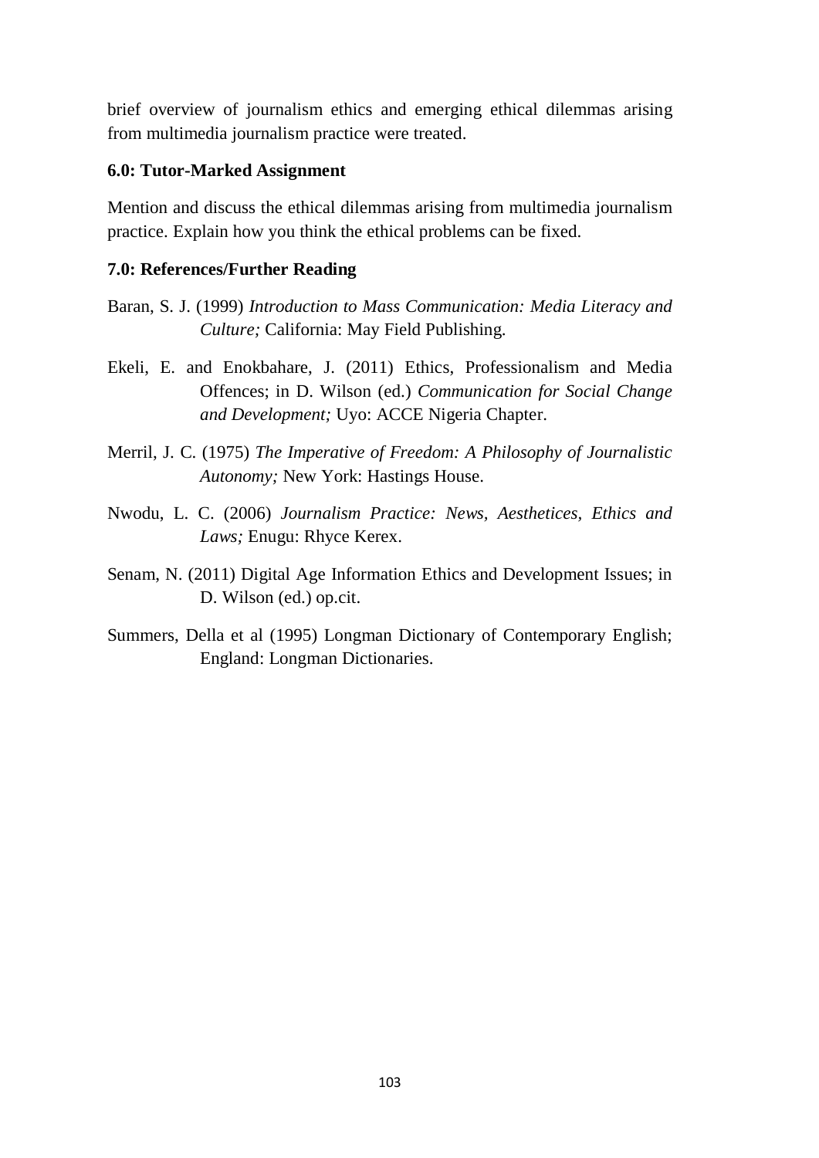brief overview of journalism ethics and emerging ethical dilemmas arising from multimedia journalism practice were treated.

### **6.0: Tutor-Marked Assignment**

Mention and discuss the ethical dilemmas arising from multimedia journalism practice. Explain how you think the ethical problems can be fixed.

## **7.0: References/Further Reading**

- Baran, S. J. (1999) *Introduction to Mass Communication: Media Literacy and Culture;* California: May Field Publishing.
- Ekeli, E. and Enokbahare, J. (2011) Ethics, Professionalism and Media Offences; in D. Wilson (ed.) *Communication for Social Change and Development;* Uyo: ACCE Nigeria Chapter.
- Merril, J. C. (1975) *The Imperative of Freedom: A Philosophy of Journalistic Autonomy;* New York: Hastings House.
- Nwodu, L. C. (2006) *Journalism Practice: News, Aesthetices, Ethics and Laws;* Enugu: Rhyce Kerex.
- Senam, N. (2011) Digital Age Information Ethics and Development Issues; in D. Wilson (ed.) op.cit.
- Summers, Della et al (1995) Longman Dictionary of Contemporary English; England: Longman Dictionaries.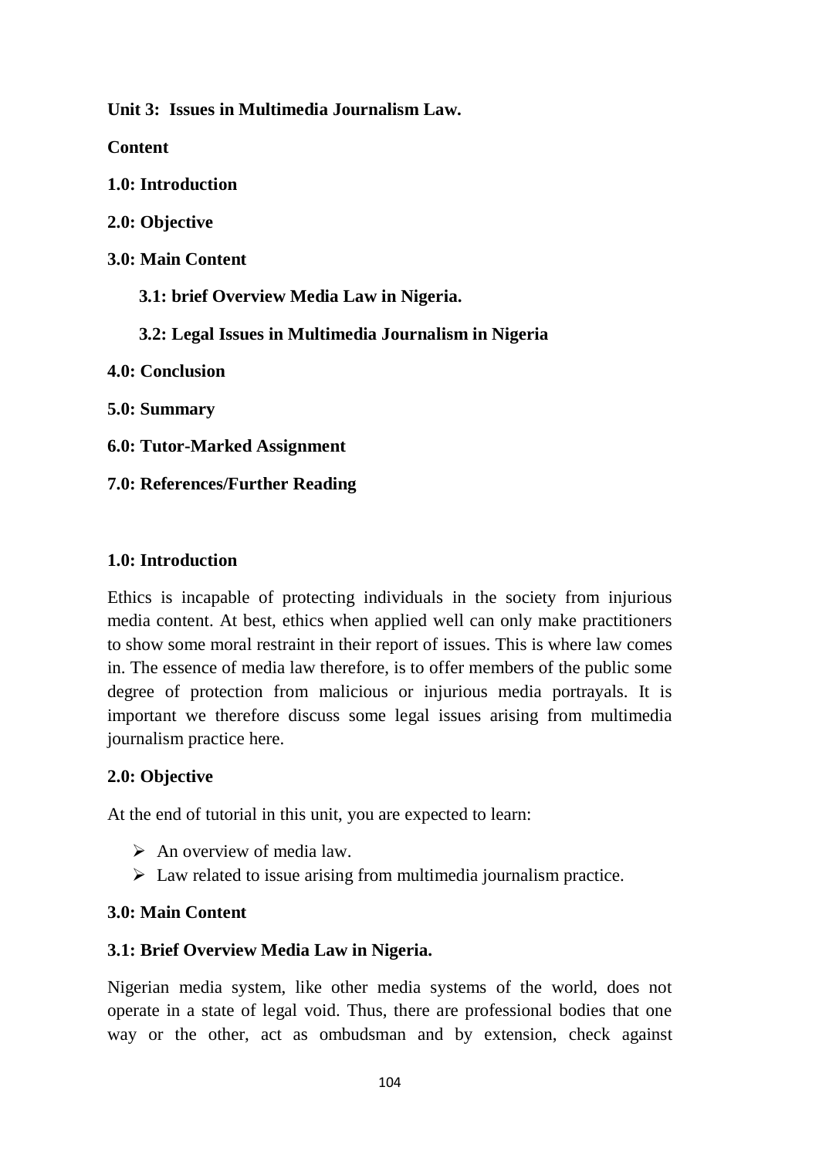**Unit 3: Issues in Multimedia Journalism Law.**

**Content**

**1.0: Introduction**

**2.0: Objective**

**3.0: Main Content**

 **3.1: brief Overview Media Law in Nigeria.**

 **3.2: Legal Issues in Multimedia Journalism in Nigeria** 

**4.0: Conclusion**

**5.0: Summary**

**6.0: Tutor-Marked Assignment**

**7.0: References/Further Reading**

## **1.0: Introduction**

Ethics is incapable of protecting individuals in the society from injurious media content. At best, ethics when applied well can only make practitioners to show some moral restraint in their report of issues. This is where law comes in. The essence of media law therefore, is to offer members of the public some degree of protection from malicious or injurious media portrayals. It is important we therefore discuss some legal issues arising from multimedia journalism practice here.

### **2.0: Objective**

At the end of tutorial in this unit, you are expected to learn:

- $\triangleright$  An overview of media law.
- $\triangleright$  Law related to issue arising from multimedia journalism practice.

## **3.0: Main Content**

## **3.1: Brief Overview Media Law in Nigeria.**

Nigerian media system, like other media systems of the world, does not operate in a state of legal void. Thus, there are professional bodies that one way or the other, act as ombudsman and by extension, check against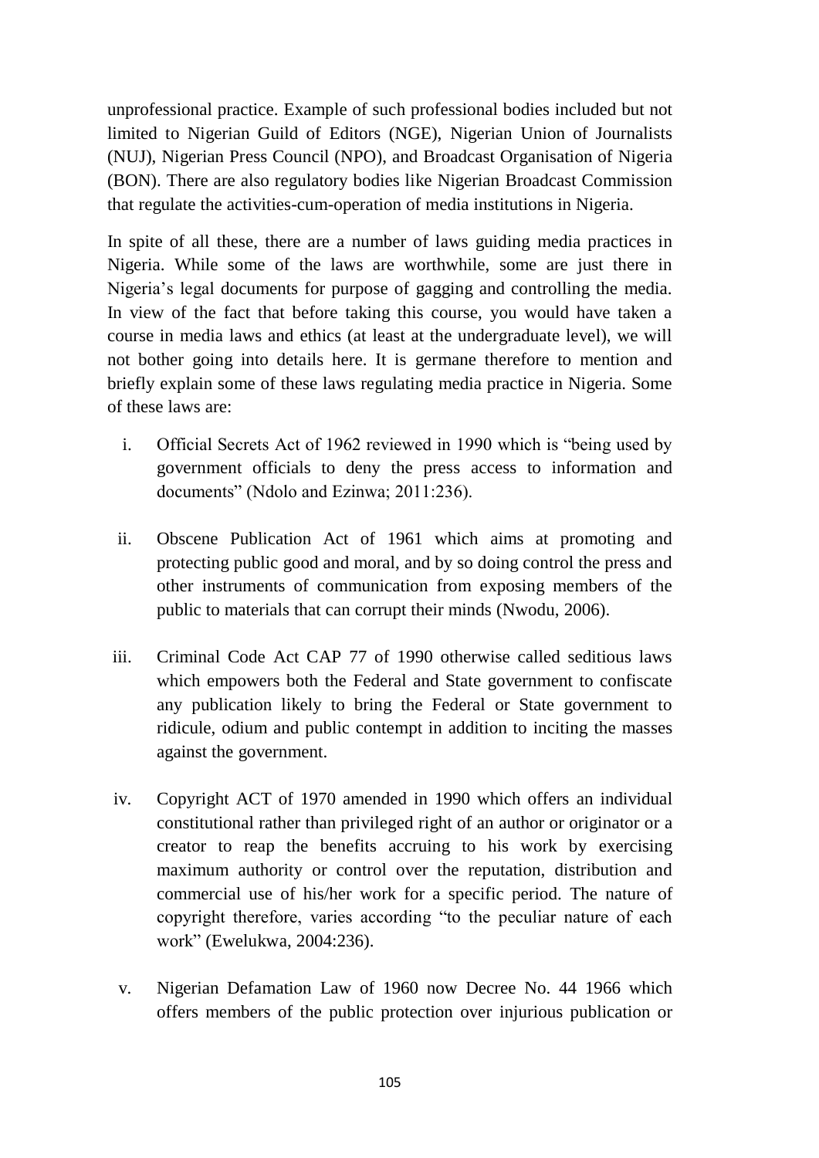unprofessional practice. Example of such professional bodies included but not limited to Nigerian Guild of Editors (NGE), Nigerian Union of Journalists (NUJ), Nigerian Press Council (NPO), and Broadcast Organisation of Nigeria (BON). There are also regulatory bodies like Nigerian Broadcast Commission that regulate the activities-cum-operation of media institutions in Nigeria.

In spite of all these, there are a number of laws guiding media practices in Nigeria. While some of the laws are worthwhile, some are just there in Nigeria's legal documents for purpose of gagging and controlling the media. In view of the fact that before taking this course, you would have taken a course in media laws and ethics (at least at the undergraduate level), we will not bother going into details here. It is germane therefore to mention and briefly explain some of these laws regulating media practice in Nigeria. Some of these laws are:

- i. Official Secrets Act of 1962 reviewed in 1990 which is "being used by government officials to deny the press access to information and documents" (Ndolo and Ezinwa; 2011:236).
- ii. Obscene Publication Act of 1961 which aims at promoting and protecting public good and moral, and by so doing control the press and other instruments of communication from exposing members of the public to materials that can corrupt their minds (Nwodu, 2006).
- iii. Criminal Code Act CAP 77 of 1990 otherwise called seditious laws which empowers both the Federal and State government to confiscate any publication likely to bring the Federal or State government to ridicule, odium and public contempt in addition to inciting the masses against the government.
- iv. Copyright ACT of 1970 amended in 1990 which offers an individual constitutional rather than privileged right of an author or originator or a creator to reap the benefits accruing to his work by exercising maximum authority or control over the reputation, distribution and commercial use of his/her work for a specific period. The nature of copyright therefore, varies according "to the peculiar nature of each work" (Ewelukwa, 2004:236).
- v. Nigerian Defamation Law of 1960 now Decree No. 44 1966 which offers members of the public protection over injurious publication or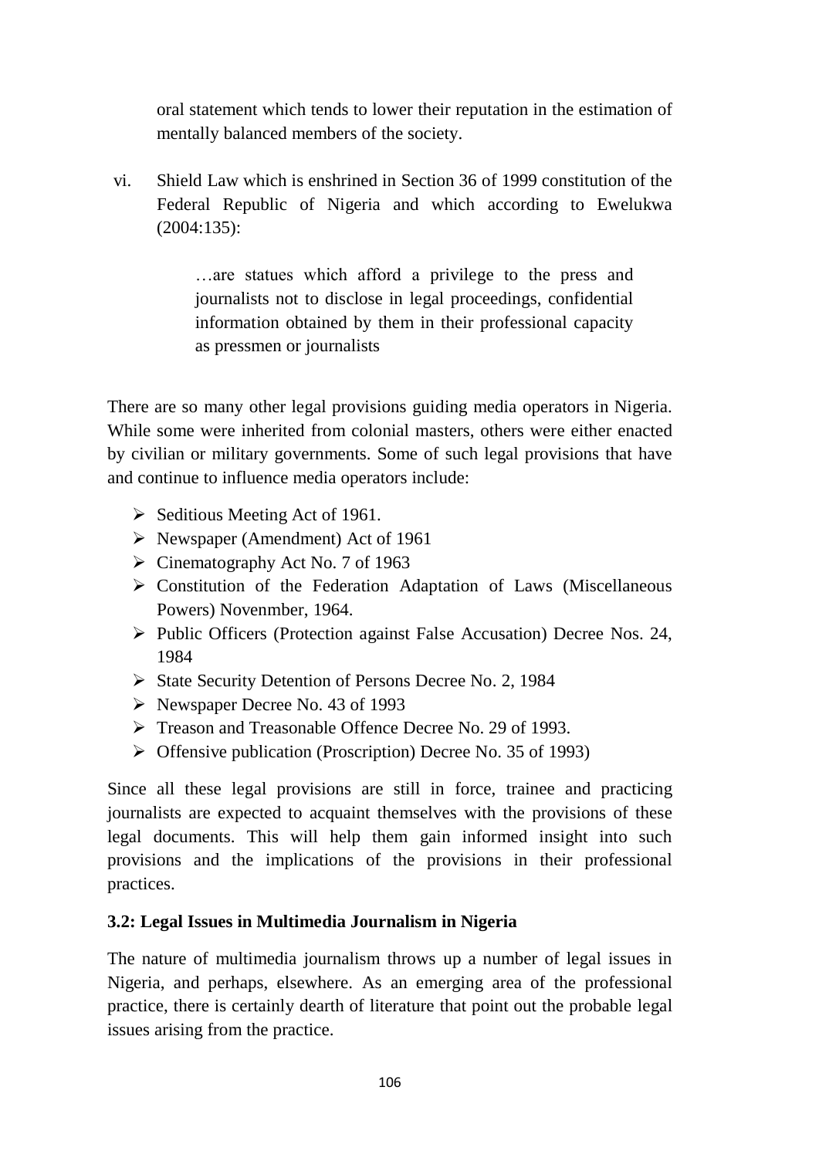oral statement which tends to lower their reputation in the estimation of mentally balanced members of the society.

vi. Shield Law which is enshrined in Section 36 of 1999 constitution of the Federal Republic of Nigeria and which according to Ewelukwa (2004:135):

> …are statues which afford a privilege to the press and journalists not to disclose in legal proceedings, confidential information obtained by them in their professional capacity as pressmen or journalists

There are so many other legal provisions guiding media operators in Nigeria. While some were inherited from colonial masters, others were either enacted by civilian or military governments. Some of such legal provisions that have and continue to influence media operators include:

- $\triangleright$  Seditious Meeting Act of 1961.
- $\triangleright$  Newspaper (Amendment) Act of 1961
- $\triangleright$  Cinematography Act No. 7 of 1963
- Constitution of the Federation Adaptation of Laws (Miscellaneous Powers) Novenmber, 1964.
- $\triangleright$  Public Officers (Protection against False Accusation) Decree Nos. 24, 1984
- $\triangleright$  State Security Detention of Persons Decree No. 2, 1984
- $\triangleright$  Newspaper Decree No. 43 of 1993
- Treason and Treasonable Offence Decree No. 29 of 1993.
- $\triangleright$  Offensive publication (Proscription) Decree No. 35 of 1993)

Since all these legal provisions are still in force, trainee and practicing journalists are expected to acquaint themselves with the provisions of these legal documents. This will help them gain informed insight into such provisions and the implications of the provisions in their professional practices.

## **3.2: Legal Issues in Multimedia Journalism in Nigeria**

The nature of multimedia journalism throws up a number of legal issues in Nigeria, and perhaps, elsewhere. As an emerging area of the professional practice, there is certainly dearth of literature that point out the probable legal issues arising from the practice.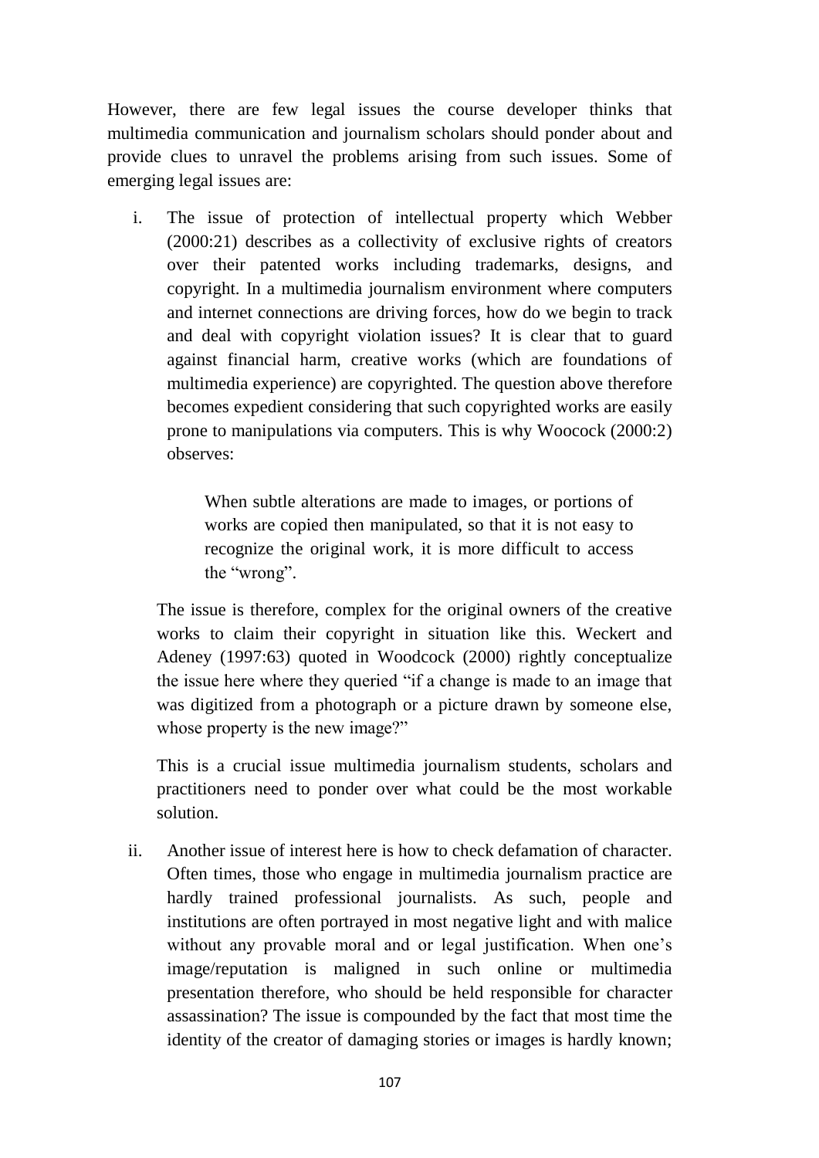However, there are few legal issues the course developer thinks that multimedia communication and journalism scholars should ponder about and provide clues to unravel the problems arising from such issues. Some of emerging legal issues are:

i. The issue of protection of intellectual property which Webber (2000:21) describes as a collectivity of exclusive rights of creators over their patented works including trademarks, designs, and copyright. In a multimedia journalism environment where computers and internet connections are driving forces, how do we begin to track and deal with copyright violation issues? It is clear that to guard against financial harm, creative works (which are foundations of multimedia experience) are copyrighted. The question above therefore becomes expedient considering that such copyrighted works are easily prone to manipulations via computers. This is why Woocock (2000:2) observes:

> When subtle alterations are made to images, or portions of works are copied then manipulated, so that it is not easy to recognize the original work, it is more difficult to access the "wrong".

The issue is therefore, complex for the original owners of the creative works to claim their copyright in situation like this. Weckert and Adeney (1997:63) quoted in Woodcock (2000) rightly conceptualize the issue here where they queried "if a change is made to an image that was digitized from a photograph or a picture drawn by someone else, whose property is the new image?"

This is a crucial issue multimedia journalism students, scholars and practitioners need to ponder over what could be the most workable solution.

ii. Another issue of interest here is how to check defamation of character. Often times, those who engage in multimedia journalism practice are hardly trained professional journalists. As such, people and institutions are often portrayed in most negative light and with malice without any provable moral and or legal justification. When one's image/reputation is maligned in such online or multimedia presentation therefore, who should be held responsible for character assassination? The issue is compounded by the fact that most time the identity of the creator of damaging stories or images is hardly known;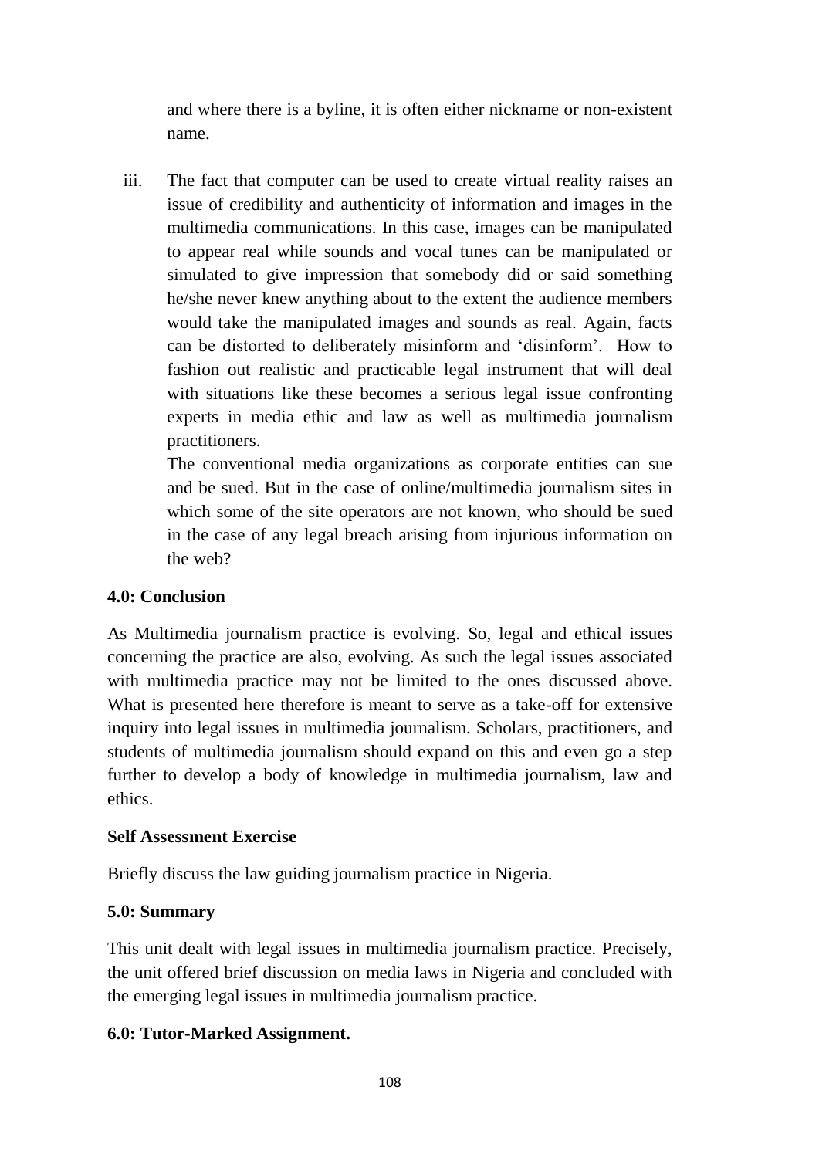and where there is a byline, it is often either nickname or non-existent name.

iii. The fact that computer can be used to create virtual reality raises an issue of credibility and authenticity of information and images in the multimedia communications. In this case, images can be manipulated to appear real while sounds and vocal tunes can be manipulated or simulated to give impression that somebody did or said something he/she never knew anything about to the extent the audience members would take the manipulated images and sounds as real. Again, facts can be distorted to deliberately misinform and 'disinform'. How to fashion out realistic and practicable legal instrument that will deal with situations like these becomes a serious legal issue confronting experts in media ethic and law as well as multimedia journalism practitioners.

The conventional media organizations as corporate entities can sue and be sued. But in the case of online/multimedia journalism sites in which some of the site operators are not known, who should be sued in the case of any legal breach arising from injurious information on the web?

### **4.0: Conclusion**

As Multimedia journalism practice is evolving. So, legal and ethical issues concerning the practice are also, evolving. As such the legal issues associated with multimedia practice may not be limited to the ones discussed above. What is presented here therefore is meant to serve as a take-off for extensive inquiry into legal issues in multimedia journalism. Scholars, practitioners, and students of multimedia journalism should expand on this and even go a step further to develop a body of knowledge in multimedia journalism, law and ethics.

### **Self Assessment Exercise**

Briefly discuss the law guiding journalism practice in Nigeria.

## **5.0: Summary**

This unit dealt with legal issues in multimedia journalism practice. Precisely, the unit offered brief discussion on media laws in Nigeria and concluded with the emerging legal issues in multimedia journalism practice.

## **6.0: Tutor-Marked Assignment.**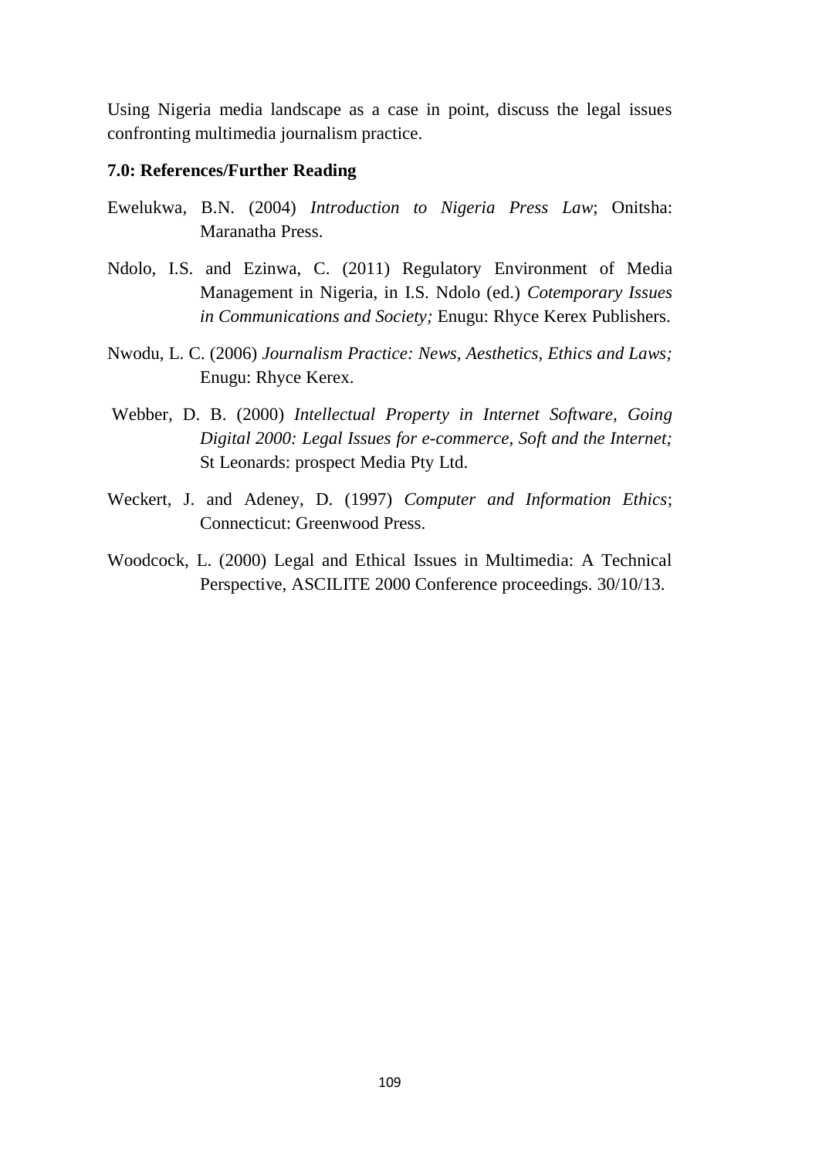Using Nigeria media landscape as a case in point, discuss the legal issues confronting multimedia journalism practice.

#### **7.0: References/Further Reading**

- Ewelukwa, B.N. (2004) *Introduction to Nigeria Press Law*; Onitsha: Maranatha Press.
- Ndolo, I.S. and Ezinwa, C. (2011) Regulatory Environment of Media Management in Nigeria, in I.S. Ndolo (ed.) *Cotemporary Issues in Communications and Society;* Enugu: Rhyce Kerex Publishers.
- Nwodu, L. C. (2006) *Journalism Practice: News, Aesthetics, Ethics and Laws;* Enugu: Rhyce Kerex.
- Webber, D. B. (2000) *Intellectual Property in Internet Software, Going Digital 2000: Legal Issues for e-commerce, Soft and the Internet;* St Leonards: prospect Media Pty Ltd.
- Weckert, J. and Adeney, D. (1997) *Computer and Information Ethics*; Connecticut: Greenwood Press.
- Woodcock, L. (2000) Legal and Ethical Issues in Multimedia: A Technical Perspective, ASCILITE 2000 Conference proceedings. 30/10/13.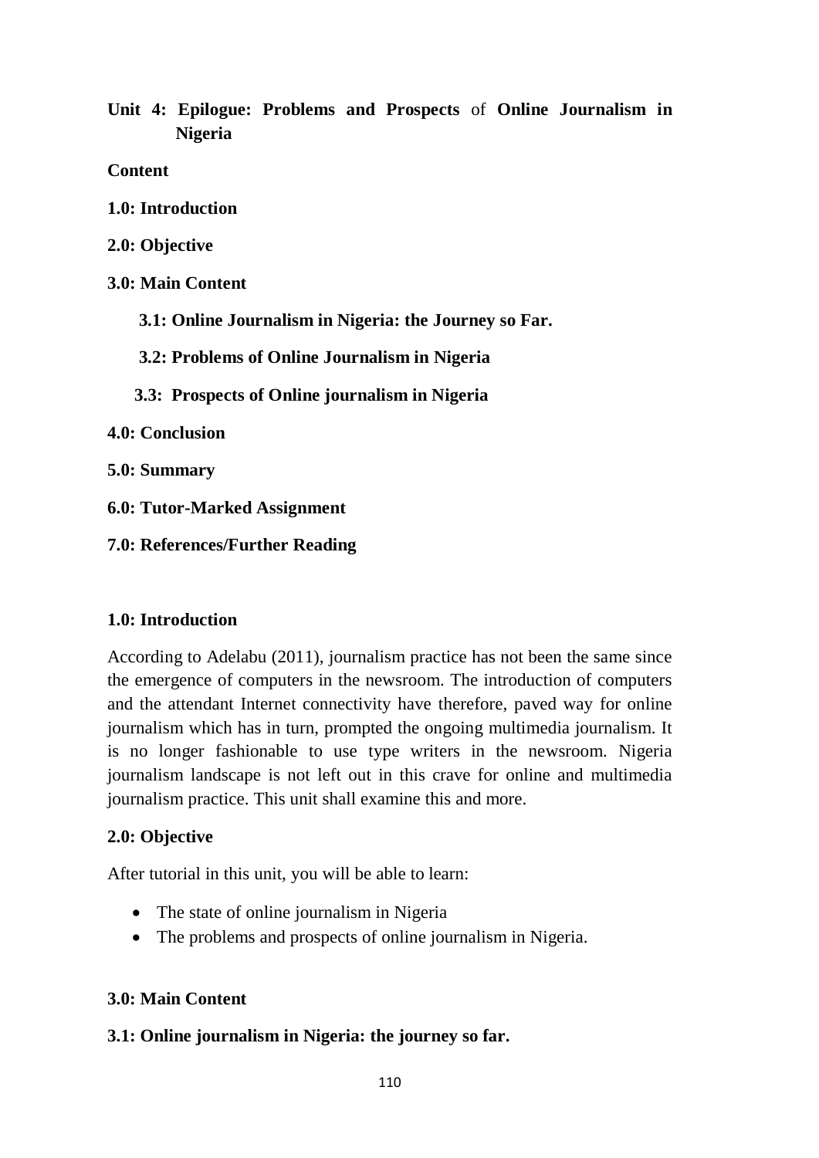**Unit 4: Epilogue: Problems and Prospects** of **Online Journalism in Nigeria**

**Content**

- **1.0: Introduction**
- **2.0: Objective**
- **3.0: Main Content**
	- **3.1: Online Journalism in Nigeria: the Journey so Far.**
	- **3.2: Problems of Online Journalism in Nigeria**
	- **3.3: Prospects of Online journalism in Nigeria**
- **4.0: Conclusion**
- **5.0: Summary**
- **6.0: Tutor-Marked Assignment**
- **7.0: References/Further Reading**

## **1.0: Introduction**

According to Adelabu (2011), journalism practice has not been the same since the emergence of computers in the newsroom. The introduction of computers and the attendant Internet connectivity have therefore, paved way for online journalism which has in turn, prompted the ongoing multimedia journalism. It is no longer fashionable to use type writers in the newsroom. Nigeria journalism landscape is not left out in this crave for online and multimedia journalism practice. This unit shall examine this and more.

## **2.0: Objective**

After tutorial in this unit, you will be able to learn:

- The state of online journalism in Nigeria
- The problems and prospects of online journalism in Nigeria.

# **3.0: Main Content**

## **3.1: Online journalism in Nigeria: the journey so far.**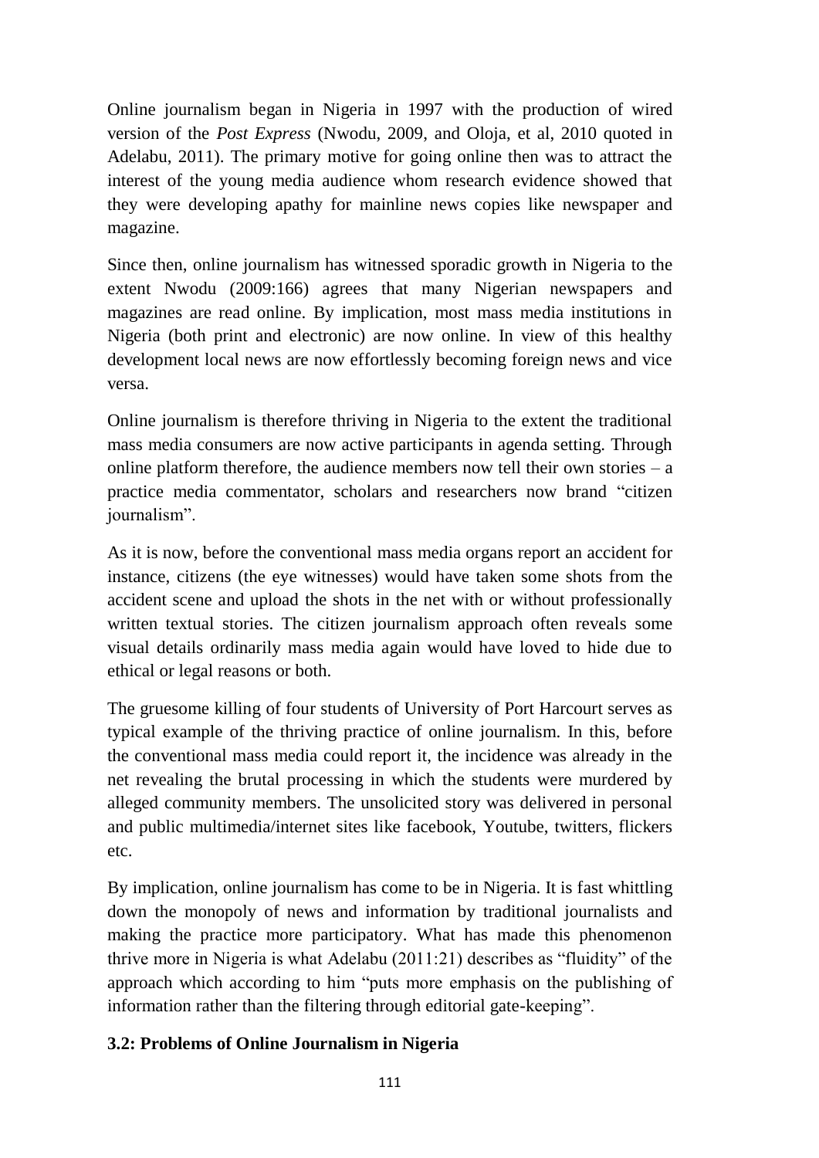Online journalism began in Nigeria in 1997 with the production of wired version of the *Post Express* (Nwodu, 2009, and Oloja, et al, 2010 quoted in Adelabu, 2011). The primary motive for going online then was to attract the interest of the young media audience whom research evidence showed that they were developing apathy for mainline news copies like newspaper and magazine.

Since then, online journalism has witnessed sporadic growth in Nigeria to the extent Nwodu (2009:166) agrees that many Nigerian newspapers and magazines are read online. By implication, most mass media institutions in Nigeria (both print and electronic) are now online. In view of this healthy development local news are now effortlessly becoming foreign news and vice versa.

Online journalism is therefore thriving in Nigeria to the extent the traditional mass media consumers are now active participants in agenda setting. Through online platform therefore, the audience members now tell their own stories  $- a$ practice media commentator, scholars and researchers now brand "citizen journalism".

As it is now, before the conventional mass media organs report an accident for instance, citizens (the eye witnesses) would have taken some shots from the accident scene and upload the shots in the net with or without professionally written textual stories. The citizen journalism approach often reveals some visual details ordinarily mass media again would have loved to hide due to ethical or legal reasons or both.

The gruesome killing of four students of University of Port Harcourt serves as typical example of the thriving practice of online journalism. In this, before the conventional mass media could report it, the incidence was already in the net revealing the brutal processing in which the students were murdered by alleged community members. The unsolicited story was delivered in personal and public multimedia/internet sites like facebook, Youtube, twitters, flickers etc.

By implication, online journalism has come to be in Nigeria. It is fast whittling down the monopoly of news and information by traditional journalists and making the practice more participatory. What has made this phenomenon thrive more in Nigeria is what Adelabu (2011:21) describes as "fluidity" of the approach which according to him "puts more emphasis on the publishing of information rather than the filtering through editorial gate-keeping".

# **3.2: Problems of Online Journalism in Nigeria**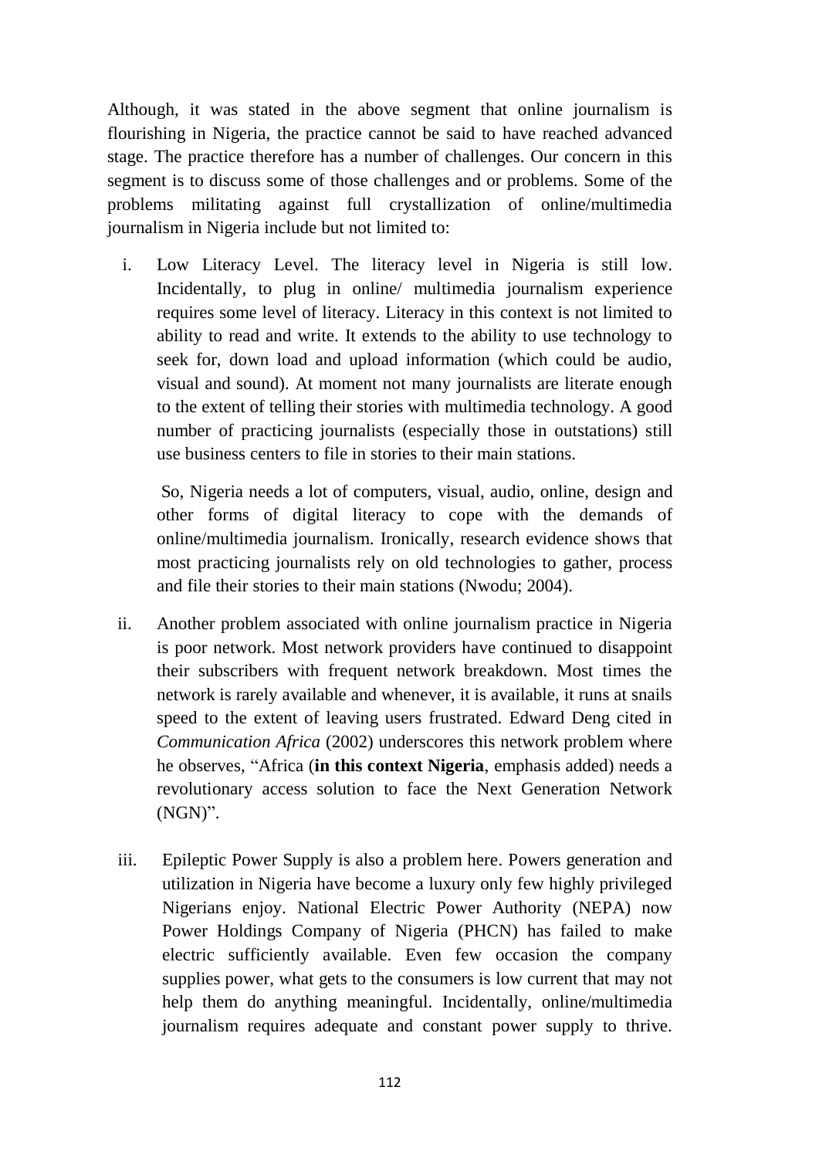Although, it was stated in the above segment that online journalism is flourishing in Nigeria, the practice cannot be said to have reached advanced stage. The practice therefore has a number of challenges. Our concern in this segment is to discuss some of those challenges and or problems. Some of the problems militating against full crystallization of online/multimedia journalism in Nigeria include but not limited to:

i. Low Literacy Level. The literacy level in Nigeria is still low. Incidentally, to plug in online/ multimedia journalism experience requires some level of literacy. Literacy in this context is not limited to ability to read and write. It extends to the ability to use technology to seek for, down load and upload information (which could be audio, visual and sound). At moment not many journalists are literate enough to the extent of telling their stories with multimedia technology. A good number of practicing journalists (especially those in outstations) still use business centers to file in stories to their main stations.

So, Nigeria needs a lot of computers, visual, audio, online, design and other forms of digital literacy to cope with the demands of online/multimedia journalism. Ironically, research evidence shows that most practicing journalists rely on old technologies to gather, process and file their stories to their main stations (Nwodu; 2004).

- ii. Another problem associated with online journalism practice in Nigeria is poor network. Most network providers have continued to disappoint their subscribers with frequent network breakdown. Most times the network is rarely available and whenever, it is available, it runs at snails speed to the extent of leaving users frustrated. Edward Deng cited in *Communication Africa* (2002) underscores this network problem where he observes, "Africa (**in this context Nigeria**, emphasis added) needs a revolutionary access solution to face the Next Generation Network (NGN)".
- iii. Epileptic Power Supply is also a problem here. Powers generation and utilization in Nigeria have become a luxury only few highly privileged Nigerians enjoy. National Electric Power Authority (NEPA) now Power Holdings Company of Nigeria (PHCN) has failed to make electric sufficiently available. Even few occasion the company supplies power, what gets to the consumers is low current that may not help them do anything meaningful. Incidentally, online/multimedia journalism requires adequate and constant power supply to thrive.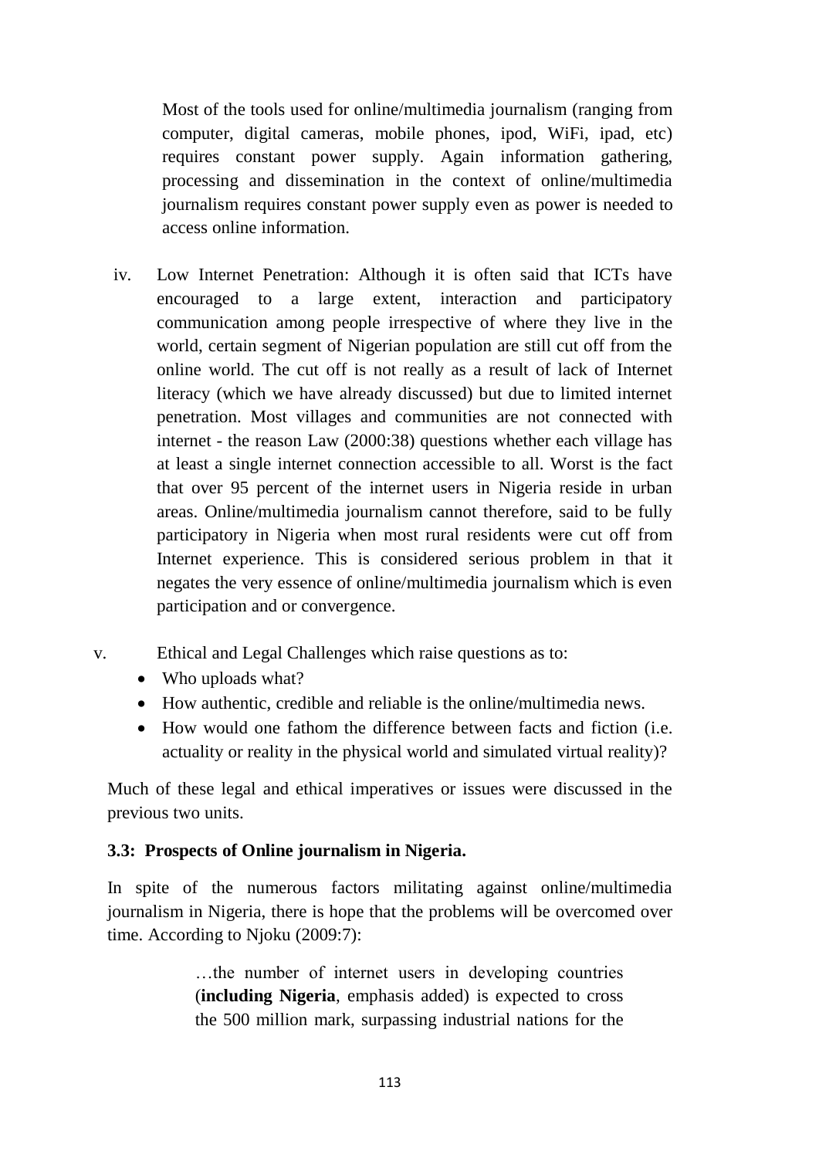Most of the tools used for online/multimedia journalism (ranging from computer, digital cameras, mobile phones, ipod, WiFi, ipad, etc) requires constant power supply. Again information gathering, processing and dissemination in the context of online/multimedia journalism requires constant power supply even as power is needed to access online information.

- iv. Low Internet Penetration: Although it is often said that ICTs have encouraged to a large extent, interaction and participatory communication among people irrespective of where they live in the world, certain segment of Nigerian population are still cut off from the online world. The cut off is not really as a result of lack of Internet literacy (which we have already discussed) but due to limited internet penetration. Most villages and communities are not connected with internet - the reason Law (2000:38) questions whether each village has at least a single internet connection accessible to all. Worst is the fact that over 95 percent of the internet users in Nigeria reside in urban areas. Online/multimedia journalism cannot therefore, said to be fully participatory in Nigeria when most rural residents were cut off from Internet experience. This is considered serious problem in that it negates the very essence of online/multimedia journalism which is even participation and or convergence.
- v. Ethical and Legal Challenges which raise questions as to:
	- Who uploads what?
	- How authentic, credible and reliable is the online/multimedia news.
	- How would one fathom the difference between facts and fiction (i.e. actuality or reality in the physical world and simulated virtual reality)?

Much of these legal and ethical imperatives or issues were discussed in the previous two units.

## **3.3: Prospects of Online journalism in Nigeria.**

In spite of the numerous factors militating against online/multimedia journalism in Nigeria, there is hope that the problems will be overcomed over time. According to Njoku (2009:7):

> …the number of internet users in developing countries (**including Nigeria**, emphasis added) is expected to cross the 500 million mark, surpassing industrial nations for the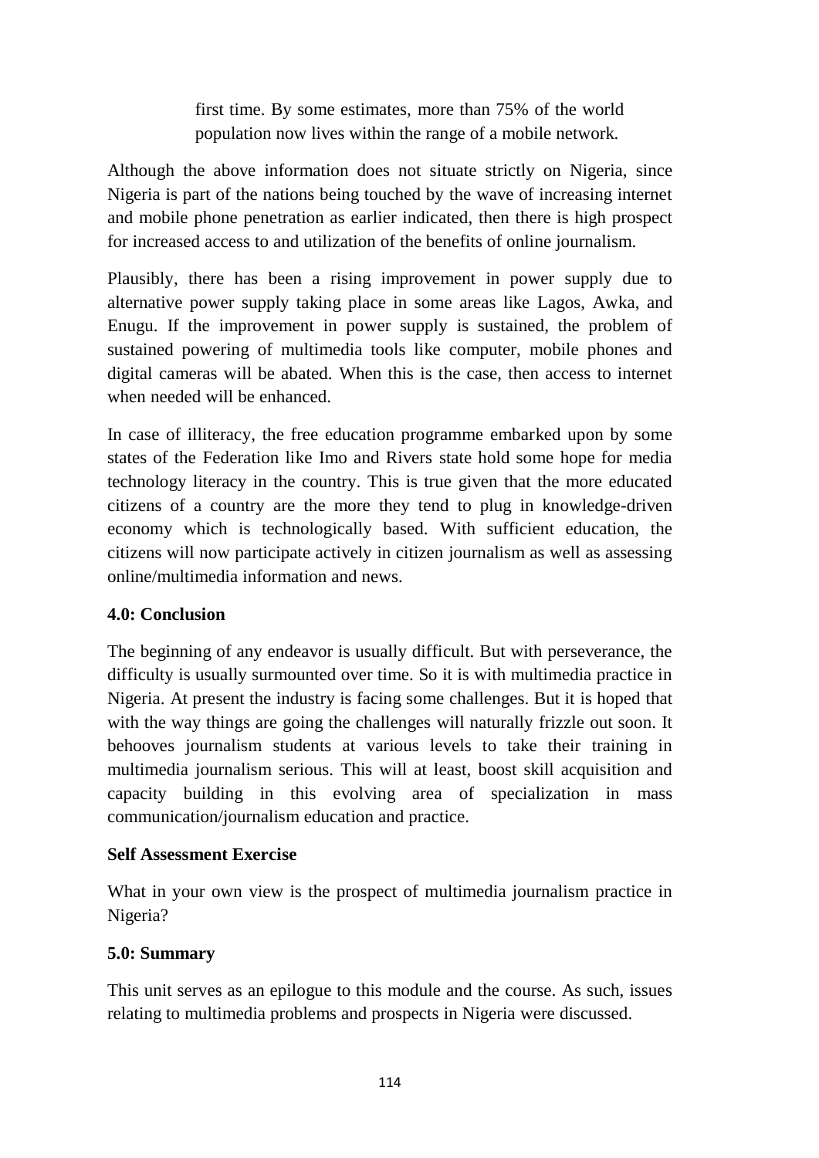first time. By some estimates, more than 75% of the world population now lives within the range of a mobile network.

Although the above information does not situate strictly on Nigeria, since Nigeria is part of the nations being touched by the wave of increasing internet and mobile phone penetration as earlier indicated, then there is high prospect for increased access to and utilization of the benefits of online journalism.

Plausibly, there has been a rising improvement in power supply due to alternative power supply taking place in some areas like Lagos, Awka, and Enugu. If the improvement in power supply is sustained, the problem of sustained powering of multimedia tools like computer, mobile phones and digital cameras will be abated. When this is the case, then access to internet when needed will be enhanced.

In case of illiteracy, the free education programme embarked upon by some states of the Federation like Imo and Rivers state hold some hope for media technology literacy in the country. This is true given that the more educated citizens of a country are the more they tend to plug in knowledge-driven economy which is technologically based. With sufficient education, the citizens will now participate actively in citizen journalism as well as assessing online/multimedia information and news.

## **4.0: Conclusion**

The beginning of any endeavor is usually difficult. But with perseverance, the difficulty is usually surmounted over time. So it is with multimedia practice in Nigeria. At present the industry is facing some challenges. But it is hoped that with the way things are going the challenges will naturally frizzle out soon. It behooves journalism students at various levels to take their training in multimedia journalism serious. This will at least, boost skill acquisition and capacity building in this evolving area of specialization in mass communication/journalism education and practice.

## **Self Assessment Exercise**

What in your own view is the prospect of multimedia journalism practice in Nigeria?

## **5.0: Summary**

This unit serves as an epilogue to this module and the course. As such, issues relating to multimedia problems and prospects in Nigeria were discussed.